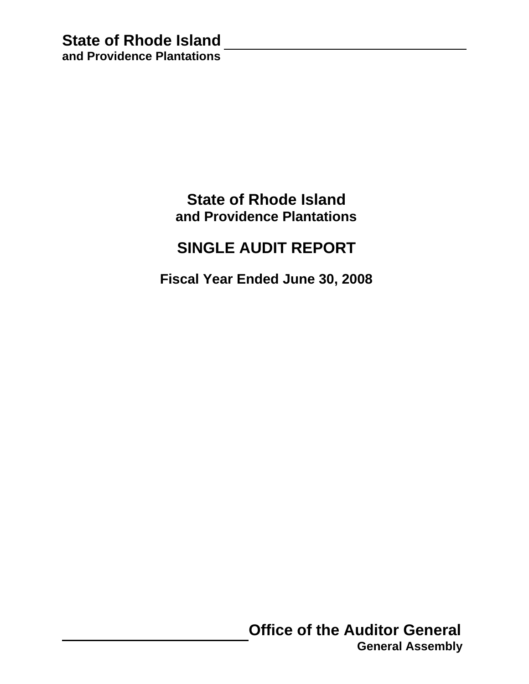## **State of Rhode Island and Providence Plantations**

# **SINGLE AUDIT REPORT**

 **Fiscal Year Ended June 30, 2008**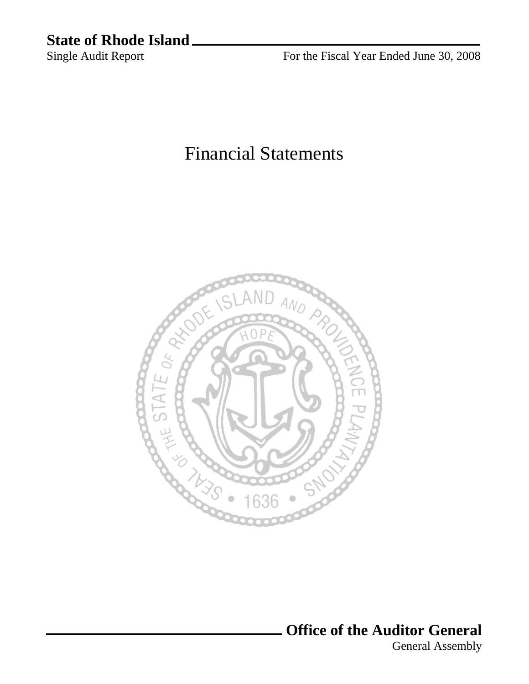# **State of Rhode Island** \_ Single Audit Report

For the Fiscal Year Ended June 30, 2008

# Financial Statements



**Office of the Auditor General** 

General Assembly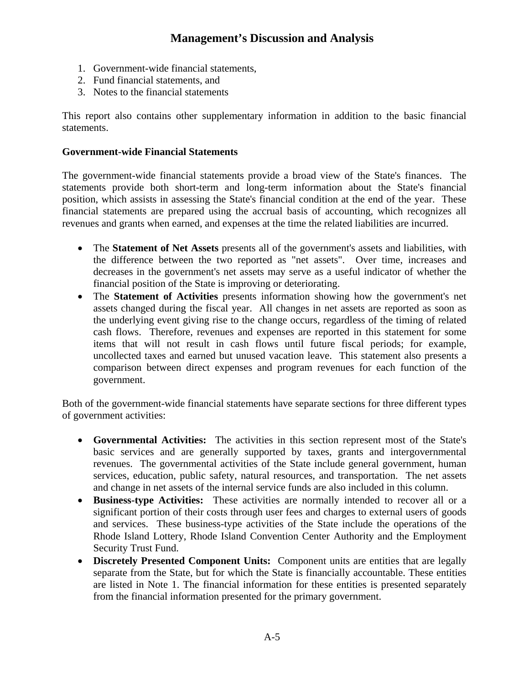- 1. Government-wide financial statements,
- 2. Fund financial statements, and
- 3. Notes to the financial statements

This report also contains other supplementary information in addition to the basic financial statements.

### **Government-wide Financial Statements**

The government-wide financial statements provide a broad view of the State's finances. The statements provide both short-term and long-term information about the State's financial position, which assists in assessing the State's financial condition at the end of the year. These financial statements are prepared using the accrual basis of accounting, which recognizes all revenues and grants when earned, and expenses at the time the related liabilities are incurred.

- The **Statement of Net Assets** presents all of the government's assets and liabilities, with the difference between the two reported as "net assets". Over time, increases and decreases in the government's net assets may serve as a useful indicator of whether the financial position of the State is improving or deteriorating.
- The **Statement of Activities** presents information showing how the government's net assets changed during the fiscal year. All changes in net assets are reported as soon as the underlying event giving rise to the change occurs, regardless of the timing of related cash flows. Therefore, revenues and expenses are reported in this statement for some items that will not result in cash flows until future fiscal periods; for example, uncollected taxes and earned but unused vacation leave. This statement also presents a comparison between direct expenses and program revenues for each function of the government.

Both of the government-wide financial statements have separate sections for three different types of government activities:

- **Governmental Activities:** The activities in this section represent most of the State's basic services and are generally supported by taxes, grants and intergovernmental revenues. The governmental activities of the State include general government, human services, education, public safety, natural resources, and transportation. The net assets and change in net assets of the internal service funds are also included in this column.
- **Business-type Activities:** These activities are normally intended to recover all or a significant portion of their costs through user fees and charges to external users of goods and services. These business-type activities of the State include the operations of the Rhode Island Lottery, Rhode Island Convention Center Authority and the Employment Security Trust Fund.
- **Discretely Presented Component Units:** Component units are entities that are legally separate from the State, but for which the State is financially accountable. These entities are listed in Note 1. The financial information for these entities is presented separately from the financial information presented for the primary government.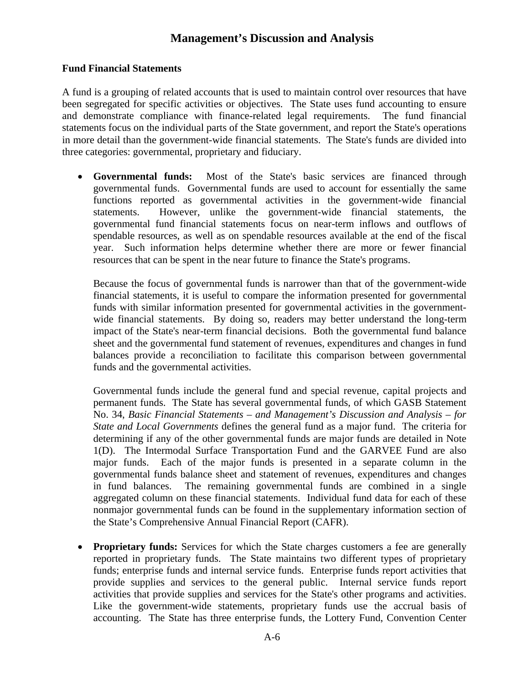### **Fund Financial Statements**

A fund is a grouping of related accounts that is used to maintain control over resources that have been segregated for specific activities or objectives. The State uses fund accounting to ensure and demonstrate compliance with finance-related legal requirements. The fund financial statements focus on the individual parts of the State government, and report the State's operations in more detail than the government-wide financial statements. The State's funds are divided into three categories: governmental, proprietary and fiduciary.

• **Governmental funds:** Most of the State's basic services are financed through governmental funds. Governmental funds are used to account for essentially the same functions reported as governmental activities in the government-wide financial statements. However, unlike the government-wide financial statements, the governmental fund financial statements focus on near-term inflows and outflows of spendable resources, as well as on spendable resources available at the end of the fiscal year. Such information helps determine whether there are more or fewer financial resources that can be spent in the near future to finance the State's programs.

Because the focus of governmental funds is narrower than that of the government-wide financial statements, it is useful to compare the information presented for governmental funds with similar information presented for governmental activities in the governmentwide financial statements. By doing so, readers may better understand the long-term impact of the State's near-term financial decisions. Both the governmental fund balance sheet and the governmental fund statement of revenues, expenditures and changes in fund balances provide a reconciliation to facilitate this comparison between governmental funds and the governmental activities.

Governmental funds include the general fund and special revenue, capital projects and permanent funds. The State has several governmental funds, of which GASB Statement No. 34, *Basic Financial Statements – and Management's Discussion and Analysis – for State and Local Governments* defines the general fund as a major fund. The criteria for determining if any of the other governmental funds are major funds are detailed in Note 1(D). The Intermodal Surface Transportation Fund and the GARVEE Fund are also major funds. Each of the major funds is presented in a separate column in the governmental funds balance sheet and statement of revenues, expenditures and changes in fund balances. The remaining governmental funds are combined in a single aggregated column on these financial statements. Individual fund data for each of these nonmajor governmental funds can be found in the supplementary information section of the State's Comprehensive Annual Financial Report (CAFR).

• **Proprietary funds:** Services for which the State charges customers a fee are generally reported in proprietary funds. The State maintains two different types of proprietary funds; enterprise funds and internal service funds. Enterprise funds report activities that provide supplies and services to the general public. Internal service funds report activities that provide supplies and services for the State's other programs and activities. Like the government-wide statements, proprietary funds use the accrual basis of accounting. The State has three enterprise funds, the Lottery Fund, Convention Center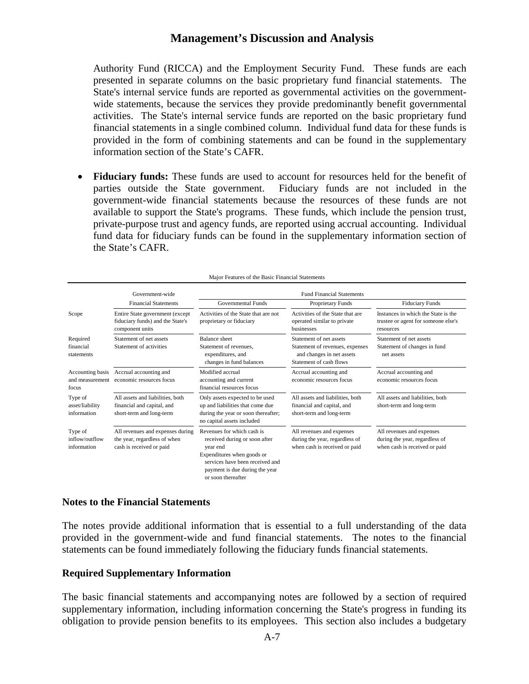Authority Fund (RICCA) and the Employment Security Fund. These funds are each presented in separate columns on the basic proprietary fund financial statements. The State's internal service funds are reported as governmental activities on the governmentwide statements, because the services they provide predominantly benefit governmental activities. The State's internal service funds are reported on the basic proprietary fund financial statements in a single combined column. Individual fund data for these funds is provided in the form of combining statements and can be found in the supplementary information section of the State's CAFR.

• **Fiduciary funds:** These funds are used to account for resources held for the benefit of parties outside the State government. Fiduciary funds are not included in the government-wide financial statements because the resources of these funds are not available to support the State's programs. These funds, which include the pension trust, private-purpose trust and agency funds, are reported using accrual accounting. Individual fund data for fiduciary funds can be found in the supplementary information section of the State's CAFR.

|                                              | Government-wide                                                                                                                                            | <b>Fund Financial Statements</b>                                                                                                                                                                 |                                                                                                                    |                                                                                              |  |  |  |  |  |  |
|----------------------------------------------|------------------------------------------------------------------------------------------------------------------------------------------------------------|--------------------------------------------------------------------------------------------------------------------------------------------------------------------------------------------------|--------------------------------------------------------------------------------------------------------------------|----------------------------------------------------------------------------------------------|--|--|--|--|--|--|
|                                              | <b>Financial Statements</b>                                                                                                                                | Governmental Funds                                                                                                                                                                               | Proprietary Funds                                                                                                  | <b>Fiduciary Funds</b>                                                                       |  |  |  |  |  |  |
| Scope                                        | Activities of the State that are not<br>Entire State government (except<br>fiduciary funds) and the State's<br>proprietary or fiduciary<br>component units |                                                                                                                                                                                                  | Activities of the State that are<br>operated similar to private<br><b>businesses</b>                               | Instances in which the State is the<br>trustee or agent for someone else's<br>resources      |  |  |  |  |  |  |
| Required<br>financial<br>statements          | Statement of net assets<br>Statement of activities                                                                                                         | <b>Balance</b> sheet<br>Statement of revenues.<br>expenditures, and<br>changes in fund balances                                                                                                  | Statement of net assets<br>Statement of revenues, expenses<br>and changes in net assets<br>Statement of cash flows | Statement of net assets<br>Statement of changes in fund<br>net assets                        |  |  |  |  |  |  |
| Accounting basis<br>and measurement<br>focus | Accrual accounting and<br>economic resources focus                                                                                                         | Modified accrual<br>accounting and current<br>financial resources focus                                                                                                                          | Accrual accounting and<br>economic resources focus                                                                 | Accrual accounting and<br>economic resources focus                                           |  |  |  |  |  |  |
| Type of<br>asset/liability<br>information    | All assets and liabilities, both<br>financial and capital, and<br>short-term and long-term                                                                 | Only assets expected to be used<br>up and liabilities that come due<br>during the year or soon thereafter;<br>no capital assets included                                                         | All assets and liabilities, both<br>financial and capital, and<br>short-term and long-term                         | All assets and liabilities, both<br>short-term and long-term                                 |  |  |  |  |  |  |
| Type of<br>inflow/outflow<br>information     | All revenues and expenses during<br>the year, regardless of when<br>cash is received or paid                                                               | Revenues for which cash is<br>received during or soon after<br>year end<br>Expenditures when goods or<br>services have been received and<br>payment is due during the year<br>or soon thereafter | All revenues and expenses<br>during the year, regardless of<br>when cash is received or paid                       | All revenues and expenses<br>during the year, regardless of<br>when cash is received or paid |  |  |  |  |  |  |

Major Features of the Basic Financial Statements

### **Notes to the Financial Statements**

The notes provide additional information that is essential to a full understanding of the data provided in the government-wide and fund financial statements. The notes to the financial statements can be found immediately following the fiduciary funds financial statements.

#### **Required Supplementary Information**

The basic financial statements and accompanying notes are followed by a section of required supplementary information, including information concerning the State's progress in funding its obligation to provide pension benefits to its employees. This section also includes a budgetary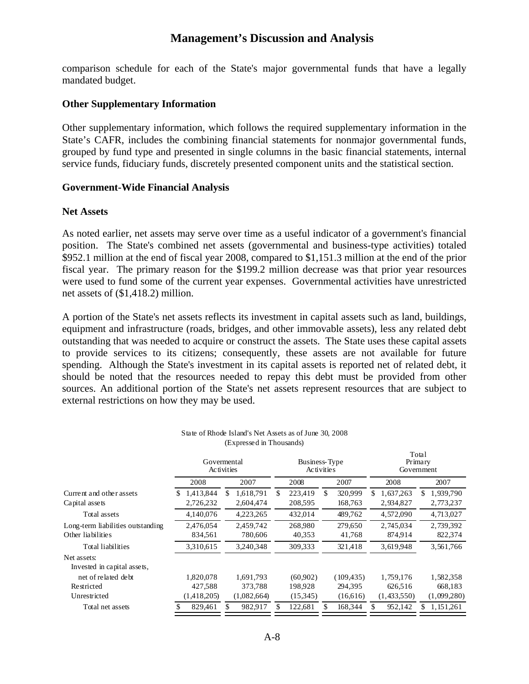comparison schedule for each of the State's major governmental funds that have a legally mandated budget.

#### **Other Supplementary Information**

Other supplementary information, which follows the required supplementary information in the State's CAFR, includes the combining financial statements for nonmajor governmental funds, grouped by fund type and presented in single columns in the basic financial statements, internal service funds, fiduciary funds, discretely presented component units and the statistical section.

#### **Government-Wide Financial Analysis**

#### **Net Assets**

As noted earlier, net assets may serve over time as a useful indicator of a government's financial position. The State's combined net assets (governmental and business-type activities) totaled \$952.1 million at the end of fiscal year 2008, compared to \$1,151.3 million at the end of the prior fiscal year. The primary reason for the \$199.2 million decrease was that prior year resources were used to fund some of the current year expenses. Governmental activities have unrestricted net assets of (\$1,418.2) million.

A portion of the State's net assets reflects its investment in capital assets such as land, buildings, equipment and infrastructure (roads, bridges, and other immovable assets), less any related debt outstanding that was needed to acquire or construct the assets. The State uses these capital assets to provide services to its citizens; consequently, these assets are not available for future spending. Although the State's investment in its capital assets is reported net of related debt, it should be noted that the resources needed to repay this debt must be provided from other sources. An additional portion of the State's net assets represent resources that are subject to external restrictions on how they may be used.

|                                                        |    | Govermental<br>Activities |   |                        |     | Business-Type<br><b>Activities</b> |    |                    |   |                        |    | Total<br>Primary<br>Government |  |
|--------------------------------------------------------|----|---------------------------|---|------------------------|-----|------------------------------------|----|--------------------|---|------------------------|----|--------------------------------|--|
|                                                        |    | 2008                      |   | 2007                   |     | 2008                               |    | 2007               |   | 2008                   |    | 2007                           |  |
| Current and other assets<br>Capital assets             | S. | 1,413,844<br>2,726,232    | S | 1,618,791<br>2,604,474 | \$. | 223,419<br>208,595                 | \$ | 320,999<br>168,763 | S | 1,637,263<br>2,934,827 | S. | 1,939,790<br>2,773,237         |  |
| Total assets                                           |    | 4,140,076                 |   | 4,223,265              |     | 432,014                            |    | 489,762            |   | 4,572,090              |    | 4,713,027                      |  |
| Long-term liabilities outstanding<br>Other liabilities |    | 2,476,054<br>834,561      |   | 2,459,742<br>780,606   |     | 268,980<br>40,353                  |    | 279.650<br>41,768  |   | 2,745,034<br>874,914   |    | 2,739,392<br>822,374           |  |
| Total liabilities                                      |    | 3,310,615                 |   | 3,240,348              |     | 309.333                            |    | 321,418            |   | 3,619,948              |    | 3,561,766                      |  |
| Net assets:<br>Invested in capital assets,             |    |                           |   |                        |     |                                    |    |                    |   |                        |    |                                |  |
| net of related debt                                    |    | 1.820.078                 |   | 1,691,793              |     | (60.902)                           |    | (109, 435)         |   | 1,759,176              |    | 1,582,358                      |  |
| Restricted                                             |    | 427,588                   |   | 373,788                |     | 198.928                            |    | 294.395            |   | 626,516                |    | 668,183                        |  |
| Unrestricted                                           |    | (1,418,205)               |   | (1,082,664)            |     | (15,345)                           |    | (16,616)           |   | (1,433,550)            |    | (1,099,280)                    |  |
| Total net assets                                       |    | 829,461                   |   | 982,917                |     | 122,681                            |    | 168,344            |   | 952,142                |    | 1,151,261                      |  |

| State of Rhode Island's Net Assets as of June 30, 2008 |  |
|--------------------------------------------------------|--|
| (Expressed in Thousands)                               |  |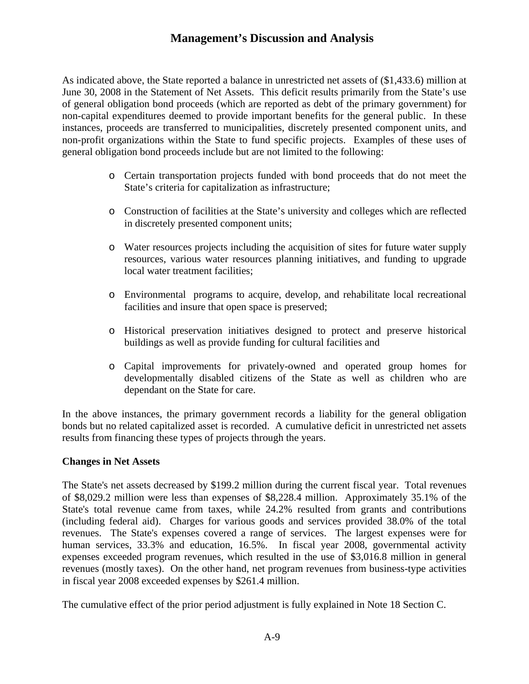As indicated above, the State reported a balance in unrestricted net assets of (\$1,433.6) million at June 30, 2008 in the Statement of Net Assets. This deficit results primarily from the State's use of general obligation bond proceeds (which are reported as debt of the primary government) for non-capital expenditures deemed to provide important benefits for the general public. In these instances, proceeds are transferred to municipalities, discretely presented component units, and non-profit organizations within the State to fund specific projects. Examples of these uses of general obligation bond proceeds include but are not limited to the following:

- o Certain transportation projects funded with bond proceeds that do not meet the State's criteria for capitalization as infrastructure;
- o Construction of facilities at the State's university and colleges which are reflected in discretely presented component units;
- o Water resources projects including the acquisition of sites for future water supply resources, various water resources planning initiatives, and funding to upgrade local water treatment facilities;
- o Environmental programs to acquire, develop, and rehabilitate local recreational facilities and insure that open space is preserved;
- o Historical preservation initiatives designed to protect and preserve historical buildings as well as provide funding for cultural facilities and
- o Capital improvements for privately-owned and operated group homes for developmentally disabled citizens of the State as well as children who are dependant on the State for care.

In the above instances, the primary government records a liability for the general obligation bonds but no related capitalized asset is recorded. A cumulative deficit in unrestricted net assets results from financing these types of projects through the years.

### **Changes in Net Assets**

The State's net assets decreased by \$199.2 million during the current fiscal year. Total revenues of \$8,029.2 million were less than expenses of \$8,228.4 million. Approximately 35.1% of the State's total revenue came from taxes, while 24.2% resulted from grants and contributions (including federal aid). Charges for various goods and services provided 38.0% of the total revenues. The State's expenses covered a range of services. The largest expenses were for human services, 33.3% and education, 16.5%. In fiscal year 2008, governmental activity expenses exceeded program revenues, which resulted in the use of \$3,016.8 million in general revenues (mostly taxes). On the other hand, net program revenues from business-type activities in fiscal year 2008 exceeded expenses by \$261.4 million.

The cumulative effect of the prior period adjustment is fully explained in Note 18 Section C.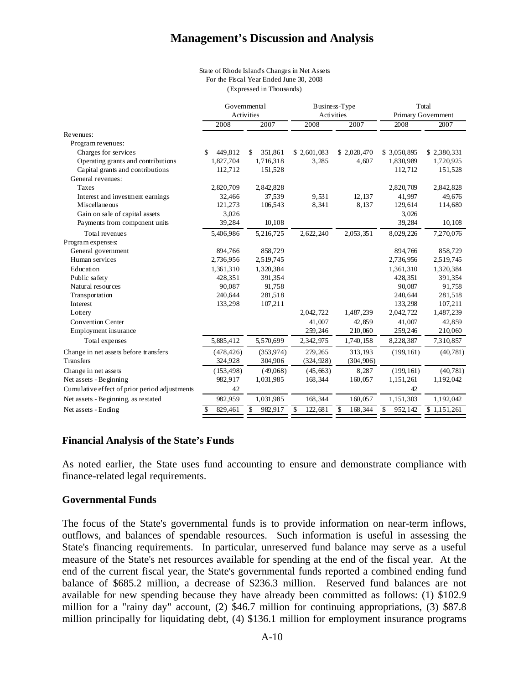#### State of Rhode Island's Changes in Net Assets For the Fiscal Year Ended June 30, 2008 (Expressed in Thousands)

| Activities<br>Activities<br>Primary Government<br>2007<br>2007<br>2008<br>2008<br>2008<br>2007<br>Revenues:<br>Program revenues:<br>Charges for services<br>449,812<br>\$2,601,083<br>\$2,028,470<br>\$3,050,895<br>351,861<br>\$2,380,331<br>\$<br>\$.<br>Operating grants and contributions<br>1,827,704<br>1,716,318<br>3.285<br>4,607<br>1,830,989<br>1,720,925<br>Capital grants and contributions<br>112,712<br>151,528<br>112,712<br>General revenues: | 151,528<br>49,676<br>114,680 |
|---------------------------------------------------------------------------------------------------------------------------------------------------------------------------------------------------------------------------------------------------------------------------------------------------------------------------------------------------------------------------------------------------------------------------------------------------------------|------------------------------|
|                                                                                                                                                                                                                                                                                                                                                                                                                                                               |                              |
|                                                                                                                                                                                                                                                                                                                                                                                                                                                               |                              |
|                                                                                                                                                                                                                                                                                                                                                                                                                                                               |                              |
|                                                                                                                                                                                                                                                                                                                                                                                                                                                               |                              |
|                                                                                                                                                                                                                                                                                                                                                                                                                                                               |                              |
|                                                                                                                                                                                                                                                                                                                                                                                                                                                               |                              |
|                                                                                                                                                                                                                                                                                                                                                                                                                                                               |                              |
| 2,820,709<br>2,842,828<br>2,820,709<br>2,842,828<br>Taxes                                                                                                                                                                                                                                                                                                                                                                                                     |                              |
| 37,539<br>Interest and investment earnings<br>32,466<br>9,531<br>12,137<br>41,997                                                                                                                                                                                                                                                                                                                                                                             |                              |
| Miscellaneous<br>8,341<br>8,137<br>121,273<br>106,543<br>129,614                                                                                                                                                                                                                                                                                                                                                                                              |                              |
| Gain on sale of capital assets<br>3,026<br>3,026                                                                                                                                                                                                                                                                                                                                                                                                              |                              |
| 10,108<br>Payments from component units<br>39,284<br>39,284                                                                                                                                                                                                                                                                                                                                                                                                   | 10,108                       |
| 2,053,351<br>Total revenues<br>5,216,725<br>2,622,240<br>8,029,226<br>7,270,076<br>5,406,986                                                                                                                                                                                                                                                                                                                                                                  |                              |
| Program expenses:                                                                                                                                                                                                                                                                                                                                                                                                                                             |                              |
| General government<br>894,766<br>858,729<br>894,766                                                                                                                                                                                                                                                                                                                                                                                                           | 858,729                      |
| Human services<br>2,736,956<br>2,519,745<br>2,736,956<br>2,519,745                                                                                                                                                                                                                                                                                                                                                                                            |                              |
| Education<br>1,361,310<br>1,320,384<br>1,361,310<br>1,320,384                                                                                                                                                                                                                                                                                                                                                                                                 |                              |
| 391,354<br>Public safety<br>428,351<br>428,351                                                                                                                                                                                                                                                                                                                                                                                                                | 391,354                      |
| Natural resources<br>90,087<br>91,758<br>90,087                                                                                                                                                                                                                                                                                                                                                                                                               | 91,758                       |
| 240,644<br>281,518<br>240,644<br>Transportation                                                                                                                                                                                                                                                                                                                                                                                                               | 281,518                      |
| 133,298<br>107,211<br>133,298<br>Interest                                                                                                                                                                                                                                                                                                                                                                                                                     | 107,211                      |
| 2,042,722<br>1,487,239<br>2,042,722<br>1,487,239<br>Lottery                                                                                                                                                                                                                                                                                                                                                                                                   |                              |
| <b>Convention Center</b><br>41,007<br>42,859<br>41,007                                                                                                                                                                                                                                                                                                                                                                                                        | 42,859                       |
| Employment insurance<br>210,060<br>259,246<br>259,246                                                                                                                                                                                                                                                                                                                                                                                                         | 210,060                      |
| 5,885,412<br>5,570,699<br>7,310,857<br>Total expenses<br>2,342,975<br>1,740,158<br>8,228,387                                                                                                                                                                                                                                                                                                                                                                  |                              |
| 313,193<br>Change in net assets before transfers<br>(478, 426)<br>(353.974)<br>279,265<br>(199, 161)                                                                                                                                                                                                                                                                                                                                                          | (40, 781)                    |
| <b>Transfers</b><br>324,928<br>304,906<br>(304, 906)<br>(324, 928)                                                                                                                                                                                                                                                                                                                                                                                            |                              |
| 8,287<br>(199, 161)<br>Change in net assets<br>(153, 498)<br>(49,068)<br>(45, 663)                                                                                                                                                                                                                                                                                                                                                                            | (40, 781)                    |
| Net assets - Beginning<br>160,057<br>1,192,042<br>982,917<br>1,031,985<br>168,344<br>1,151,261                                                                                                                                                                                                                                                                                                                                                                |                              |
| Cumulative effect of prior period adjustments<br>42<br>42                                                                                                                                                                                                                                                                                                                                                                                                     |                              |
| 168,344<br>160,057<br>Net assets - Beginning, as restated<br>982,959<br>1,031,985<br>1,151,303<br>1,192,042                                                                                                                                                                                                                                                                                                                                                   |                              |
| 829,461<br>982,917<br>\$<br>122,681<br>\$<br>168,344<br>\$<br>952,142<br>$\overline{1,151,261}$<br>Net assets - Ending<br>\$                                                                                                                                                                                                                                                                                                                                  |                              |

#### **Financial Analysis of the State's Funds**

As noted earlier, the State uses fund accounting to ensure and demonstrate compliance with finance-related legal requirements.

#### **Governmental Funds**

The focus of the State's governmental funds is to provide information on near-term inflows, outflows, and balances of spendable resources. Such information is useful in assessing the State's financing requirements. In particular, unreserved fund balance may serve as a useful measure of the State's net resources available for spending at the end of the fiscal year. At the end of the current fiscal year, the State's governmental funds reported a combined ending fund balance of \$685.2 million, a decrease of \$236.3 million. Reserved fund balances are not available for new spending because they have already been committed as follows: (1) \$102.9 million for a "rainy day" account, (2) \$46.7 million for continuing appropriations, (3) \$87.8 million principally for liquidating debt, (4) \$136.1 million for employment insurance programs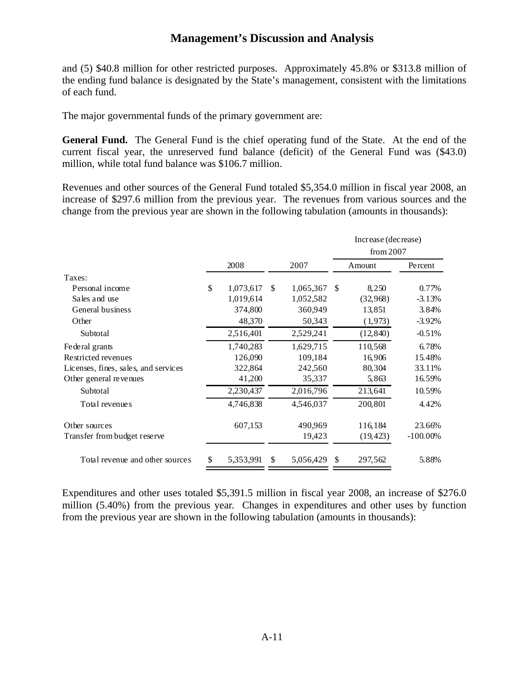and (5) \$40.8 million for other restricted purposes. Approximately 45.8% or \$313.8 million of the ending fund balance is designated by the State's management, consistent with the limitations of each fund.

The major governmental funds of the primary government are:

**General Fund.** The General Fund is the chief operating fund of the State. At the end of the current fiscal year, the unreserved fund balance (deficit) of the General Fund was (\$43.0) million, while total fund balance was \$106.7 million.

Revenues and other sources of the General Fund totaled \$5,354.0 million in fiscal year 2008, an increase of \$297.6 million from the previous year. The revenues from various sources and the change from the previous year are shown in the following tabulation (amounts in thousands):

|                                      |      |           |               |           |     | Increase (decrease)<br>from $2007$ |             |
|--------------------------------------|------|-----------|---------------|-----------|-----|------------------------------------|-------------|
|                                      | 2008 |           |               | 2007      |     | Amount                             | Percent     |
| Taxes:                               |      |           |               |           |     |                                    |             |
| Personal income                      | \$   | 1,073,617 | \$.           | 1,065,367 | \$. | 8,250                              | 0.77%       |
| Sales and use                        |      | 1,019,614 |               | 1,052,582 |     | (32,968)                           | $-3.13%$    |
| General business                     |      | 374,800   |               | 360,949   |     | 13,851                             | 3.84%       |
| Other                                |      | 48,370    |               | 50,343    |     | (1, 973)                           | $-3.92%$    |
| Subtotal                             |      | 2,516,401 |               | 2,529,241 |     | (12, 840)                          | $-0.51%$    |
| Federal grants                       |      | 1,740,283 |               | 1,629,715 |     | 110,568                            | 6.78%       |
| Restricted revenues                  |      | 126,090   |               | 109,184   |     | 16,906                             | 15.48%      |
| Licenses, fines, sales, and services |      | 322,864   |               | 242,560   |     | 80,304                             | 33.11%      |
| Other general revenues               |      | 41,200    |               | 35,337    |     | 5,863                              | 16.59%      |
| Subtotal                             |      | 2,230,437 |               | 2,016,796 |     | 213,641                            | 10.59%      |
| Total revenues                       |      | 4,746,838 |               | 4,546,037 |     | 200,801                            | 4.42%       |
| Other sources                        |      | 607,153   |               | 490,969   |     | 116,184                            | 23.66%      |
| Transfer from budget reserve         |      |           |               | 19,423    |     | (19, 423)                          | $-100.00\%$ |
| Total revenue and other sources      |      | 5,353,991 | <sup>\$</sup> | 5,056,429 | \$. | 297,562                            | 5.88%       |

Expenditures and other uses totaled \$5,391.5 million in fiscal year 2008, an increase of \$276.0 million (5.40%) from the previous year. Changes in expenditures and other uses by function from the previous year are shown in the following tabulation (amounts in thousands):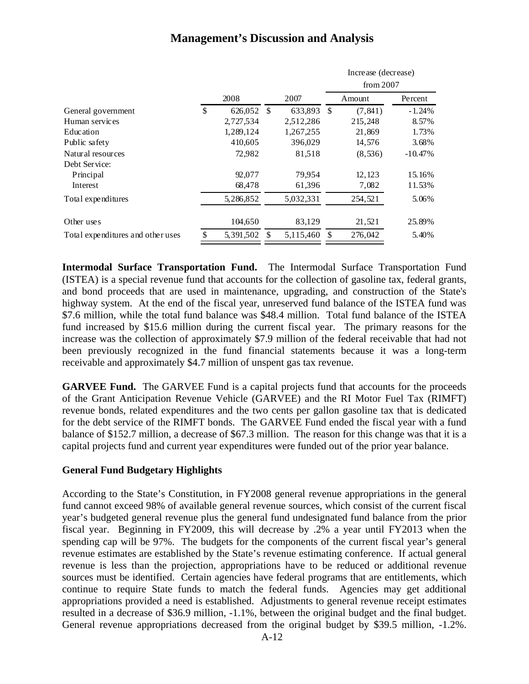|                                   |      |            |           |               | Increase (decrease)<br>from $2007$ |           |
|-----------------------------------|------|------------|-----------|---------------|------------------------------------|-----------|
|                                   | 2008 |            | 2007      |               | Amount                             | Percent   |
| General government                | \$   | 626,052 \$ | 633,893   | <sup>\$</sup> | (7, 841)                           | $-1.24%$  |
| Human services                    |      | 2,727,534  | 2,512,286 |               | 215,248                            | 8.57%     |
| <b>Education</b>                  |      | 1,289,124  | 1,267,255 |               | 21,869                             | 1.73%     |
| Public safety                     |      | 410,605    | 396,029   |               | 14,576                             | 3.68%     |
| Natural resources                 |      | 72,982     | 81,518    |               | (8, 536)                           | $-10.47%$ |
| Debt Service:                     |      |            |           |               |                                    |           |
| Principal                         |      | 92,077     | 79,954    |               | 12,123                             | 15.16%    |
| Interest                          |      | 68,478     | 61,396    |               | 7,082                              | 11.53%    |
| Total expenditures                |      | 5,286,852  | 5,032,331 |               | 254,521                            | 5.06%     |
| Other uses                        |      | 104,650    | 83,129    |               | 21,521                             | 25.89%    |
| Total expenditures and other uses | \$   | 5,391,502  | 5,115,460 | S             | 276,042                            | 5.40%     |

**Intermodal Surface Transportation Fund.** The Intermodal Surface Transportation Fund (ISTEA) is a special revenue fund that accounts for the collection of gasoline tax, federal grants, and bond proceeds that are used in maintenance, upgrading, and construction of the State's highway system. At the end of the fiscal year, unreserved fund balance of the ISTEA fund was \$7.6 million, while the total fund balance was \$48.4 million. Total fund balance of the ISTEA fund increased by \$15.6 million during the current fiscal year. The primary reasons for the increase was the collection of approximately \$7.9 million of the federal receivable that had not been previously recognized in the fund financial statements because it was a long-term receivable and approximately \$4.7 million of unspent gas tax revenue.

**GARVEE Fund.** The GARVEE Fund is a capital projects fund that accounts for the proceeds of the Grant Anticipation Revenue Vehicle (GARVEE) and the RI Motor Fuel Tax (RIMFT) revenue bonds, related expenditures and the two cents per gallon gasoline tax that is dedicated for the debt service of the RIMFT bonds. The GARVEE Fund ended the fiscal year with a fund balance of \$152.7 million, a decrease of \$67.3 million. The reason for this change was that it is a capital projects fund and current year expenditures were funded out of the prior year balance.

### **General Fund Budgetary Highlights**

According to the State's Constitution, in FY2008 general revenue appropriations in the general fund cannot exceed 98% of available general revenue sources, which consist of the current fiscal year's budgeted general revenue plus the general fund undesignated fund balance from the prior fiscal year. Beginning in FY2009, this will decrease by .2% a year until FY2013 when the spending cap will be 97%. The budgets for the components of the current fiscal year's general revenue estimates are established by the State's revenue estimating conference. If actual general revenue is less than the projection, appropriations have to be reduced or additional revenue sources must be identified. Certain agencies have federal programs that are entitlements, which continue to require State funds to match the federal funds. Agencies may get additional appropriations provided a need is established. Adjustments to general revenue receipt estimates resulted in a decrease of \$36.9 million, -1.1%, between the original budget and the final budget. General revenue appropriations decreased from the original budget by \$39.5 million, -1.2%.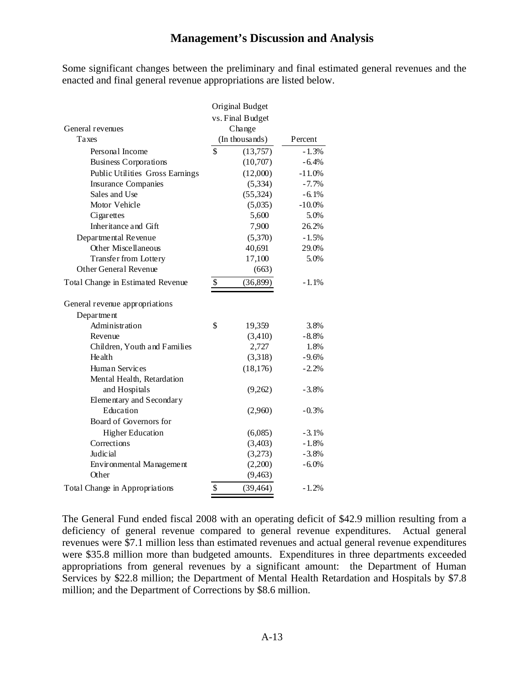Some significant changes between the preliminary and final estimated general revenues and the enacted and final general revenue appropriations are listed below.

|                                   | Original Budget  |          |
|-----------------------------------|------------------|----------|
|                                   | vs. Final Budget |          |
| General revenues                  | Change           |          |
| Taxes                             | (In thousands)   | Percent  |
| Personal Income                   | \$<br>(13,757)   | $-1.3%$  |
| <b>Business Corporations</b>      | (10,707)         | $-6.4%$  |
| Public Utilities Gross Earnings   | (12,000)         | $-11.0%$ |
| <b>Insurance Companies</b>        | (5,334)          | $-7.7%$  |
| Sales and Use                     | (55,324)         | $-6.1%$  |
| Motor Vehicle                     | (5,035)          | $-10.0%$ |
| Cigarettes                        | 5,600            | 5.0%     |
| Inheritance and Gift              | 7,900            | 26.2%    |
| Departmental Revenue              | (5,370)          | $-1.5%$  |
| <b>Other Miscellaneous</b>        | 40,691           | 29.0%    |
| Transfer from Lottery             | 17,100           | 5.0%     |
| Other General Revenue             | (663)            |          |
| Total Change in Estimated Revenue | \$<br>(36,899)   | $-1.1%$  |
| General revenue appropriations    |                  |          |
| Department                        |                  |          |
| Administration                    | \$<br>19,359     | 3.8%     |
| Revenue                           | (3,410)          | $-8.8%$  |
| Children, Youth and Families      | 2,727            | 1.8%     |
| Health                            | (3,318)          | $-9.6%$  |
| <b>Human Services</b>             | (18, 176)        | $-2.2%$  |
| Mental Health, Retardation        |                  |          |
| and Hospitals                     | (9,262)          | $-3.8%$  |
| Elementary and Secondary          |                  |          |
| Education                         | (2,960)          | $-0.3%$  |
| Board of Governors for            |                  |          |
| <b>Higher Education</b>           | (6,085)          | $-3.1%$  |
| Corrections                       | (3,403)          | $-1.8%$  |
| Judicial                          | (3,273)          | $-3.8%$  |
| Environmental Management          | (2,200)          | $-6.0%$  |
| Other                             | (9, 463)         |          |
| Total Change in Appropriations    | \$<br>(39, 464)  | $-1.2%$  |

The General Fund ended fiscal 2008 with an operating deficit of \$42.9 million resulting from a deficiency of general revenue compared to general revenue expenditures. Actual general revenues were \$7.1 million less than estimated revenues and actual general revenue expenditures were \$35.8 million more than budgeted amounts. Expenditures in three departments exceeded appropriations from general revenues by a significant amount: the Department of Human Services by \$22.8 million; the Department of Mental Health Retardation and Hospitals by \$7.8 million; and the Department of Corrections by \$8.6 million.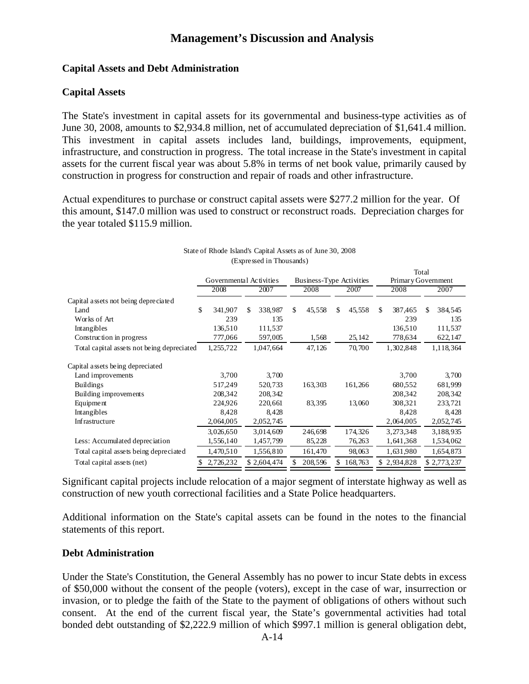### **Capital Assets and Debt Administration**

### **Capital Assets**

The State's investment in capital assets for its governmental and business-type activities as of June 30, 2008, amounts to \$2,934.8 million, net of accumulated depreciation of \$1,641.4 million. This investment in capital assets includes land, buildings, improvements, equipment, infrastructure, and construction in progress. The total increase in the State's investment in capital assets for the current fiscal year was about 5.8% in terms of net book value, primarily caused by construction in progress for construction and repair of roads and other infrastructure.

Actual expenditures to purchase or construct capital assets were \$277.2 million for the year. Of this amount, \$147.0 million was used to construct or reconstruct roads. Depreciation charges for the year totaled \$115.9 million.

|                                            |                 |                         |               |                          |              | Total              |  |
|--------------------------------------------|-----------------|-------------------------|---------------|--------------------------|--------------|--------------------|--|
|                                            |                 | Governmental Activities |               | Business-Type Activities |              | Primary Government |  |
|                                            | 2008            | 2007                    | 2008          | 2007                     | 2008         | 2007               |  |
| Capital assets not being depreciated       |                 |                         |               |                          |              |                    |  |
| Land                                       | \$<br>341,907   | 338,987<br>\$           | \$.<br>45,558 | 45,558<br>\$.            | 387,465<br>S | \$<br>384,545      |  |
| Works of Art                               | 239             | 135                     |               |                          | 239          | 135                |  |
| Intangibles                                | 136,510         | 111,537                 |               |                          | 136,510      | 111,537            |  |
| Construction in progress                   | 777,066         | 597,005                 | 1,568         | 25, 142                  | 778,634      | 622,147            |  |
| Total capital assets not being depreciated | 1,255,722       | 1,047,664               | 47,126        | 70,700                   | 1,302,848    | 1,118,364          |  |
| Capital assets being depreciated           |                 |                         |               |                          |              |                    |  |
| Land improvements                          | 3,700           | 3,700                   |               |                          | 3,700        | 3,700              |  |
| <b>Buildings</b>                           | 517,249         | 520,733                 | 163,303       | 161,266                  | 680,552      | 681,999            |  |
| Building improvements                      | 208,342         | 208,342                 |               |                          | 208,342      | 208,342            |  |
| Equipment                                  | 224,926         | 220,661                 | 83,395        | 13,060                   | 308,321      | 233,721            |  |
| Intangibles                                | 8,428           | 8,428                   |               |                          | 8,428        | 8,428              |  |
| Infrastructure                             | 2,064,005       | 2,052,745               |               |                          | 2,064,005    | 2,052,745          |  |
|                                            | 3,026,650       | 3,014,609               | 246,698       | 174,326                  | 3,273,348    | 3,188,935          |  |
| Less: Accumulated depreciation             | 1,556,140       | 1,457,799               | 85,228        | 76,263                   | 1,641,368    | 1,534,062          |  |
| Total capital assets being depreciated     | 1,470,510       | 1,556,810               | 161,470       | 98,063                   | 1,631,980    | 1,654,873          |  |
| Total capital assets (net)                 | 2,726,232<br>\$ | \$2,604,474             | 208,596       | 168,763                  | \$2,934,828  | \$2,773,237        |  |

#### State of Rhode Island's Capital Assets as of June 30, 2008 (Expressed in Thousands)

Significant capital projects include relocation of a major segment of interstate highway as well as construction of new youth correctional facilities and a State Police headquarters.

Additional information on the State's capital assets can be found in the notes to the financial statements of this report.

### **Debt Administration**

Under the State's Constitution, the General Assembly has no power to incur State debts in excess of \$50,000 without the consent of the people (voters), except in the case of war, insurrection or invasion, or to pledge the faith of the State to the payment of obligations of others without such consent. At the end of the current fiscal year, the State's governmental activities had total bonded debt outstanding of \$2,222.9 million of which \$997.1 million is general obligation debt,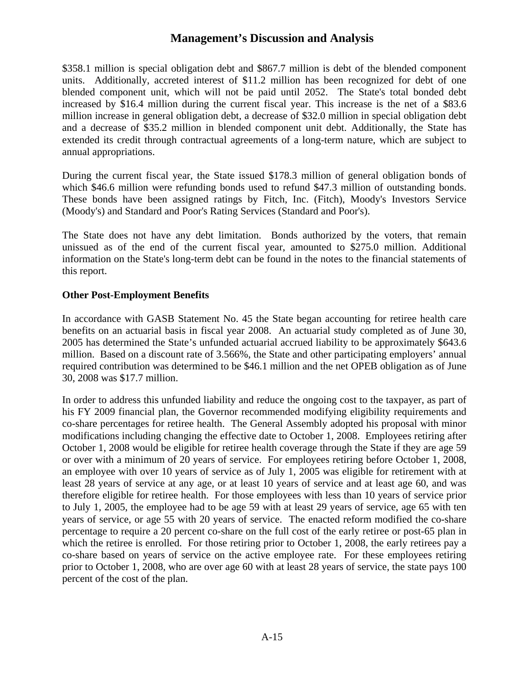\$358.1 million is special obligation debt and \$867.7 million is debt of the blended component units. Additionally, accreted interest of \$11.2 million has been recognized for debt of one blended component unit, which will not be paid until 2052. The State's total bonded debt increased by \$16.4 million during the current fiscal year. This increase is the net of a \$83.6 million increase in general obligation debt, a decrease of \$32.0 million in special obligation debt and a decrease of \$35.2 million in blended component unit debt. Additionally, the State has extended its credit through contractual agreements of a long-term nature, which are subject to annual appropriations.

During the current fiscal year, the State issued \$178.3 million of general obligation bonds of which \$46.6 million were refunding bonds used to refund \$47.3 million of outstanding bonds. These bonds have been assigned ratings by Fitch, Inc. (Fitch), Moody's Investors Service (Moody's) and Standard and Poor's Rating Services (Standard and Poor's).

The State does not have any debt limitation. Bonds authorized by the voters, that remain unissued as of the end of the current fiscal year, amounted to \$275.0 million. Additional information on the State's long-term debt can be found in the notes to the financial statements of this report.

### **Other Post-Employment Benefits**

In accordance with GASB Statement No. 45 the State began accounting for retiree health care benefits on an actuarial basis in fiscal year 2008. An actuarial study completed as of June 30, 2005 has determined the State's unfunded actuarial accrued liability to be approximately \$643.6 million. Based on a discount rate of 3.566%, the State and other participating employers' annual required contribution was determined to be \$46.1 million and the net OPEB obligation as of June 30, 2008 was \$17.7 million.

In order to address this unfunded liability and reduce the ongoing cost to the taxpayer, as part of his FY 2009 financial plan, the Governor recommended modifying eligibility requirements and co-share percentages for retiree health. The General Assembly adopted his proposal with minor modifications including changing the effective date to October 1, 2008. Employees retiring after October 1, 2008 would be eligible for retiree health coverage through the State if they are age 59 or over with a minimum of 20 years of service. For employees retiring before October 1, 2008, an employee with over 10 years of service as of July 1, 2005 was eligible for retirement with at least 28 years of service at any age, or at least 10 years of service and at least age 60, and was therefore eligible for retiree health. For those employees with less than 10 years of service prior to July 1, 2005, the employee had to be age 59 with at least 29 years of service, age 65 with ten years of service, or age 55 with 20 years of service. The enacted reform modified the co-share percentage to require a 20 percent co-share on the full cost of the early retiree or post-65 plan in which the retiree is enrolled. For those retiring prior to October 1, 2008, the early retirees pay a co-share based on years of service on the active employee rate. For these employees retiring prior to October 1, 2008, who are over age 60 with at least 28 years of service, the state pays 100 percent of the cost of the plan.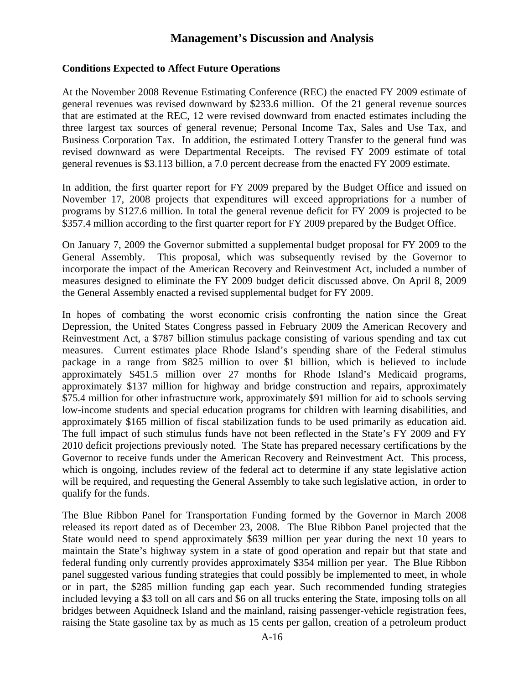### **Conditions Expected to Affect Future Operations**

At the November 2008 Revenue Estimating Conference (REC) the enacted FY 2009 estimate of general revenues was revised downward by \$233.6 million. Of the 21 general revenue sources that are estimated at the REC, 12 were revised downward from enacted estimates including the three largest tax sources of general revenue; Personal Income Tax, Sales and Use Tax, and Business Corporation Tax. In addition, the estimated Lottery Transfer to the general fund was revised downward as were Departmental Receipts. The revised FY 2009 estimate of total general revenues is \$3.113 billion, a 7.0 percent decrease from the enacted FY 2009 estimate.

In addition, the first quarter report for FY 2009 prepared by the Budget Office and issued on November 17, 2008 projects that expenditures will exceed appropriations for a number of programs by \$127.6 million. In total the general revenue deficit for FY 2009 is projected to be \$357.4 million according to the first quarter report for FY 2009 prepared by the Budget Office.

On January 7, 2009 the Governor submitted a supplemental budget proposal for FY 2009 to the General Assembly. This proposal, which was subsequently revised by the Governor to incorporate the impact of the American Recovery and Reinvestment Act, included a number of measures designed to eliminate the FY 2009 budget deficit discussed above. On April 8, 2009 the General Assembly enacted a revised supplemental budget for FY 2009.

In hopes of combating the worst economic crisis confronting the nation since the Great Depression, the United States Congress passed in February 2009 the American Recovery and Reinvestment Act, a \$787 billion stimulus package consisting of various spending and tax cut measures. Current estimates place Rhode Island's spending share of the Federal stimulus package in a range from \$825 million to over \$1 billion, which is believed to include approximately \$451.5 million over 27 months for Rhode Island's Medicaid programs, approximately \$137 million for highway and bridge construction and repairs, approximately \$75.4 million for other infrastructure work, approximately \$91 million for aid to schools serving low-income students and special education programs for children with learning disabilities, and approximately \$165 million of fiscal stabilization funds to be used primarily as education aid. The full impact of such stimulus funds have not been reflected in the State's FY 2009 and FY 2010 deficit projections previously noted. The State has prepared necessary certifications by the Governor to receive funds under the American Recovery and Reinvestment Act. This process, which is ongoing, includes review of the federal act to determine if any state legislative action will be required, and requesting the General Assembly to take such legislative action, in order to qualify for the funds.

The Blue Ribbon Panel for Transportation Funding formed by the Governor in March 2008 released its report dated as of December 23, 2008. The Blue Ribbon Panel projected that the State would need to spend approximately \$639 million per year during the next 10 years to maintain the State's highway system in a state of good operation and repair but that state and federal funding only currently provides approximately \$354 million per year. The Blue Ribbon panel suggested various funding strategies that could possibly be implemented to meet, in whole or in part, the \$285 million funding gap each year. Such recommended funding strategies included levying a \$3 toll on all cars and \$6 on all trucks entering the State, imposing tolls on all bridges between Aquidneck Island and the mainland, raising passenger-vehicle registration fees, raising the State gasoline tax by as much as 15 cents per gallon, creation of a petroleum product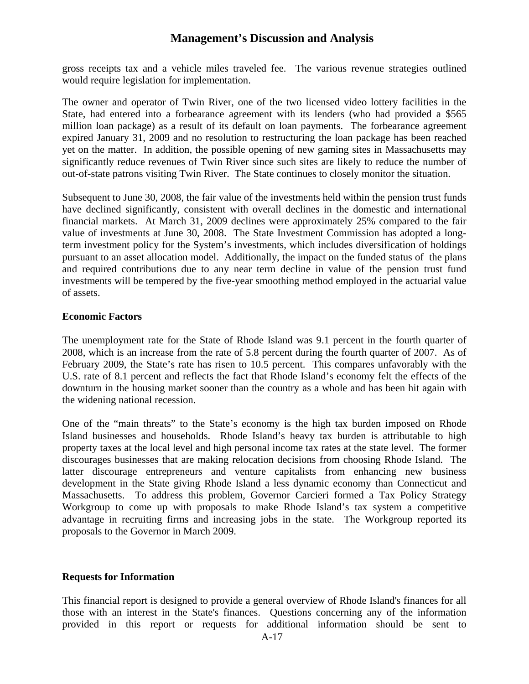gross receipts tax and a vehicle miles traveled fee. The various revenue strategies outlined would require legislation for implementation.

The owner and operator of Twin River, one of the two licensed video lottery facilities in the State, had entered into a forbearance agreement with its lenders (who had provided a \$565 million loan package) as a result of its default on loan payments. The forbearance agreement expired January 31, 2009 and no resolution to restructuring the loan package has been reached yet on the matter. In addition, the possible opening of new gaming sites in Massachusetts may significantly reduce revenues of Twin River since such sites are likely to reduce the number of out-of-state patrons visiting Twin River. The State continues to closely monitor the situation.

Subsequent to June 30, 2008, the fair value of the investments held within the pension trust funds have declined significantly, consistent with overall declines in the domestic and international financial markets. At March 31, 2009 declines were approximately 25% compared to the fair value of investments at June 30, 2008. The State Investment Commission has adopted a longterm investment policy for the System's investments, which includes diversification of holdings pursuant to an asset allocation model. Additionally, the impact on the funded status of the plans and required contributions due to any near term decline in value of the pension trust fund investments will be tempered by the five-year smoothing method employed in the actuarial value of assets.

### **Economic Factors**

The unemployment rate for the State of Rhode Island was 9.1 percent in the fourth quarter of 2008, which is an increase from the rate of 5.8 percent during the fourth quarter of 2007. As of February 2009, the State's rate has risen to 10.5 percent. This compares unfavorably with the U.S. rate of 8.1 percent and reflects the fact that Rhode Island's economy felt the effects of the downturn in the housing market sooner than the country as a whole and has been hit again with the widening national recession.

One of the "main threats" to the State's economy is the high tax burden imposed on Rhode Island businesses and households. Rhode Island's heavy tax burden is attributable to high property taxes at the local level and high personal income tax rates at the state level. The former discourages businesses that are making relocation decisions from choosing Rhode Island. The latter discourage entrepreneurs and venture capitalists from enhancing new business development in the State giving Rhode Island a less dynamic economy than Connecticut and Massachusetts. To address this problem, Governor Carcieri formed a Tax Policy Strategy Workgroup to come up with proposals to make Rhode Island's tax system a competitive advantage in recruiting firms and increasing jobs in the state. The Workgroup reported its proposals to the Governor in March 2009.

### **Requests for Information**

This financial report is designed to provide a general overview of Rhode Island's finances for all those with an interest in the State's finances. Questions concerning any of the information provided in this report or requests for additional information should be sent to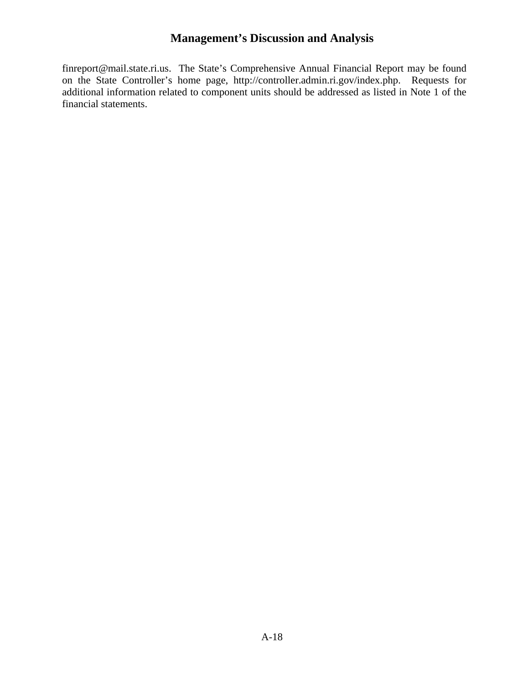[finreport@mail.state.ri.us](mailto:finreport@mail.state.ri.us). The State's Comprehensive Annual Financial Report may be found on the State Controller's home page, [http://controller.admin.ri.gov/index.php.](http://controller.admin.ri.gov/index.php) Requests for additional information related to component units should be addressed as listed in Note 1 of the financial statements.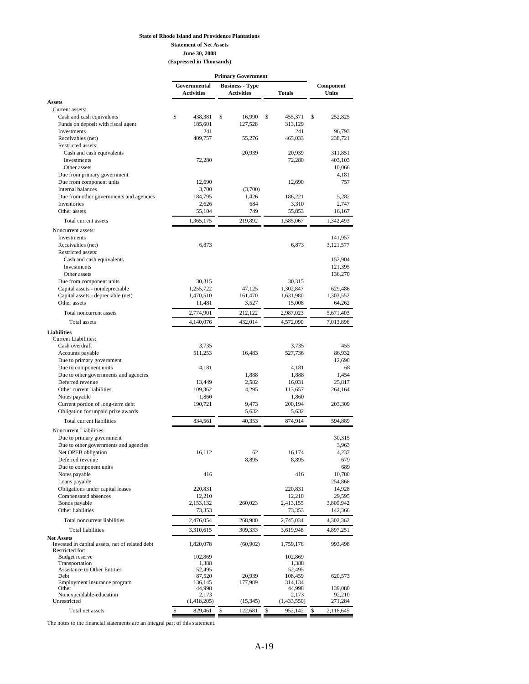#### **State of Rhode Island and Providence Plantations**

**Statement of Net Assets**

**June 30, 2008**

| (Expressed in Thousands) |  |
|--------------------------|--|
|--------------------------|--|

| Governmental<br><b>Business - Type</b><br>Component<br><b>Units</b><br><b>Activities</b><br><b>Activities</b><br><b>Totals</b><br><b>Assets</b><br>Current assets:<br>\$<br>438,381<br>\$<br>16,990<br>S<br>455,371<br>Cash and cash equivalents<br>\$<br>252,825<br>Funds on deposit with fiscal agent<br>185,601<br>127,528<br>313,129<br>Investments<br>241<br>241<br>96,793<br>Receivables (net)<br>409,757<br>465,033<br>55,276<br>238,721<br>Restricted assets:<br>Cash and cash equivalents<br>20,939<br>20,939<br>311,851<br>72,280<br>Investments<br>72,280<br>403,103<br>Other assets<br>10,066<br>Due from primary government<br>4,181<br>Due from component units<br>757<br>12,690<br>12,690<br>Internal balances<br>3,700<br>(3,700)<br>Due from other governments and agencies<br>5,282<br>184,795<br>1,426<br>186,221<br>Inventories<br>2,626<br>684<br>3,310<br>2,747<br>Other assets<br>55,104<br>749<br>55,853<br>16,167<br>1,365,175<br>219,892<br>1,585,067<br>1,342,493<br>Total current assets<br>Noncurrent assets:<br>Investments<br>141,957<br>6,873<br>6,873<br>Receivables (net)<br>3,121,577<br>Restricted assets:<br>Cash and cash equivalents<br>152,904<br>Investments<br>121,395<br>Other assets<br>136,270<br>Due from component units<br>30,315<br>30,315<br>Capital assets - nondepreciable<br>1,255,722<br>1,302,847<br>47,125<br>629,486<br>Capital assets - depreciable (net)<br>1,470,510<br>161,470<br>1,631,980<br>1,303,552<br>Other assets<br>11,481<br>3,527<br>15,008<br>64,262<br>2,774,901<br>212,122<br>Total noncurrent assets<br>2,987,023<br>5,671,403<br>4,140,076<br>432,014<br>4,572,090<br>Total assets<br>7,013,896<br><b>Liabilities</b><br><b>Current Liabilities:</b><br>455<br>Cash overdraft<br>3,735<br>3,735<br>86,932<br>Accounts payable<br>511,253<br>16,483<br>527,736<br>Due to primary government<br>12,690<br>Due to component units<br>4,181<br>4,181<br>68<br>Due to other governments and agencies<br>1,888<br>1,888<br>1,454<br>Deferred revenue<br>2,582<br>13,449<br>16,031<br>25,817<br>Other current liabilities<br>109,362<br>4,295<br>113,657<br>264,164<br>Notes payable<br>1,860<br>1,860<br>Current portion of long-term debt<br>190,721<br>9,473<br>200,194<br>203,309<br>Obligation for unpaid prize awards<br>5,632<br>5,632<br>Total current liabilities<br>834,561<br>40,353<br>874,914<br>594,889<br>Noncurrent Liabilities:<br>30,315<br>Due to primary government<br>Due to other governments and agencies<br>3,963<br>Net OPEB obligation<br>62<br>4,237<br>16,112<br>16,174<br>Deferred revenue<br>8,895<br>8,895<br>679<br>Due to component units<br>689<br>Notes payable<br>416<br>416<br>10,780<br>Loans payable<br>254,868<br>Obligations under capital leases<br>220,831<br>220,831<br>14,928<br>Compensated absences<br>29,595<br>12,210<br>12,210<br>Bonds payable<br>2,153,132<br>2,413,155<br>260,023<br>3,809,942<br>Other liabilities<br>73,353<br>73,353<br>142,366<br>Total noncurrent liabilities<br>2,476,054<br>268,980<br>2,745,034<br>4,302,362<br><b>Total liabilities</b><br>3,310,615<br>309,333<br>3,619,948<br>4,897,251<br><b>Net Assets</b><br>Invested in capital assets, net of related debt<br>1,820,078<br>(60, 902)<br>1,759,176<br>993,498<br>Restricted for:<br><b>Budget</b> reserve<br>102,869<br>102,869<br>Transportation<br>1,388<br>1,388<br><b>Assistance to Other Entities</b><br>52,495<br>52,495<br>20,939<br>Debt<br>87,520<br>108,459<br>620,573<br>Employment insurance program<br>136,145<br>177,989<br>314,134<br>Other<br>44,998<br>44,998<br>139,080<br>Nonexpendable-education<br>2,173<br>2,173<br>92,210<br>Unrestricted<br>(1,418,205)<br>(1,433,550)<br>271,284<br>(15, 345)<br>\$<br>829,461<br>\$<br>\$<br>952,142<br>\$<br>122,681<br>2,116,645<br>Total net assets | <b>Primary Government</b> |  |  |  |  |  |  |  |
|---------------------------------------------------------------------------------------------------------------------------------------------------------------------------------------------------------------------------------------------------------------------------------------------------------------------------------------------------------------------------------------------------------------------------------------------------------------------------------------------------------------------------------------------------------------------------------------------------------------------------------------------------------------------------------------------------------------------------------------------------------------------------------------------------------------------------------------------------------------------------------------------------------------------------------------------------------------------------------------------------------------------------------------------------------------------------------------------------------------------------------------------------------------------------------------------------------------------------------------------------------------------------------------------------------------------------------------------------------------------------------------------------------------------------------------------------------------------------------------------------------------------------------------------------------------------------------------------------------------------------------------------------------------------------------------------------------------------------------------------------------------------------------------------------------------------------------------------------------------------------------------------------------------------------------------------------------------------------------------------------------------------------------------------------------------------------------------------------------------------------------------------------------------------------------------------------------------------------------------------------------------------------------------------------------------------------------------------------------------------------------------------------------------------------------------------------------------------------------------------------------------------------------------------------------------------------------------------------------------------------------------------------------------------------------------------------------------------------------------------------------------------------------------------------------------------------------------------------------------------------------------------------------------------------------------------------------------------------------------------------------------------------------------------------------------------------------------------------------------------------------------------------------------------------------------------------------------------------------------------------------------------------------------------------------------------------------------------------------------------------------------------------------------------------------------------------------------------------------------------------------------------------------------------------------------------------------------------------------------------------------------------------------------------------------------------------------------------------------------------------------------------------------------------------------------------------|---------------------------|--|--|--|--|--|--|--|
|                                                                                                                                                                                                                                                                                                                                                                                                                                                                                                                                                                                                                                                                                                                                                                                                                                                                                                                                                                                                                                                                                                                                                                                                                                                                                                                                                                                                                                                                                                                                                                                                                                                                                                                                                                                                                                                                                                                                                                                                                                                                                                                                                                                                                                                                                                                                                                                                                                                                                                                                                                                                                                                                                                                                                                                                                                                                                                                                                                                                                                                                                                                                                                                                                                                                                                                                                                                                                                                                                                                                                                                                                                                                                                                                                                                                                           |                           |  |  |  |  |  |  |  |
|                                                                                                                                                                                                                                                                                                                                                                                                                                                                                                                                                                                                                                                                                                                                                                                                                                                                                                                                                                                                                                                                                                                                                                                                                                                                                                                                                                                                                                                                                                                                                                                                                                                                                                                                                                                                                                                                                                                                                                                                                                                                                                                                                                                                                                                                                                                                                                                                                                                                                                                                                                                                                                                                                                                                                                                                                                                                                                                                                                                                                                                                                                                                                                                                                                                                                                                                                                                                                                                                                                                                                                                                                                                                                                                                                                                                                           |                           |  |  |  |  |  |  |  |
|                                                                                                                                                                                                                                                                                                                                                                                                                                                                                                                                                                                                                                                                                                                                                                                                                                                                                                                                                                                                                                                                                                                                                                                                                                                                                                                                                                                                                                                                                                                                                                                                                                                                                                                                                                                                                                                                                                                                                                                                                                                                                                                                                                                                                                                                                                                                                                                                                                                                                                                                                                                                                                                                                                                                                                                                                                                                                                                                                                                                                                                                                                                                                                                                                                                                                                                                                                                                                                                                                                                                                                                                                                                                                                                                                                                                                           |                           |  |  |  |  |  |  |  |
|                                                                                                                                                                                                                                                                                                                                                                                                                                                                                                                                                                                                                                                                                                                                                                                                                                                                                                                                                                                                                                                                                                                                                                                                                                                                                                                                                                                                                                                                                                                                                                                                                                                                                                                                                                                                                                                                                                                                                                                                                                                                                                                                                                                                                                                                                                                                                                                                                                                                                                                                                                                                                                                                                                                                                                                                                                                                                                                                                                                                                                                                                                                                                                                                                                                                                                                                                                                                                                                                                                                                                                                                                                                                                                                                                                                                                           |                           |  |  |  |  |  |  |  |
|                                                                                                                                                                                                                                                                                                                                                                                                                                                                                                                                                                                                                                                                                                                                                                                                                                                                                                                                                                                                                                                                                                                                                                                                                                                                                                                                                                                                                                                                                                                                                                                                                                                                                                                                                                                                                                                                                                                                                                                                                                                                                                                                                                                                                                                                                                                                                                                                                                                                                                                                                                                                                                                                                                                                                                                                                                                                                                                                                                                                                                                                                                                                                                                                                                                                                                                                                                                                                                                                                                                                                                                                                                                                                                                                                                                                                           |                           |  |  |  |  |  |  |  |
|                                                                                                                                                                                                                                                                                                                                                                                                                                                                                                                                                                                                                                                                                                                                                                                                                                                                                                                                                                                                                                                                                                                                                                                                                                                                                                                                                                                                                                                                                                                                                                                                                                                                                                                                                                                                                                                                                                                                                                                                                                                                                                                                                                                                                                                                                                                                                                                                                                                                                                                                                                                                                                                                                                                                                                                                                                                                                                                                                                                                                                                                                                                                                                                                                                                                                                                                                                                                                                                                                                                                                                                                                                                                                                                                                                                                                           |                           |  |  |  |  |  |  |  |
|                                                                                                                                                                                                                                                                                                                                                                                                                                                                                                                                                                                                                                                                                                                                                                                                                                                                                                                                                                                                                                                                                                                                                                                                                                                                                                                                                                                                                                                                                                                                                                                                                                                                                                                                                                                                                                                                                                                                                                                                                                                                                                                                                                                                                                                                                                                                                                                                                                                                                                                                                                                                                                                                                                                                                                                                                                                                                                                                                                                                                                                                                                                                                                                                                                                                                                                                                                                                                                                                                                                                                                                                                                                                                                                                                                                                                           |                           |  |  |  |  |  |  |  |
|                                                                                                                                                                                                                                                                                                                                                                                                                                                                                                                                                                                                                                                                                                                                                                                                                                                                                                                                                                                                                                                                                                                                                                                                                                                                                                                                                                                                                                                                                                                                                                                                                                                                                                                                                                                                                                                                                                                                                                                                                                                                                                                                                                                                                                                                                                                                                                                                                                                                                                                                                                                                                                                                                                                                                                                                                                                                                                                                                                                                                                                                                                                                                                                                                                                                                                                                                                                                                                                                                                                                                                                                                                                                                                                                                                                                                           |                           |  |  |  |  |  |  |  |
|                                                                                                                                                                                                                                                                                                                                                                                                                                                                                                                                                                                                                                                                                                                                                                                                                                                                                                                                                                                                                                                                                                                                                                                                                                                                                                                                                                                                                                                                                                                                                                                                                                                                                                                                                                                                                                                                                                                                                                                                                                                                                                                                                                                                                                                                                                                                                                                                                                                                                                                                                                                                                                                                                                                                                                                                                                                                                                                                                                                                                                                                                                                                                                                                                                                                                                                                                                                                                                                                                                                                                                                                                                                                                                                                                                                                                           |                           |  |  |  |  |  |  |  |
|                                                                                                                                                                                                                                                                                                                                                                                                                                                                                                                                                                                                                                                                                                                                                                                                                                                                                                                                                                                                                                                                                                                                                                                                                                                                                                                                                                                                                                                                                                                                                                                                                                                                                                                                                                                                                                                                                                                                                                                                                                                                                                                                                                                                                                                                                                                                                                                                                                                                                                                                                                                                                                                                                                                                                                                                                                                                                                                                                                                                                                                                                                                                                                                                                                                                                                                                                                                                                                                                                                                                                                                                                                                                                                                                                                                                                           |                           |  |  |  |  |  |  |  |
|                                                                                                                                                                                                                                                                                                                                                                                                                                                                                                                                                                                                                                                                                                                                                                                                                                                                                                                                                                                                                                                                                                                                                                                                                                                                                                                                                                                                                                                                                                                                                                                                                                                                                                                                                                                                                                                                                                                                                                                                                                                                                                                                                                                                                                                                                                                                                                                                                                                                                                                                                                                                                                                                                                                                                                                                                                                                                                                                                                                                                                                                                                                                                                                                                                                                                                                                                                                                                                                                                                                                                                                                                                                                                                                                                                                                                           |                           |  |  |  |  |  |  |  |
|                                                                                                                                                                                                                                                                                                                                                                                                                                                                                                                                                                                                                                                                                                                                                                                                                                                                                                                                                                                                                                                                                                                                                                                                                                                                                                                                                                                                                                                                                                                                                                                                                                                                                                                                                                                                                                                                                                                                                                                                                                                                                                                                                                                                                                                                                                                                                                                                                                                                                                                                                                                                                                                                                                                                                                                                                                                                                                                                                                                                                                                                                                                                                                                                                                                                                                                                                                                                                                                                                                                                                                                                                                                                                                                                                                                                                           |                           |  |  |  |  |  |  |  |
|                                                                                                                                                                                                                                                                                                                                                                                                                                                                                                                                                                                                                                                                                                                                                                                                                                                                                                                                                                                                                                                                                                                                                                                                                                                                                                                                                                                                                                                                                                                                                                                                                                                                                                                                                                                                                                                                                                                                                                                                                                                                                                                                                                                                                                                                                                                                                                                                                                                                                                                                                                                                                                                                                                                                                                                                                                                                                                                                                                                                                                                                                                                                                                                                                                                                                                                                                                                                                                                                                                                                                                                                                                                                                                                                                                                                                           |                           |  |  |  |  |  |  |  |
|                                                                                                                                                                                                                                                                                                                                                                                                                                                                                                                                                                                                                                                                                                                                                                                                                                                                                                                                                                                                                                                                                                                                                                                                                                                                                                                                                                                                                                                                                                                                                                                                                                                                                                                                                                                                                                                                                                                                                                                                                                                                                                                                                                                                                                                                                                                                                                                                                                                                                                                                                                                                                                                                                                                                                                                                                                                                                                                                                                                                                                                                                                                                                                                                                                                                                                                                                                                                                                                                                                                                                                                                                                                                                                                                                                                                                           |                           |  |  |  |  |  |  |  |
|                                                                                                                                                                                                                                                                                                                                                                                                                                                                                                                                                                                                                                                                                                                                                                                                                                                                                                                                                                                                                                                                                                                                                                                                                                                                                                                                                                                                                                                                                                                                                                                                                                                                                                                                                                                                                                                                                                                                                                                                                                                                                                                                                                                                                                                                                                                                                                                                                                                                                                                                                                                                                                                                                                                                                                                                                                                                                                                                                                                                                                                                                                                                                                                                                                                                                                                                                                                                                                                                                                                                                                                                                                                                                                                                                                                                                           |                           |  |  |  |  |  |  |  |
|                                                                                                                                                                                                                                                                                                                                                                                                                                                                                                                                                                                                                                                                                                                                                                                                                                                                                                                                                                                                                                                                                                                                                                                                                                                                                                                                                                                                                                                                                                                                                                                                                                                                                                                                                                                                                                                                                                                                                                                                                                                                                                                                                                                                                                                                                                                                                                                                                                                                                                                                                                                                                                                                                                                                                                                                                                                                                                                                                                                                                                                                                                                                                                                                                                                                                                                                                                                                                                                                                                                                                                                                                                                                                                                                                                                                                           |                           |  |  |  |  |  |  |  |
|                                                                                                                                                                                                                                                                                                                                                                                                                                                                                                                                                                                                                                                                                                                                                                                                                                                                                                                                                                                                                                                                                                                                                                                                                                                                                                                                                                                                                                                                                                                                                                                                                                                                                                                                                                                                                                                                                                                                                                                                                                                                                                                                                                                                                                                                                                                                                                                                                                                                                                                                                                                                                                                                                                                                                                                                                                                                                                                                                                                                                                                                                                                                                                                                                                                                                                                                                                                                                                                                                                                                                                                                                                                                                                                                                                                                                           |                           |  |  |  |  |  |  |  |
|                                                                                                                                                                                                                                                                                                                                                                                                                                                                                                                                                                                                                                                                                                                                                                                                                                                                                                                                                                                                                                                                                                                                                                                                                                                                                                                                                                                                                                                                                                                                                                                                                                                                                                                                                                                                                                                                                                                                                                                                                                                                                                                                                                                                                                                                                                                                                                                                                                                                                                                                                                                                                                                                                                                                                                                                                                                                                                                                                                                                                                                                                                                                                                                                                                                                                                                                                                                                                                                                                                                                                                                                                                                                                                                                                                                                                           |                           |  |  |  |  |  |  |  |
|                                                                                                                                                                                                                                                                                                                                                                                                                                                                                                                                                                                                                                                                                                                                                                                                                                                                                                                                                                                                                                                                                                                                                                                                                                                                                                                                                                                                                                                                                                                                                                                                                                                                                                                                                                                                                                                                                                                                                                                                                                                                                                                                                                                                                                                                                                                                                                                                                                                                                                                                                                                                                                                                                                                                                                                                                                                                                                                                                                                                                                                                                                                                                                                                                                                                                                                                                                                                                                                                                                                                                                                                                                                                                                                                                                                                                           |                           |  |  |  |  |  |  |  |
|                                                                                                                                                                                                                                                                                                                                                                                                                                                                                                                                                                                                                                                                                                                                                                                                                                                                                                                                                                                                                                                                                                                                                                                                                                                                                                                                                                                                                                                                                                                                                                                                                                                                                                                                                                                                                                                                                                                                                                                                                                                                                                                                                                                                                                                                                                                                                                                                                                                                                                                                                                                                                                                                                                                                                                                                                                                                                                                                                                                                                                                                                                                                                                                                                                                                                                                                                                                                                                                                                                                                                                                                                                                                                                                                                                                                                           |                           |  |  |  |  |  |  |  |
|                                                                                                                                                                                                                                                                                                                                                                                                                                                                                                                                                                                                                                                                                                                                                                                                                                                                                                                                                                                                                                                                                                                                                                                                                                                                                                                                                                                                                                                                                                                                                                                                                                                                                                                                                                                                                                                                                                                                                                                                                                                                                                                                                                                                                                                                                                                                                                                                                                                                                                                                                                                                                                                                                                                                                                                                                                                                                                                                                                                                                                                                                                                                                                                                                                                                                                                                                                                                                                                                                                                                                                                                                                                                                                                                                                                                                           |                           |  |  |  |  |  |  |  |
|                                                                                                                                                                                                                                                                                                                                                                                                                                                                                                                                                                                                                                                                                                                                                                                                                                                                                                                                                                                                                                                                                                                                                                                                                                                                                                                                                                                                                                                                                                                                                                                                                                                                                                                                                                                                                                                                                                                                                                                                                                                                                                                                                                                                                                                                                                                                                                                                                                                                                                                                                                                                                                                                                                                                                                                                                                                                                                                                                                                                                                                                                                                                                                                                                                                                                                                                                                                                                                                                                                                                                                                                                                                                                                                                                                                                                           |                           |  |  |  |  |  |  |  |
|                                                                                                                                                                                                                                                                                                                                                                                                                                                                                                                                                                                                                                                                                                                                                                                                                                                                                                                                                                                                                                                                                                                                                                                                                                                                                                                                                                                                                                                                                                                                                                                                                                                                                                                                                                                                                                                                                                                                                                                                                                                                                                                                                                                                                                                                                                                                                                                                                                                                                                                                                                                                                                                                                                                                                                                                                                                                                                                                                                                                                                                                                                                                                                                                                                                                                                                                                                                                                                                                                                                                                                                                                                                                                                                                                                                                                           |                           |  |  |  |  |  |  |  |
|                                                                                                                                                                                                                                                                                                                                                                                                                                                                                                                                                                                                                                                                                                                                                                                                                                                                                                                                                                                                                                                                                                                                                                                                                                                                                                                                                                                                                                                                                                                                                                                                                                                                                                                                                                                                                                                                                                                                                                                                                                                                                                                                                                                                                                                                                                                                                                                                                                                                                                                                                                                                                                                                                                                                                                                                                                                                                                                                                                                                                                                                                                                                                                                                                                                                                                                                                                                                                                                                                                                                                                                                                                                                                                                                                                                                                           |                           |  |  |  |  |  |  |  |
|                                                                                                                                                                                                                                                                                                                                                                                                                                                                                                                                                                                                                                                                                                                                                                                                                                                                                                                                                                                                                                                                                                                                                                                                                                                                                                                                                                                                                                                                                                                                                                                                                                                                                                                                                                                                                                                                                                                                                                                                                                                                                                                                                                                                                                                                                                                                                                                                                                                                                                                                                                                                                                                                                                                                                                                                                                                                                                                                                                                                                                                                                                                                                                                                                                                                                                                                                                                                                                                                                                                                                                                                                                                                                                                                                                                                                           |                           |  |  |  |  |  |  |  |
|                                                                                                                                                                                                                                                                                                                                                                                                                                                                                                                                                                                                                                                                                                                                                                                                                                                                                                                                                                                                                                                                                                                                                                                                                                                                                                                                                                                                                                                                                                                                                                                                                                                                                                                                                                                                                                                                                                                                                                                                                                                                                                                                                                                                                                                                                                                                                                                                                                                                                                                                                                                                                                                                                                                                                                                                                                                                                                                                                                                                                                                                                                                                                                                                                                                                                                                                                                                                                                                                                                                                                                                                                                                                                                                                                                                                                           |                           |  |  |  |  |  |  |  |
|                                                                                                                                                                                                                                                                                                                                                                                                                                                                                                                                                                                                                                                                                                                                                                                                                                                                                                                                                                                                                                                                                                                                                                                                                                                                                                                                                                                                                                                                                                                                                                                                                                                                                                                                                                                                                                                                                                                                                                                                                                                                                                                                                                                                                                                                                                                                                                                                                                                                                                                                                                                                                                                                                                                                                                                                                                                                                                                                                                                                                                                                                                                                                                                                                                                                                                                                                                                                                                                                                                                                                                                                                                                                                                                                                                                                                           |                           |  |  |  |  |  |  |  |
|                                                                                                                                                                                                                                                                                                                                                                                                                                                                                                                                                                                                                                                                                                                                                                                                                                                                                                                                                                                                                                                                                                                                                                                                                                                                                                                                                                                                                                                                                                                                                                                                                                                                                                                                                                                                                                                                                                                                                                                                                                                                                                                                                                                                                                                                                                                                                                                                                                                                                                                                                                                                                                                                                                                                                                                                                                                                                                                                                                                                                                                                                                                                                                                                                                                                                                                                                                                                                                                                                                                                                                                                                                                                                                                                                                                                                           |                           |  |  |  |  |  |  |  |
|                                                                                                                                                                                                                                                                                                                                                                                                                                                                                                                                                                                                                                                                                                                                                                                                                                                                                                                                                                                                                                                                                                                                                                                                                                                                                                                                                                                                                                                                                                                                                                                                                                                                                                                                                                                                                                                                                                                                                                                                                                                                                                                                                                                                                                                                                                                                                                                                                                                                                                                                                                                                                                                                                                                                                                                                                                                                                                                                                                                                                                                                                                                                                                                                                                                                                                                                                                                                                                                                                                                                                                                                                                                                                                                                                                                                                           |                           |  |  |  |  |  |  |  |
|                                                                                                                                                                                                                                                                                                                                                                                                                                                                                                                                                                                                                                                                                                                                                                                                                                                                                                                                                                                                                                                                                                                                                                                                                                                                                                                                                                                                                                                                                                                                                                                                                                                                                                                                                                                                                                                                                                                                                                                                                                                                                                                                                                                                                                                                                                                                                                                                                                                                                                                                                                                                                                                                                                                                                                                                                                                                                                                                                                                                                                                                                                                                                                                                                                                                                                                                                                                                                                                                                                                                                                                                                                                                                                                                                                                                                           |                           |  |  |  |  |  |  |  |
|                                                                                                                                                                                                                                                                                                                                                                                                                                                                                                                                                                                                                                                                                                                                                                                                                                                                                                                                                                                                                                                                                                                                                                                                                                                                                                                                                                                                                                                                                                                                                                                                                                                                                                                                                                                                                                                                                                                                                                                                                                                                                                                                                                                                                                                                                                                                                                                                                                                                                                                                                                                                                                                                                                                                                                                                                                                                                                                                                                                                                                                                                                                                                                                                                                                                                                                                                                                                                                                                                                                                                                                                                                                                                                                                                                                                                           |                           |  |  |  |  |  |  |  |
|                                                                                                                                                                                                                                                                                                                                                                                                                                                                                                                                                                                                                                                                                                                                                                                                                                                                                                                                                                                                                                                                                                                                                                                                                                                                                                                                                                                                                                                                                                                                                                                                                                                                                                                                                                                                                                                                                                                                                                                                                                                                                                                                                                                                                                                                                                                                                                                                                                                                                                                                                                                                                                                                                                                                                                                                                                                                                                                                                                                                                                                                                                                                                                                                                                                                                                                                                                                                                                                                                                                                                                                                                                                                                                                                                                                                                           |                           |  |  |  |  |  |  |  |
|                                                                                                                                                                                                                                                                                                                                                                                                                                                                                                                                                                                                                                                                                                                                                                                                                                                                                                                                                                                                                                                                                                                                                                                                                                                                                                                                                                                                                                                                                                                                                                                                                                                                                                                                                                                                                                                                                                                                                                                                                                                                                                                                                                                                                                                                                                                                                                                                                                                                                                                                                                                                                                                                                                                                                                                                                                                                                                                                                                                                                                                                                                                                                                                                                                                                                                                                                                                                                                                                                                                                                                                                                                                                                                                                                                                                                           |                           |  |  |  |  |  |  |  |
|                                                                                                                                                                                                                                                                                                                                                                                                                                                                                                                                                                                                                                                                                                                                                                                                                                                                                                                                                                                                                                                                                                                                                                                                                                                                                                                                                                                                                                                                                                                                                                                                                                                                                                                                                                                                                                                                                                                                                                                                                                                                                                                                                                                                                                                                                                                                                                                                                                                                                                                                                                                                                                                                                                                                                                                                                                                                                                                                                                                                                                                                                                                                                                                                                                                                                                                                                                                                                                                                                                                                                                                                                                                                                                                                                                                                                           |                           |  |  |  |  |  |  |  |
|                                                                                                                                                                                                                                                                                                                                                                                                                                                                                                                                                                                                                                                                                                                                                                                                                                                                                                                                                                                                                                                                                                                                                                                                                                                                                                                                                                                                                                                                                                                                                                                                                                                                                                                                                                                                                                                                                                                                                                                                                                                                                                                                                                                                                                                                                                                                                                                                                                                                                                                                                                                                                                                                                                                                                                                                                                                                                                                                                                                                                                                                                                                                                                                                                                                                                                                                                                                                                                                                                                                                                                                                                                                                                                                                                                                                                           |                           |  |  |  |  |  |  |  |
|                                                                                                                                                                                                                                                                                                                                                                                                                                                                                                                                                                                                                                                                                                                                                                                                                                                                                                                                                                                                                                                                                                                                                                                                                                                                                                                                                                                                                                                                                                                                                                                                                                                                                                                                                                                                                                                                                                                                                                                                                                                                                                                                                                                                                                                                                                                                                                                                                                                                                                                                                                                                                                                                                                                                                                                                                                                                                                                                                                                                                                                                                                                                                                                                                                                                                                                                                                                                                                                                                                                                                                                                                                                                                                                                                                                                                           |                           |  |  |  |  |  |  |  |
|                                                                                                                                                                                                                                                                                                                                                                                                                                                                                                                                                                                                                                                                                                                                                                                                                                                                                                                                                                                                                                                                                                                                                                                                                                                                                                                                                                                                                                                                                                                                                                                                                                                                                                                                                                                                                                                                                                                                                                                                                                                                                                                                                                                                                                                                                                                                                                                                                                                                                                                                                                                                                                                                                                                                                                                                                                                                                                                                                                                                                                                                                                                                                                                                                                                                                                                                                                                                                                                                                                                                                                                                                                                                                                                                                                                                                           |                           |  |  |  |  |  |  |  |
|                                                                                                                                                                                                                                                                                                                                                                                                                                                                                                                                                                                                                                                                                                                                                                                                                                                                                                                                                                                                                                                                                                                                                                                                                                                                                                                                                                                                                                                                                                                                                                                                                                                                                                                                                                                                                                                                                                                                                                                                                                                                                                                                                                                                                                                                                                                                                                                                                                                                                                                                                                                                                                                                                                                                                                                                                                                                                                                                                                                                                                                                                                                                                                                                                                                                                                                                                                                                                                                                                                                                                                                                                                                                                                                                                                                                                           |                           |  |  |  |  |  |  |  |
|                                                                                                                                                                                                                                                                                                                                                                                                                                                                                                                                                                                                                                                                                                                                                                                                                                                                                                                                                                                                                                                                                                                                                                                                                                                                                                                                                                                                                                                                                                                                                                                                                                                                                                                                                                                                                                                                                                                                                                                                                                                                                                                                                                                                                                                                                                                                                                                                                                                                                                                                                                                                                                                                                                                                                                                                                                                                                                                                                                                                                                                                                                                                                                                                                                                                                                                                                                                                                                                                                                                                                                                                                                                                                                                                                                                                                           |                           |  |  |  |  |  |  |  |
|                                                                                                                                                                                                                                                                                                                                                                                                                                                                                                                                                                                                                                                                                                                                                                                                                                                                                                                                                                                                                                                                                                                                                                                                                                                                                                                                                                                                                                                                                                                                                                                                                                                                                                                                                                                                                                                                                                                                                                                                                                                                                                                                                                                                                                                                                                                                                                                                                                                                                                                                                                                                                                                                                                                                                                                                                                                                                                                                                                                                                                                                                                                                                                                                                                                                                                                                                                                                                                                                                                                                                                                                                                                                                                                                                                                                                           |                           |  |  |  |  |  |  |  |
|                                                                                                                                                                                                                                                                                                                                                                                                                                                                                                                                                                                                                                                                                                                                                                                                                                                                                                                                                                                                                                                                                                                                                                                                                                                                                                                                                                                                                                                                                                                                                                                                                                                                                                                                                                                                                                                                                                                                                                                                                                                                                                                                                                                                                                                                                                                                                                                                                                                                                                                                                                                                                                                                                                                                                                                                                                                                                                                                                                                                                                                                                                                                                                                                                                                                                                                                                                                                                                                                                                                                                                                                                                                                                                                                                                                                                           |                           |  |  |  |  |  |  |  |
|                                                                                                                                                                                                                                                                                                                                                                                                                                                                                                                                                                                                                                                                                                                                                                                                                                                                                                                                                                                                                                                                                                                                                                                                                                                                                                                                                                                                                                                                                                                                                                                                                                                                                                                                                                                                                                                                                                                                                                                                                                                                                                                                                                                                                                                                                                                                                                                                                                                                                                                                                                                                                                                                                                                                                                                                                                                                                                                                                                                                                                                                                                                                                                                                                                                                                                                                                                                                                                                                                                                                                                                                                                                                                                                                                                                                                           |                           |  |  |  |  |  |  |  |
|                                                                                                                                                                                                                                                                                                                                                                                                                                                                                                                                                                                                                                                                                                                                                                                                                                                                                                                                                                                                                                                                                                                                                                                                                                                                                                                                                                                                                                                                                                                                                                                                                                                                                                                                                                                                                                                                                                                                                                                                                                                                                                                                                                                                                                                                                                                                                                                                                                                                                                                                                                                                                                                                                                                                                                                                                                                                                                                                                                                                                                                                                                                                                                                                                                                                                                                                                                                                                                                                                                                                                                                                                                                                                                                                                                                                                           |                           |  |  |  |  |  |  |  |
|                                                                                                                                                                                                                                                                                                                                                                                                                                                                                                                                                                                                                                                                                                                                                                                                                                                                                                                                                                                                                                                                                                                                                                                                                                                                                                                                                                                                                                                                                                                                                                                                                                                                                                                                                                                                                                                                                                                                                                                                                                                                                                                                                                                                                                                                                                                                                                                                                                                                                                                                                                                                                                                                                                                                                                                                                                                                                                                                                                                                                                                                                                                                                                                                                                                                                                                                                                                                                                                                                                                                                                                                                                                                                                                                                                                                                           |                           |  |  |  |  |  |  |  |
|                                                                                                                                                                                                                                                                                                                                                                                                                                                                                                                                                                                                                                                                                                                                                                                                                                                                                                                                                                                                                                                                                                                                                                                                                                                                                                                                                                                                                                                                                                                                                                                                                                                                                                                                                                                                                                                                                                                                                                                                                                                                                                                                                                                                                                                                                                                                                                                                                                                                                                                                                                                                                                                                                                                                                                                                                                                                                                                                                                                                                                                                                                                                                                                                                                                                                                                                                                                                                                                                                                                                                                                                                                                                                                                                                                                                                           |                           |  |  |  |  |  |  |  |
|                                                                                                                                                                                                                                                                                                                                                                                                                                                                                                                                                                                                                                                                                                                                                                                                                                                                                                                                                                                                                                                                                                                                                                                                                                                                                                                                                                                                                                                                                                                                                                                                                                                                                                                                                                                                                                                                                                                                                                                                                                                                                                                                                                                                                                                                                                                                                                                                                                                                                                                                                                                                                                                                                                                                                                                                                                                                                                                                                                                                                                                                                                                                                                                                                                                                                                                                                                                                                                                                                                                                                                                                                                                                                                                                                                                                                           |                           |  |  |  |  |  |  |  |
|                                                                                                                                                                                                                                                                                                                                                                                                                                                                                                                                                                                                                                                                                                                                                                                                                                                                                                                                                                                                                                                                                                                                                                                                                                                                                                                                                                                                                                                                                                                                                                                                                                                                                                                                                                                                                                                                                                                                                                                                                                                                                                                                                                                                                                                                                                                                                                                                                                                                                                                                                                                                                                                                                                                                                                                                                                                                                                                                                                                                                                                                                                                                                                                                                                                                                                                                                                                                                                                                                                                                                                                                                                                                                                                                                                                                                           |                           |  |  |  |  |  |  |  |
|                                                                                                                                                                                                                                                                                                                                                                                                                                                                                                                                                                                                                                                                                                                                                                                                                                                                                                                                                                                                                                                                                                                                                                                                                                                                                                                                                                                                                                                                                                                                                                                                                                                                                                                                                                                                                                                                                                                                                                                                                                                                                                                                                                                                                                                                                                                                                                                                                                                                                                                                                                                                                                                                                                                                                                                                                                                                                                                                                                                                                                                                                                                                                                                                                                                                                                                                                                                                                                                                                                                                                                                                                                                                                                                                                                                                                           |                           |  |  |  |  |  |  |  |
|                                                                                                                                                                                                                                                                                                                                                                                                                                                                                                                                                                                                                                                                                                                                                                                                                                                                                                                                                                                                                                                                                                                                                                                                                                                                                                                                                                                                                                                                                                                                                                                                                                                                                                                                                                                                                                                                                                                                                                                                                                                                                                                                                                                                                                                                                                                                                                                                                                                                                                                                                                                                                                                                                                                                                                                                                                                                                                                                                                                                                                                                                                                                                                                                                                                                                                                                                                                                                                                                                                                                                                                                                                                                                                                                                                                                                           |                           |  |  |  |  |  |  |  |
|                                                                                                                                                                                                                                                                                                                                                                                                                                                                                                                                                                                                                                                                                                                                                                                                                                                                                                                                                                                                                                                                                                                                                                                                                                                                                                                                                                                                                                                                                                                                                                                                                                                                                                                                                                                                                                                                                                                                                                                                                                                                                                                                                                                                                                                                                                                                                                                                                                                                                                                                                                                                                                                                                                                                                                                                                                                                                                                                                                                                                                                                                                                                                                                                                                                                                                                                                                                                                                                                                                                                                                                                                                                                                                                                                                                                                           |                           |  |  |  |  |  |  |  |
|                                                                                                                                                                                                                                                                                                                                                                                                                                                                                                                                                                                                                                                                                                                                                                                                                                                                                                                                                                                                                                                                                                                                                                                                                                                                                                                                                                                                                                                                                                                                                                                                                                                                                                                                                                                                                                                                                                                                                                                                                                                                                                                                                                                                                                                                                                                                                                                                                                                                                                                                                                                                                                                                                                                                                                                                                                                                                                                                                                                                                                                                                                                                                                                                                                                                                                                                                                                                                                                                                                                                                                                                                                                                                                                                                                                                                           |                           |  |  |  |  |  |  |  |
|                                                                                                                                                                                                                                                                                                                                                                                                                                                                                                                                                                                                                                                                                                                                                                                                                                                                                                                                                                                                                                                                                                                                                                                                                                                                                                                                                                                                                                                                                                                                                                                                                                                                                                                                                                                                                                                                                                                                                                                                                                                                                                                                                                                                                                                                                                                                                                                                                                                                                                                                                                                                                                                                                                                                                                                                                                                                                                                                                                                                                                                                                                                                                                                                                                                                                                                                                                                                                                                                                                                                                                                                                                                                                                                                                                                                                           |                           |  |  |  |  |  |  |  |
|                                                                                                                                                                                                                                                                                                                                                                                                                                                                                                                                                                                                                                                                                                                                                                                                                                                                                                                                                                                                                                                                                                                                                                                                                                                                                                                                                                                                                                                                                                                                                                                                                                                                                                                                                                                                                                                                                                                                                                                                                                                                                                                                                                                                                                                                                                                                                                                                                                                                                                                                                                                                                                                                                                                                                                                                                                                                                                                                                                                                                                                                                                                                                                                                                                                                                                                                                                                                                                                                                                                                                                                                                                                                                                                                                                                                                           |                           |  |  |  |  |  |  |  |
|                                                                                                                                                                                                                                                                                                                                                                                                                                                                                                                                                                                                                                                                                                                                                                                                                                                                                                                                                                                                                                                                                                                                                                                                                                                                                                                                                                                                                                                                                                                                                                                                                                                                                                                                                                                                                                                                                                                                                                                                                                                                                                                                                                                                                                                                                                                                                                                                                                                                                                                                                                                                                                                                                                                                                                                                                                                                                                                                                                                                                                                                                                                                                                                                                                                                                                                                                                                                                                                                                                                                                                                                                                                                                                                                                                                                                           |                           |  |  |  |  |  |  |  |
|                                                                                                                                                                                                                                                                                                                                                                                                                                                                                                                                                                                                                                                                                                                                                                                                                                                                                                                                                                                                                                                                                                                                                                                                                                                                                                                                                                                                                                                                                                                                                                                                                                                                                                                                                                                                                                                                                                                                                                                                                                                                                                                                                                                                                                                                                                                                                                                                                                                                                                                                                                                                                                                                                                                                                                                                                                                                                                                                                                                                                                                                                                                                                                                                                                                                                                                                                                                                                                                                                                                                                                                                                                                                                                                                                                                                                           |                           |  |  |  |  |  |  |  |
|                                                                                                                                                                                                                                                                                                                                                                                                                                                                                                                                                                                                                                                                                                                                                                                                                                                                                                                                                                                                                                                                                                                                                                                                                                                                                                                                                                                                                                                                                                                                                                                                                                                                                                                                                                                                                                                                                                                                                                                                                                                                                                                                                                                                                                                                                                                                                                                                                                                                                                                                                                                                                                                                                                                                                                                                                                                                                                                                                                                                                                                                                                                                                                                                                                                                                                                                                                                                                                                                                                                                                                                                                                                                                                                                                                                                                           |                           |  |  |  |  |  |  |  |
|                                                                                                                                                                                                                                                                                                                                                                                                                                                                                                                                                                                                                                                                                                                                                                                                                                                                                                                                                                                                                                                                                                                                                                                                                                                                                                                                                                                                                                                                                                                                                                                                                                                                                                                                                                                                                                                                                                                                                                                                                                                                                                                                                                                                                                                                                                                                                                                                                                                                                                                                                                                                                                                                                                                                                                                                                                                                                                                                                                                                                                                                                                                                                                                                                                                                                                                                                                                                                                                                                                                                                                                                                                                                                                                                                                                                                           |                           |  |  |  |  |  |  |  |
|                                                                                                                                                                                                                                                                                                                                                                                                                                                                                                                                                                                                                                                                                                                                                                                                                                                                                                                                                                                                                                                                                                                                                                                                                                                                                                                                                                                                                                                                                                                                                                                                                                                                                                                                                                                                                                                                                                                                                                                                                                                                                                                                                                                                                                                                                                                                                                                                                                                                                                                                                                                                                                                                                                                                                                                                                                                                                                                                                                                                                                                                                                                                                                                                                                                                                                                                                                                                                                                                                                                                                                                                                                                                                                                                                                                                                           |                           |  |  |  |  |  |  |  |
|                                                                                                                                                                                                                                                                                                                                                                                                                                                                                                                                                                                                                                                                                                                                                                                                                                                                                                                                                                                                                                                                                                                                                                                                                                                                                                                                                                                                                                                                                                                                                                                                                                                                                                                                                                                                                                                                                                                                                                                                                                                                                                                                                                                                                                                                                                                                                                                                                                                                                                                                                                                                                                                                                                                                                                                                                                                                                                                                                                                                                                                                                                                                                                                                                                                                                                                                                                                                                                                                                                                                                                                                                                                                                                                                                                                                                           |                           |  |  |  |  |  |  |  |
|                                                                                                                                                                                                                                                                                                                                                                                                                                                                                                                                                                                                                                                                                                                                                                                                                                                                                                                                                                                                                                                                                                                                                                                                                                                                                                                                                                                                                                                                                                                                                                                                                                                                                                                                                                                                                                                                                                                                                                                                                                                                                                                                                                                                                                                                                                                                                                                                                                                                                                                                                                                                                                                                                                                                                                                                                                                                                                                                                                                                                                                                                                                                                                                                                                                                                                                                                                                                                                                                                                                                                                                                                                                                                                                                                                                                                           |                           |  |  |  |  |  |  |  |
|                                                                                                                                                                                                                                                                                                                                                                                                                                                                                                                                                                                                                                                                                                                                                                                                                                                                                                                                                                                                                                                                                                                                                                                                                                                                                                                                                                                                                                                                                                                                                                                                                                                                                                                                                                                                                                                                                                                                                                                                                                                                                                                                                                                                                                                                                                                                                                                                                                                                                                                                                                                                                                                                                                                                                                                                                                                                                                                                                                                                                                                                                                                                                                                                                                                                                                                                                                                                                                                                                                                                                                                                                                                                                                                                                                                                                           |                           |  |  |  |  |  |  |  |
|                                                                                                                                                                                                                                                                                                                                                                                                                                                                                                                                                                                                                                                                                                                                                                                                                                                                                                                                                                                                                                                                                                                                                                                                                                                                                                                                                                                                                                                                                                                                                                                                                                                                                                                                                                                                                                                                                                                                                                                                                                                                                                                                                                                                                                                                                                                                                                                                                                                                                                                                                                                                                                                                                                                                                                                                                                                                                                                                                                                                                                                                                                                                                                                                                                                                                                                                                                                                                                                                                                                                                                                                                                                                                                                                                                                                                           |                           |  |  |  |  |  |  |  |
|                                                                                                                                                                                                                                                                                                                                                                                                                                                                                                                                                                                                                                                                                                                                                                                                                                                                                                                                                                                                                                                                                                                                                                                                                                                                                                                                                                                                                                                                                                                                                                                                                                                                                                                                                                                                                                                                                                                                                                                                                                                                                                                                                                                                                                                                                                                                                                                                                                                                                                                                                                                                                                                                                                                                                                                                                                                                                                                                                                                                                                                                                                                                                                                                                                                                                                                                                                                                                                                                                                                                                                                                                                                                                                                                                                                                                           |                           |  |  |  |  |  |  |  |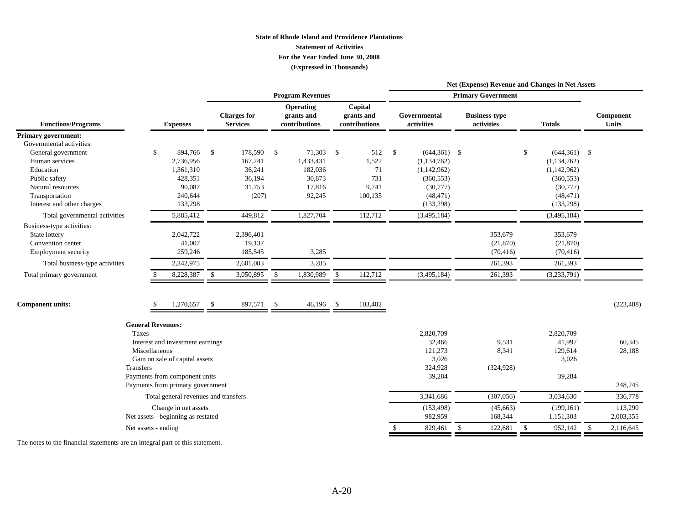#### **State of Rhode Island and Providence Plantations Statement of ActivitiesFor the Year Ended June 30, 2008 (Expressed in Thousands)**

|                                                                                                                                       |                                                                                                                                                  |                                                                   |                                                                    |                                                       |                                                                                             | Net (Expense) Revenue and Changes in Net Assets |                                                                                             |                                 |  |  |  |  |
|---------------------------------------------------------------------------------------------------------------------------------------|--------------------------------------------------------------------------------------------------------------------------------------------------|-------------------------------------------------------------------|--------------------------------------------------------------------|-------------------------------------------------------|---------------------------------------------------------------------------------------------|-------------------------------------------------|---------------------------------------------------------------------------------------------|---------------------------------|--|--|--|--|
|                                                                                                                                       |                                                                                                                                                  |                                                                   | <b>Program Revenues</b>                                            |                                                       |                                                                                             | <b>Primary Government</b>                       |                                                                                             |                                 |  |  |  |  |
| <b>Functions/Programs</b>                                                                                                             | <b>Expenses</b>                                                                                                                                  | <b>Charges</b> for<br><b>Services</b>                             | Operating<br>grants and<br>contributions                           | Capital<br>grants and<br>contributions                | Governmental<br>activities                                                                  | <b>Business-type</b><br>activities              | <b>Totals</b>                                                                               | Component<br><b>Units</b>       |  |  |  |  |
| <b>Primary government:</b>                                                                                                            |                                                                                                                                                  |                                                                   |                                                                    |                                                       |                                                                                             |                                                 |                                                                                             |                                 |  |  |  |  |
| Governmental activities:<br>General government<br>Human services<br>Education<br>Public safety<br>Natural resources<br>Transportation | 894,766<br>\$<br>2,736,956<br>1,361,310<br>428,351<br>90,087<br>240,644                                                                          | - \$<br>178,590<br>167,241<br>36,241<br>36,194<br>31,753<br>(207) | \$<br>71,303<br>1,433,431<br>182,036<br>30,873<br>17,816<br>92,245 | - \$<br>512<br>1,522<br>71<br>731<br>9,741<br>100,135 | \$<br>$(644,361)$ \$<br>(1, 134, 762)<br>(1,142,962)<br>(360, 553)<br>(30,777)<br>(48, 471) |                                                 | \$<br>$(644,361)$ \$<br>(1, 134, 762)<br>(1,142,962)<br>(360, 553)<br>(30,777)<br>(48, 471) |                                 |  |  |  |  |
| Interest and other charges                                                                                                            | 133,298                                                                                                                                          |                                                                   |                                                                    |                                                       | (133,298)                                                                                   |                                                 | (133, 298)                                                                                  |                                 |  |  |  |  |
| Total governmental activities<br>Business-type activities:<br>State lottery<br>Convention center<br><b>Employment security</b>        | 5,885,412<br>2,042,722<br>41,007<br>259,246                                                                                                      | 449,812<br>2,396,401<br>19,137<br>185,545                         | 1,827,704<br>3,285                                                 | 112,712                                               | (3,495,184)                                                                                 | 353,679<br>(21, 870)<br>(70, 416)               | (3,495,184)<br>353,679<br>(21, 870)<br>(70, 416)                                            |                                 |  |  |  |  |
| Total business-type activities                                                                                                        | 2,342,975                                                                                                                                        | 2,601,083                                                         | 3,285                                                              |                                                       |                                                                                             | 261,393                                         | 261,393                                                                                     |                                 |  |  |  |  |
| Total primary government                                                                                                              | 8,228,387                                                                                                                                        | $\mathbb{S}$<br>3,050,895                                         | 1,830,989<br>\$                                                    | $\mathbb{S}$<br>112,712                               | (3,495,184)                                                                                 | 261,393                                         | (3,233,791)                                                                                 |                                 |  |  |  |  |
| <b>Component units:</b>                                                                                                               | 1,270,657                                                                                                                                        | $\mathbf{\hat{S}}$<br>897,571                                     | $\mathcal{S}$<br>46,196                                            | \$<br>103,402                                         |                                                                                             |                                                 |                                                                                             | (223, 488)                      |  |  |  |  |
| Taxes<br><b>Transfers</b>                                                                                                             | <b>General Revenues:</b><br>Interest and investment earnings<br>Miscellaneous<br>Gain on sale of capital assets<br>Payments from component units |                                                                   |                                                                    |                                                       | 2,820,709<br>32,466<br>121,273<br>3,026<br>324,928<br>39,284                                | 9,531<br>8,341<br>(324, 928)                    | 2,820,709<br>41,997<br>129,614<br>3,026<br>39,284                                           | 60,345<br>28,188                |  |  |  |  |
|                                                                                                                                       | Payments from primary government                                                                                                                 |                                                                   |                                                                    |                                                       |                                                                                             |                                                 |                                                                                             | 248,245                         |  |  |  |  |
|                                                                                                                                       | Total general revenues and transfers                                                                                                             |                                                                   |                                                                    |                                                       | 3,341,686                                                                                   | (307,056)                                       | 3,034,630                                                                                   | 336,778                         |  |  |  |  |
|                                                                                                                                       | Change in net assets<br>Net assets - beginning as restated                                                                                       |                                                                   |                                                                    |                                                       | (153, 498)<br>982,959                                                                       | (45,663)<br>168,344                             | (199, 161)<br>1,151,303                                                                     | 113,290<br>2,003,355            |  |  |  |  |
|                                                                                                                                       | Net assets - ending                                                                                                                              |                                                                   |                                                                    |                                                       | 829,461                                                                                     | 122,681<br>\$                                   | 952,142<br><sup>\$</sup>                                                                    | $\mathbf{\hat{S}}$<br>2,116,645 |  |  |  |  |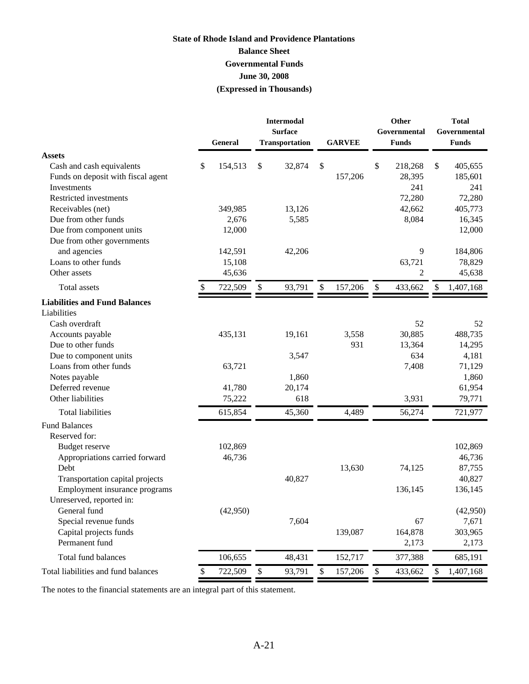### **(Expressed in Thousands) State of Rhode Island and Providence Plantations Balance Sheet Governmental Funds June 30, 2008**

|                                          | <b>General</b> |        | <b>Intermodal</b><br><b>Surface</b><br><b>Transportation</b> | <b>GARVEE</b> | Other<br>Governmental<br><b>Funds</b> | <b>Total</b><br>Governmental<br><b>Funds</b> |
|------------------------------------------|----------------|--------|--------------------------------------------------------------|---------------|---------------------------------------|----------------------------------------------|
| <b>Assets</b>                            |                |        |                                                              |               |                                       |                                              |
| Cash and cash equivalents                | \$<br>154,513  | \$     | 32,874                                                       | \$            | \$<br>218,268                         | \$<br>405,655                                |
| Funds on deposit with fiscal agent       |                |        |                                                              | 157,206       | 28,395                                | 185,601                                      |
| Investments                              |                |        |                                                              |               | 241                                   | 241                                          |
| Restricted investments                   |                |        |                                                              |               | 72,280                                | 72,280                                       |
| Receivables (net)                        | 349,985        |        | 13,126                                                       |               | 42,662                                | 405,773                                      |
| Due from other funds                     | 2,676          |        | 5,585                                                        |               | 8,084                                 | 16,345                                       |
| Due from component units                 | 12,000         |        |                                                              |               |                                       | 12,000                                       |
| Due from other governments               |                |        |                                                              |               |                                       |                                              |
| and agencies                             | 142,591        |        | 42,206                                                       |               | 9                                     | 184,806                                      |
| Loans to other funds                     | 15,108         |        |                                                              |               | 63,721                                | 78,829                                       |
| Other assets                             | 45,636         |        |                                                              |               | 2                                     | 45,638                                       |
| Total assets                             | 722,509        | \$     | 93,791                                                       | \$<br>157,206 | \$<br>433,662                         | \$<br>1,407,168                              |
| <b>Liabilities and Fund Balances</b>     |                |        |                                                              |               |                                       |                                              |
| Liabilities                              |                |        |                                                              |               |                                       |                                              |
| Cash overdraft                           |                |        |                                                              |               | 52                                    | 52                                           |
| Accounts payable                         | 435,131        |        | 19,161                                                       | 3,558         | 30,885                                | 488,735                                      |
| Due to other funds                       |                |        |                                                              | 931           | 13,364                                | 14,295                                       |
| Due to component units                   |                |        | 3,547                                                        |               | 634                                   | 4,181                                        |
| Loans from other funds                   | 63,721         |        |                                                              |               | 7,408                                 | 71,129                                       |
| Notes payable                            |                |        | 1,860                                                        |               |                                       | 1,860                                        |
| Deferred revenue                         | 41,780         |        | 20,174                                                       |               |                                       | 61,954                                       |
| Other liabilities                        | 75,222         |        | 618                                                          |               | 3,931                                 | 79,771                                       |
| <b>Total liabilities</b>                 | 615,854        |        | 45,360                                                       | 4,489         | 56,274                                | 721,977                                      |
| <b>Fund Balances</b>                     |                |        |                                                              |               |                                       |                                              |
| Reserved for:                            |                |        |                                                              |               |                                       |                                              |
| <b>Budget reserve</b>                    | 102,869        |        |                                                              |               |                                       | 102,869                                      |
| Appropriations carried forward           | 46,736         |        |                                                              |               |                                       | 46,736                                       |
| Debt                                     |                |        |                                                              | 13,630        | 74,125                                | 87,755                                       |
| Transportation capital projects          |                |        | 40,827                                                       |               |                                       | 40,827                                       |
| Employment insurance programs            |                |        |                                                              |               | 136,145                               | 136,145                                      |
| Unreserved, reported in:                 |                |        |                                                              |               |                                       |                                              |
| General fund                             | (42,950)       |        |                                                              |               |                                       | (42,950)                                     |
| Special revenue funds                    |                |        | 7,604                                                        |               | 67                                    | 7,671                                        |
| Capital projects funds<br>Permanent fund |                |        |                                                              | 139,087       | 164,878                               | 303,965                                      |
|                                          |                |        |                                                              |               | 2,173                                 | 2,173                                        |
| Total fund balances                      | 106,655        |        | 48,431                                                       | 152,717       | 377,388                               | 685,191                                      |
| Total liabilities and fund balances      | \$<br>722,509  | $\$\,$ | 93,791                                                       | \$<br>157,206 | \$<br>433,662                         | \$<br>1,407,168                              |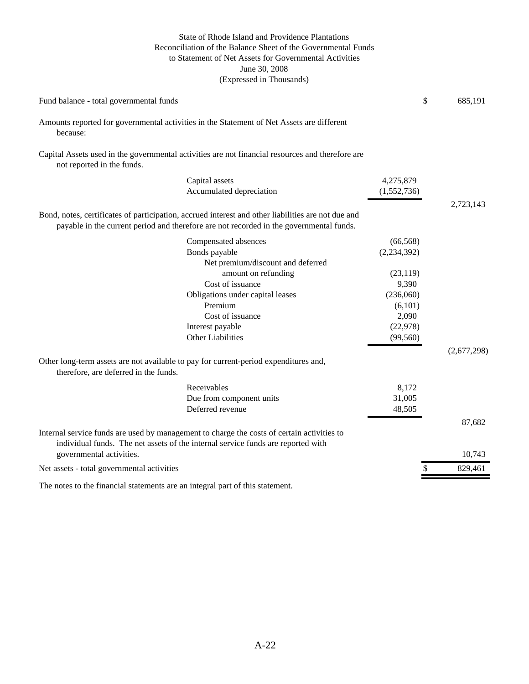#### (Expressed in Thousands) State of Rhode Island and Providence Plantations Reconciliation of the Balance Sheet of the Governmental Funds to Statement of Net Assets for Governmental Activities June 30, 2008

| Fund balance - total governmental funds                                                                                                                                                       |               | \$<br>685,191 |
|-----------------------------------------------------------------------------------------------------------------------------------------------------------------------------------------------|---------------|---------------|
| Amounts reported for governmental activities in the Statement of Net Assets are different<br>because:                                                                                         |               |               |
| Capital Assets used in the governmental activities are not financial resources and therefore are<br>not reported in the funds.                                                                |               |               |
| Capital assets                                                                                                                                                                                | 4,275,879     |               |
| Accumulated depreciation                                                                                                                                                                      | (1,552,736)   |               |
|                                                                                                                                                                                               |               | 2,723,143     |
| Bond, notes, certificates of participation, accrued interest and other liabilities are not due and<br>payable in the current period and therefore are not recorded in the governmental funds. |               |               |
| Compensated absences                                                                                                                                                                          | (66, 568)     |               |
| Bonds payable                                                                                                                                                                                 | (2, 234, 392) |               |
| Net premium/discount and deferred                                                                                                                                                             |               |               |
| amount on refunding                                                                                                                                                                           | (23, 119)     |               |
| Cost of issuance                                                                                                                                                                              | 9,390         |               |
| Obligations under capital leases                                                                                                                                                              | (236,060)     |               |
| Premium                                                                                                                                                                                       | (6,101)       |               |
| Cost of issuance                                                                                                                                                                              | 2,090         |               |
| Interest payable                                                                                                                                                                              | (22, 978)     |               |
| <b>Other Liabilities</b>                                                                                                                                                                      | (99, 560)     |               |
|                                                                                                                                                                                               |               | (2,677,298)   |
| Other long-term assets are not available to pay for current-period expenditures and,<br>therefore, are deferred in the funds.                                                                 |               |               |
| Receivables                                                                                                                                                                                   | 8,172         |               |
| Due from component units                                                                                                                                                                      | 31,005        |               |
| Deferred revenue                                                                                                                                                                              | 48,505        |               |
|                                                                                                                                                                                               |               | 87,682        |
| Internal service funds are used by management to charge the costs of certain activities to<br>individual funds. The net assets of the internal service funds are reported with                |               |               |
| governmental activities.                                                                                                                                                                      |               | 10,743        |
| Net assets - total governmental activities                                                                                                                                                    |               | \$<br>829,461 |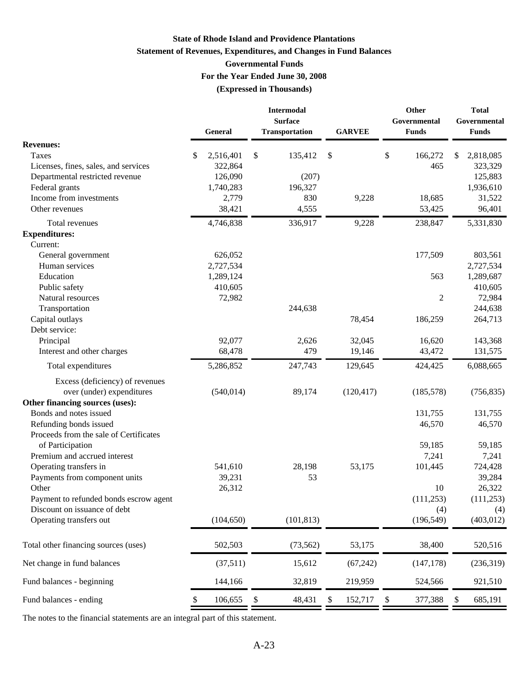### **State of Rhode Island and Providence Plantations Statement of Revenues, Expenditures, and Changes in Fund Balances Governmental Funds For the Year Ended June 30, 2008 (Expressed in Thousands)**

|                                                                                                    | General                                            | <b>Intermodal</b><br><b>Surface</b><br>Transportation | <b>GARVEE</b> |                           | Other<br>Governmental<br><b>Funds</b> | <b>Total</b><br>Governmental<br><b>Funds</b>       |
|----------------------------------------------------------------------------------------------------|----------------------------------------------------|-------------------------------------------------------|---------------|---------------------------|---------------------------------------|----------------------------------------------------|
| <b>Revenues:</b>                                                                                   |                                                    |                                                       |               |                           |                                       |                                                    |
| Taxes<br>Licenses, fines, sales, and services<br>Departmental restricted revenue<br>Federal grants | \$<br>2,516,401<br>322,864<br>126,090<br>1,740,283 | \$<br>135,412<br>(207)<br>196,327                     | \$            | \$                        | 166,272<br>465                        | \$<br>2,818,085<br>323,329<br>125,883<br>1,936,610 |
| Income from investments                                                                            | 2,779                                              | 830                                                   | 9,228         |                           | 18,685                                | 31,522                                             |
| Other revenues                                                                                     | 38,421                                             | 4,555                                                 |               |                           | 53,425                                | 96,401                                             |
| Total revenues                                                                                     | 4,746,838                                          | 336,917                                               | 9,228         |                           | 238,847                               | 5,331,830                                          |
| <b>Expenditures:</b>                                                                               |                                                    |                                                       |               |                           |                                       |                                                    |
| Current:                                                                                           |                                                    |                                                       |               |                           |                                       |                                                    |
| General government                                                                                 | 626,052                                            |                                                       |               |                           | 177,509                               | 803,561                                            |
| Human services                                                                                     | 2,727,534                                          |                                                       |               |                           |                                       | 2,727,534                                          |
| Education                                                                                          | 1,289,124                                          |                                                       |               |                           | 563                                   | 1,289,687                                          |
| Public safety                                                                                      | 410,605                                            |                                                       |               |                           |                                       | 410,605                                            |
| Natural resources                                                                                  | 72,982                                             |                                                       |               |                           | 2                                     | 72,984                                             |
| Transportation                                                                                     |                                                    | 244,638                                               |               |                           |                                       | 244,638                                            |
| Capital outlays                                                                                    |                                                    |                                                       | 78,454        |                           | 186,259                               | 264,713                                            |
| Debt service:                                                                                      |                                                    |                                                       |               |                           |                                       |                                                    |
| Principal                                                                                          | 92,077                                             | 2,626                                                 | 32,045        |                           | 16,620                                | 143,368                                            |
| Interest and other charges                                                                         | 68,478                                             | 479                                                   | 19,146        |                           | 43,472                                | 131,575                                            |
| Total expenditures                                                                                 | 5,286,852                                          | 247,743                                               | 129,645       |                           | 424,425                               | 6,088,665                                          |
| Excess (deficiency) of revenues<br>over (under) expenditures                                       | (540, 014)                                         | 89,174                                                | (120, 417)    |                           | (185, 578)                            | (756, 835)                                         |
| Other financing sources (uses):                                                                    |                                                    |                                                       |               |                           |                                       |                                                    |
| Bonds and notes issued                                                                             |                                                    |                                                       |               |                           | 131,755                               | 131,755                                            |
| Refunding bonds issued                                                                             |                                                    |                                                       |               |                           | 46,570                                | 46,570                                             |
| Proceeds from the sale of Certificates<br>of Participation                                         |                                                    |                                                       |               |                           | 59,185                                | 59,185                                             |
| Premium and accrued interest                                                                       |                                                    |                                                       |               |                           | 7,241                                 | 7,241                                              |
| Operating transfers in                                                                             | 541,610                                            | 28,198                                                | 53,175        |                           | 101,445                               | 724,428                                            |
| Payments from component units                                                                      | 39,231                                             | 53                                                    |               |                           |                                       | 39,284                                             |
| Other                                                                                              | 26,312                                             |                                                       |               |                           | 10                                    | 26,322                                             |
| Payment to refunded bonds escrow agent                                                             |                                                    |                                                       |               |                           | (111, 253)                            | (111, 253)                                         |
| Discount on issuance of debt                                                                       |                                                    |                                                       |               |                           | (4)                                   | (4)                                                |
| Operating transfers out                                                                            | (104, 650)                                         | (101, 813)                                            |               |                           | (196, 549)                            | (403, 012)                                         |
| Total other financing sources (uses)                                                               | 502,503                                            | (73, 562)                                             | 53,175        |                           | 38,400                                | 520,516                                            |
| Net change in fund balances                                                                        | (37,511)                                           | 15,612                                                | (67, 242)     |                           | (147, 178)                            | (236,319)                                          |
| Fund balances - beginning                                                                          | 144,166                                            | 32,819                                                | 219,959       |                           | 524,566                               | 921,510                                            |
| Fund balances - ending                                                                             | \$<br>106,655                                      | \$<br>48,431                                          | \$<br>152,717 | $\boldsymbol{\mathsf{S}}$ | 377,388                               | \$<br>685,191                                      |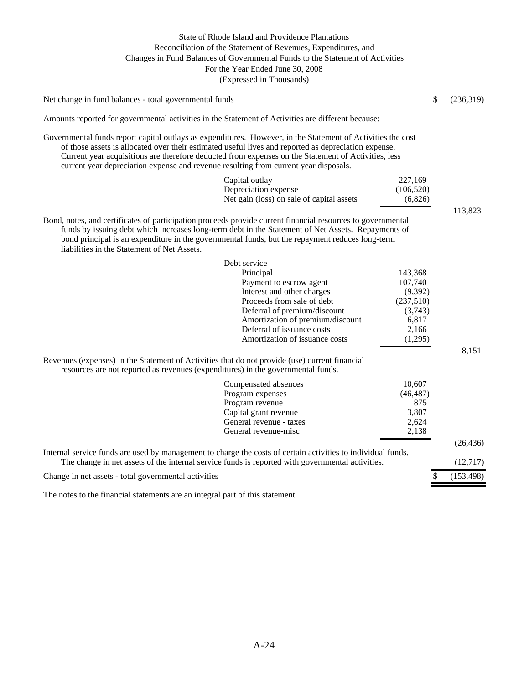#### (Expressed in Thousands) State of Rhode Island and Providence Plantations Reconciliation of the Statement of Revenues, Expenditures, and Changes in Fund Balances of Governmental Funds to the Statement of Activities For the Year Ended June 30, 2008

Net change in fund balances - total governmental funds  $\qquad$  (236,319)

Amounts reported for governmental activities in the Statement of Activities are different because:

Governmental funds report capital outlays as expenditures. However, in the Statement of Activities the cost of those assets is allocated over their estimated useful lives and reported as depreciation expense. Current year acquisitions are therefore deducted from expenses on the Statement of Activities, less current year depreciation expense and revenue resulting from current year disposals.

| Capital outlay                            | 227,169   |
|-------------------------------------------|-----------|
| Depreciation expense                      | (106,520) |
| Net gain (loss) on sale of capital assets | (6,826)   |

113,823

8,151

| Bond, notes, and certificates of participation proceeds provide current financial resources to governmental |
|-------------------------------------------------------------------------------------------------------------|
| funds by issuing debt which increases long-term debt in the Statement of Net Assets. Repayments of          |
| bond principal is an expenditure in the governmental funds, but the repayment reduces long-term             |
| liabilities in the Statement of Net Assets.                                                                 |

| Debt service                     |           |
|----------------------------------|-----------|
| Principal                        | 143,368   |
| Payment to escrow agent          | 107,740   |
| Interest and other charges       | (9,392)   |
| Proceeds from sale of debt       | (237,510) |
| Deferral of premium/discount     | (3,743)   |
| Amortization of premium/discount | 6,817     |
| Deferral of issuance costs       | 2,166     |
| Amortization of issuance costs   | (1.295)   |

Revenues (expenses) in the Statement of Activities that do not provide (use) current financial resources are not reported as revenues (expenditures) in the governmental funds.

| Compensated absences                                                                                         | 10.607    |            |  |  |  |
|--------------------------------------------------------------------------------------------------------------|-----------|------------|--|--|--|
| Program expenses                                                                                             | (46, 487) |            |  |  |  |
| Program revenue                                                                                              | 875       |            |  |  |  |
| Capital grant revenue                                                                                        | 3,807     |            |  |  |  |
| General revenue - taxes                                                                                      | 2.624     |            |  |  |  |
| General revenue-misc                                                                                         | 2,138     |            |  |  |  |
|                                                                                                              |           | (26, 436)  |  |  |  |
| Internal service funds are used by management to charge the costs of certain activities to individual funds. |           |            |  |  |  |
| The change in net assets of the internal service funds is reported with governmental activities.             |           |            |  |  |  |
| Change in net assets - total governmental activities                                                         |           | (153, 498) |  |  |  |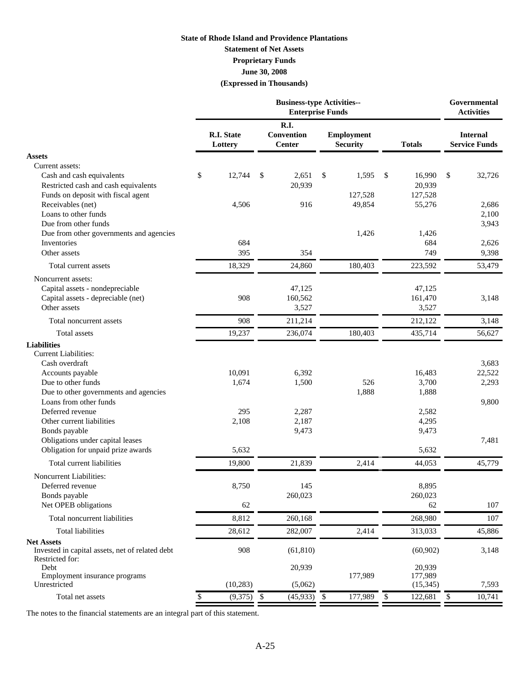#### **State of Rhode Island and Providence Plantations Statement of Net Assets June 30, 2008 (Expressed in Thousands) Proprietary Funds**

|                                                                                                                                                                                  | <b>Business-type Activities--</b><br><b>Enterprise Funds</b> |                              |                                            |                            |    |                                      |        |                                | Governmental<br><b>Activities</b>       |
|----------------------------------------------------------------------------------------------------------------------------------------------------------------------------------|--------------------------------------------------------------|------------------------------|--------------------------------------------|----------------------------|----|--------------------------------------|--------|--------------------------------|-----------------------------------------|
|                                                                                                                                                                                  |                                                              | <b>R.I. State</b><br>Lottery | <b>R.I.</b><br>Convention<br><b>Center</b> |                            |    | <b>Employment</b><br><b>Security</b> |        | <b>Totals</b>                  | <b>Internal</b><br><b>Service Funds</b> |
| <b>Assets</b>                                                                                                                                                                    |                                                              |                              |                                            |                            |    |                                      |        |                                |                                         |
| Current assets:<br>Cash and cash equivalents<br>Restricted cash and cash equivalents<br>Funds on deposit with fiscal agent                                                       | \$                                                           | 12,744                       | \$                                         | 2,651<br>20,939            | \$ | 1,595<br>127,528                     | \$     | 16,990<br>20,939<br>127,528    | \$<br>32,726                            |
| Receivables (net)<br>Loans to other funds<br>Due from other funds<br>Due from other governments and agencies                                                                     |                                                              | 4,506                        |                                            | 916                        |    | 49,854<br>1,426                      |        | 55,276<br>1,426                | 2,686<br>2,100<br>3,943                 |
| Inventories                                                                                                                                                                      |                                                              | 684                          |                                            |                            |    |                                      |        | 684                            | 2,626                                   |
| Other assets                                                                                                                                                                     |                                                              | 395                          |                                            | 354                        |    |                                      |        | 749                            | 9,398                                   |
| Total current assets                                                                                                                                                             |                                                              | 18,329                       |                                            | 24,860                     |    | 180,403                              |        | 223,592                        | 53,479                                  |
| Noncurrent assets:<br>Capital assets - nondepreciable<br>Capital assets - depreciable (net)<br>Other assets                                                                      |                                                              | 908                          |                                            | 47,125<br>160,562<br>3,527 |    |                                      |        | 47,125<br>161,470<br>3,527     | 3,148                                   |
| Total noncurrent assets                                                                                                                                                          |                                                              | 908                          |                                            | 211,214                    |    |                                      |        | 212,122                        | 3,148                                   |
| <b>Total</b> assets                                                                                                                                                              |                                                              | 19,237                       |                                            | 236,074                    |    | 180,403                              |        | 435,714                        | 56,627                                  |
| <b>Liabilities</b><br><b>Current Liabilities:</b><br>Cash overdraft<br>Accounts payable<br>Due to other funds<br>Due to other governments and agencies<br>Loans from other funds |                                                              | 10,091<br>1,674              |                                            | 6,392<br>1,500             |    | 526<br>1,888                         |        | 16,483<br>3,700<br>1,888       | 3,683<br>22,522<br>2,293                |
| Deferred revenue<br>Other current liabilities<br>Bonds payable<br>Obligations under capital leases                                                                               |                                                              | 295<br>2,108                 |                                            | 2,287<br>2,187<br>9,473    |    |                                      |        | 2,582<br>4,295<br>9,473        | 9,800<br>7,481                          |
| Obligation for unpaid prize awards                                                                                                                                               |                                                              | 5,632                        |                                            |                            |    |                                      |        | 5,632                          |                                         |
| Total current liabilities                                                                                                                                                        |                                                              | 19,800                       |                                            | 21,839                     |    | 2,414                                |        | 44,053                         | 45,779                                  |
| <b>Noncurrent Liabilities:</b><br>Deferred revenue<br>Bonds payable<br>Net OPEB obligations                                                                                      |                                                              | 8,750<br>62                  |                                            | 145<br>260,023             |    |                                      |        | 8,895<br>260,023<br>62         | 107                                     |
| Total noncurrent liabilities                                                                                                                                                     |                                                              | 8,812                        |                                            | 260,168                    |    |                                      |        | 268,980                        | 107                                     |
| <b>Total liabilities</b>                                                                                                                                                         |                                                              | 28,612                       |                                            | 282,007                    |    | 2,414                                |        | 313,033                        | 45,886                                  |
| <b>Net Assets</b><br>Invested in capital assets, net of related debt<br>Restricted for:                                                                                          |                                                              | 908                          |                                            | (61, 810)                  |    |                                      |        | (60, 902)                      | 3,148                                   |
| Debt<br>Employment insurance programs<br>Unrestricted                                                                                                                            |                                                              | (10, 283)                    |                                            | 20,939<br>(5,062)          |    | 177,989                              |        | 20,939<br>177,989<br>(15, 345) | 7,593                                   |
| Total net assets                                                                                                                                                                 | \$                                                           | (9,375)                      | $\$\,$                                     | $(45,933)$ \$              |    | 177,989                              | $\$\,$ | 122,681                        | \$<br>10,741                            |
|                                                                                                                                                                                  |                                                              |                              |                                            |                            |    |                                      |        |                                |                                         |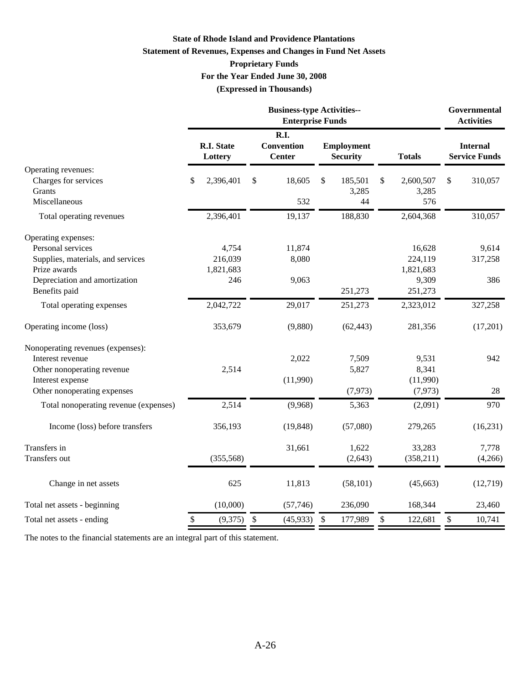#### **State of Rhode Island and Providence Plantations**

#### **Statement of Revenues, Expenses and Changes in Fund Net Assets**

### **Proprietary Funds**

**For the Year Ended June 30, 2008**

**(Expressed in Thousands)**

|                                                 | <b>Business-type Activities--</b><br><b>Enterprise Funds</b> |                       |                                                   |           |                           |                                      |              |                      |                                         | Governmental<br><b>Activities</b> |
|-------------------------------------------------|--------------------------------------------------------------|-----------------------|---------------------------------------------------|-----------|---------------------------|--------------------------------------|--------------|----------------------|-----------------------------------------|-----------------------------------|
|                                                 |                                                              | R.I. State<br>Lottery | <b>R.I.</b><br><b>Convention</b><br><b>Center</b> |           |                           | <b>Employment</b><br><b>Security</b> |              | <b>Totals</b>        | <b>Internal</b><br><b>Service Funds</b> |                                   |
| Operating revenues:                             |                                                              |                       |                                                   |           |                           |                                      |              |                      |                                         |                                   |
| Charges for services<br>Grants                  | \$                                                           | 2,396,401             | \$                                                | 18,605    | \$                        | 185,501                              | \$           | 2,600,507            | \$                                      | 310,057                           |
| Miscellaneous                                   |                                                              |                       |                                                   | 532       |                           | 3,285<br>44                          |              | 3,285<br>576         |                                         |                                   |
| Total operating revenues                        |                                                              | 2,396,401             |                                                   | 19,137    |                           | 188,830                              |              | 2,604,368            |                                         | 310,057                           |
| Operating expenses:                             |                                                              |                       |                                                   |           |                           |                                      |              |                      |                                         |                                   |
| Personal services                               |                                                              | 4,754                 |                                                   | 11,874    |                           |                                      |              | 16,628               |                                         | 9,614                             |
| Supplies, materials, and services               |                                                              | 216,039               |                                                   | 8,080     |                           |                                      |              | 224,119              |                                         | 317,258                           |
| Prize awards                                    |                                                              | 1,821,683             |                                                   |           |                           |                                      |              | 1,821,683            |                                         |                                   |
| Depreciation and amortization                   |                                                              | 246                   |                                                   | 9,063     |                           |                                      |              | 9,309                |                                         | 386                               |
| Benefits paid                                   |                                                              |                       |                                                   |           |                           | 251,273                              |              | 251,273              |                                         |                                   |
| Total operating expenses                        |                                                              | 2,042,722             |                                                   | 29,017    |                           | 251,273                              |              | 2,323,012            |                                         | 327,258                           |
| Operating income (loss)                         |                                                              | 353,679               |                                                   | (9,880)   |                           | (62, 443)                            |              | 281,356              |                                         | (17,201)                          |
| Nonoperating revenues (expenses):               |                                                              |                       |                                                   |           |                           |                                      |              |                      |                                         |                                   |
| Interest revenue                                |                                                              |                       |                                                   | 2,022     |                           | 7,509                                |              | 9,531                |                                         | 942                               |
| Other nonoperating revenue                      |                                                              | 2,514                 |                                                   |           |                           | 5,827                                |              | 8,341                |                                         |                                   |
| Interest expense<br>Other nonoperating expenses |                                                              |                       |                                                   | (11,990)  |                           | (7, 973)                             |              | (11,990)<br>(7, 973) |                                         | 28                                |
|                                                 |                                                              |                       |                                                   |           |                           |                                      |              |                      |                                         |                                   |
| Total nonoperating revenue (expenses)           |                                                              | 2,514                 |                                                   | (9,968)   |                           | 5,363                                |              | (2,091)              |                                         | 970                               |
| Income (loss) before transfers                  |                                                              | 356,193               |                                                   | (19, 848) |                           | (57,080)                             |              | 279,265              |                                         | (16, 231)                         |
| Transfers in                                    |                                                              |                       |                                                   | 31,661    |                           | 1,622                                |              | 33,283               |                                         | 7,778                             |
| Transfers out                                   |                                                              | (355, 568)            |                                                   |           |                           | (2,643)                              |              | (358, 211)           |                                         | (4,266)                           |
| Change in net assets                            |                                                              | 625                   |                                                   | 11,813    |                           | (58, 101)                            |              | (45, 663)            |                                         | (12,719)                          |
| Total net assets - beginning                    |                                                              | (10,000)              |                                                   | (57,746)  |                           | 236,090                              |              | 168,344              |                                         | 23,460                            |
| Total net assets - ending                       | \$                                                           | (9,375)               | $\boldsymbol{\mathsf{S}}$                         | (45, 933) | $\boldsymbol{\mathsf{S}}$ | 177,989                              | $\mathbb{S}$ | 122,681              | \$                                      | 10,741                            |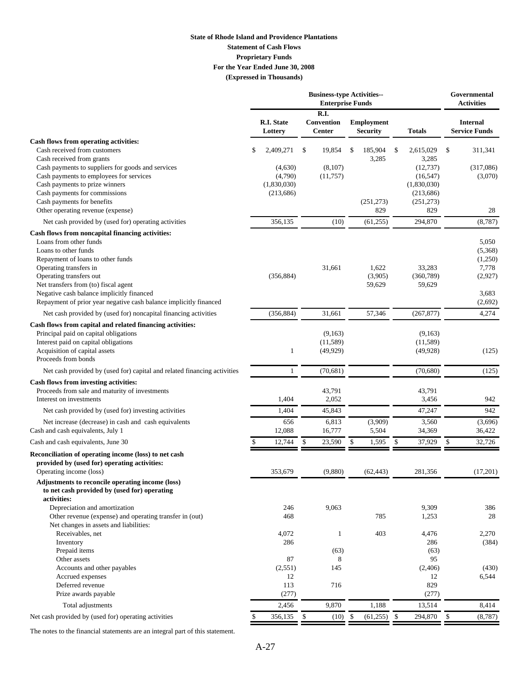#### **(Expressed in Thousands) State of Rhode Island and Providence Plantations Statement of Cash Flows Proprietary Funds For the Year Ended June 30, 2008**

|                                                                                                                                                                                                                                                                                                                                                        | <b>Business-type Activities--</b><br><b>Enterprise Funds</b> |                                                              |            |                                     |    |                                       |    | Governmental<br><b>Activities</b>                                                              |    |                                                                     |
|--------------------------------------------------------------------------------------------------------------------------------------------------------------------------------------------------------------------------------------------------------------------------------------------------------------------------------------------------------|--------------------------------------------------------------|--------------------------------------------------------------|------------|-------------------------------------|----|---------------------------------------|----|------------------------------------------------------------------------------------------------|----|---------------------------------------------------------------------|
|                                                                                                                                                                                                                                                                                                                                                        |                                                              | <b>R.I. State</b><br>Lottery                                 |            | R.I.<br>Convention<br><b>Center</b> |    | <b>Employment</b><br><b>Security</b>  |    | <b>Totals</b>                                                                                  |    | <b>Internal</b><br><b>Service Funds</b>                             |
| Cash flows from operating activities:<br>Cash received from customers<br>Cash received from grants<br>Cash payments to suppliers for goods and services<br>Cash payments to employees for services<br>Cash payments to prize winners<br>Cash payments for commissions<br>Cash payments for benefits<br>Other operating revenue (expense)               |                                                              | 2,409,271<br>(4,630)<br>(4,790)<br>(1,830,030)<br>(213, 686) | \$         | 19,854<br>(8,107)<br>(11, 757)      | \$ | 185,904<br>3,285<br>(251, 273)<br>829 | \$ | 2,615,029<br>3,285<br>(12, 737)<br>(16, 547)<br>(1,830,030)<br>(213, 686)<br>(251, 273)<br>829 | \$ | 311,341<br>(317,086)<br>(3,070)<br>28                               |
| Net cash provided by (used for) operating activities                                                                                                                                                                                                                                                                                                   |                                                              | 356,135                                                      |            | (10)                                |    | (61, 255)                             |    | 294,870                                                                                        |    | (8,787)                                                             |
| Cash flows from noncapital financing activities:<br>Loans from other funds<br>Loans to other funds<br>Repayment of loans to other funds<br>Operating transfers in<br>Operating transfers out<br>Net transfers from (to) fiscal agent<br>Negative cash balance implicitly financed<br>Repayment of prior year negative cash balance implicitly financed |                                                              | (356, 884)                                                   |            | 31,661                              |    | 1,622<br>(3,905)<br>59,629            |    | 33,283<br>(360, 789)<br>59,629                                                                 |    | 5,050<br>(5,368)<br>(1,250)<br>7,778<br>(2,927)<br>3,683<br>(2,692) |
| Net cash provided by (used for) noncapital financing activities                                                                                                                                                                                                                                                                                        |                                                              | (356, 884)                                                   |            | 31,661                              |    | 57,346                                |    | (267, 877)                                                                                     |    | 4,274                                                               |
| Cash flows from capital and related financing activities:<br>Principal paid on capital obligations<br>Interest paid on capital obligations<br>Acquisition of capital assets<br>Proceeds from bonds                                                                                                                                                     |                                                              | 1                                                            |            | (9.163)<br>(11, 589)<br>(49, 929)   |    |                                       |    | (9,163)<br>(11, 589)<br>(49, 928)                                                              |    | (125)                                                               |
| Net cash provided by (used for) capital and related financing activities                                                                                                                                                                                                                                                                               |                                                              | $\mathbf{1}$                                                 |            | (70, 681)                           |    |                                       |    | (70,680)                                                                                       |    | (125)                                                               |
| Cash flows from investing activities:<br>Proceeds from sale and maturity of investments<br>Interest on investments                                                                                                                                                                                                                                     |                                                              | 1,404                                                        |            | 43,791<br>2,052                     |    |                                       |    | 43,791<br>3,456                                                                                |    | 942                                                                 |
| Net cash provided by (used for) investing activities                                                                                                                                                                                                                                                                                                   |                                                              | 1,404                                                        |            | 45,843                              |    |                                       |    | 47,247                                                                                         |    | 942                                                                 |
| Net increase (decrease) in cash and cash equivalents<br>Cash and cash equivalents, July 1                                                                                                                                                                                                                                                              |                                                              | 656<br>12,088                                                |            | 6,813<br>16,777                     |    | (3,909)<br>5,504                      |    | 3,560<br>34,369                                                                                |    | (3,696)<br>36,422                                                   |
| Cash and cash equivalents, June 30                                                                                                                                                                                                                                                                                                                     | \$.                                                          | 12,744                                                       | \$         | 23,590                              | \$ | 1,595                                 | \$ | 37,929                                                                                         | \$ | 32,726                                                              |
| Reconciliation of operating income (loss) to net cash<br>provided by (used for) operating activities:<br>Operating income (loss)                                                                                                                                                                                                                       |                                                              | 353,679                                                      |            | (9,880)                             |    | (62, 443)                             |    | 281,356                                                                                        |    | (17,201)                                                            |
| Adjustments to reconcile operating income (loss)<br>to net cash provided by (used for) operating<br>activities:<br>Depreciation and amortization<br>Other revenue (expense) and operating transfer in (out)                                                                                                                                            |                                                              | 246<br>468                                                   |            | 9,063                               |    | 785                                   |    | 9,309<br>1,253                                                                                 |    | 386<br>28                                                           |
| Net changes in assets and liabilities:<br>Receivables, net<br>Inventory<br>Prepaid items<br>Other assets                                                                                                                                                                                                                                               |                                                              | 4,072<br>286<br>87                                           |            | 1<br>(63)<br>8                      |    | 403                                   |    | 4,476<br>286<br>(63)<br>95                                                                     |    | 2,270<br>(384)                                                      |
| Accounts and other payables<br>Accrued expenses<br>Deferred revenue<br>Prize awards payable                                                                                                                                                                                                                                                            |                                                              | (2, 551)<br>12<br>113<br>(277)                               |            | 145<br>716                          |    |                                       |    | (2,406)<br>12<br>829<br>(277)                                                                  |    | (430)<br>6,544                                                      |
| Total adjustments                                                                                                                                                                                                                                                                                                                                      |                                                              | 2,456                                                        |            | 9,870                               |    | 1,188                                 |    | 13,514                                                                                         |    | 8,414                                                               |
| Net cash provided by (used for) operating activities                                                                                                                                                                                                                                                                                                   | \$                                                           | 356,135                                                      | $\sqrt{5}$ | $(10)$ \$                           |    | $(61,255)$ \$                         |    | 294,870                                                                                        | \$ | (8,787)                                                             |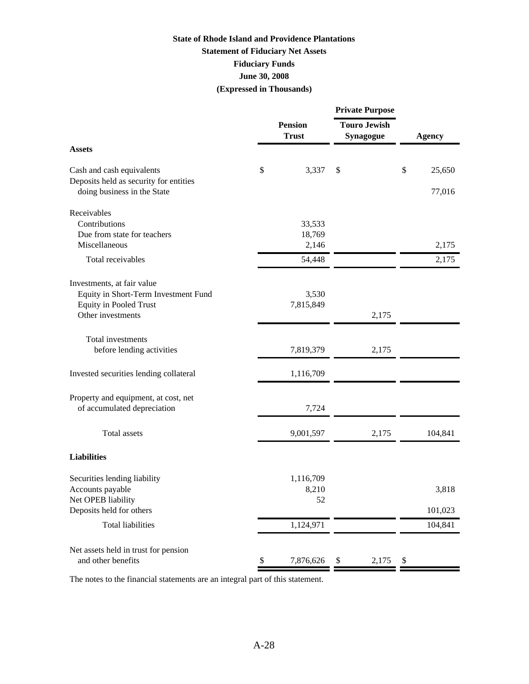### **State of Rhode Island and Providence Plantations Statement of Fiduciary Net Assets June 30, 2008 (Expressed in Thousands) Fiduciary Funds**

|                                | <b>Private Purpose</b>                                         |       |               |
|--------------------------------|----------------------------------------------------------------|-------|---------------|
| <b>Pension</b><br><b>Trust</b> | <b>Touro Jewish</b><br>Synagogue                               |       | <b>Agency</b> |
|                                |                                                                |       |               |
| \$<br>3,337                    | \$                                                             | \$    | 25,650        |
|                                |                                                                |       | 77,016        |
|                                |                                                                |       |               |
| 33,533                         |                                                                |       |               |
| 18,769                         |                                                                |       |               |
| 2,146                          |                                                                |       | 2,175         |
| 54,448                         |                                                                |       | 2,175         |
|                                |                                                                |       |               |
|                                |                                                                |       |               |
|                                |                                                                |       |               |
|                                |                                                                |       |               |
|                                |                                                                |       |               |
|                                |                                                                |       |               |
| 7,819,379                      | 2,175                                                          |       |               |
|                                |                                                                |       |               |
|                                |                                                                |       |               |
|                                |                                                                |       |               |
|                                |                                                                |       |               |
| 9,001,597                      | 2,175                                                          |       | 104,841       |
|                                |                                                                |       |               |
|                                |                                                                |       |               |
|                                |                                                                |       |               |
|                                |                                                                |       | 3,818         |
| 52                             |                                                                |       |               |
|                                |                                                                |       | 101,023       |
| 1,124,971                      |                                                                |       | 104,841       |
|                                |                                                                |       |               |
| \$<br>7,876,626                | 2,175<br>\$                                                    | \$    |               |
|                                | 3,530<br>7,815,849<br>1,116,709<br>7,724<br>1,116,709<br>8,210 | 2,175 |               |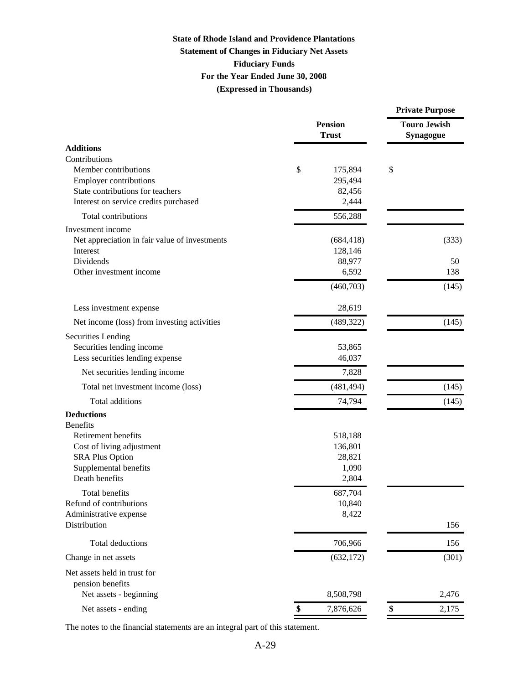### **State of Rhode Island and Providence Plantations Statement of Changes in Fiduciary Net Assets For the Year Ended June 30, 2008 Fiduciary Funds (Expressed in Thousands)**

|                                                  |                                | <b>Private Purpose</b>           |  |  |
|--------------------------------------------------|--------------------------------|----------------------------------|--|--|
|                                                  | <b>Pension</b><br><b>Trust</b> | <b>Touro Jewish</b><br>Synagogue |  |  |
| <b>Additions</b>                                 |                                |                                  |  |  |
| Contributions                                    |                                |                                  |  |  |
| Member contributions                             | \$<br>175,894                  | \$                               |  |  |
| <b>Employer contributions</b>                    | 295,494                        |                                  |  |  |
| State contributions for teachers                 | 82,456                         |                                  |  |  |
| Interest on service credits purchased            | 2,444                          |                                  |  |  |
| Total contributions                              | 556,288                        |                                  |  |  |
| Investment income                                |                                |                                  |  |  |
| Net appreciation in fair value of investments    | (684, 418)                     | (333)                            |  |  |
| Interest                                         | 128,146                        |                                  |  |  |
| Dividends                                        | 88,977                         | 50                               |  |  |
| Other investment income                          | 6,592                          | 138                              |  |  |
|                                                  | (460, 703)                     | (145)                            |  |  |
| Less investment expense                          | 28,619                         |                                  |  |  |
| Net income (loss) from investing activities      | (489, 322)                     | (145)                            |  |  |
| <b>Securities Lending</b>                        |                                |                                  |  |  |
| Securities lending income                        | 53,865                         |                                  |  |  |
| Less securities lending expense                  | 46,037                         |                                  |  |  |
| Net securities lending income                    | 7,828                          |                                  |  |  |
| Total net investment income (loss)               | (481, 494)                     | (145)                            |  |  |
| Total additions                                  | 74,794                         | (145)                            |  |  |
| <b>Deductions</b><br><b>Benefits</b>             |                                |                                  |  |  |
| Retirement benefits                              | 518,188                        |                                  |  |  |
| Cost of living adjustment                        | 136,801                        |                                  |  |  |
| <b>SRA Plus Option</b>                           | 28,821                         |                                  |  |  |
| Supplemental benefits                            | 1,090                          |                                  |  |  |
| Death benefits                                   | 2,804                          |                                  |  |  |
| Total benefits                                   | 687,704                        |                                  |  |  |
| Refund of contributions                          | 10,840                         |                                  |  |  |
| Administrative expense                           | 8,422                          |                                  |  |  |
| Distribution                                     |                                | 156                              |  |  |
| Total deductions                                 | 706,966                        | 156                              |  |  |
| Change in net assets                             | (632, 172)                     | (301)                            |  |  |
| Net assets held in trust for<br>pension benefits |                                |                                  |  |  |
| Net assets - beginning                           | 8,508,798                      | 2,476                            |  |  |
| Net assets - ending                              | \$<br>7,876,626                | \$<br>2,175                      |  |  |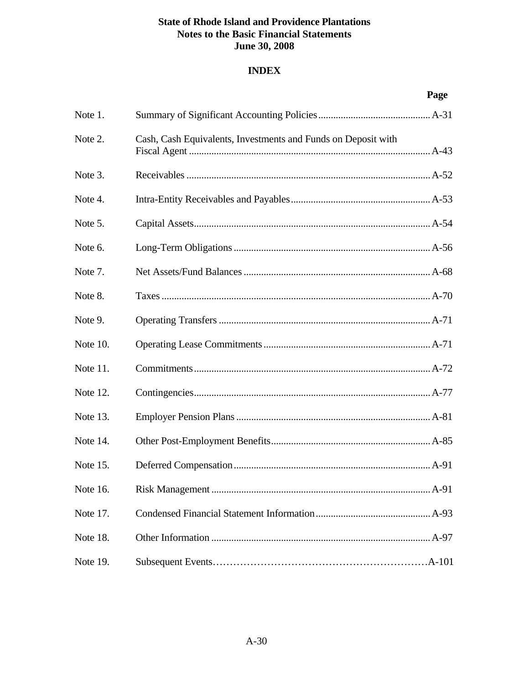### **INDEX**

|          |                                                               | Page     |
|----------|---------------------------------------------------------------|----------|
| Note 1.  |                                                               |          |
| Note 2.  | Cash, Cash Equivalents, Investments and Funds on Deposit with |          |
| Note 3.  |                                                               |          |
| Note 4.  |                                                               |          |
| Note 5.  |                                                               |          |
| Note 6.  |                                                               |          |
| Note 7.  |                                                               |          |
| Note 8.  |                                                               |          |
| Note 9.  |                                                               |          |
| Note 10. |                                                               |          |
| Note 11. |                                                               |          |
| Note 12. |                                                               |          |
| Note 13. |                                                               |          |
| Note 14. |                                                               |          |
| Note 15. |                                                               |          |
| Note 16. |                                                               |          |
| Note 17. |                                                               |          |
| Note 18. |                                                               |          |
| Note 19. |                                                               | $.A-101$ |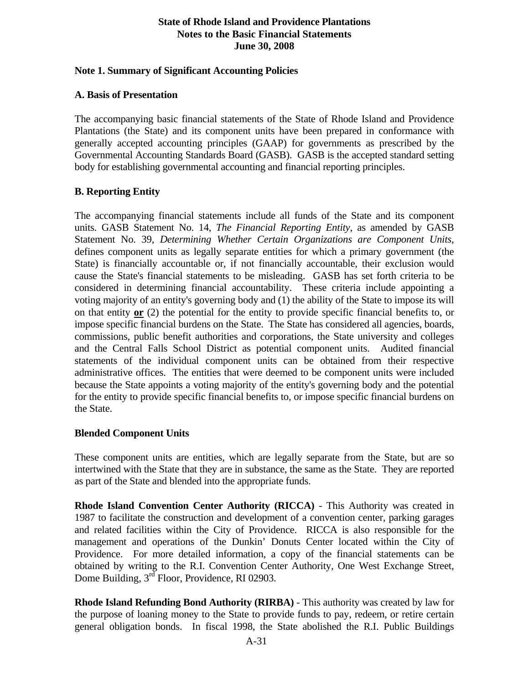### **Note 1. Summary of Significant Accounting Policies**

### **A. Basis of Presentation**

The accompanying basic financial statements of the State of Rhode Island and Providence Plantations (the State) and its component units have been prepared in conformance with generally accepted accounting principles (GAAP) for governments as prescribed by the Governmental Accounting Standards Board (GASB). GASB is the accepted standard setting body for establishing governmental accounting and financial reporting principles.

### **B. Reporting Entity**

The accompanying financial statements include all funds of the State and its component units. GASB Statement No. 14, *The Financial Reporting Entity*, as amended by GASB Statement No. 39, *Determining Whether Certain Organizations are Component Units*, defines component units as legally separate entities for which a primary government (the State) is financially accountable or, if not financially accountable, their exclusion would cause the State's financial statements to be misleading. GASB has set forth criteria to be considered in determining financial accountability. These criteria include appointing a voting majority of an entity's governing body and (1) the ability of the State to impose its will on that entity **or** (2) the potential for the entity to provide specific financial benefits to, or impose specific financial burdens on the State. The State has considered all agencies, boards, commissions, public benefit authorities and corporations, the State university and colleges and the Central Falls School District as potential component units. Audited financial statements of the individual component units can be obtained from their respective administrative offices. The entities that were deemed to be component units were included because the State appoints a voting majority of the entity's governing body and the potential for the entity to provide specific financial benefits to, or impose specific financial burdens on the State.

### **Blended Component Units**

These component units are entities, which are legally separate from the State, but are so intertwined with the State that they are in substance, the same as the State. They are reported as part of the State and blended into the appropriate funds.

**Rhode Island Convention Center Authority (RICCA)** - This Authority was created in 1987 to facilitate the construction and development of a convention center, parking garages and related facilities within the City of Providence. RICCA is also responsible for the management and operations of the Dunkin' Donuts Center located within the City of Providence. For more detailed information, a copy of the financial statements can be obtained by writing to the R.I. Convention Center Authority, One West Exchange Street, Dome Building, 3<sup>rd</sup> Floor, Providence, RI 02903.

**Rhode Island Refunding Bond Authority (RIRBA)** - This authority was created by law for the purpose of loaning money to the State to provide funds to pay, redeem, or retire certain general obligation bonds. In fiscal 1998, the State abolished the R.I. Public Buildings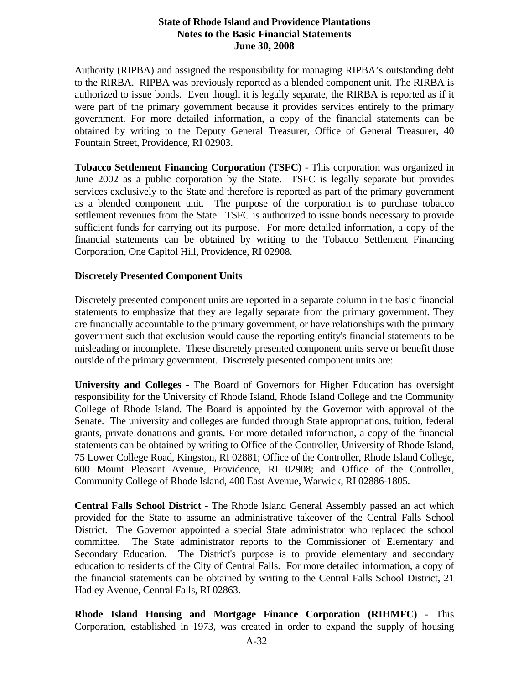Authority (RIPBA) and assigned the responsibility for managing RIPBA's outstanding debt to the RIRBA. RIPBA was previously reported as a blended component unit. The RIRBA is authorized to issue bonds. Even though it is legally separate, the RIRBA is reported as if it were part of the primary government because it provides services entirely to the primary government. For more detailed information, a copy of the financial statements can be obtained by writing to the Deputy General Treasurer, Office of General Treasurer, 40 Fountain Street, Providence, RI 02903.

**Tobacco Settlement Financing Corporation (TSFC)** - This corporation was organized in June 2002 as a public corporation by the State. TSFC is legally separate but provides services exclusively to the State and therefore is reported as part of the primary government as a blended component unit. The purpose of the corporation is to purchase tobacco settlement revenues from the State. TSFC is authorized to issue bonds necessary to provide sufficient funds for carrying out its purpose. For more detailed information, a copy of the financial statements can be obtained by writing to the Tobacco Settlement Financing Corporation, One Capitol Hill, Providence, RI 02908.

### **Discretely Presented Component Units**

Discretely presented component units are reported in a separate column in the basic financial statements to emphasize that they are legally separate from the primary government. They are financially accountable to the primary government, or have relationships with the primary government such that exclusion would cause the reporting entity's financial statements to be misleading or incomplete. These discretely presented component units serve or benefit those outside of the primary government. Discretely presented component units are:

**University and Colleges** - The Board of Governors for Higher Education has oversight responsibility for the University of Rhode Island, Rhode Island College and the Community College of Rhode Island. The Board is appointed by the Governor with approval of the Senate. The university and colleges are funded through State appropriations, tuition, federal grants, private donations and grants. For more detailed information, a copy of the financial statements can be obtained by writing to Office of the Controller, University of Rhode Island, 75 Lower College Road, Kingston, RI 02881; Office of the Controller, Rhode Island College, 600 Mount Pleasant Avenue, Providence, RI 02908; and Office of the Controller, Community College of Rhode Island, 400 East Avenue, Warwick, RI 02886-1805.

**Central Falls School District** - The Rhode Island General Assembly passed an act which provided for the State to assume an administrative takeover of the Central Falls School District. The Governor appointed a special State administrator who replaced the school committee. The State administrator reports to the Commissioner of Elementary and Secondary Education. The District's purpose is to provide elementary and secondary education to residents of the City of Central Falls. For more detailed information, a copy of the financial statements can be obtained by writing to the Central Falls School District, 21 Hadley Avenue, Central Falls, RI 02863.

**Rhode Island Housing and Mortgage Finance Corporation (RIHMFC)** - This Corporation, established in 1973, was created in order to expand the supply of housing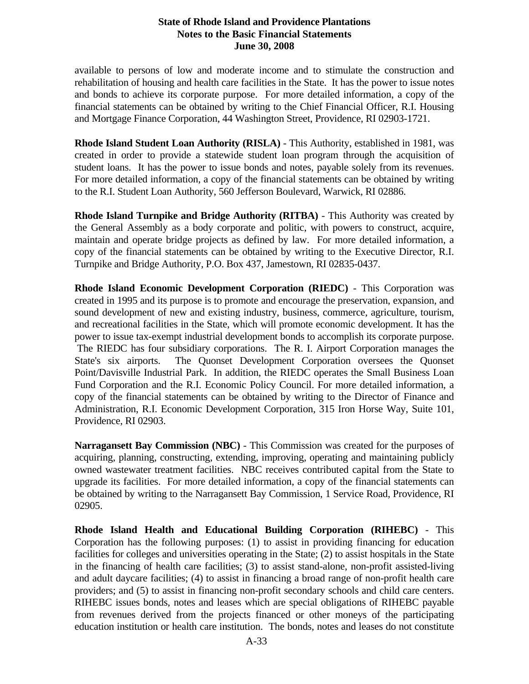available to persons of low and moderate income and to stimulate the construction and rehabilitation of housing and health care facilities in the State. It has the power to issue notes and bonds to achieve its corporate purpose. For more detailed information, a copy of the financial statements can be obtained by writing to the Chief Financial Officer, R.I. Housing and Mortgage Finance Corporation, 44 Washington Street, Providence, RI 02903-1721.

**Rhode Island Student Loan Authority (RISLA)** - This Authority, established in 1981, was created in order to provide a statewide student loan program through the acquisition of student loans. It has the power to issue bonds and notes, payable solely from its revenues. For more detailed information, a copy of the financial statements can be obtained by writing to the R.I. Student Loan Authority, 560 Jefferson Boulevard, Warwick, RI 02886.

**Rhode Island Turnpike and Bridge Authority (RITBA)** - This Authority was created by the General Assembly as a body corporate and politic, with powers to construct, acquire, maintain and operate bridge projects as defined by law. For more detailed information, a copy of the financial statements can be obtained by writing to the Executive Director, R.I. Turnpike and Bridge Authority, P.O. Box 437, Jamestown, RI 02835-0437.

**Rhode Island Economic Development Corporation (RIEDC)** - This Corporation was created in 1995 and its purpose is to promote and encourage the preservation, expansion, and sound development of new and existing industry, business, commerce, agriculture, tourism, and recreational facilities in the State, which will promote economic development. It has the power to issue tax-exempt industrial development bonds to accomplish its corporate purpose. The RIEDC has four subsidiary corporations. The R. I. Airport Corporation manages the State's six airports. The Quonset Development Corporation oversees the Quonset Point/Davisville Industrial Park. In addition, the RIEDC operates the Small Business Loan Fund Corporation and the R.I. Economic Policy Council. For more detailed information, a copy of the financial statements can be obtained by writing to the Director of Finance and Administration, R.I. Economic Development Corporation, 315 Iron Horse Way, Suite 101, Providence, RI 02903.

**Narragansett Bay Commission (NBC)** - This Commission was created for the purposes of acquiring, planning, constructing, extending, improving, operating and maintaining publicly owned wastewater treatment facilities. NBC receives contributed capital from the State to upgrade its facilities. For more detailed information, a copy of the financial statements can be obtained by writing to the Narragansett Bay Commission, 1 Service Road, Providence, RI 02905.

**Rhode Island Health and Educational Building Corporation (RIHEBC)** - This Corporation has the following purposes: (1) to assist in providing financing for education facilities for colleges and universities operating in the State; (2) to assist hospitals in the State in the financing of health care facilities; (3) to assist stand-alone, non-profit assisted-living and adult daycare facilities; (4) to assist in financing a broad range of non-profit health care providers; and (5) to assist in financing non-profit secondary schools and child care centers. RIHEBC issues bonds, notes and leases which are special obligations of RIHEBC payable from revenues derived from the projects financed or other moneys of the participating education institution or health care institution. The bonds, notes and leases do not constitute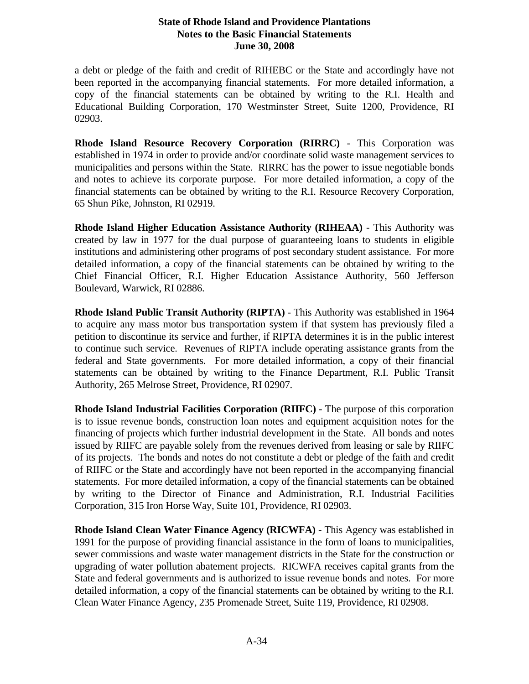a debt or pledge of the faith and credit of RIHEBC or the State and accordingly have not been reported in the accompanying financial statements. For more detailed information, a copy of the financial statements can be obtained by writing to the R.I. Health and Educational Building Corporation, 170 Westminster Street, Suite 1200, Providence, RI 02903.

**Rhode Island Resource Recovery Corporation (RIRRC)** - This Corporation was established in 1974 in order to provide and/or coordinate solid waste management services to municipalities and persons within the State. RIRRC has the power to issue negotiable bonds and notes to achieve its corporate purpose. For more detailed information, a copy of the financial statements can be obtained by writing to the R.I. Resource Recovery Corporation, 65 Shun Pike, Johnston, RI 02919.

**Rhode Island Higher Education Assistance Authority (RIHEAA)** - This Authority was created by law in 1977 for the dual purpose of guaranteeing loans to students in eligible institutions and administering other programs of post secondary student assistance. For more detailed information, a copy of the financial statements can be obtained by writing to the Chief Financial Officer, R.I. Higher Education Assistance Authority, 560 Jefferson Boulevard, Warwick, RI 02886.

**Rhode Island Public Transit Authority (RIPTA)** - This Authority was established in 1964 to acquire any mass motor bus transportation system if that system has previously filed a petition to discontinue its service and further, if RIPTA determines it is in the public interest to continue such service. Revenues of RIPTA include operating assistance grants from the federal and State governments. For more detailed information, a copy of their financial statements can be obtained by writing to the Finance Department, R.I. Public Transit Authority, 265 Melrose Street, Providence, RI 02907.

**Rhode Island Industrial Facilities Corporation (RIIFC)** - The purpose of this corporation is to issue revenue bonds, construction loan notes and equipment acquisition notes for the financing of projects which further industrial development in the State. All bonds and notes issued by RIIFC are payable solely from the revenues derived from leasing or sale by RIIFC of its projects. The bonds and notes do not constitute a debt or pledge of the faith and credit of RIIFC or the State and accordingly have not been reported in the accompanying financial statements. For more detailed information, a copy of the financial statements can be obtained by writing to the Director of Finance and Administration, R.I. Industrial Facilities Corporation, 315 Iron Horse Way, Suite 101, Providence, RI 02903.

**Rhode Island Clean Water Finance Agency (RICWFA)** - This Agency was established in 1991 for the purpose of providing financial assistance in the form of loans to municipalities, sewer commissions and waste water management districts in the State for the construction or upgrading of water pollution abatement projects. RICWFA receives capital grants from the State and federal governments and is authorized to issue revenue bonds and notes. For more detailed information, a copy of the financial statements can be obtained by writing to the R.I. Clean Water Finance Agency, 235 Promenade Street, Suite 119, Providence, RI 02908.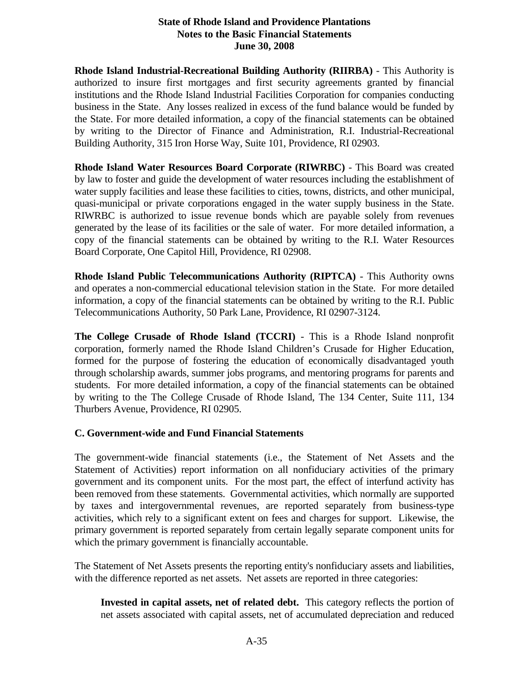**Rhode Island Industrial-Recreational Building Authority (RIIRBA)** - This Authority is authorized to insure first mortgages and first security agreements granted by financial institutions and the Rhode Island Industrial Facilities Corporation for companies conducting business in the State. Any losses realized in excess of the fund balance would be funded by the State. For more detailed information, a copy of the financial statements can be obtained by writing to the Director of Finance and Administration, R.I. Industrial-Recreational Building Authority, 315 Iron Horse Way, Suite 101, Providence, RI 02903.

**Rhode Island Water Resources Board Corporate (RIWRBC)** - This Board was created by law to foster and guide the development of water resources including the establishment of water supply facilities and lease these facilities to cities, towns, districts, and other municipal, quasi-municipal or private corporations engaged in the water supply business in the State. RIWRBC is authorized to issue revenue bonds which are payable solely from revenues generated by the lease of its facilities or the sale of water. For more detailed information, a copy of the financial statements can be obtained by writing to the R.I. Water Resources Board Corporate, One Capitol Hill, Providence, RI 02908.

**Rhode Island Public Telecommunications Authority (RIPTCA)** - This Authority owns and operates a non-commercial educational television station in the State. For more detailed information, a copy of the financial statements can be obtained by writing to the R.I. Public Telecommunications Authority, 50 Park Lane, Providence, RI 02907-3124.

**The College Crusade of Rhode Island (TCCRI)** - This is a Rhode Island nonprofit corporation, formerly named the Rhode Island Children's Crusade for Higher Education, formed for the purpose of fostering the education of economically disadvantaged youth through scholarship awards, summer jobs programs, and mentoring programs for parents and students. For more detailed information, a copy of the financial statements can be obtained by writing to the The College Crusade of Rhode Island, The 134 Center, Suite 111, 134 Thurbers Avenue, Providence, RI 02905.

### **C. Government-wide and Fund Financial Statements**

The government-wide financial statements (i.e., the Statement of Net Assets and the Statement of Activities) report information on all nonfiduciary activities of the primary government and its component units. For the most part, the effect of interfund activity has been removed from these statements. Governmental activities, which normally are supported by taxes and intergovernmental revenues, are reported separately from business-type activities, which rely to a significant extent on fees and charges for support. Likewise, the primary government is reported separately from certain legally separate component units for which the primary government is financially accountable.

The Statement of Net Assets presents the reporting entity's nonfiduciary assets and liabilities, with the difference reported as net assets. Net assets are reported in three categories:

**Invested in capital assets, net of related debt.** This category reflects the portion of net assets associated with capital assets, net of accumulated depreciation and reduced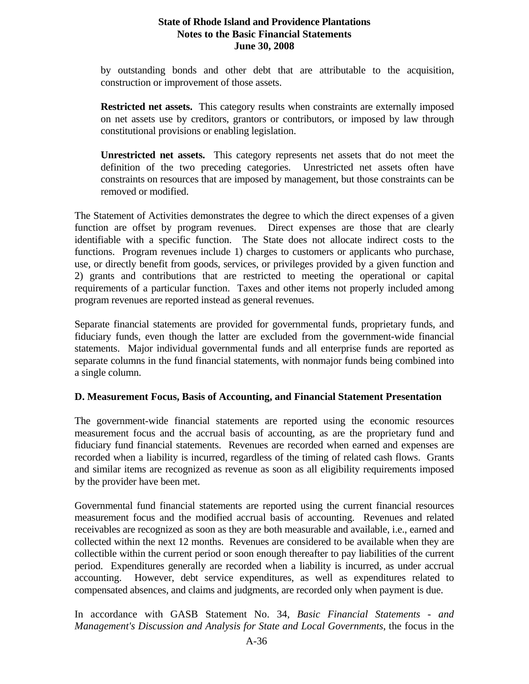by outstanding bonds and other debt that are attributable to the acquisition, construction or improvement of those assets.

**Restricted net assets.** This category results when constraints are externally imposed on net assets use by creditors, grantors or contributors, or imposed by law through constitutional provisions or enabling legislation.

**Unrestricted net assets.** This category represents net assets that do not meet the definition of the two preceding categories. Unrestricted net assets often have constraints on resources that are imposed by management, but those constraints can be removed or modified.

The Statement of Activities demonstrates the degree to which the direct expenses of a given function are offset by program revenues. Direct expenses are those that are clearly identifiable with a specific function. The State does not allocate indirect costs to the functions. Program revenues include 1) charges to customers or applicants who purchase, use, or directly benefit from goods, services, or privileges provided by a given function and 2) grants and contributions that are restricted to meeting the operational or capital requirements of a particular function. Taxes and other items not properly included among program revenues are reported instead as general revenues.

Separate financial statements are provided for governmental funds, proprietary funds, and fiduciary funds, even though the latter are excluded from the government-wide financial statements. Major individual governmental funds and all enterprise funds are reported as separate columns in the fund financial statements, with nonmajor funds being combined into a single column.

### **D. Measurement Focus, Basis of Accounting, and Financial Statement Presentation**

The government-wide financial statements are reported using the economic resources measurement focus and the accrual basis of accounting, as are the proprietary fund and fiduciary fund financial statements. Revenues are recorded when earned and expenses are recorded when a liability is incurred, regardless of the timing of related cash flows. Grants and similar items are recognized as revenue as soon as all eligibility requirements imposed by the provider have been met.

Governmental fund financial statements are reported using the current financial resources measurement focus and the modified accrual basis of accounting. Revenues and related receivables are recognized as soon as they are both measurable and available, i.e., earned and collected within the next 12 months. Revenues are considered to be available when they are collectible within the current period or soon enough thereafter to pay liabilities of the current period. Expenditures generally are recorded when a liability is incurred, as under accrual accounting. However, debt service expenditures, as well as expenditures related to compensated absences, and claims and judgments, are recorded only when payment is due.

In accordance with GASB Statement No. 34, *Basic Financial Statements - and Management's Discussion and Analysis for State and Local Governments*, the focus in the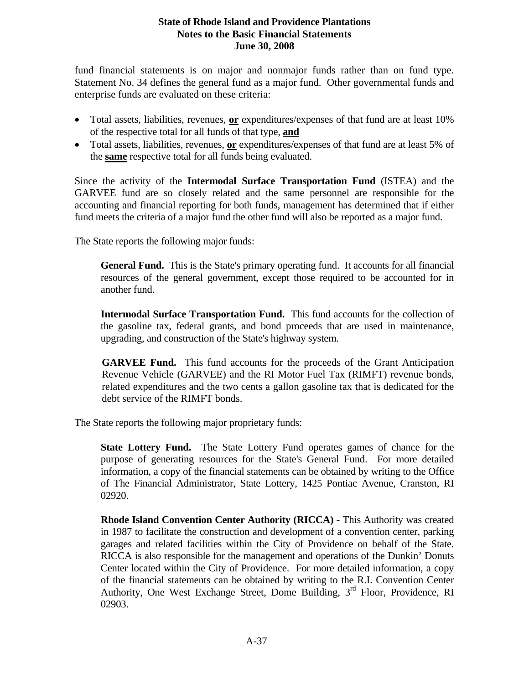fund financial statements is on major and nonmajor funds rather than on fund type. Statement No. 34 defines the general fund as a major fund. Other governmental funds and enterprise funds are evaluated on these criteria:

- Total assets, liabilities, revenues, **or** expenditures/expenses of that fund are at least 10% of the respective total for all funds of that type, **and**
- Total assets, liabilities, revenues, **or** expenditures/expenses of that fund are at least 5% of the **same** respective total for all funds being evaluated.

Since the activity of the **Intermodal Surface Transportation Fund** (ISTEA) and the GARVEE fund are so closely related and the same personnel are responsible for the accounting and financial reporting for both funds, management has determined that if either fund meets the criteria of a major fund the other fund will also be reported as a major fund.

The State reports the following major funds:

**General Fund.** This is the State's primary operating fund. It accounts for all financial resources of the general government, except those required to be accounted for in another fund.

**Intermodal Surface Transportation Fund.** This fund accounts for the collection of the gasoline tax, federal grants, and bond proceeds that are used in maintenance, upgrading, and construction of the State's highway system.

**GARVEE Fund.** This fund accounts for the proceeds of the Grant Anticipation Revenue Vehicle (GARVEE) and the RI Motor Fuel Tax (RIMFT) revenue bonds, related expenditures and the two cents a gallon gasoline tax that is dedicated for the debt service of the RIMFT bonds.

The State reports the following major proprietary funds:

**State Lottery Fund.** The State Lottery Fund operates games of chance for the purpose of generating resources for the State's General Fund. For more detailed information, a copy of the financial statements can be obtained by writing to the Office of The Financial Administrator, State Lottery, 1425 Pontiac Avenue, Cranston, RI 02920.

**Rhode Island Convention Center Authority (RICCA)** - This Authority was created in 1987 to facilitate the construction and development of a convention center, parking garages and related facilities within the City of Providence on behalf of the State. RICCA is also responsible for the management and operations of the Dunkin' Donuts Center located within the City of Providence. For more detailed information, a copy of the financial statements can be obtained by writing to the R.I. Convention Center Authority, One West Exchange Street, Dome Building, 3<sup>rd</sup> Floor, Providence, RI 02903.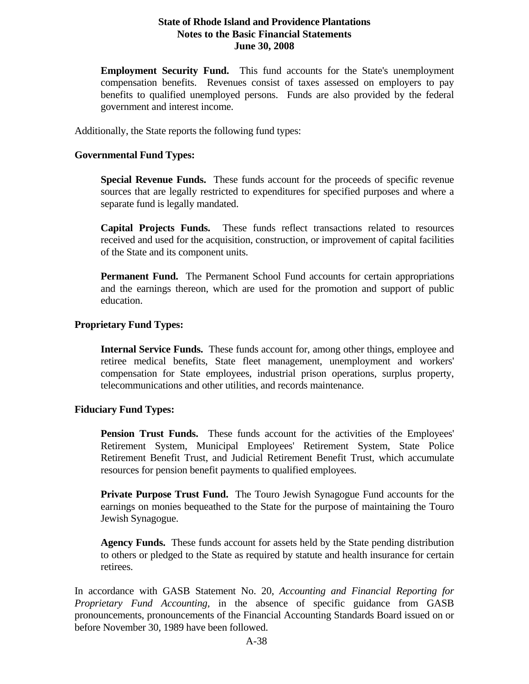**Employment Security Fund.** This fund accounts for the State's unemployment compensation benefits. Revenues consist of taxes assessed on employers to pay benefits to qualified unemployed persons. Funds are also provided by the federal government and interest income.

Additionally, the State reports the following fund types:

#### **Governmental Fund Types:**

**Special Revenue Funds.** These funds account for the proceeds of specific revenue sources that are legally restricted to expenditures for specified purposes and where a separate fund is legally mandated.

**Capital Projects Funds.** These funds reflect transactions related to resources received and used for the acquisition, construction, or improvement of capital facilities of the State and its component units.

**Permanent Fund.** The Permanent School Fund accounts for certain appropriations and the earnings thereon, which are used for the promotion and support of public education.

#### **Proprietary Fund Types:**

**Internal Service Funds.** These funds account for, among other things, employee and retiree medical benefits, State fleet management, unemployment and workers' compensation for State employees, industrial prison operations, surplus property, telecommunications and other utilities, and records maintenance.

#### **Fiduciary Fund Types:**

**Pension Trust Funds.** These funds account for the activities of the Employees' Retirement System, Municipal Employees' Retirement System, State Police Retirement Benefit Trust, and Judicial Retirement Benefit Trust, which accumulate resources for pension benefit payments to qualified employees.

**Private Purpose Trust Fund.** The Touro Jewish Synagogue Fund accounts for the earnings on monies bequeathed to the State for the purpose of maintaining the Touro Jewish Synagogue.

**Agency Funds.** These funds account for assets held by the State pending distribution to others or pledged to the State as required by statute and health insurance for certain retirees.

In accordance with GASB Statement No. 20, *Accounting and Financial Reporting for Proprietary Fund Accounting,* in the absence of specific guidance from GASB pronouncements, pronouncements of the Financial Accounting Standards Board issued on or before November 30, 1989 have been followed.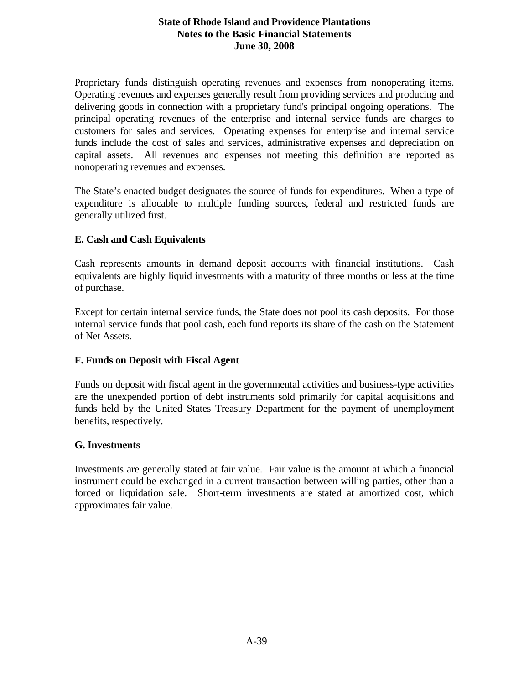Proprietary funds distinguish operating revenues and expenses from nonoperating items. Operating revenues and expenses generally result from providing services and producing and delivering goods in connection with a proprietary fund's principal ongoing operations. The principal operating revenues of the enterprise and internal service funds are charges to customers for sales and services. Operating expenses for enterprise and internal service funds include the cost of sales and services, administrative expenses and depreciation on capital assets. All revenues and expenses not meeting this definition are reported as nonoperating revenues and expenses.

The State's enacted budget designates the source of funds for expenditures. When a type of expenditure is allocable to multiple funding sources, federal and restricted funds are generally utilized first.

### **E. Cash and Cash Equivalents**

Cash represents amounts in demand deposit accounts with financial institutions. Cash equivalents are highly liquid investments with a maturity of three months or less at the time of purchase.

Except for certain internal service funds, the State does not pool its cash deposits. For those internal service funds that pool cash, each fund reports its share of the cash on the Statement of Net Assets.

### **F. Funds on Deposit with Fiscal Agent**

Funds on deposit with fiscal agent in the governmental activities and business-type activities are the unexpended portion of debt instruments sold primarily for capital acquisitions and funds held by the United States Treasury Department for the payment of unemployment benefits, respectively.

### **G. Investments**

Investments are generally stated at fair value. Fair value is the amount at which a financial instrument could be exchanged in a current transaction between willing parties, other than a forced or liquidation sale. Short-term investments are stated at amortized cost, which approximates fair value.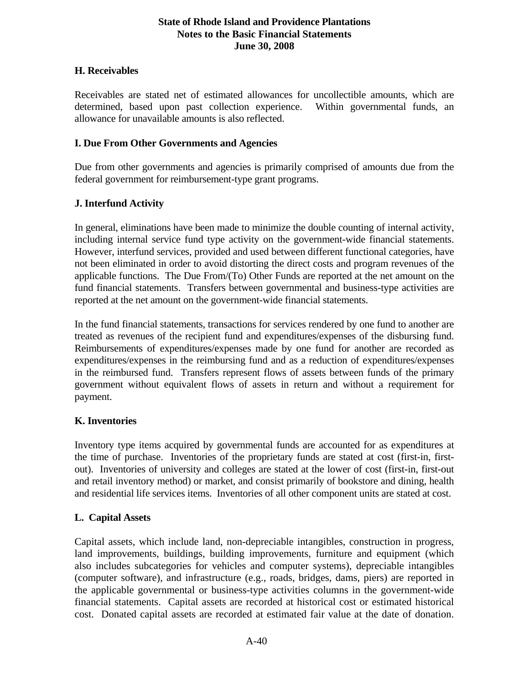### **H. Receivables**

Receivables are stated net of estimated allowances for uncollectible amounts, which are determined, based upon past collection experience. Within governmental funds, an allowance for unavailable amounts is also reflected.

## **I. Due From Other Governments and Agencies**

Due from other governments and agencies is primarily comprised of amounts due from the federal government for reimbursement-type grant programs.

# **J. Interfund Activity**

In general, eliminations have been made to minimize the double counting of internal activity, including internal service fund type activity on the government-wide financial statements. However, interfund services, provided and used between different functional categories, have not been eliminated in order to avoid distorting the direct costs and program revenues of the applicable functions. The Due From/(To) Other Funds are reported at the net amount on the fund financial statements. Transfers between governmental and business-type activities are reported at the net amount on the government-wide financial statements.

In the fund financial statements, transactions for services rendered by one fund to another are treated as revenues of the recipient fund and expenditures/expenses of the disbursing fund. Reimbursements of expenditures/expenses made by one fund for another are recorded as expenditures/expenses in the reimbursing fund and as a reduction of expenditures/expenses in the reimbursed fund. Transfers represent flows of assets between funds of the primary government without equivalent flows of assets in return and without a requirement for payment.

# **K. Inventories**

Inventory type items acquired by governmental funds are accounted for as expenditures at the time of purchase. Inventories of the proprietary funds are stated at cost (first-in, firstout). Inventories of university and colleges are stated at the lower of cost (first-in, first-out and retail inventory method) or market, and consist primarily of bookstore and dining, health and residential life services items. Inventories of all other component units are stated at cost.

# **L. Capital Assets**

Capital assets, which include land, non-depreciable intangibles, construction in progress, land improvements, buildings, building improvements, furniture and equipment (which also includes subcategories for vehicles and computer systems), depreciable intangibles (computer software), and infrastructure (e.g., roads, bridges, dams, piers) are reported in the applicable governmental or business-type activities columns in the government-wide financial statements. Capital assets are recorded at historical cost or estimated historical cost. Donated capital assets are recorded at estimated fair value at the date of donation.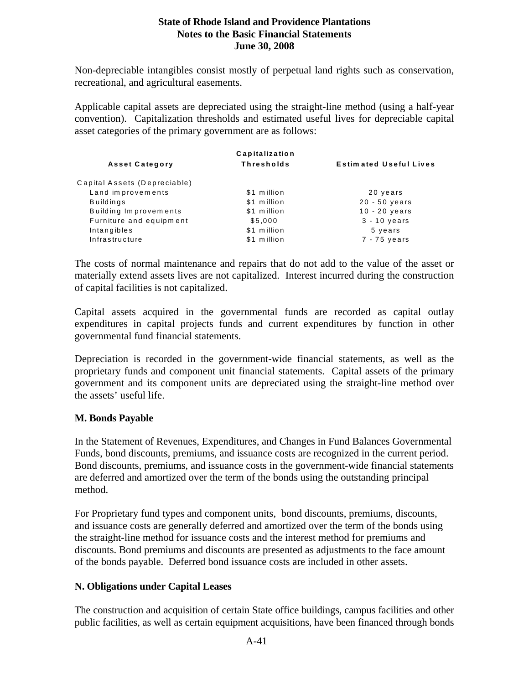Non-depreciable intangibles consist mostly of perpetual land rights such as conservation, recreational, and agricultural easements.

Applicable capital assets are depreciated using the straight-line method (using a half-year convention). Capitalization thresholds and estimated useful lives for depreciable capital asset categories of the primary government are as follows:

| Capitalization               |                   |                               |  |  |  |  |  |  |
|------------------------------|-------------------|-------------------------------|--|--|--|--|--|--|
| <b>Asset Category</b>        | <b>Thresholds</b> | <b>Estimated Useful Lives</b> |  |  |  |  |  |  |
| Capital Assets (Depreciable) |                   |                               |  |  |  |  |  |  |
| Land improvements            | \$1 million       | 20 years                      |  |  |  |  |  |  |
| <b>Buildings</b>             | \$1 million       | $20 - 50$ years               |  |  |  |  |  |  |
| Building Improvements        | \$1 million       | $10 - 20$ years               |  |  |  |  |  |  |
| Furniture and equipment      | \$5,000           | $3 - 10$ years                |  |  |  |  |  |  |
| Intangibles                  | \$1 million       | 5 years                       |  |  |  |  |  |  |
| Infrastructure               | \$1 million       | $7 - 75$ years                |  |  |  |  |  |  |
|                              |                   |                               |  |  |  |  |  |  |

The costs of normal maintenance and repairs that do not add to the value of the asset or materially extend assets lives are not capitalized. Interest incurred during the construction of capital facilities is not capitalized.

Capital assets acquired in the governmental funds are recorded as capital outlay expenditures in capital projects funds and current expenditures by function in other governmental fund financial statements.

Depreciation is recorded in the government-wide financial statements, as well as the proprietary funds and component unit financial statements. Capital assets of the primary government and its component units are depreciated using the straight-line method over the assets' useful life.

#### **M. Bonds Payable**

In the Statement of Revenues, Expenditures, and Changes in Fund Balances Governmental Funds, bond discounts, premiums, and issuance costs are recognized in the current period. Bond discounts, premiums, and issuance costs in the government-wide financial statements are deferred and amortized over the term of the bonds using the outstanding principal method.

For Proprietary fund types and component units, bond discounts, premiums, discounts, and issuance costs are generally deferred and amortized over the term of the bonds using the straight-line method for issuance costs and the interest method for premiums and discounts. Bond premiums and discounts are presented as adjustments to the face amount of the bonds payable. Deferred bond issuance costs are included in other assets.

### **N. Obligations under Capital Leases**

The construction and acquisition of certain State office buildings, campus facilities and other public facilities, as well as certain equipment acquisitions, have been financed through bonds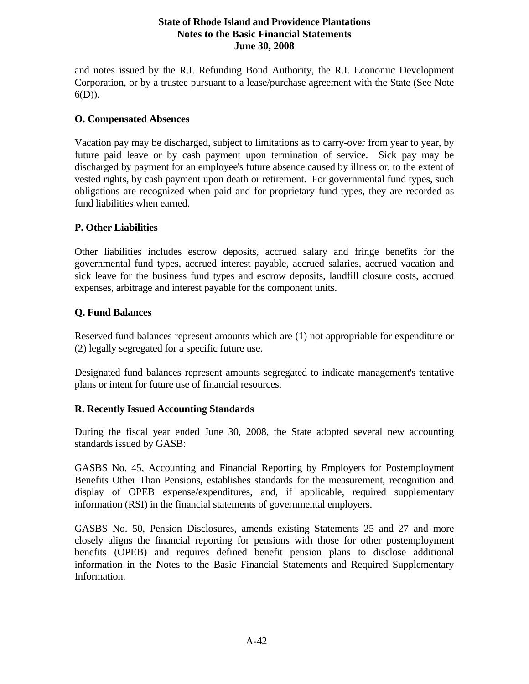and notes issued by the R.I. Refunding Bond Authority, the R.I. Economic Development Corporation, or by a trustee pursuant to a lease/purchase agreement with the State (See Note 6(D)).

#### **O. Compensated Absences**

Vacation pay may be discharged, subject to limitations as to carry-over from year to year, by future paid leave or by cash payment upon termination of service. Sick pay may be discharged by payment for an employee's future absence caused by illness or, to the extent of vested rights, by cash payment upon death or retirement. For governmental fund types, such obligations are recognized when paid and for proprietary fund types, they are recorded as fund liabilities when earned.

#### **P. Other Liabilities**

Other liabilities includes escrow deposits, accrued salary and fringe benefits for the governmental fund types, accrued interest payable, accrued salaries, accrued vacation and sick leave for the business fund types and escrow deposits, landfill closure costs, accrued expenses, arbitrage and interest payable for the component units.

#### **Q. Fund Balances**

Reserved fund balances represent amounts which are (1) not appropriable for expenditure or (2) legally segregated for a specific future use.

Designated fund balances represent amounts segregated to indicate management's tentative plans or intent for future use of financial resources.

### **R. Recently Issued Accounting Standards**

During the fiscal year ended June 30, 2008, the State adopted several new accounting standards issued by GASB:

GASBS No. 45, Accounting and Financial Reporting by Employers for Postemployment Benefits Other Than Pensions, establishes standards for the measurement, recognition and display of OPEB expense/expenditures, and, if applicable, required supplementary information (RSI) in the financial statements of governmental employers.

GASBS No. 50, Pension Disclosures, amends existing Statements 25 and 27 and more closely aligns the financial reporting for pensions with those for other postemployment benefits (OPEB) and requires defined benefit pension plans to disclose additional information in the Notes to the Basic Financial Statements and Required Supplementary Information.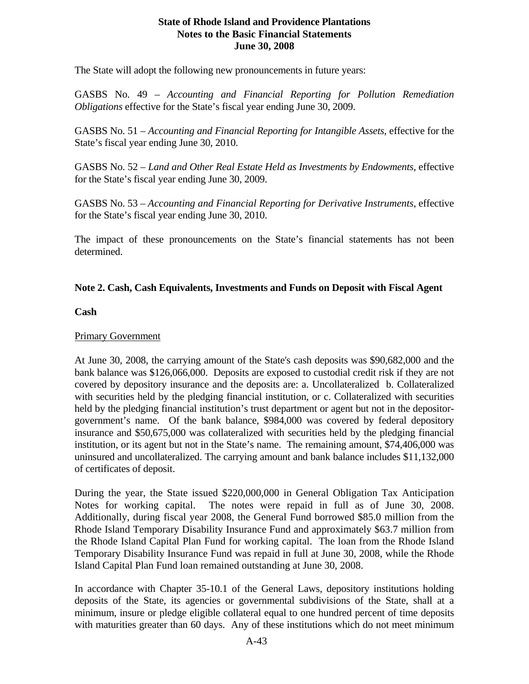The State will adopt the following new pronouncements in future years:

GASBS No. 49 – *Accounting and Financial Reporting for Pollution Remediation Obligations* effective for the State's fiscal year ending June 30, 2009.

GASBS No. 51 – *Accounting and Financial Reporting for Intangible Assets*, effective for the State's fiscal year ending June 30, 2010.

GASBS No. 52 – *Land and Other Real Estate Held as Investments by Endowments*, effective for the State's fiscal year ending June 30, 2009.

GASBS No. 53 – *Accounting and Financial Reporting for Derivative Instruments*, effective for the State's fiscal year ending June 30, 2010.

The impact of these pronouncements on the State's financial statements has not been determined.

#### **Note 2. Cash, Cash Equivalents, Investments and Funds on Deposit with Fiscal Agent**

#### **Cash**

#### Primary Government

At June 30, 2008, the carrying amount of the State's cash deposits was \$90,682,000 and the bank balance was \$126,066,000. Deposits are exposed to custodial credit risk if they are not covered by depository insurance and the deposits are: a. Uncollateralized b. Collateralized with securities held by the pledging financial institution, or c. Collateralized with securities held by the pledging financial institution's trust department or agent but not in the depositorgovernment's name. Of the bank balance, \$984,000 was covered by federal depository insurance and \$50,675,000 was collateralized with securities held by the pledging financial institution, or its agent but not in the State's name. The remaining amount, \$74,406,000 was uninsured and uncollateralized. The carrying amount and bank balance includes \$11,132,000 of certificates of deposit.

During the year, the State issued \$220,000,000 in General Obligation Tax Anticipation Notes for working capital. The notes were repaid in full as of June 30, 2008. Additionally, during fiscal year 2008, the General Fund borrowed \$85.0 million from the Rhode Island Temporary Disability Insurance Fund and approximately \$63.7 million from the Rhode Island Capital Plan Fund for working capital. The loan from the Rhode Island Temporary Disability Insurance Fund was repaid in full at June 30, 2008, while the Rhode Island Capital Plan Fund loan remained outstanding at June 30, 2008.

In accordance with Chapter 35-10.1 of the General Laws, depository institutions holding deposits of the State, its agencies or governmental subdivisions of the State, shall at a minimum, insure or pledge eligible collateral equal to one hundred percent of time deposits with maturities greater than 60 days. Any of these institutions which do not meet minimum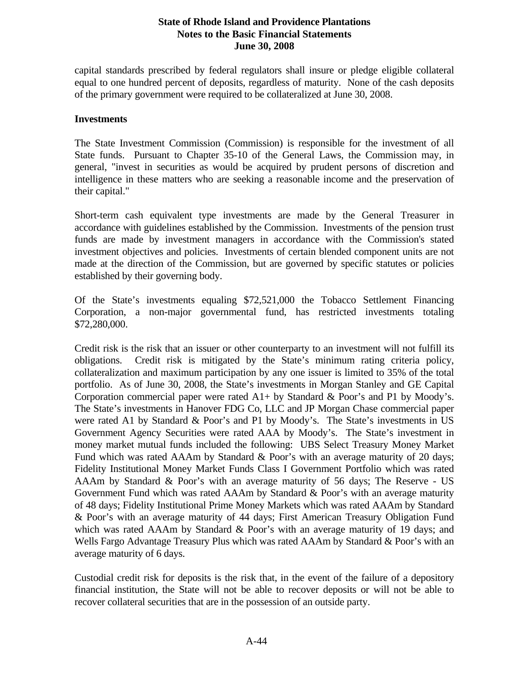capital standards prescribed by federal regulators shall insure or pledge eligible collateral equal to one hundred percent of deposits, regardless of maturity. None of the cash deposits of the primary government were required to be collateralized at June 30, 2008.

#### **Investments**

The State Investment Commission (Commission) is responsible for the investment of all State funds. Pursuant to Chapter 35-10 of the General Laws, the Commission may, in general, "invest in securities as would be acquired by prudent persons of discretion and intelligence in these matters who are seeking a reasonable income and the preservation of their capital."

Short-term cash equivalent type investments are made by the General Treasurer in accordance with guidelines established by the Commission. Investments of the pension trust funds are made by investment managers in accordance with the Commission's stated investment objectives and policies. Investments of certain blended component units are not made at the direction of the Commission, but are governed by specific statutes or policies established by their governing body.

Of the State's investments equaling \$72,521,000 the Tobacco Settlement Financing Corporation, a non-major governmental fund, has restricted investments totaling \$72,280,000.

Credit risk is the risk that an issuer or other counterparty to an investment will not fulfill its obligations. Credit risk is mitigated by the State's minimum rating criteria policy, collateralization and maximum participation by any one issuer is limited to 35% of the total portfolio. As of June 30, 2008, the State's investments in Morgan Stanley and GE Capital Corporation commercial paper were rated  $A1+$  by Standard & Poor's and P1 by Moody's. The State's investments in Hanover FDG Co, LLC and JP Morgan Chase commercial paper were rated A1 by Standard & Poor's and P1 by Moody's. The State's investments in US Government Agency Securities were rated AAA by Moody's. The State's investment in money market mutual funds included the following: UBS Select Treasury Money Market Fund which was rated AAAm by Standard & Poor's with an average maturity of 20 days; Fidelity Institutional Money Market Funds Class I Government Portfolio which was rated AAAm by Standard & Poor's with an average maturity of 56 days; The Reserve - US Government Fund which was rated AAAm by Standard & Poor's with an average maturity of 48 days; Fidelity Institutional Prime Money Markets which was rated AAAm by Standard & Poor's with an average maturity of 44 days; First American Treasury Obligation Fund which was rated AAAm by Standard & Poor's with an average maturity of 19 days; and Wells Fargo Advantage Treasury Plus which was rated AAAm by Standard & Poor's with an average maturity of 6 days.

Custodial credit risk for deposits is the risk that, in the event of the failure of a depository financial institution, the State will not be able to recover deposits or will not be able to recover collateral securities that are in the possession of an outside party.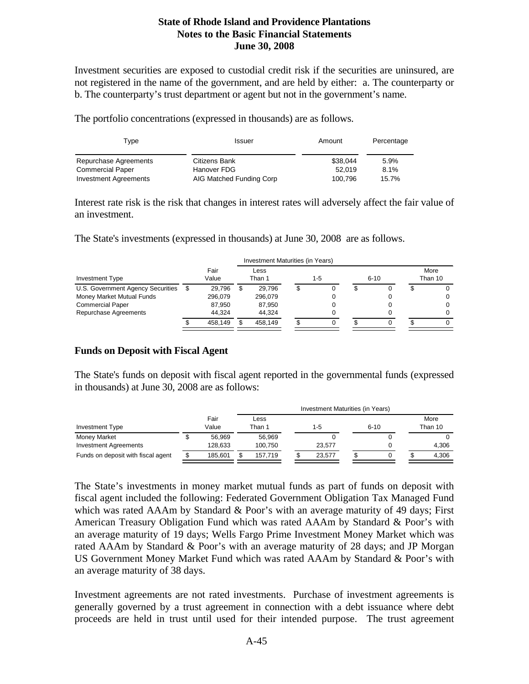Investment securities are exposed to custodial credit risk if the securities are uninsured, are not registered in the name of the government, and are held by either: a. The counterparty or b. The counterparty's trust department or agent but not in the government's name.

The portfolio concentrations (expressed in thousands) are as follows.

| Type<br>Issuer               |                          | Amount   | Percentage |
|------------------------------|--------------------------|----------|------------|
| Repurchase Agreements        | Citizens Bank            | \$38.044 | 5.9%       |
| <b>Commercial Paper</b>      | Hanover FDG              | 52.019   | 8.1%       |
| <b>Investment Agreements</b> | AIG Matched Funding Corp | 100.796  | 15.7%      |

Interest rate risk is the risk that changes in interest rates will adversely affect the fair value of an investment.

The State's investments (expressed in thousands) at June 30, 2008 are as follows.

|                                   |   |               | Investment Maturities (in Years) |                |     |  |          |  |                 |   |  |  |  |
|-----------------------------------|---|---------------|----------------------------------|----------------|-----|--|----------|--|-----------------|---|--|--|--|
| <b>Investment Type</b>            |   | Fair<br>Value |                                  | Less<br>Than 1 | 1-5 |  | $6 - 10$ |  | More<br>Than 10 |   |  |  |  |
| U.S. Government Agency Securities | S | 29.796        |                                  | 29.796         |     |  |          |  |                 |   |  |  |  |
| Money Market Mutual Funds         |   | 296,079       |                                  | 296.079        |     |  |          |  |                 | 0 |  |  |  |
| <b>Commercial Paper</b>           |   | 87.950        |                                  | 87.950         |     |  |          |  |                 |   |  |  |  |
| Repurchase Agreements             |   | 44.324        |                                  | 44.324         |     |  |          |  |                 |   |  |  |  |
|                                   |   | 458.149       |                                  | 458.149        |     |  |          |  |                 |   |  |  |  |

#### **Funds on Deposit with Fiscal Agent**

The State's funds on deposit with fiscal agent reported in the governmental funds (expressed in thousands) at June 30, 2008 are as follows:

|                                    |   |               | Investment Maturities (in Years) |  |        |  |          |  |                 |  |  |
|------------------------------------|---|---------------|----------------------------------|--|--------|--|----------|--|-----------------|--|--|
| <b>Investment Type</b>             |   | Fair<br>Value | Less<br>Than 1                   |  | 1-5    |  | $6 - 10$ |  | More<br>Than 10 |  |  |
| Money Market                       |   | 56.969        | 56.969                           |  |        |  |          |  |                 |  |  |
| <b>Investment Agreements</b>       |   | 128.633       | 100.750                          |  | 23.577 |  |          |  | 4.306           |  |  |
| Funds on deposit with fiscal agent | S | 185.601       | 157.719                          |  | 23.577 |  |          |  | 4.306           |  |  |

The State's investments in money market mutual funds as part of funds on deposit with fiscal agent included the following: Federated Government Obligation Tax Managed Fund which was rated AAAm by Standard & Poor's with an average maturity of 49 days; First American Treasury Obligation Fund which was rated AAAm by Standard & Poor's with an average maturity of 19 days; Wells Fargo Prime Investment Money Market which was rated AAAm by Standard & Poor's with an average maturity of 28 days; and JP Morgan US Government Money Market Fund which was rated AAAm by Standard & Poor's with an average maturity of 38 days.

Investment agreements are not rated investments. Purchase of investment agreements is generally governed by a trust agreement in connection with a debt issuance where debt proceeds are held in trust until used for their intended purpose. The trust agreement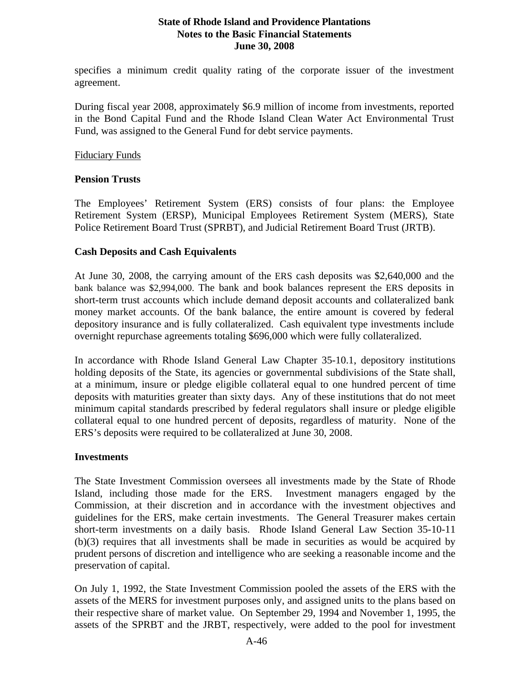specifies a minimum credit quality rating of the corporate issuer of the investment agreement.

During fiscal year 2008, approximately \$6.9 million of income from investments, reported in the Bond Capital Fund and the Rhode Island Clean Water Act Environmental Trust Fund, was assigned to the General Fund for debt service payments.

#### Fiduciary Funds

#### **Pension Trusts**

The Employees' Retirement System (ERS) consists of four plans: the Employee Retirement System (ERSP), Municipal Employees Retirement System (MERS), State Police Retirement Board Trust (SPRBT), and Judicial Retirement Board Trust (JRTB).

#### **Cash Deposits and Cash Equivalents**

At June 30, 2008, the carrying amount of the ERS cash deposits was \$2,640,000 and the bank balance was \$2,994,000. The bank and book balances represent the ERS deposits in short-term trust accounts which include demand deposit accounts and collateralized bank money market accounts. Of the bank balance, the entire amount is covered by federal depository insurance and is fully collateralized. Cash equivalent type investments include overnight repurchase agreements totaling \$696,000 which were fully collateralized.

In accordance with Rhode Island General Law Chapter 35-10.1, depository institutions holding deposits of the State, its agencies or governmental subdivisions of the State shall, at a minimum, insure or pledge eligible collateral equal to one hundred percent of time deposits with maturities greater than sixty days. Any of these institutions that do not meet minimum capital standards prescribed by federal regulators shall insure or pledge eligible collateral equal to one hundred percent of deposits, regardless of maturity. None of the ERS's deposits were required to be collateralized at June 30, 2008.

#### **Investments**

The State Investment Commission oversees all investments made by the State of Rhode Island, including those made for the ERS. Investment managers engaged by the Commission, at their discretion and in accordance with the investment objectives and guidelines for the ERS, make certain investments. The General Treasurer makes certain short-term investments on a daily basis. Rhode Island General Law Section 35-10-11 (b)(3) requires that all investments shall be made in securities as would be acquired by prudent persons of discretion and intelligence who are seeking a reasonable income and the preservation of capital.

On July 1, 1992, the State Investment Commission pooled the assets of the ERS with the assets of the MERS for investment purposes only, and assigned units to the plans based on their respective share of market value. On September 29, 1994 and November 1, 1995, the assets of the SPRBT and the JRBT, respectively, were added to the pool for investment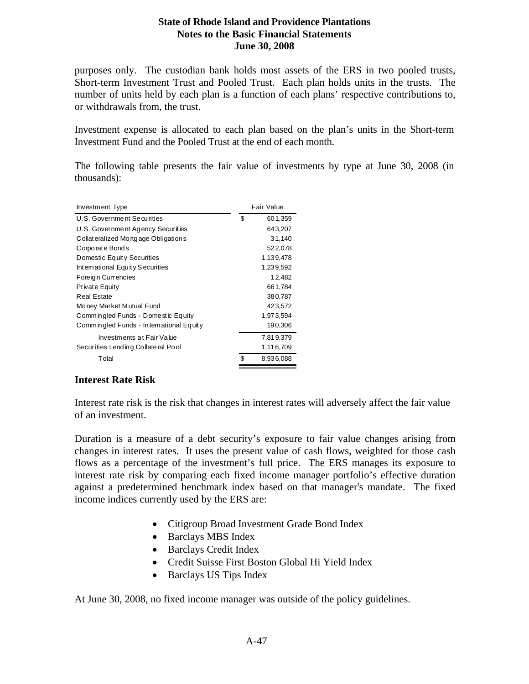purposes only. The custodian bank holds most assets of the ERS in two pooled trusts, Short-term Investment Trust and Pooled Trust. Each plan holds units in the trusts. The number of units held by each plan is a function of each plans' respective contributions to, or withdrawals from, the trust.

Investment expense is allocated to each plan based on the plan's units in the Short-term Investment Fund and the Pooled Trust at the end of each month.

The following table presents the fair value of investments by type at June 30, 2008 (in thousands):

| Investment Type                         | Fair Value      |  |  |  |
|-----------------------------------------|-----------------|--|--|--|
| U.S. Government Securities              | \$<br>601,359   |  |  |  |
| U.S. Government Agency Securities       | 643,207         |  |  |  |
| Collateralized Mortgage Obligations     | 31,140          |  |  |  |
| Corporate Bonds                         | 522,078         |  |  |  |
| Domestic Equity Securities              | 1.139.478       |  |  |  |
| International Equity Securities         | 1,239,592       |  |  |  |
| Foreign Currencies                      | 12,482          |  |  |  |
| Private Equity                          | 661,784         |  |  |  |
| <b>Real Estate</b>                      | 380,787         |  |  |  |
| Money Market Mutual Fund                | 423,572         |  |  |  |
| Commingled Funds - Domestic Equity      | 1,973,594       |  |  |  |
| Commingled Funds - International Equity | 190,306         |  |  |  |
| Investments at Fair Value               | 7,819,379       |  |  |  |
| Securities Lending Collateral Pool      | 1,116,709       |  |  |  |
| Total                                   | \$<br>8,936,088 |  |  |  |

### **Interest Rate Risk**

Interest rate risk is the risk that changes in interest rates will adversely affect the fair value of an investment.

Duration is a measure of a debt security's exposure to fair value changes arising from changes in interest rates. It uses the present value of cash flows, weighted for those cash flows as a percentage of the investment's full price. The ERS manages its exposure to interest rate risk by comparing each fixed income manager portfolio's effective duration against a predetermined benchmark index based on that manager's mandate. The fixed income indices currently used by the ERS are:

- Citigroup Broad Investment Grade Bond Index
- Barclays MBS Index
- Barclays Credit Index
- Credit Suisse First Boston Global Hi Yield Index
- Barclays US Tips Index

At June 30, 2008, no fixed income manager was outside of the policy guidelines.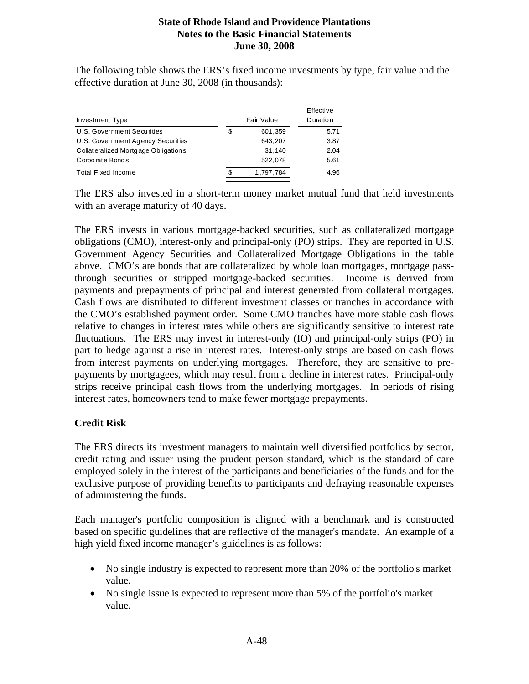The following table shows the ERS's fixed income investments by type, fair value and the effective duration at June 30, 2008 (in thousands):

| Investment Type                     |     | Fair Value | Effective<br>Duration |
|-------------------------------------|-----|------------|-----------------------|
| U.S. Government Securities          | S   | 601,359    | 5.71                  |
| U.S. Government Agency Securities   |     | 643, 207   | 3.87                  |
| Collateralized Mortgage Obligations |     | 31,140     | 2.04                  |
| Corporate Bonds                     |     | 522.078    | 5.61                  |
| Total Fixed Income                  | \$. | 1,797,784  | 4.96                  |

The ERS also invested in a short-term money market mutual fund that held investments with an average maturity of 40 days.

The ERS invests in various mortgage-backed securities, such as collateralized mortgage obligations (CMO), interest-only and principal-only (PO) strips. They are reported in U.S. Government Agency Securities and Collateralized Mortgage Obligations in the table above. CMO's are bonds that are collateralized by whole loan mortgages, mortgage passthrough securities or stripped mortgage-backed securities. Income is derived from payments and prepayments of principal and interest generated from collateral mortgages. Cash flows are distributed to different investment classes or tranches in accordance with the CMO's established payment order. Some CMO tranches have more stable cash flows relative to changes in interest rates while others are significantly sensitive to interest rate fluctuations. The ERS may invest in interest-only (IO) and principal-only strips (PO) in part to hedge against a rise in interest rates. Interest-only strips are based on cash flows from interest payments on underlying mortgages. Therefore, they are sensitive to prepayments by mortgagees, which may result from a decline in interest rates. Principal-only strips receive principal cash flows from the underlying mortgages. In periods of rising interest rates, homeowners tend to make fewer mortgage prepayments.

### **Credit Risk**

The ERS directs its investment managers to maintain well diversified portfolios by sector, credit rating and issuer using the prudent person standard, which is the standard of care employed solely in the interest of the participants and beneficiaries of the funds and for the exclusive purpose of providing benefits to participants and defraying reasonable expenses of administering the funds.

Each manager's portfolio composition is aligned with a benchmark and is constructed based on specific guidelines that are reflective of the manager's mandate. An example of a high yield fixed income manager's guidelines is as follows:

- No single industry is expected to represent more than 20% of the portfolio's market value.
- No single issue is expected to represent more than 5% of the portfolio's market value.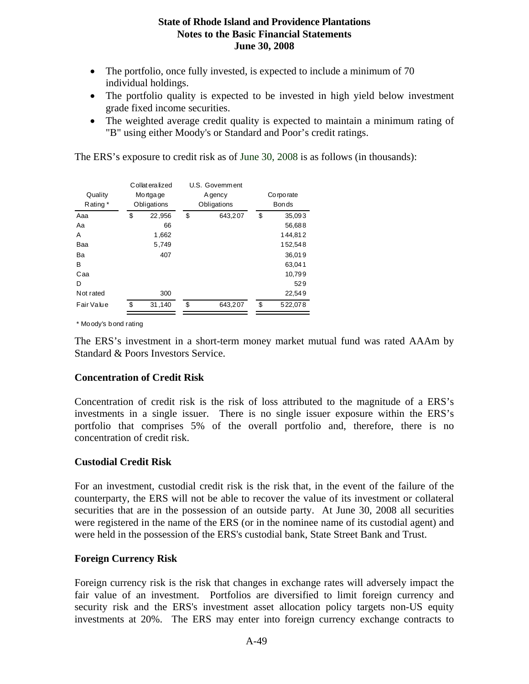- The portfolio, once fully invested, is expected to include a minimum of 70 individual holdings.
- The portfolio quality is expected to be invested in high yield below investment grade fixed income securities.
- The weighted average credit quality is expected to maintain a minimum rating of "B" using either Moody's or Standard and Poor's credit ratings.

The ERS's exposure to credit risk as of June 30, 2008 is as follows (in thousands):

|            | Collateralized | U.S. Government |             |              |  |  |
|------------|----------------|-----------------|-------------|--------------|--|--|
| Quality    | Mo rtga ge     | A gency         | Co rpo rate |              |  |  |
| Rating*    | Obligations    | Obligations     |             | <b>Bonds</b> |  |  |
| Aaa        | \$<br>22,956   | \$<br>643,207   | \$          | 35,093       |  |  |
| Aa         | 66             |                 |             | 56,688       |  |  |
| A          | 1,662          |                 |             | 144,812      |  |  |
| Baa        | 5.749          |                 |             | 152,548      |  |  |
| Ba         | 407            |                 |             | 36,019       |  |  |
| в          |                |                 |             | 63,041       |  |  |
| Caa        |                |                 |             | 10,799       |  |  |
| D          |                |                 |             | 529          |  |  |
| Not rated  | 300            |                 |             | 22,549       |  |  |
| Fair Value | \$<br>31,140   | \$<br>643.207   | \$          | 522,078      |  |  |

\* Moody's bond rating

The ERS's investment in a short-term money market mutual fund was rated AAAm by Standard & Poors Investors Service.

#### **Concentration of Credit Risk**

Concentration of credit risk is the risk of loss attributed to the magnitude of a ERS's investments in a single issuer. There is no single issuer exposure within the ERS's portfolio that comprises 5% of the overall portfolio and, therefore, there is no concentration of credit risk.

### **Custodial Credit Risk**

For an investment, custodial credit risk is the risk that, in the event of the failure of the counterparty, the ERS will not be able to recover the value of its investment or collateral securities that are in the possession of an outside party. At June 30, 2008 all securities were registered in the name of the ERS (or in the nominee name of its custodial agent) and were held in the possession of the ERS's custodial bank, State Street Bank and Trust.

### **Foreign Currency Risk**

Foreign currency risk is the risk that changes in exchange rates will adversely impact the fair value of an investment. Portfolios are diversified to limit foreign currency and security risk and the ERS's investment asset allocation policy targets non-US equity investments at 20%. The ERS may enter into foreign currency exchange contracts to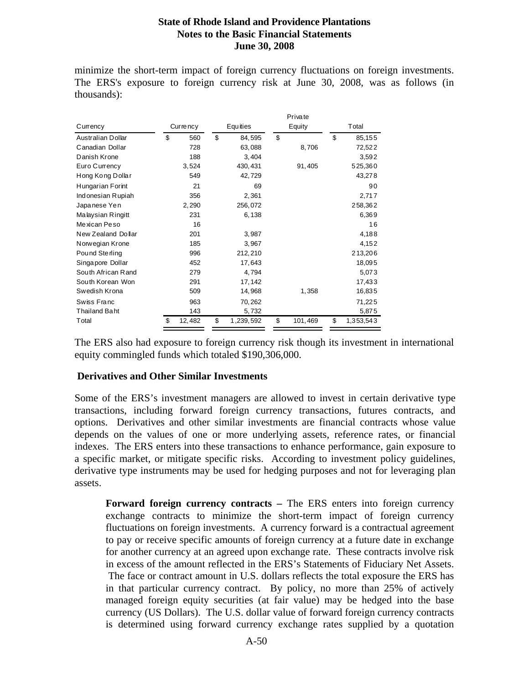minimize the short-term impact of foreign currency fluctuations on foreign investments. The ERS's exposure to foreign currency risk at June 30, 2008, was as follows (in thousands):

|                      |              |                 |    | Private |                 |
|----------------------|--------------|-----------------|----|---------|-----------------|
| Currency             | Currency     | <b>Equities</b> |    | Equity  | Total           |
| Australian Dollar    | \$<br>560    | \$<br>84,595    | \$ |         | \$<br>85,155    |
| Canadian Dollar      | 728          | 63,088          |    | 8,706   | 72,522          |
| Danish Krone         | 188          | 3,404           |    |         | 3,592           |
| Euro Currency        | 3,524        | 430, 431        |    | 91,405  | 525,360         |
| Hong Kong Dollar     | 549          | 42,729          |    |         | 43,278          |
| Hungarian Forint     | 21           | 69              |    |         | 90              |
| Indonesian Rupiah    | 356          | 2,361           |    |         | 2,717           |
| Japanese Yen         | 2,290        | 256,072         |    |         | 258,362         |
| Malaysian Ringitt    | 231          | 6,138           |    |         | 6,369           |
| Mexican Peso         | 16           |                 |    |         | 16              |
| New Zealand Dollar   | 201          | 3,987           |    |         | 4,188           |
| Norwegian Krone      | 185          | 3,967           |    |         | 4,152           |
| Pound Sterling       | 996          | 212, 210        |    |         | 213,206         |
| Singapore Dollar     | 452          | 17,643          |    |         | 18,095          |
| South African Rand   | 279          | 4,794           |    |         | 5,073           |
| South Korean Won     | 291          | 17, 142         |    |         | 17,433          |
| Swedish Krona        | 509          | 14,968          |    | 1,358   | 16,835          |
| Swiss Franc          | 963          | 70,262          |    |         | 71,225          |
| <b>Thailand Baht</b> | 143          | 5,732           |    |         | 5,875           |
| Total                | \$<br>12,482 | \$<br>1,239,592 | \$ | 101,469 | \$<br>1,353,543 |

The ERS also had exposure to foreign currency risk though its investment in international equity commingled funds which totaled \$190,306,000.

#### **Derivatives and Other Similar Investments**

Some of the ERS's investment managers are allowed to invest in certain derivative type transactions, including forward foreign currency transactions, futures contracts, and options. Derivatives and other similar investments are financial contracts whose value depends on the values of one or more underlying assets, reference rates, or financial indexes. The ERS enters into these transactions to enhance performance, gain exposure to a specific market, or mitigate specific risks. According to investment policy guidelines, derivative type instruments may be used for hedging purposes and not for leveraging plan assets.

**Forward foreign currency contracts –** The ERS enters into foreign currency exchange contracts to minimize the short-term impact of foreign currency fluctuations on foreign investments. A currency forward is a contractual agreement to pay or receive specific amounts of foreign currency at a future date in exchange for another currency at an agreed upon exchange rate. These contracts involve risk in excess of the amount reflected in the ERS's Statements of Fiduciary Net Assets. The face or contract amount in U.S. dollars reflects the total exposure the ERS has in that particular currency contract. By policy, no more than 25% of actively managed foreign equity securities (at fair value) may be hedged into the base currency (US Dollars). The U.S. dollar value of forward foreign currency contracts is determined using forward currency exchange rates supplied by a quotation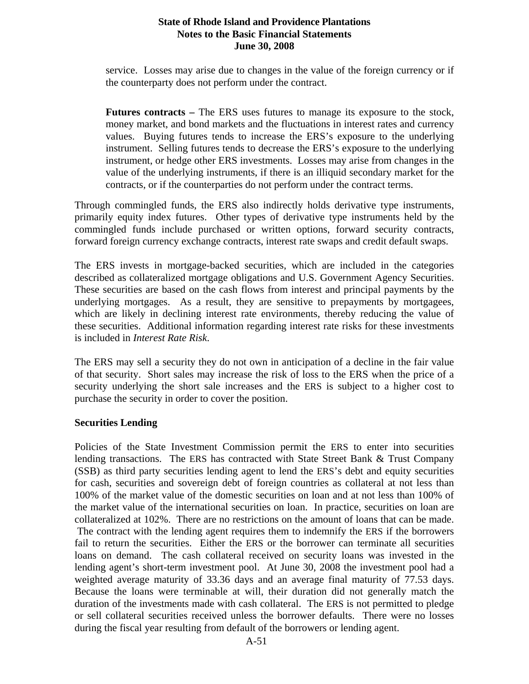service. Losses may arise due to changes in the value of the foreign currency or if the counterparty does not perform under the contract.

**Futures contracts –** The ERS uses futures to manage its exposure to the stock, money market, and bond markets and the fluctuations in interest rates and currency values. Buying futures tends to increase the ERS's exposure to the underlying instrument. Selling futures tends to decrease the ERS's exposure to the underlying instrument, or hedge other ERS investments. Losses may arise from changes in the value of the underlying instruments, if there is an illiquid secondary market for the contracts, or if the counterparties do not perform under the contract terms.

Through commingled funds, the ERS also indirectly holds derivative type instruments, primarily equity index futures. Other types of derivative type instruments held by the commingled funds include purchased or written options, forward security contracts, forward foreign currency exchange contracts, interest rate swaps and credit default swaps.

The ERS invests in mortgage-backed securities, which are included in the categories described as collateralized mortgage obligations and U.S. Government Agency Securities. These securities are based on the cash flows from interest and principal payments by the underlying mortgages. As a result, they are sensitive to prepayments by mortgagees, which are likely in declining interest rate environments, thereby reducing the value of these securities. Additional information regarding interest rate risks for these investments is included in *Interest Rate Risk*.

The ERS may sell a security they do not own in anticipation of a decline in the fair value of that security. Short sales may increase the risk of loss to the ERS when the price of a security underlying the short sale increases and the ERS is subject to a higher cost to purchase the security in order to cover the position.

#### **Securities Lending**

Policies of the State Investment Commission permit the ERS to enter into securities lending transactions. The ERS has contracted with State Street Bank & Trust Company (SSB) as third party securities lending agent to lend the ERS's debt and equity securities for cash, securities and sovereign debt of foreign countries as collateral at not less than 100% of the market value of the domestic securities on loan and at not less than 100% of the market value of the international securities on loan. In practice, securities on loan are collateralized at 102%. There are no restrictions on the amount of loans that can be made. The contract with the lending agent requires them to indemnify the ERS if the borrowers fail to return the securities. Either the ERS or the borrower can terminate all securities loans on demand. The cash collateral received on security loans was invested in the lending agent's short-term investment pool. At June 30, 2008 the investment pool had a weighted average maturity of 33.36 days and an average final maturity of 77.53 days. Because the loans were terminable at will, their duration did not generally match the duration of the investments made with cash collateral. The ERS is not permitted to pledge or sell collateral securities received unless the borrower defaults. There were no losses during the fiscal year resulting from default of the borrowers or lending agent.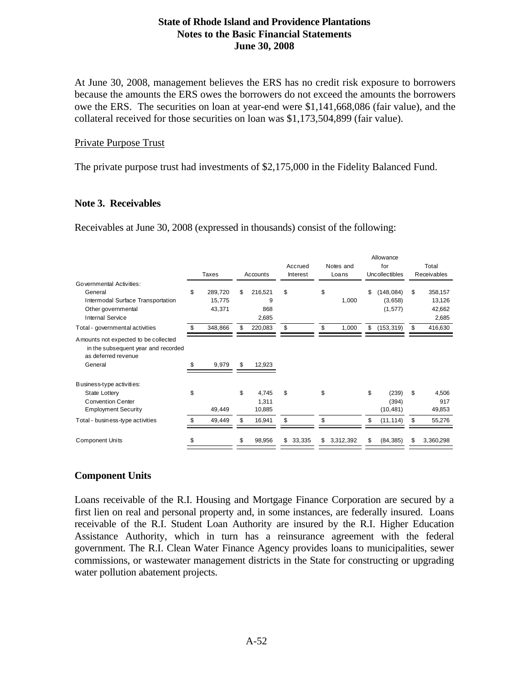At June 30, 2008, management believes the ERS has no credit risk exposure to borrowers because the amounts the ERS owes the borrowers do not exceed the amounts the borrowers owe the ERS. The securities on loan at year-end were \$1,141,668,086 (fair value), and the collateral received for those securities on loan was \$1,173,504,899 (fair value).

#### Private Purpose Trust

The private purpose trust had investments of \$2,175,000 in the Fidelity Balanced Fund.

#### **Note 3. Receivables**

Receivables at June 30, 2008 (expressed in thousands) consist of the following:

|                                                                                                                           |    |                             |                                    |                     |    |                    | Allowance                               |    |                                      |
|---------------------------------------------------------------------------------------------------------------------------|----|-----------------------------|------------------------------------|---------------------|----|--------------------|-----------------------------------------|----|--------------------------------------|
|                                                                                                                           |    | Taxes                       | Accounts                           | Accrued<br>Interest |    | Notes and<br>Loans | for<br>Uncollectibles                   |    | Total<br>Receivables                 |
| Governmental Activities:<br>General<br>Intermodal Surface Transportation<br>Other governmental<br><b>Internal Service</b> | \$ | 289,720<br>15,775<br>43,371 | \$<br>216,521<br>9<br>868<br>2,685 | \$                  | \$ | 1,000              | \$<br>(148, 084)<br>(3,658)<br>(1, 577) | \$ | 358,157<br>13,126<br>42,662<br>2,685 |
| Total - governmental activities                                                                                           | S  | 348,866                     | 220,083                            | \$                  | \$ | 1,000              | \$<br>(153, 319)                        | \$ | 416,630                              |
| Amounts not expected to be collected<br>in the subsequent year and recorded<br>as deferred revenue<br>General             |    | 9,979                       | \$<br>12,923                       |                     |    |                    |                                         |    |                                      |
| Business-type activities:<br><b>State Lottery</b><br><b>Convention Center</b><br><b>Employment Security</b>               | \$ | 49,449                      | \$<br>4,745<br>1,311<br>10,885     | \$                  | \$ |                    | \$<br>(239)<br>(394)<br>(10, 481)       | \$ | 4,506<br>917<br>49,853               |
| Total - business-type activities                                                                                          |    | 49,449                      | \$<br>16,941                       | \$                  | \$ |                    | \$<br>(11, 114)                         | \$ | 55,276                               |
| <b>Component Units</b>                                                                                                    | S  |                             | \$<br>98,956                       | \$<br>33,335        | S  | 3,312,392          | \$<br>(84, 385)                         | S  | 3,360,298                            |

### **Component Units**

Loans receivable of the R.I. Housing and Mortgage Finance Corporation are secured by a first lien on real and personal property and, in some instances, are federally insured. Loans receivable of the R.I. Student Loan Authority are insured by the R.I. Higher Education Assistance Authority, which in turn has a reinsurance agreement with the federal government. The R.I. Clean Water Finance Agency provides loans to municipalities, sewer commissions, or wastewater management districts in the State for constructing or upgrading water pollution abatement projects.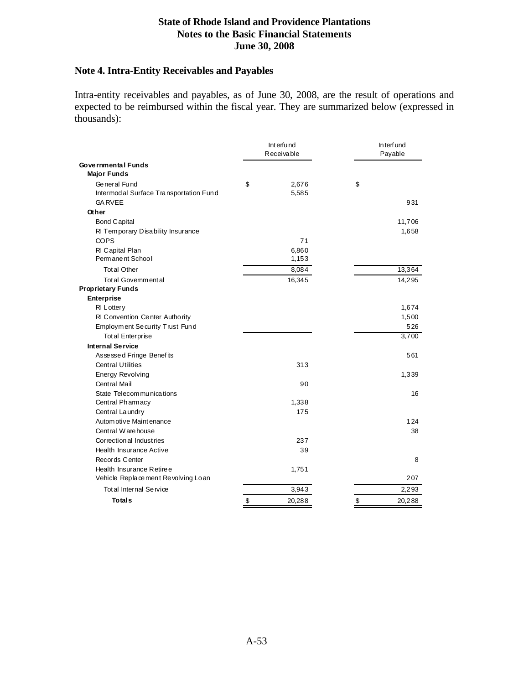### **Note 4. Intra-Entity Receivables and Payables**

Intra-entity receivables and payables, as of June 30, 2008, are the result of operations and expected to be reimbursed within the fiscal year. They are summarized below (expressed in thousands):

|                                        | Interfund<br>Receivable | In terf und<br>Payable |  |  |
|----------------------------------------|-------------------------|------------------------|--|--|
| Governmental Funds                     |                         |                        |  |  |
| <b>Major Funds</b>                     |                         |                        |  |  |
| General Fund                           | \$<br>2,676             | \$                     |  |  |
| Intermodal Surface Transportation Fund | 5,585                   |                        |  |  |
| <b>GARVEE</b>                          |                         | 931                    |  |  |
| Other                                  |                         |                        |  |  |
| <b>Bond Capital</b>                    |                         | 11,706                 |  |  |
| RI Temporary Disability Insurance      |                         | 1,658                  |  |  |
| <b>COPS</b>                            | 71                      |                        |  |  |
| RI Capital Plan                        | 6,860                   |                        |  |  |
| Permanent School                       | 1,153                   |                        |  |  |
| <b>Total Other</b>                     | 8,084                   | 13,364                 |  |  |
| Total Governmental                     | 16,345                  | 14,295                 |  |  |
| <b>Proprietary Funds</b>               |                         |                        |  |  |
| <b>Enterprise</b>                      |                         |                        |  |  |
| <b>RI</b> Lottery                      |                         | 1,674                  |  |  |
| RI Convention Center Authority         |                         | 1,500                  |  |  |
| Employment Security Trust Fund         |                         | 526                    |  |  |
| <b>Total Enterprise</b>                |                         | 3,700                  |  |  |
| <b>Internal Service</b>                |                         |                        |  |  |
| Assessed Fringe Benefits               |                         | 561                    |  |  |
| Central Utilities                      | 313                     |                        |  |  |
| Energy Revolving                       |                         | 1,339                  |  |  |
| Central Mail                           | 90                      |                        |  |  |
| State Telecommunications               |                         | 16                     |  |  |
| Central Pharmacy                       | 1,338                   |                        |  |  |
| Central Laundry                        | 175                     |                        |  |  |
| Autom otive Maintenance                |                         | 124                    |  |  |
| Central Warehouse                      |                         | 38                     |  |  |
| Correction al Industries               | 237                     |                        |  |  |
| Health Insurance Active                | 39                      |                        |  |  |
| Records Center                         |                         | 8                      |  |  |
| Health Insurance Retiree               | 1,751                   |                        |  |  |
| Vehicle Replacement Revolving Loan     |                         | 207                    |  |  |
| Total Internal Service                 | 3,943                   | 2,293                  |  |  |
| <b>Totals</b>                          | \$<br>20,288            | \$<br>20,288           |  |  |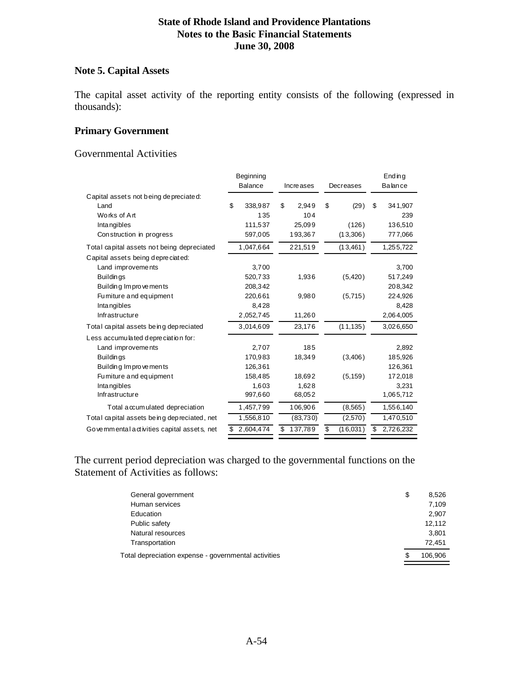#### **Note 5. Capital Assets**

The capital asset activity of the reporting entity consists of the following (expressed in thousands):

#### **Primary Government**

Governmental Activities

|                                              | Beginning |                |    |           |    |           |    | $End$ in q |
|----------------------------------------------|-----------|----------------|----|-----------|----|-----------|----|------------|
|                                              |           | <b>Balance</b> |    | Increases |    | Decreases |    | Balance    |
| Capital assets not being depreciated:        |           |                |    |           |    |           |    |            |
| Land                                         | \$        | 338,987        | \$ | 2.949     | \$ | (29)      | \$ | 341,907    |
| Works of Art                                 |           | 135            |    | 104       |    |           |    | 239        |
| Intangibles                                  |           | 111,537        |    | 25,099    |    | (126)     |    | 136,510    |
| Construction in progress                     |           | 597,005        |    | 193,367   |    | (13,306)  |    | 777,066    |
| Total capital assets not being depreciated   |           | 1,047,664      |    | 221,519   |    | (13, 461) |    | 1,255,722  |
| Capital assets being depreciated:            |           |                |    |           |    |           |    |            |
| Land improvements                            |           | 3,700          |    |           |    |           |    | 3,700      |
| <b>Buildings</b>                             |           | 520,733        |    | 1,936     |    | (5, 420)  |    | 517,249    |
| Building Improvements                        |           | 208.342        |    |           |    |           |    | 208,342    |
| Fu miture and equipment                      |           | 220,661        |    | 9,980     |    | (5,715)   |    | 224,926    |
| Intangibles                                  |           | 8,428          |    |           |    |           |    | 8,428      |
| Infrastructure                               |           | 2,052,745      |    | 11,260    |    |           |    | 2,064,005  |
| Total capital assets being depreciated       |           | 3,014,609      |    | 23,176    |    | (11, 135) |    | 3,026,650  |
| Less accumulated depreciation for:           |           |                |    |           |    |           |    |            |
| Land improvements                            |           | 2,707          |    | 185       |    |           |    | 2,892      |
| <b>Buildings</b>                             |           | 170,983        |    | 18,349    |    | (3,406)   |    | 185,926    |
| Building Improvements                        |           | 126,361        |    |           |    |           |    | 126,361    |
| Fumiture and equipment                       |           | 158,485        |    | 18,692    |    | (5, 159)  |    | 172,018    |
| Intangibles                                  |           | 1,603          |    | 1,628     |    |           |    | 3,231      |
| Infrastructure                               |           | 997,660        |    | 68,052    |    |           |    | 1,065,712  |
| Total a $\alpha$ um ulated depreciation      |           | 1,457,799      |    | 106,906   |    | (8, 565)  |    | 1,556,140  |
| Total capital assets being depreciated, net  |           | 1,556,810      |    | (83, 730) |    | (2,570)   |    | 1,470,510  |
| Gove mm ental activities capital assets, net | \$        | 2,604,474      | \$ | 137,789   | \$ | (16,031)  | S  | 2,726,232  |

The current period depreciation was charged to the governmental functions on the Statement of Activities as follows:

| General government                                   | \$ | 8.526   |
|------------------------------------------------------|----|---------|
| Human services                                       |    | 7,109   |
| Education                                            |    | 2,907   |
| Public safety                                        |    | 12.112  |
| Natural resources                                    |    | 3,801   |
| Transportation                                       |    | 72.451  |
| Total depreciation expense - governmental activities | S  | 106.906 |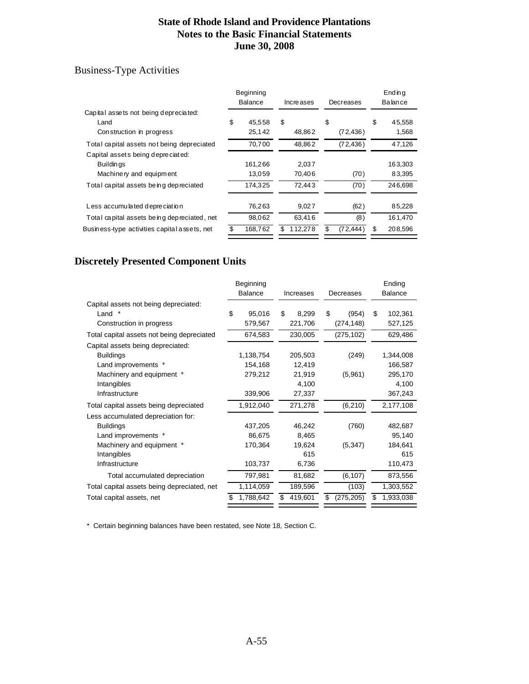### Business-Type Activities

|                                                | Beginning<br><b>Balance</b> | Increases |        | Decreases |   | Ending<br>Balance |
|------------------------------------------------|-----------------------------|-----------|--------|-----------|---|-------------------|
| Capital assets not being depreciated:          |                             |           |        |           |   |                   |
| Land                                           | \$<br>45.558                | \$        |        | \$        | S | 45,558            |
| Construction in progress                       | 25,142                      |           | 48,862 | (72, 436) |   | 1,568             |
| Total capital assets not being depreciated     | 70,700                      |           | 48,862 | (72, 436) |   | 47,126            |
| Capital assets being depreciated:              |                             |           |        |           |   |                   |
| <b>Buildings</b>                               | 161,266                     |           | 2.037  |           |   | 163,303           |
| Machine ry and equipment                       | 13,059                      |           | 70,406 | (70)      |   | 83,395            |
| Total capital assets being depreciated         | 174,325                     |           | 72.443 | (70)      |   | 246,698           |
| Less accumulated depreciation                  | 76,263                      |           | 9,027  | (62)      |   | 85,228            |
| Total capital assets be in g dep reciated, net | 98,062                      |           | 63.416 | (8)       |   | 161,470           |
| Business-type activities capital assets, net   | \$<br>168,762               | 112,278   |        | (72, 444) |   | 208,596           |
|                                                |                             |           |        |           |   |                   |

# **Discretely Presented Component Units**

|                                             | Beginning      |    |           |    |            |    | Ending         |
|---------------------------------------------|----------------|----|-----------|----|------------|----|----------------|
|                                             | <b>Balance</b> |    | Increases |    | Decreases  |    | <b>Balance</b> |
| Capital assets not being depreciated:       |                |    |           |    |            |    |                |
| Land $*$                                    | \$<br>95,016   | \$ | 8,299     | \$ | (954)      | \$ | 102,361        |
| Construction in progress                    | 579,567        |    | 221,706   |    | (274, 148) |    | 527,125        |
| Total capital assets not being depreciated  | 674,583        |    | 230,005   |    | (275, 102) |    | 629,486        |
| Capital assets being depreciated:           |                |    |           |    |            |    |                |
| <b>Buildings</b>                            | 1,138,754      |    | 205,503   |    | (249)      |    | 1,344,008      |
| Land improvements *                         | 154,168        |    | 12,419    |    |            |    | 166,587        |
| Machinery and equipment *                   | 279,212        |    | 21,919    |    | (5,961)    |    | 295,170        |
| Intangibles                                 |                |    | 4,100     |    |            |    | 4,100          |
| Infrastructure                              | 339,906        |    | 27,337    |    |            |    | 367,243        |
| Total capital assets being depreciated      | 1,912,040      |    | 271,278   |    | (6, 210)   |    | 2,177,108      |
| Less accumulated depreciation for:          |                |    |           |    |            |    |                |
| <b>Buildings</b>                            | 437,205        |    | 46,242    |    | (760)      |    | 482,687        |
| Land improvements *                         | 86,675         |    | 8,465     |    |            |    | 95,140         |
| Machinery and equipment *                   | 170,364        |    | 19,624    |    | (5, 347)   |    | 184,641        |
| Intangibles                                 |                |    | 615       |    |            |    | 615            |
| Infrastructure                              | 103,737        |    | 6,736     |    |            |    | 110,473        |
| Total accumulated depreciation              | 797,981        |    | 81,682    |    | (6, 107)   |    | 873,556        |
| Total capital assets being depreciated, net | 1,114,059      |    | 189,596   |    | (103)      |    | 1,303,552      |
| Total capital assets, net                   | 1,788,642      | æ. | 419,601   | S  | (275, 205) | S  | 1,933,038      |
|                                             |                |    |           |    |            |    |                |

\* Certain beginning balances have been restated, see Note 18, Section C.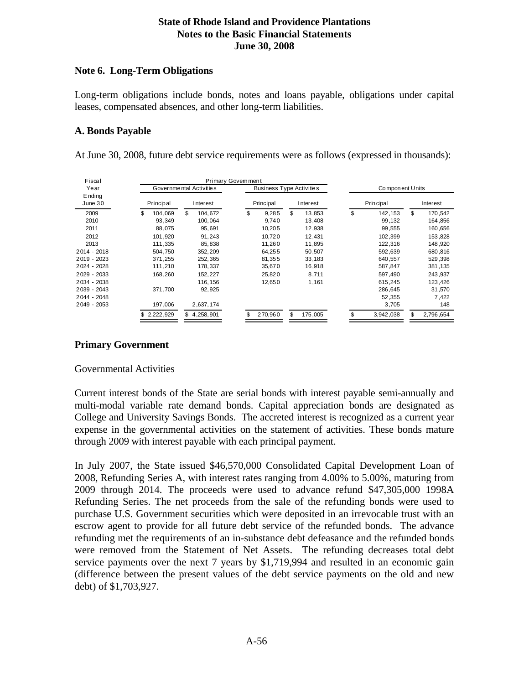#### **Note 6. Long-Term Obligations**

Long-term obligations include bonds, notes and loans payable, obligations under capital leases, compensated absences, and other long-term liabilities.

### **A. Bonds Payable**

At June 30, 2008, future debt service requirements were as follows (expressed in thousands):

| Fiscal             |                                                            | Primary Govemment |             |               |                 |                 |  |  |  |
|--------------------|------------------------------------------------------------|-------------------|-------------|---------------|-----------------|-----------------|--|--|--|
| Year               | Governmental Activities<br><b>Business Type Activities</b> |                   |             |               | Component Units |                 |  |  |  |
| E nding<br>June 30 | Principal<br>Principal<br>Interest<br>Interest             |                   |             | Principal     | Interest        |                 |  |  |  |
| 2009               | 104.069<br>S                                               | \$<br>104.672     | \$<br>9,285 | \$<br>13,853  | \$<br>142,153   | \$<br>170,542   |  |  |  |
| 2010               | 93,349                                                     | 100,064           | 9,740       | 13,408        | 99,132          | 164,856         |  |  |  |
| 2011               | 88,075                                                     | 95,691            | 10,205      | 12,938        | 99,555          | 160,656         |  |  |  |
| 2012               | 101.920                                                    | 91.243            | 10.720      | 12,431        | 102.399         | 153,828         |  |  |  |
| 2013               | 111,335                                                    | 85,838            | 11,260      | 11,895        | 122,316         | 148,920         |  |  |  |
| 2014 - 2018        | 504,750                                                    | 352, 209          | 64,255      | 50,507        | 592,639         | 680,816         |  |  |  |
| 2019 - 2023        | 371.255                                                    | 252, 365          | 81,355      | 33,183        | 640,557         | 529,398         |  |  |  |
| 2024 - 2028        | 111,210                                                    | 178,337           | 35,670      | 16,918        | 587,847         | 381, 135        |  |  |  |
| 2029 - 2033        | 168,260                                                    | 152.227           | 25.820      | 8.711         | 597.490         | 243,937         |  |  |  |
| 2034 - 2038        |                                                            | 116, 156          | 12,650      | 1,161         | 615,245         | 123,426         |  |  |  |
| 2039 - 2043        | 371,700                                                    | 92, 925           |             |               | 286,645         | 31,570          |  |  |  |
| 2044 - 2048        |                                                            |                   |             |               | 52,355          | 7,422           |  |  |  |
| 2049 - 2053        | 197,006                                                    | 2,637,174         |             |               | 3,705           | 148             |  |  |  |
|                    | \$2,222,929                                                | \$4.258.901       | 270.960     | \$<br>175,005 | 3,942,038       | \$<br>2,796,654 |  |  |  |

### **Primary Government**

### Governmental Activities

Current interest bonds of the State are serial bonds with interest payable semi-annually and multi-modal variable rate demand bonds. Capital appreciation bonds are designated as College and University Savings Bonds. The accreted interest is recognized as a current year expense in the governmental activities on the statement of activities. These bonds mature through 2009 with interest payable with each principal payment.

In July 2007, the State issued \$46,570,000 Consolidated Capital Development Loan of 2008, Refunding Series A, with interest rates ranging from 4.00% to 5.00%, maturing from 2009 through 2014. The proceeds were used to advance refund \$47,305,000 1998A Refunding Series. The net proceeds from the sale of the refunding bonds were used to purchase U.S. Government securities which were deposited in an irrevocable trust with an escrow agent to provide for all future debt service of the refunded bonds. The advance refunding met the requirements of an in-substance debt defeasance and the refunded bonds were removed from the Statement of Net Assets. The refunding decreases total debt service payments over the next 7 years by \$1,719,994 and resulted in an economic gain (difference between the present values of the debt service payments on the old and new debt) of \$1,703,927.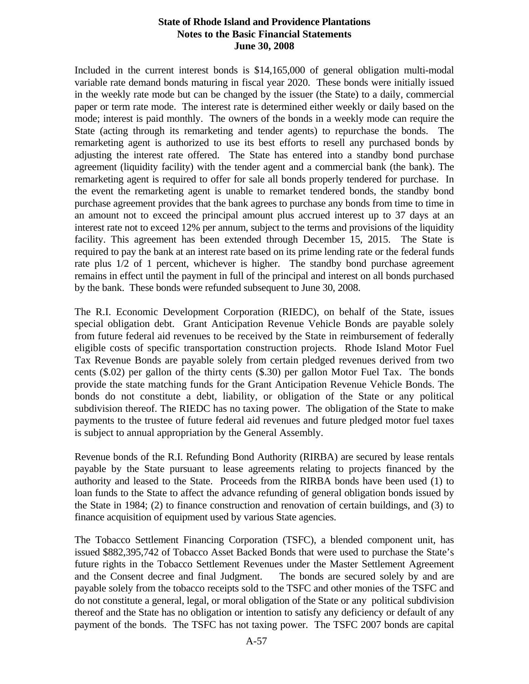Included in the current interest bonds is \$14,165,000 of general obligation multi-modal variable rate demand bonds maturing in fiscal year 2020. These bonds were initially issued in the weekly rate mode but can be changed by the issuer (the State) to a daily, commercial paper or term rate mode. The interest rate is determined either weekly or daily based on the mode; interest is paid monthly. The owners of the bonds in a weekly mode can require the State (acting through its remarketing and tender agents) to repurchase the bonds. The remarketing agent is authorized to use its best efforts to resell any purchased bonds by adjusting the interest rate offered. The State has entered into a standby bond purchase agreement (liquidity facility) with the tender agent and a commercial bank (the bank). The remarketing agent is required to offer for sale all bonds properly tendered for purchase. In the event the remarketing agent is unable to remarket tendered bonds, the standby bond purchase agreement provides that the bank agrees to purchase any bonds from time to time in an amount not to exceed the principal amount plus accrued interest up to 37 days at an interest rate not to exceed 12% per annum, subject to the terms and provisions of the liquidity facility. This agreement has been extended through December 15, 2015. The State is required to pay the bank at an interest rate based on its prime lending rate or the federal funds rate plus 1/2 of 1 percent, whichever is higher. The standby bond purchase agreement remains in effect until the payment in full of the principal and interest on all bonds purchased by the bank. These bonds were refunded subsequent to June 30, 2008.

The R.I. Economic Development Corporation (RIEDC), on behalf of the State, issues special obligation debt. Grant Anticipation Revenue Vehicle Bonds are payable solely from future federal aid revenues to be received by the State in reimbursement of federally eligible costs of specific transportation construction projects. Rhode Island Motor Fuel Tax Revenue Bonds are payable solely from certain pledged revenues derived from two cents (\$.02) per gallon of the thirty cents (\$.30) per gallon Motor Fuel Tax. The bonds provide the state matching funds for the Grant Anticipation Revenue Vehicle Bonds. The bonds do not constitute a debt, liability, or obligation of the State or any political subdivision thereof. The RIEDC has no taxing power. The obligation of the State to make payments to the trustee of future federal aid revenues and future pledged motor fuel taxes is subject to annual appropriation by the General Assembly.

Revenue bonds of the R.I. Refunding Bond Authority (RIRBA) are secured by lease rentals payable by the State pursuant to lease agreements relating to projects financed by the authority and leased to the State. Proceeds from the RIRBA bonds have been used (1) to loan funds to the State to affect the advance refunding of general obligation bonds issued by the State in 1984; (2) to finance construction and renovation of certain buildings, and (3) to finance acquisition of equipment used by various State agencies.

The Tobacco Settlement Financing Corporation (TSFC), a blended component unit, has issued \$882,395,742 of Tobacco Asset Backed Bonds that were used to purchase the State's future rights in the Tobacco Settlement Revenues under the Master Settlement Agreement and the Consent decree and final Judgment. The bonds are secured solely by and are payable solely from the tobacco receipts sold to the TSFC and other monies of the TSFC and do not constitute a general, legal, or moral obligation of the State or any political subdivision thereof and the State has no obligation or intention to satisfy any deficiency or default of any payment of the bonds. The TSFC has not taxing power. The TSFC 2007 bonds are capital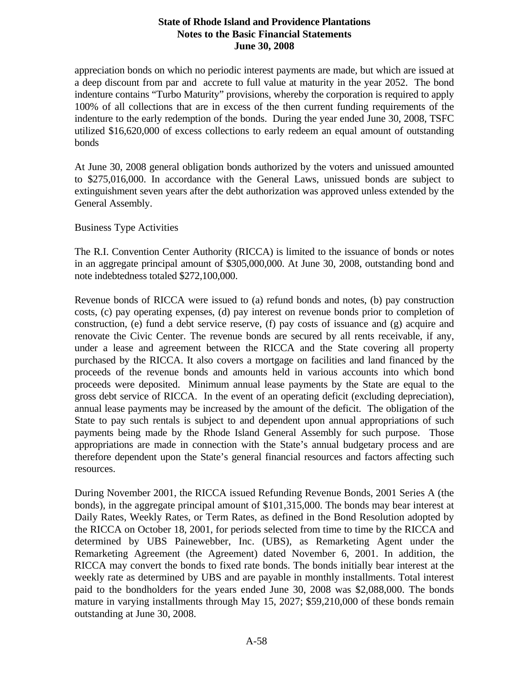appreciation bonds on which no periodic interest payments are made, but which are issued at a deep discount from par and accrete to full value at maturity in the year 2052. The bond indenture contains "Turbo Maturity" provisions, whereby the corporation is required to apply 100% of all collections that are in excess of the then current funding requirements of the indenture to the early redemption of the bonds. During the year ended June 30, 2008, TSFC utilized \$16,620,000 of excess collections to early redeem an equal amount of outstanding bonds

At June 30, 2008 general obligation bonds authorized by the voters and unissued amounted to \$275,016,000. In accordance with the General Laws, unissued bonds are subject to extinguishment seven years after the debt authorization was approved unless extended by the General Assembly.

Business Type Activities

The R.I. Convention Center Authority (RICCA) is limited to the issuance of bonds or notes in an aggregate principal amount of \$305,000,000. At June 30, 2008, outstanding bond and note indebtedness totaled \$272,100,000.

Revenue bonds of RICCA were issued to (a) refund bonds and notes, (b) pay construction costs, (c) pay operating expenses, (d) pay interest on revenue bonds prior to completion of construction, (e) fund a debt service reserve, (f) pay costs of issuance and (g) acquire and renovate the Civic Center. The revenue bonds are secured by all rents receivable, if any, under a lease and agreement between the RICCA and the State covering all property purchased by the RICCA. It also covers a mortgage on facilities and land financed by the proceeds of the revenue bonds and amounts held in various accounts into which bond proceeds were deposited. Minimum annual lease payments by the State are equal to the gross debt service of RICCA. In the event of an operating deficit (excluding depreciation), annual lease payments may be increased by the amount of the deficit. The obligation of the State to pay such rentals is subject to and dependent upon annual appropriations of such payments being made by the Rhode Island General Assembly for such purpose. Those appropriations are made in connection with the State's annual budgetary process and are therefore dependent upon the State's general financial resources and factors affecting such resources.

During November 2001, the RICCA issued Refunding Revenue Bonds, 2001 Series A (the bonds), in the aggregate principal amount of \$101,315,000. The bonds may bear interest at Daily Rates, Weekly Rates, or Term Rates, as defined in the Bond Resolution adopted by the RICCA on October 18, 2001, for periods selected from time to time by the RICCA and determined by UBS Painewebber, Inc. (UBS), as Remarketing Agent under the Remarketing Agreement (the Agreement) dated November 6, 2001. In addition, the RICCA may convert the bonds to fixed rate bonds. The bonds initially bear interest at the weekly rate as determined by UBS and are payable in monthly installments. Total interest paid to the bondholders for the years ended June 30, 2008 was \$2,088,000. The bonds mature in varying installments through May 15, 2027; \$59,210,000 of these bonds remain outstanding at June 30, 2008.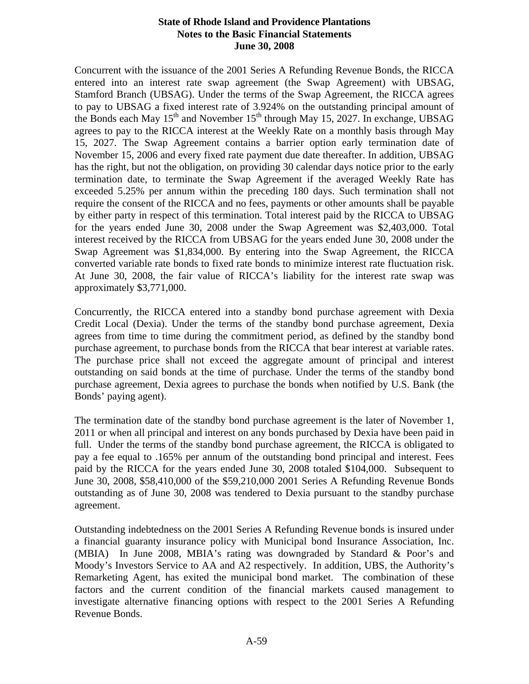Concurrent with the issuance of the 2001 Series A Refunding Revenue Bonds, the RICCA entered into an interest rate swap agreement (the Swap Agreement) with UBSAG, Stamford Branch (UBSAG). Under the terms of the Swap Agreement, the RICCA agrees to pay to UBSAG a fixed interest rate of 3.924% on the outstanding principal amount of the Bonds each May  $15<sup>th</sup>$  and November  $15<sup>th</sup>$  through May 15, 2027. In exchange, UBSAG agrees to pay to the RICCA interest at the Weekly Rate on a monthly basis through May 15, 2027. The Swap Agreement contains a barrier option early termination date of November 15, 2006 and every fixed rate payment due date thereafter. In addition, UBSAG has the right, but not the obligation, on providing 30 calendar days notice prior to the early termination date, to terminate the Swap Agreement if the averaged Weekly Rate has exceeded 5.25% per annum within the preceding 180 days. Such termination shall not require the consent of the RICCA and no fees, payments or other amounts shall be payable by either party in respect of this termination. Total interest paid by the RICCA to UBSAG for the years ended June 30, 2008 under the Swap Agreement was \$2,403,000. Total interest received by the RICCA from UBSAG for the years ended June 30, 2008 under the Swap Agreement was \$1,834,000. By entering into the Swap Agreement, the RICCA converted variable rate bonds to fixed rate bonds to minimize interest rate fluctuation risk. At June 30, 2008, the fair value of RICCA's liability for the interest rate swap was approximately \$3,771,000.

Concurrently, the RICCA entered into a standby bond purchase agreement with Dexia Credit Local (Dexia). Under the terms of the standby bond purchase agreement, Dexia agrees from time to time during the commitment period, as defined by the standby bond purchase agreement, to purchase bonds from the RICCA that bear interest at variable rates. The purchase price shall not exceed the aggregate amount of principal and interest outstanding on said bonds at the time of purchase. Under the terms of the standby bond purchase agreement, Dexia agrees to purchase the bonds when notified by U.S. Bank (the Bonds' paying agent).

The termination date of the standby bond purchase agreement is the later of November 1, 2011 or when all principal and interest on any bonds purchased by Dexia have been paid in full. Under the terms of the standby bond purchase agreement, the RICCA is obligated to pay a fee equal to .165% per annum of the outstanding bond principal and interest. Fees paid by the RICCA for the years ended June 30, 2008 totaled \$104,000. Subsequent to June 30, 2008, \$58,410,000 of the \$59,210,000 2001 Series A Refunding Revenue Bonds outstanding as of June 30, 2008 was tendered to Dexia pursuant to the standby purchase agreement.

Outstanding indebtedness on the 2001 Series A Refunding Revenue bonds is insured under a financial guaranty insurance policy with Municipal bond Insurance Association, Inc. (MBIA) In June 2008, MBIA's rating was downgraded by Standard & Poor's and Moody's Investors Service to AA and A2 respectively. In addition, UBS, the Authority's Remarketing Agent, has exited the municipal bond market. The combination of these factors and the current condition of the financial markets caused management to investigate alternative financing options with respect to the 2001 Series A Refunding Revenue Bonds.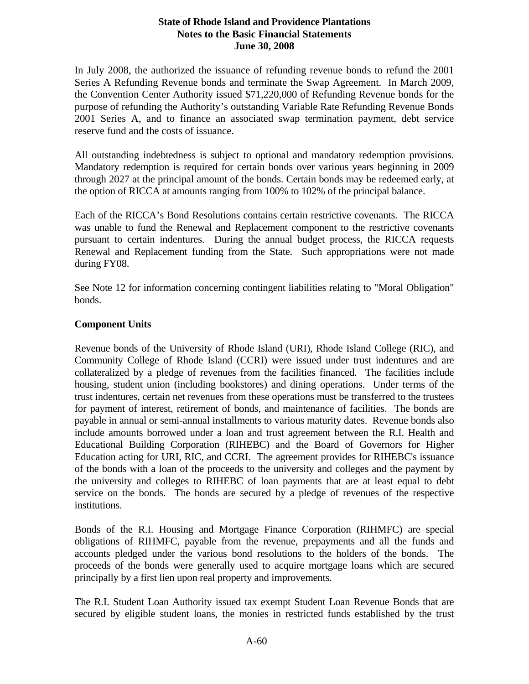In July 2008, the authorized the issuance of refunding revenue bonds to refund the 2001 Series A Refunding Revenue bonds and terminate the Swap Agreement. In March 2009, the Convention Center Authority issued \$71,220,000 of Refunding Revenue bonds for the purpose of refunding the Authority's outstanding Variable Rate Refunding Revenue Bonds 2001 Series A, and to finance an associated swap termination payment, debt service reserve fund and the costs of issuance.

All outstanding indebtedness is subject to optional and mandatory redemption provisions. Mandatory redemption is required for certain bonds over various years beginning in 2009 through 2027 at the principal amount of the bonds. Certain bonds may be redeemed early, at the option of RICCA at amounts ranging from 100% to 102% of the principal balance.

Each of the RICCA's Bond Resolutions contains certain restrictive covenants. The RICCA was unable to fund the Renewal and Replacement component to the restrictive covenants pursuant to certain indentures. During the annual budget process, the RICCA requests Renewal and Replacement funding from the State. Such appropriations were not made during FY08.

See Note 12 for information concerning contingent liabilities relating to "Moral Obligation" bonds.

### **Component Units**

Revenue bonds of the University of Rhode Island (URI), Rhode Island College (RIC), and Community College of Rhode Island (CCRI) were issued under trust indentures and are collateralized by a pledge of revenues from the facilities financed. The facilities include housing, student union (including bookstores) and dining operations. Under terms of the trust indentures, certain net revenues from these operations must be transferred to the trustees for payment of interest, retirement of bonds, and maintenance of facilities. The bonds are payable in annual or semi-annual installments to various maturity dates. Revenue bonds also include amounts borrowed under a loan and trust agreement between the R.I. Health and Educational Building Corporation (RIHEBC) and the Board of Governors for Higher Education acting for URI, RIC, and CCRI. The agreement provides for RIHEBC's issuance of the bonds with a loan of the proceeds to the university and colleges and the payment by the university and colleges to RIHEBC of loan payments that are at least equal to debt service on the bonds. The bonds are secured by a pledge of revenues of the respective institutions.

Bonds of the R.I. Housing and Mortgage Finance Corporation (RIHMFC) are special obligations of RIHMFC, payable from the revenue, prepayments and all the funds and accounts pledged under the various bond resolutions to the holders of the bonds. The proceeds of the bonds were generally used to acquire mortgage loans which are secured principally by a first lien upon real property and improvements.

The R.I. Student Loan Authority issued tax exempt Student Loan Revenue Bonds that are secured by eligible student loans, the monies in restricted funds established by the trust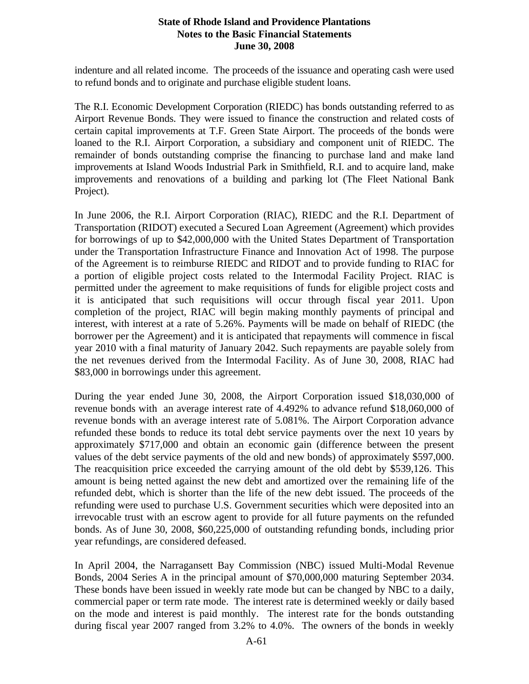indenture and all related income. The proceeds of the issuance and operating cash were used to refund bonds and to originate and purchase eligible student loans.

The R.I. Economic Development Corporation (RIEDC) has bonds outstanding referred to as Airport Revenue Bonds. They were issued to finance the construction and related costs of certain capital improvements at T.F. Green State Airport. The proceeds of the bonds were loaned to the R.I. Airport Corporation, a subsidiary and component unit of RIEDC. The remainder of bonds outstanding comprise the financing to purchase land and make land improvements at Island Woods Industrial Park in Smithfield, R.I. and to acquire land, make improvements and renovations of a building and parking lot (The Fleet National Bank Project).

In June 2006, the R.I. Airport Corporation (RIAC), RIEDC and the R.I. Department of Transportation (RIDOT) executed a Secured Loan Agreement (Agreement) which provides for borrowings of up to \$42,000,000 with the United States Department of Transportation under the Transportation Infrastructure Finance and Innovation Act of 1998. The purpose of the Agreement is to reimburse RIEDC and RIDOT and to provide funding to RIAC for a portion of eligible project costs related to the Intermodal Facility Project. RIAC is permitted under the agreement to make requisitions of funds for eligible project costs and it is anticipated that such requisitions will occur through fiscal year 2011. Upon completion of the project, RIAC will begin making monthly payments of principal and interest, with interest at a rate of 5.26%. Payments will be made on behalf of RIEDC (the borrower per the Agreement) and it is anticipated that repayments will commence in fiscal year 2010 with a final maturity of January 2042. Such repayments are payable solely from the net revenues derived from the Intermodal Facility. As of June 30, 2008, RIAC had \$83,000 in borrowings under this agreement.

During the year ended June 30, 2008, the Airport Corporation issued \$18,030,000 of revenue bonds with an average interest rate of 4.492% to advance refund \$18,060,000 of revenue bonds with an average interest rate of 5.081%. The Airport Corporation advance refunded these bonds to reduce its total debt service payments over the next 10 years by approximately \$717,000 and obtain an economic gain (difference between the present values of the debt service payments of the old and new bonds) of approximately \$597,000. The reacquisition price exceeded the carrying amount of the old debt by \$539,126. This amount is being netted against the new debt and amortized over the remaining life of the refunded debt, which is shorter than the life of the new debt issued. The proceeds of the refunding were used to purchase U.S. Government securities which were deposited into an irrevocable trust with an escrow agent to provide for all future payments on the refunded bonds. As of June 30, 2008, \$60,225,000 of outstanding refunding bonds, including prior year refundings, are considered defeased.

 In April 2004, the Narragansett Bay Commission (NBC) issued Multi-Modal Revenue Bonds, 2004 Series A in the principal amount of \$70,000,000 maturing September 2034. These bonds have been issued in weekly rate mode but can be changed by NBC to a daily, commercial paper or term rate mode. The interest rate is determined weekly or daily based on the mode and interest is paid monthly. The interest rate for the bonds outstanding during fiscal year 2007 ranged from 3.2% to 4.0%. The owners of the bonds in weekly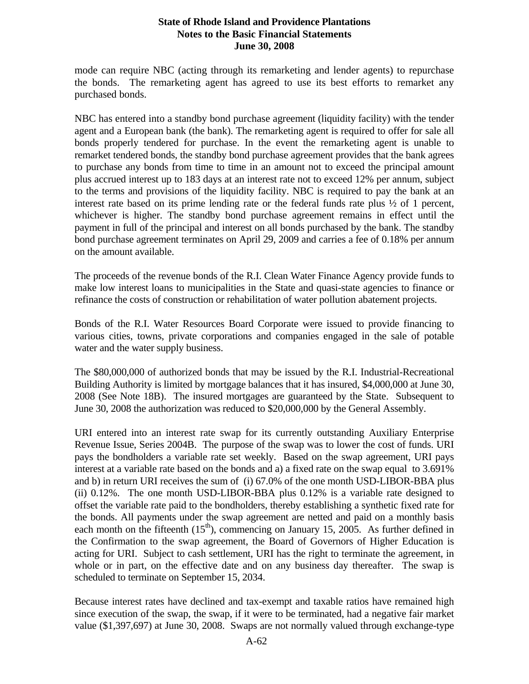mode can require NBC (acting through its remarketing and lender agents) to repurchase the bonds. The remarketing agent has agreed to use its best efforts to remarket any purchased bonds.

NBC has entered into a standby bond purchase agreement (liquidity facility) with the tender agent and a European bank (the bank). The remarketing agent is required to offer for sale all bonds properly tendered for purchase. In the event the remarketing agent is unable to remarket tendered bonds, the standby bond purchase agreement provides that the bank agrees to purchase any bonds from time to time in an amount not to exceed the principal amount plus accrued interest up to 183 days at an interest rate not to exceed 12% per annum, subject to the terms and provisions of the liquidity facility. NBC is required to pay the bank at an interest rate based on its prime lending rate or the federal funds rate plus ½ of 1 percent, whichever is higher. The standby bond purchase agreement remains in effect until the payment in full of the principal and interest on all bonds purchased by the bank. The standby bond purchase agreement terminates on April 29, 2009 and carries a fee of 0.18% per annum on the amount available.

The proceeds of the revenue bonds of the R.I. Clean Water Finance Agency provide funds to make low interest loans to municipalities in the State and quasi-state agencies to finance or refinance the costs of construction or rehabilitation of water pollution abatement projects.

Bonds of the R.I. Water Resources Board Corporate were issued to provide financing to various cities, towns, private corporations and companies engaged in the sale of potable water and the water supply business.

The \$80,000,000 of authorized bonds that may be issued by the R.I. Industrial-Recreational Building Authority is limited by mortgage balances that it has insured, \$4,000,000 at June 30, 2008 (See Note 18B). The insured mortgages are guaranteed by the State. Subsequent to June 30, 2008 the authorization was reduced to \$20,000,000 by the General Assembly.

URI entered into an interest rate swap for its currently outstanding Auxiliary Enterprise Revenue Issue, Series 2004B. The purpose of the swap was to lower the cost of funds. URI pays the bondholders a variable rate set weekly. Based on the swap agreement, URI pays interest at a variable rate based on the bonds and a) a fixed rate on the swap equal to 3.691% and b) in return URI receives the sum of (i) 67.0% of the one month USD-LIBOR-BBA plus (ii) 0.12%. The one month USD-LIBOR-BBA plus 0.12% is a variable rate designed to offset the variable rate paid to the bondholders, thereby establishing a synthetic fixed rate for the bonds. All payments under the swap agreement are netted and paid on a monthly basis each month on the fifteenth  $(15<sup>th</sup>)$ , commencing on January 15, 2005. As further defined in the Confirmation to the swap agreement, the Board of Governors of Higher Education is acting for URI. Subject to cash settlement, URI has the right to terminate the agreement, in whole or in part, on the effective date and on any business day thereafter. The swap is scheduled to terminate on September 15, 2034.

Because interest rates have declined and tax-exempt and taxable ratios have remained high since execution of the swap, the swap, if it were to be terminated, had a negative fair market value (\$1,397,697) at June 30, 2008. Swaps are not normally valued through exchange-type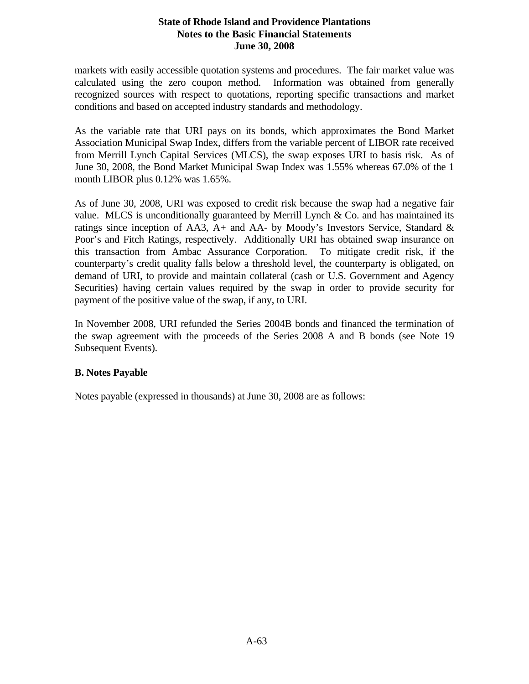markets with easily accessible quotation systems and procedures. The fair market value was calculated using the zero coupon method. Information was obtained from generally recognized sources with respect to quotations, reporting specific transactions and market conditions and based on accepted industry standards and methodology.

As the variable rate that URI pays on its bonds, which approximates the Bond Market Association Municipal Swap Index, differs from the variable percent of LIBOR rate received from Merrill Lynch Capital Services (MLCS), the swap exposes URI to basis risk. As of June 30, 2008, the Bond Market Municipal Swap Index was 1.55% whereas 67.0% of the 1 month LIBOR plus 0.12% was 1.65%.

As of June 30, 2008, URI was exposed to credit risk because the swap had a negative fair value. MLCS is unconditionally guaranteed by Merrill Lynch  $\&$  Co. and has maintained its ratings since inception of AA3, A+ and AA- by Moody's Investors Service, Standard & Poor's and Fitch Ratings, respectively. Additionally URI has obtained swap insurance on this transaction from Ambac Assurance Corporation. To mitigate credit risk, if the counterparty's credit quality falls below a threshold level, the counterparty is obligated, on demand of URI, to provide and maintain collateral (cash or U.S. Government and Agency Securities) having certain values required by the swap in order to provide security for payment of the positive value of the swap, if any, to URI.

In November 2008, URI refunded the Series 2004B bonds and financed the termination of the swap agreement with the proceeds of the Series 2008 A and B bonds (see Note 19 Subsequent Events).

### **B. Notes Payable**

Notes payable (expressed in thousands) at June 30, 2008 are as follows: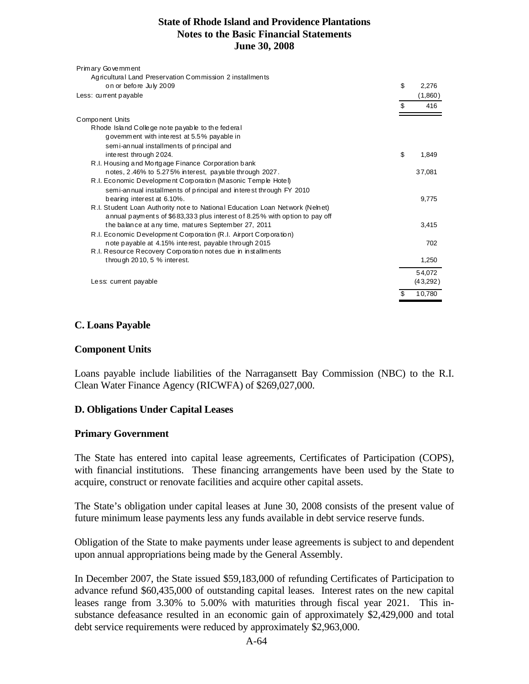| 2,276<br>(1,860)<br>416 |
|-------------------------|
|                         |
|                         |
|                         |
|                         |
|                         |
|                         |
|                         |
|                         |
| 1,849                   |
|                         |
| 37,081                  |
|                         |
|                         |
| 9.775                   |
|                         |
|                         |
| 3,415                   |
|                         |
| 702                     |
|                         |
| 1,250                   |
| 54,072                  |
| (43,292)                |
| 10,780                  |
|                         |

#### **C. Loans Payable**

#### **Component Units**

Loans payable include liabilities of the Narragansett Bay Commission (NBC) to the R.I. Clean Water Finance Agency (RICWFA) of \$269,027,000.

#### **D. Obligations Under Capital Leases**

#### **Primary Government**

The State has entered into capital lease agreements, Certificates of Participation (COPS), with financial institutions. These financing arrangements have been used by the State to acquire, construct or renovate facilities and acquire other capital assets.

The State's obligation under capital leases at June 30, 2008 consists of the present value of future minimum lease payments less any funds available in debt service reserve funds.

Obligation of the State to make payments under lease agreements is subject to and dependent upon annual appropriations being made by the General Assembly.

In December 2007, the State issued \$59,183,000 of refunding Certificates of Participation to advance refund \$60,435,000 of outstanding capital leases. Interest rates on the new capital leases range from 3.30% to 5.00% with maturities through fiscal year 2021. This insubstance defeasance resulted in an economic gain of approximately \$2,429,000 and total debt service requirements were reduced by approximately \$2,963,000.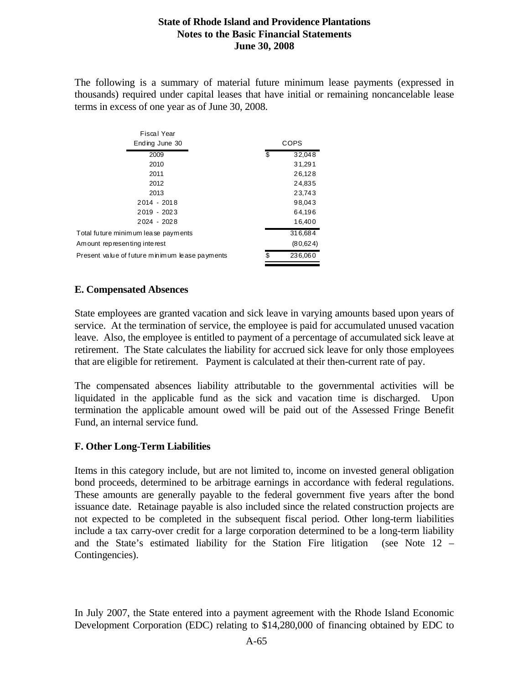The following is a summary of material future minimum lease payments (expressed in thousands) required under capital leases that have initial or remaining noncancelable lease terms in excess of one year as of June 30, 2008.

| Fiscal Year                                    |      |          |  |  |  |
|------------------------------------------------|------|----------|--|--|--|
| Ending June 30                                 | COPS |          |  |  |  |
| 2009                                           | \$   | 32,048   |  |  |  |
| 2010                                           |      | 31,291   |  |  |  |
| 2011                                           |      | 26,128   |  |  |  |
| 2012                                           |      | 24,835   |  |  |  |
| 2013                                           |      | 23,743   |  |  |  |
| $2014 - 2018$                                  |      | 98,043   |  |  |  |
| 2019 - 2023                                    |      | 64,196   |  |  |  |
| $2024 - 2028$                                  |      | 16,400   |  |  |  |
| Total future minimum lease payments            |      | 316,684  |  |  |  |
| Am ount representing interest                  |      | (80,624) |  |  |  |
| Present value of future minimum lease payments | \$   | 236,060  |  |  |  |
|                                                |      |          |  |  |  |

### **E. Compensated Absences**

 $\mathbf{r}$   $\mathbf{r}$   $\mathbf{r}$   $\mathbf{r}$   $\mathbf{r}$ 

State employees are granted vacation and sick leave in varying amounts based upon years of service. At the termination of service, the employee is paid for accumulated unused vacation leave. Also, the employee is entitled to payment of a percentage of accumulated sick leave at retirement. The State calculates the liability for accrued sick leave for only those employees that are eligible for retirement. Payment is calculated at their then-current rate of pay.

The compensated absences liability attributable to the governmental activities will be liquidated in the applicable fund as the sick and vacation time is discharged. Upon termination the applicable amount owed will be paid out of the Assessed Fringe Benefit Fund, an internal service fund.

# **F. Other Long-Term Liabilities**

Items in this category include, but are not limited to, income on invested general obligation bond proceeds, determined to be arbitrage earnings in accordance with federal regulations. These amounts are generally payable to the federal government five years after the bond issuance date. Retainage payable is also included since the related construction projects are not expected to be completed in the subsequent fiscal period. Other long-term liabilities include a tax carry-over credit for a large corporation determined to be a long-term liability and the State's estimated liability for the Station Fire litigation (see Note 12 – Contingencies).

In July 2007, the State entered into a payment agreement with the Rhode Island Economic Development Corporation (EDC) relating to \$14,280,000 of financing obtained by EDC to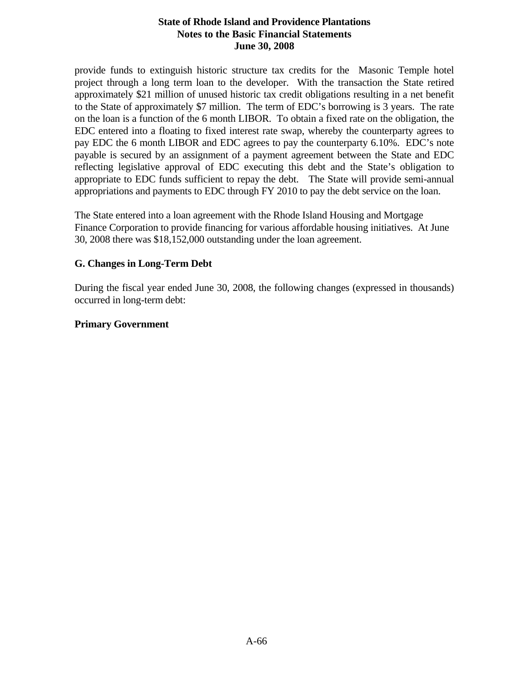provide funds to extinguish historic structure tax credits for the Masonic Temple hotel project through a long term loan to the developer. With the transaction the State retired approximately \$21 million of unused historic tax credit obligations resulting in a net benefit to the State of approximately \$7 million. The term of EDC's borrowing is 3 years. The rate on the loan is a function of the 6 month LIBOR. To obtain a fixed rate on the obligation, the EDC entered into a floating to fixed interest rate swap, whereby the counterparty agrees to pay EDC the 6 month LIBOR and EDC agrees to pay the counterparty 6.10%. EDC's note payable is secured by an assignment of a payment agreement between the State and EDC reflecting legislative approval of EDC executing this debt and the State's obligation to appropriate to EDC funds sufficient to repay the debt. The State will provide semi-annual appropriations and payments to EDC through FY 2010 to pay the debt service on the loan.

The State entered into a loan agreement with the Rhode Island Housing and Mortgage Finance Corporation to provide financing for various affordable housing initiatives. At June 30, 2008 there was \$18,152,000 outstanding under the loan agreement.

#### **G. Changes in Long-Term Debt**

During the fiscal year ended June 30, 2008, the following changes (expressed in thousands) occurred in long-term debt:

#### **Primary Government**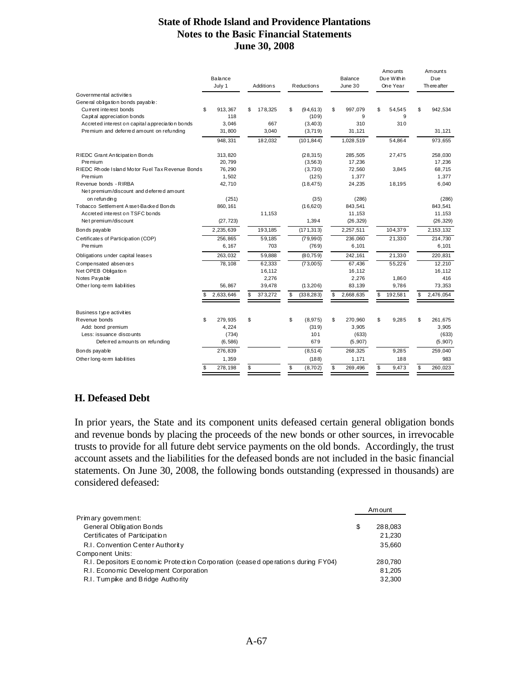|                                                 | Balance<br>July 1 | Addition <sub>s</sub> | <b>Reductions</b> |    | Balance<br>June 30 |    |         |                 |  |  | Amo unts<br>Due Within<br>One Year | Amounts<br>Due<br>Th ere after |  |
|-------------------------------------------------|-------------------|-----------------------|-------------------|----|--------------------|----|---------|-----------------|--|--|------------------------------------|--------------------------------|--|
| Governmental activities                         |                   |                       |                   |    |                    |    |         |                 |  |  |                                    |                                |  |
| General obligation bonds payable:               |                   |                       |                   |    |                    |    |         |                 |  |  |                                    |                                |  |
| Current interest bonds                          | \$<br>913.367     | \$<br>178,325         | \$<br>(94, 613)   | \$ | 997,079            | \$ | 54.545  | \$<br>942,534   |  |  |                                    |                                |  |
| Capital appreciation bonds                      | 118               |                       | (109)             |    | 9                  |    | 9       |                 |  |  |                                    |                                |  |
| Accreted interest on capital appreciation bonds | 3.046             | 667                   | (3, 403)          |    | 310                |    | 310     |                 |  |  |                                    |                                |  |
| Premium and deferred amount on refunding        | 31,800            | 3.040                 | (3,719)           |    | 31,121             |    |         | 31,121          |  |  |                                    |                                |  |
|                                                 | 948, 331          | 182,032               | (101, 844)        |    | 1,028,519          |    | 54,864  | 973,655         |  |  |                                    |                                |  |
| RIEDC Grant Anticipation Bonds                  | 313,820           |                       | (28, 315)         |    | 285,505            |    | 27,475  | 258,030         |  |  |                                    |                                |  |
| Premium                                         | 20,799            |                       | (3, 563)          |    | 17,236             |    |         | 17,236          |  |  |                                    |                                |  |
| RIEDC Rhode Island Motor Fuel Tax Revenue Bonds | 76,290            |                       | (3,730)           |    | 72,560             |    | 3.845   | 68,715          |  |  |                                    |                                |  |
| Premium                                         | 1,502             |                       | (125)             |    | 1,377              |    |         | 1,377           |  |  |                                    |                                |  |
| Revenue bonds - RIRBA                           | 42,710            |                       | (18, 475)         |    | 24,235             |    | 18,195  | 6,040           |  |  |                                    |                                |  |
| Net premium/discount and deferred amount        |                   |                       |                   |    |                    |    |         |                 |  |  |                                    |                                |  |
| on refunding                                    | (251)             |                       | (35)              |    | (286)              |    |         | (286)           |  |  |                                    |                                |  |
| Tobacco Settlement Asset-Backed Bonds           | 860, 161          |                       | (16,620)          |    | 843,541            |    |         | 843,541         |  |  |                                    |                                |  |
| Accreted interest on TSFC bonds                 |                   | 11,153                |                   |    | 11,153             |    |         | 11,153          |  |  |                                    |                                |  |
| Net premium/discount                            | (27, 723)         |                       | 1,394             |    | (26, 329)          |    |         | (26, 329)       |  |  |                                    |                                |  |
| Bonds payable                                   | 2.235.639         | 193.185               | (171, 313)        |    | 2,257,511          |    | 104.379 | 2,153,132       |  |  |                                    |                                |  |
| Certificates of Participation (COP)             | 256,865           | 59.185                | (79,990)          |    | 236,060            |    | 21,330  | 214,730         |  |  |                                    |                                |  |
| Premium                                         | 6,167             | 703                   | (769)             |    | 6,101              |    |         | 6,101           |  |  |                                    |                                |  |
| Obligations under capital leases                | 263,032           | 59,888                | (80, 759)         |    | 242,161            |    | 21,330  | 220,831         |  |  |                                    |                                |  |
| Compensated absences                            | 78,108            | 62,333                | (73,005)          |    | 67,436             |    | 55,226  | 12,210          |  |  |                                    |                                |  |
| Net OPEB Obligation                             |                   | 16,112                |                   |    | 16,112             |    |         | 16,112          |  |  |                                    |                                |  |
| Notes Payable                                   |                   | 2,276                 |                   |    | 2.276              |    | 1.860   | 416             |  |  |                                    |                                |  |
| Other long-term liabilities                     | 56.867            | 39,478                | (13,206)          |    | 83,139             |    | 9.786   | 73.353          |  |  |                                    |                                |  |
|                                                 | 2,633,646<br>S    | \$<br>373,272         | \$<br>(338, 283)  | \$ | 2,668,635          | \$ | 192,581 | \$<br>2,476,054 |  |  |                                    |                                |  |
| Business type activities                        |                   |                       |                   |    |                    |    |         |                 |  |  |                                    |                                |  |
| Revenue bonds                                   | \$<br>279,935     | \$                    | \$<br>(8,975)     | \$ | 270,960            | \$ | 9,285   | \$<br>261.675   |  |  |                                    |                                |  |
| Add: bond premium                               | 4,224             |                       | (319)             |    | 3,905              |    |         | 3,905           |  |  |                                    |                                |  |
| Less: issuance discounts                        | (734)             |                       | 101               |    | (633)              |    |         | (633)           |  |  |                                    |                                |  |
| Deferred amounts on refunding                   | (6, 586)          |                       | 679               |    | (5,907)            |    |         | (5,907)         |  |  |                                    |                                |  |
| Bonds payable                                   | 276,839           |                       | (8,514)           |    | 268,325            |    | 9,285   | 259,040         |  |  |                                    |                                |  |
| Other long-term liabilities                     | 1,359             |                       | (188)             |    | 1,171              |    | 188     | 983             |  |  |                                    |                                |  |
|                                                 | \$<br>278, 198    | \$                    | \$<br>(8,702)     | \$ | 269,496            | \$ | 9,473   | \$<br>260,023   |  |  |                                    |                                |  |

#### **H. Defeased Debt**

In prior years, the State and its component units defeased certain general obligation bonds and revenue bonds by placing the proceeds of the new bonds or other sources, in irrevocable trusts to provide for all future debt service payments on the old bonds. Accordingly, the trust account assets and the liabilities for the defeased bonds are not included in the basic financial statements. On June 30, 2008, the following bonds outstanding (expressed in thousands) are considered defeased:

|                                                                                  | Am ount       |
|----------------------------------------------------------------------------------|---------------|
| Primary government:                                                              |               |
| General Obligation Bonds                                                         | \$<br>288.083 |
| Certificates of Participation                                                    | 21,230        |
| R.I. Convention Center Authority                                                 | 35,660        |
| Component Units:                                                                 |               |
| R.I. Depositors E conomic Protection Corporation (ceased operations during FY04) | 280.780       |
| R.I. Economic Development Corporation                                            | 81,205        |
| R.I. Tum pike and B ridge Authority                                              | 32.300        |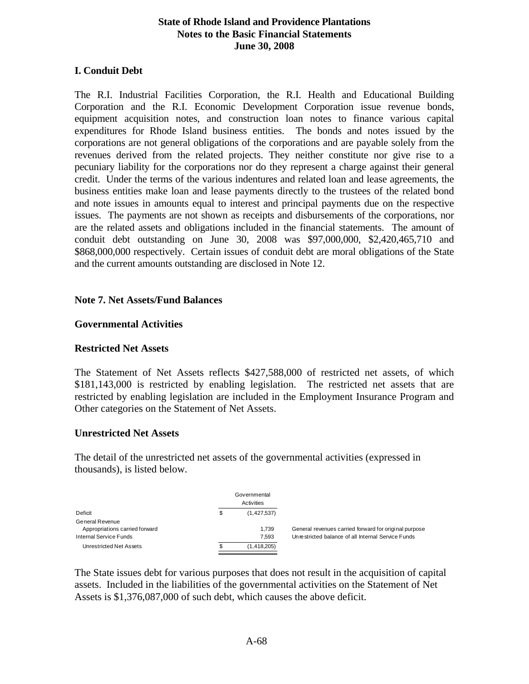#### **I. Conduit Debt**

The R.I. Industrial Facilities Corporation, the R.I. Health and Educational Building Corporation and the R.I. Economic Development Corporation issue revenue bonds, equipment acquisition notes, and construction loan notes to finance various capital expenditures for Rhode Island business entities. The bonds and notes issued by the corporations are not general obligations of the corporations and are payable solely from the revenues derived from the related projects. They neither constitute nor give rise to a pecuniary liability for the corporations nor do they represent a charge against their general credit. Under the terms of the various indentures and related loan and lease agreements, the business entities make loan and lease payments directly to the trustees of the related bond and note issues in amounts equal to interest and principal payments due on the respective issues. The payments are not shown as receipts and disbursements of the corporations, nor are the related assets and obligations included in the financial statements. The amount of conduit debt outstanding on June 30, 2008 was \$97,000,000, \$2,420,465,710 and \$868,000,000 respectively. Certain issues of conduit debt are moral obligations of the State and the current amounts outstanding are disclosed in Note 12.

#### **Note 7. Net Assets/Fund Balances**

#### **Governmental Activities**

#### **Restricted Net Assets**

The Statement of Net Assets reflects \$427,588,000 of restricted net assets, of which \$181,143,000 is restricted by enabling legislation. The restricted net assets that are restricted by enabling legislation are included in the Employment Insurance Program and Other categories on the Statement of Net Assets.

#### **Unrestricted Net Assets**

The detail of the unrestricted net assets of the governmental activities (expressed in thousands), is listed below.

|                                |   | Governmental<br>Activities |                                                       |
|--------------------------------|---|----------------------------|-------------------------------------------------------|
| Deficit                        | S | (1, 427, 537)              |                                                       |
| General Revenue                |   |                            |                                                       |
| Appropriations carried forward |   | 1.739                      | General revenues carried forward for original purpose |
| Internal Service Funds         |   | 7.593                      | Unrestricted balance of all Internal Service Funds    |
| Unrestricted Net Assets        |   | (1, 418, 205)              |                                                       |

The State issues debt for various purposes that does not result in the acquisition of capital assets. Included in the liabilities of the governmental activities on the Statement of Net Assets is \$1,376,087,000 of such debt, which causes the above deficit.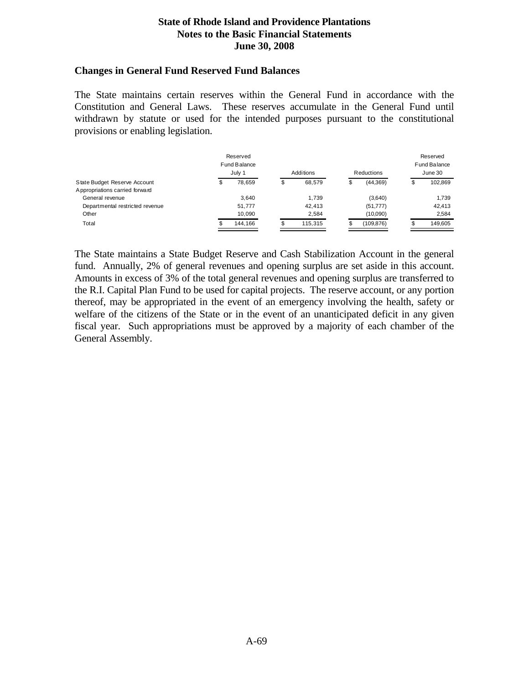#### **Changes in General Fund Reserved Fund Balances**

The State maintains certain reserves within the General Fund in accordance with the Constitution and General Laws. These reserves accumulate in the General Fund until withdrawn by statute or used for the intended purposes pursuant to the constitutional provisions or enabling legislation.

|                                 |   | Reserved<br>Fund Balance<br>July 1 | Additions<br>Reductions |         |    |            | Reserved<br>Fund Balance<br>June 30 |         |  |
|---------------------------------|---|------------------------------------|-------------------------|---------|----|------------|-------------------------------------|---------|--|
| State Budget Reserve Account    | S | 78.659                             | œ<br>Φ                  | 68.579  | \$ | (44, 369)  | Φ                                   | 102.869 |  |
| Appropriations carried forward  |   |                                    |                         |         |    |            |                                     |         |  |
| General revenue                 |   | 3.640                              |                         | 1.739   |    | (3,640)    |                                     | 1.739   |  |
| Departmental restricted revenue |   | 51.777                             |                         | 42.413  |    | (51, 777)  |                                     | 42.413  |  |
| Other                           |   | 10.090                             |                         | 2.584   |    | (10,090)   |                                     | 2.584   |  |
| Total                           |   | 144.166                            | œ<br>æ                  | 115.315 |    | (109, 876) |                                     | 149.605 |  |

The State maintains a State Budget Reserve and Cash Stabilization Account in the general fund. Annually, 2% of general revenues and opening surplus are set aside in this account. Amounts in excess of 3% of the total general revenues and opening surplus are transferred to the R.I. Capital Plan Fund to be used for capital projects. The reserve account, or any portion thereof, may be appropriated in the event of an emergency involving the health, safety or welfare of the citizens of the State or in the event of an unanticipated deficit in any given fiscal year. Such appropriations must be approved by a majority of each chamber of the General Assembly.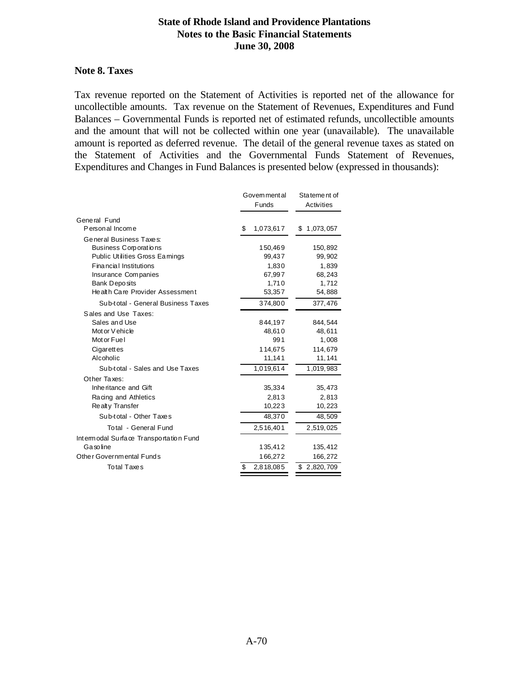#### **Note 8. Taxes**

Tax revenue reported on the Statement of Activities is reported net of the allowance for uncollectible amounts. Tax revenue on the Statement of Revenues, Expenditures and Fund Balances – Governmental Funds is reported net of estimated refunds, uncollectible amounts and the amount that will not be collected within one year (unavailable). The unavailable amount is reported as deferred revenue. The detail of the general revenue taxes as stated on the Statement of Activities and the Governmental Funds Statement of Revenues, Expenditures and Changes in Fund Balances is presented below (expressed in thousands):

|                                        | Govem ment al   |           |        | Statement of |  |  |
|----------------------------------------|-----------------|-----------|--------|--------------|--|--|
|                                        | Funds           |           |        | Activities   |  |  |
| General Fund                           |                 |           |        |              |  |  |
| Personal Income                        | \$              | 1,073,617 | \$     | 1,073,057    |  |  |
| General Business Taxes:                |                 |           |        |              |  |  |
| Business Corporations                  |                 | 150,469   |        | 150,892      |  |  |
| <b>Public Utilities Gross Eamings</b>  |                 | 99,437    |        | 99,902       |  |  |
| <b>Financial Institutions</b>          |                 | 1,830     |        | 1,839        |  |  |
| Insurance Companies                    |                 | 67,997    |        | 68,243       |  |  |
| <b>Bank Deposits</b>                   |                 | 1,710     |        | 1,712        |  |  |
| Health Care Provider Assessment        |                 | 53,357    | 54,888 |              |  |  |
| Sub-total - General Business Taxes     |                 | 374,800   |        | 377,476      |  |  |
| Sales and Use Taxes:                   |                 |           |        |              |  |  |
| Sales and Use                          |                 | 844,197   |        | 844,544      |  |  |
| Mot or V ehicle                        |                 | 48,610    |        | 48,611       |  |  |
| Mot or Fuel                            |                 | 991       |        | 1,008        |  |  |
| Cigarettes                             |                 | 114,675   |        | 114,679      |  |  |
| Alcoholic                              |                 | 11,141    |        | 11, 141      |  |  |
| Sub-total - Sales and Use Taxes        |                 | 1,019,614 |        | 1,019,983    |  |  |
| Other Taxes:                           |                 |           |        |              |  |  |
| Inheritance and Gift                   |                 | 35,334    |        | 35,473       |  |  |
| Racing and Athletics                   |                 | 2,813     |        | 2,813        |  |  |
| Realty Transfer                        |                 | 10,223    |        | 10,223       |  |  |
| Sub-total - Other Taxes                |                 | 48,370    |        | 48,509       |  |  |
| Total - General Fund                   | 2,516,401       |           |        | 2,519,025    |  |  |
| Intermodal Surface Transportation Fund |                 |           |        |              |  |  |
| Gasoline                               |                 | 135,412   |        | 135,412      |  |  |
| Other Governmental Funds               |                 | 166,272   |        | 166,272      |  |  |
| <b>Total Taxes</b>                     | \$<br>2,818,085 |           |        | \$2,820,709  |  |  |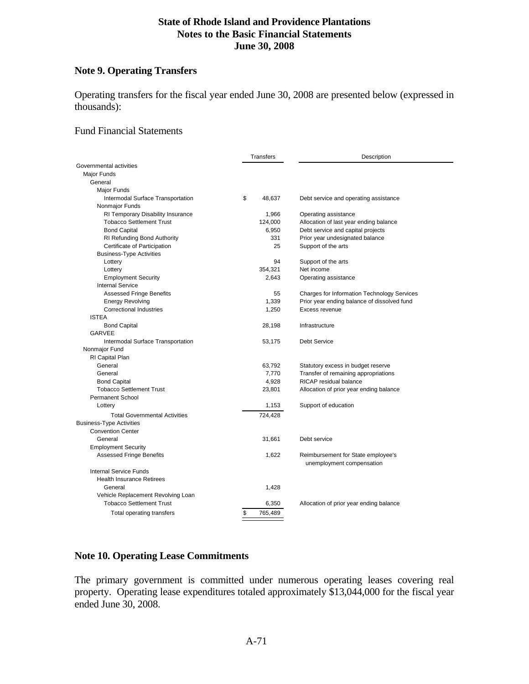## **Note 9. Operating Transfers**

Operating transfers for the fiscal year ended June 30, 2008 are presented below (expressed in thousands):

#### Fund Financial Statements

|                                      | Transfers     | Description                                        |
|--------------------------------------|---------------|----------------------------------------------------|
| Governmental activities              |               |                                                    |
| Major Funds                          |               |                                                    |
| General                              |               |                                                    |
| Major Funds                          |               |                                                    |
| Intermodal Surface Transportation    | \$<br>48,637  | Debt service and operating assistance              |
| Nonmajor Funds                       |               |                                                    |
| RI Temporary Disability Insurance    | 1,966         | Operating assistance                               |
| <b>Tobacco Settlement Trust</b>      | 124,000       | Allocation of last year ending balance             |
| <b>Bond Capital</b>                  | 6,950         | Debt service and capital projects                  |
| RI Refunding Bond Authority          | 331           | Prior year undesignated balance                    |
| Certificate of Participation         | 25            | Support of the arts                                |
| <b>Business-Type Activities</b>      |               |                                                    |
| Lottery                              | 94            | Support of the arts                                |
| Lottery                              | 354,321       | Net income                                         |
| <b>Employment Security</b>           | 2,643         | Operating assistance                               |
| <b>Internal Service</b>              |               |                                                    |
| <b>Assessed Fringe Benefits</b>      | 55            | <b>Charges for Information Technology Services</b> |
| <b>Energy Revolving</b>              | 1,339         | Prior year ending balance of dissolved fund        |
| <b>Correctional Industries</b>       | 1,250         | Excess revenue                                     |
| <b>ISTEA</b>                         |               |                                                    |
| <b>Bond Capital</b>                  | 28,198        | Infrastructure                                     |
| <b>GARVEE</b>                        |               |                                                    |
| Intermodal Surface Transportation    | 53,175        | <b>Debt Service</b>                                |
| Nonmajor Fund                        |               |                                                    |
| RI Capital Plan                      |               |                                                    |
| General                              | 63,792        | Statutory excess in budget reserve                 |
| General                              | 7,770         | Transfer of remaining appropriations               |
| <b>Bond Capital</b>                  | 4,928         | RICAP residual balance                             |
| <b>Tobacco Settlement Trust</b>      | 23,801        | Allocation of prior year ending balance            |
| <b>Permanent School</b>              |               |                                                    |
| Lottery                              | 1,153         | Support of education                               |
| <b>Total Governmental Activities</b> | 724,428       |                                                    |
| <b>Business-Type Activities</b>      |               |                                                    |
| <b>Convention Center</b>             |               |                                                    |
| General                              | 31,661        | Debt service                                       |
| <b>Employment Security</b>           |               |                                                    |
| <b>Assessed Fringe Benefits</b>      | 1,622         | Reimbursement for State employee's                 |
|                                      |               | unemployment compensation                          |
| <b>Internal Service Funds</b>        |               |                                                    |
| <b>Health Insurance Retirees</b>     |               |                                                    |
| General                              | 1,428         |                                                    |
| Vehicle Replacement Revolving Loan   |               |                                                    |
| <b>Tobacco Settlement Trust</b>      | 6,350         | Allocation of prior year ending balance            |
| Total operating transfers            | \$<br>765,489 |                                                    |
|                                      |               |                                                    |

## **Note 10. Operating Lease Commitments**

The primary government is committed under numerous operating leases covering real property. Operating lease expenditures totaled approximately \$13,044,000 for the fiscal year ended June 30, 2008.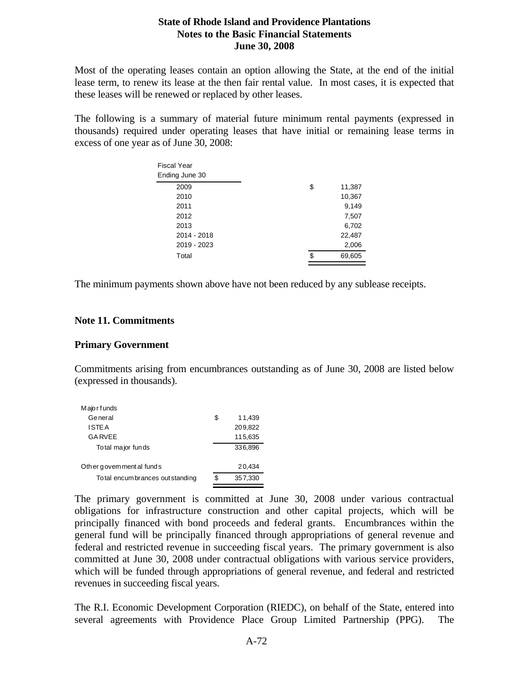Most of the operating leases contain an option allowing the State, at the end of the initial lease term, to renew its lease at the then fair rental value. In most cases, it is expected that these leases will be renewed or replaced by other leases.

The following is a summary of material future minimum rental payments (expressed in thousands) required under operating leases that have initial or remaining lease terms in excess of one year as of June 30, 2008:

| Fiscal Year    |    |        |
|----------------|----|--------|
| Ending June 30 |    |        |
| 2009           | \$ | 11,387 |
| 2010           |    | 10,367 |
| 2011           |    | 9,149  |
| 2012           |    | 7,507  |
| 2013           |    | 6,702  |
| 2014 - 2018    |    | 22,487 |
| 2019 - 2023    |    | 2,006  |
| Total          |    | 69,605 |
|                |    |        |

The minimum payments shown above have not been reduced by any sublease receipts.

#### **Note 11. Commitments**

#### **Primary Government**

Commitments arising from encumbrances outstanding as of June 30, 2008 are listed below (expressed in thousands).

| Majorfunds                       |    |         |
|----------------------------------|----|---------|
| General                          | S  | 11,439  |
| ISTE A                           |    | 209,822 |
| <b>GARVEE</b>                    |    | 115,635 |
| To tal major funds               |    | 336,896 |
|                                  |    |         |
| Other governmental funds         |    | 20,434  |
| To tal encumbrances out standing | \$ | 357,330 |
|                                  |    |         |

The primary government is committed at June 30, 2008 under various contractual obligations for infrastructure construction and other capital projects, which will be principally financed with bond proceeds and federal grants. Encumbrances within the general fund will be principally financed through appropriations of general revenue and federal and restricted revenue in succeeding fiscal years. The primary government is also committed at June 30, 2008 under contractual obligations with various service providers, which will be funded through appropriations of general revenue, and federal and restricted revenues in succeeding fiscal years.

The R.I. Economic Development Corporation (RIEDC), on behalf of the State, entered into several agreements with Providence Place Group Limited Partnership (PPG). The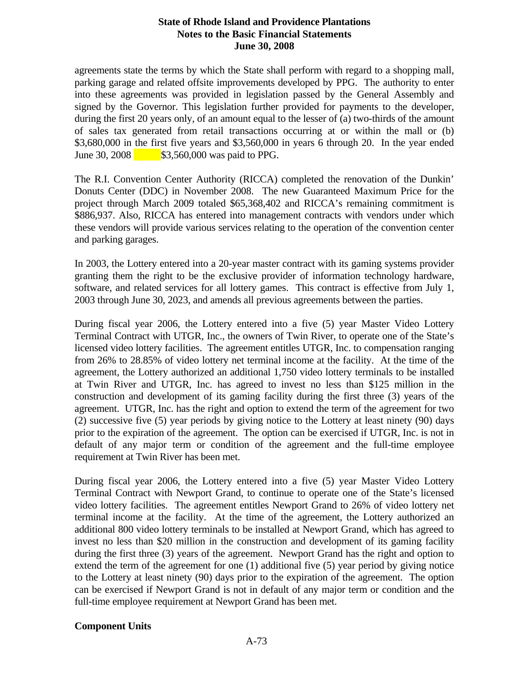agreements state the terms by which the State shall perform with regard to a shopping mall, parking garage and related offsite improvements developed by PPG. The authority to enter into these agreements was provided in legislation passed by the General Assembly and signed by the Governor. This legislation further provided for payments to the developer, during the first 20 years only, of an amount equal to the lesser of (a) two-thirds of the amount of sales tax generated from retail transactions occurring at or within the mall or (b) \$3,680,000 in the first five years and \$3,560,000 in years 6 through 20. In the year ended June 30, 2008 \$3,560,000 was paid to PPG.

The R.I. Convention Center Authority (RICCA) completed the renovation of the Dunkin' Donuts Center (DDC) in November 2008. The new Guaranteed Maximum Price for the project through March 2009 totaled \$65,368,402 and RICCA's remaining commitment is \$886,937. Also, RICCA has entered into management contracts with vendors under which these vendors will provide various services relating to the operation of the convention center and parking garages.

In 2003, the Lottery entered into a 20-year master contract with its gaming systems provider granting them the right to be the exclusive provider of information technology hardware, software, and related services for all lottery games. This contract is effective from July 1, 2003 through June 30, 2023, and amends all previous agreements between the parties.

During fiscal year 2006, the Lottery entered into a five (5) year Master Video Lottery Terminal Contract with UTGR, Inc., the owners of Twin River, to operate one of the State's licensed video lottery facilities. The agreement entitles UTGR, Inc. to compensation ranging from 26% to 28.85% of video lottery net terminal income at the facility. At the time of the agreement, the Lottery authorized an additional 1,750 video lottery terminals to be installed at Twin River and UTGR, Inc. has agreed to invest no less than \$125 million in the construction and development of its gaming facility during the first three (3) years of the agreement. UTGR, Inc. has the right and option to extend the term of the agreement for two (2) successive five (5) year periods by giving notice to the Lottery at least ninety (90) days prior to the expiration of the agreement. The option can be exercised if UTGR, Inc. is not in default of any major term or condition of the agreement and the full-time employee requirement at Twin River has been met.

During fiscal year 2006, the Lottery entered into a five (5) year Master Video Lottery Terminal Contract with Newport Grand, to continue to operate one of the State's licensed video lottery facilities. The agreement entitles Newport Grand to 26% of video lottery net terminal income at the facility. At the time of the agreement, the Lottery authorized an additional 800 video lottery terminals to be installed at Newport Grand, which has agreed to invest no less than \$20 million in the construction and development of its gaming facility during the first three (3) years of the agreement. Newport Grand has the right and option to extend the term of the agreement for one (1) additional five (5) year period by giving notice to the Lottery at least ninety (90) days prior to the expiration of the agreement. The option can be exercised if Newport Grand is not in default of any major term or condition and the full-time employee requirement at Newport Grand has been met.

### **Component Units**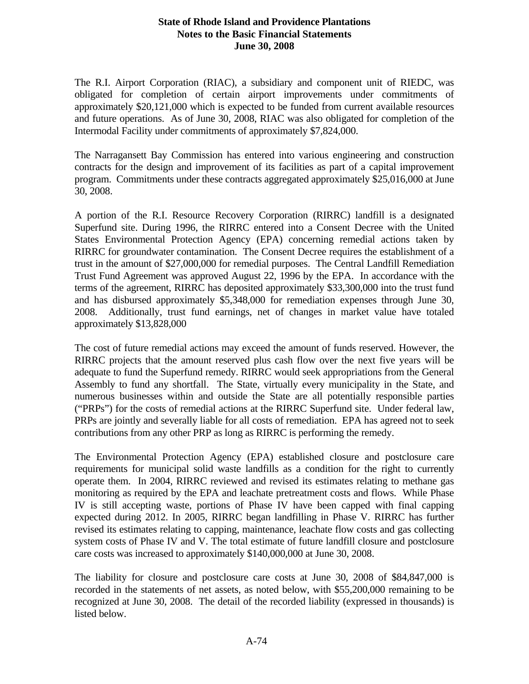The R.I. Airport Corporation (RIAC), a subsidiary and component unit of RIEDC, was obligated for completion of certain airport improvements under commitments of approximately \$20,121,000 which is expected to be funded from current available resources and future operations. As of June 30, 2008, RIAC was also obligated for completion of the Intermodal Facility under commitments of approximately \$7,824,000.

The Narragansett Bay Commission has entered into various engineering and construction contracts for the design and improvement of its facilities as part of a capital improvement program. Commitments under these contracts aggregated approximately \$25,016,000 at June 30, 2008.

A portion of the R.I. Resource Recovery Corporation (RIRRC) landfill is a designated Superfund site. During 1996, the RIRRC entered into a Consent Decree with the United States Environmental Protection Agency (EPA) concerning remedial actions taken by RIRRC for groundwater contamination. The Consent Decree requires the establishment of a trust in the amount of \$27,000,000 for remedial purposes. The Central Landfill Remediation Trust Fund Agreement was approved August 22, 1996 by the EPA. In accordance with the terms of the agreement, RIRRC has deposited approximately \$33,300,000 into the trust fund and has disbursed approximately \$5,348,000 for remediation expenses through June 30, 2008. Additionally, trust fund earnings, net of changes in market value have totaled approximately \$13,828,000

The cost of future remedial actions may exceed the amount of funds reserved. However, the RIRRC projects that the amount reserved plus cash flow over the next five years will be adequate to fund the Superfund remedy. RIRRC would seek appropriations from the General Assembly to fund any shortfall. The State, virtually every municipality in the State, and numerous businesses within and outside the State are all potentially responsible parties ("PRPs") for the costs of remedial actions at the RIRRC Superfund site. Under federal law, PRPs are jointly and severally liable for all costs of remediation. EPA has agreed not to seek contributions from any other PRP as long as RIRRC is performing the remedy.

The Environmental Protection Agency (EPA) established closure and postclosure care requirements for municipal solid waste landfills as a condition for the right to currently operate them. In 2004, RIRRC reviewed and revised its estimates relating to methane gas monitoring as required by the EPA and leachate pretreatment costs and flows. While Phase IV is still accepting waste, portions of Phase IV have been capped with final capping expected during 2012. In 2005, RIRRC began landfilling in Phase V. RIRRC has further revised its estimates relating to capping, maintenance, leachate flow costs and gas collecting system costs of Phase IV and V. The total estimate of future landfill closure and postclosure care costs was increased to approximately \$140,000,000 at June 30, 2008.

The liability for closure and postclosure care costs at June 30, 2008 of \$84,847,000 is recorded in the statements of net assets, as noted below, with \$55,200,000 remaining to be recognized at June 30, 2008. The detail of the recorded liability (expressed in thousands) is listed below.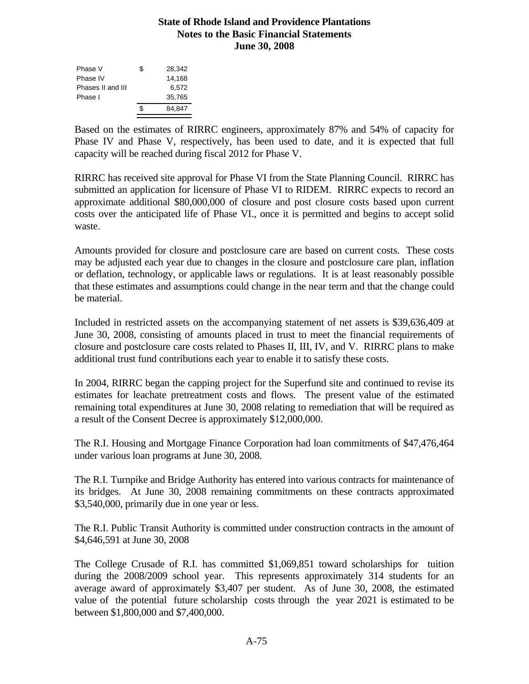| Phase V           | S  | 28,342 |
|-------------------|----|--------|
| Phase IV          |    | 14,168 |
| Phases II and III |    | 6.572  |
| Phase I           |    | 35,765 |
|                   | \$ | 84.847 |
|                   |    |        |

Based on the estimates of RIRRC engineers, approximately 87% and 54% of capacity for Phase IV and Phase V, respectively, has been used to date, and it is expected that full capacity will be reached during fiscal 2012 for Phase V.

RIRRC has received site approval for Phase VI from the State Planning Council. RIRRC has submitted an application for licensure of Phase VI to RIDEM. RIRRC expects to record an approximate additional \$80,000,000 of closure and post closure costs based upon current costs over the anticipated life of Phase VI., once it is permitted and begins to accept solid waste.

Amounts provided for closure and postclosure care are based on current costs. These costs may be adjusted each year due to changes in the closure and postclosure care plan, inflation or deflation, technology, or applicable laws or regulations. It is at least reasonably possible that these estimates and assumptions could change in the near term and that the change could be material.

Included in restricted assets on the accompanying statement of net assets is \$39,636,409 at June 30, 2008, consisting of amounts placed in trust to meet the financial requirements of closure and postclosure care costs related to Phases II, III, IV, and V. RIRRC plans to make additional trust fund contributions each year to enable it to satisfy these costs.

In 2004, RIRRC began the capping project for the Superfund site and continued to revise its estimates for leachate pretreatment costs and flows. The present value of the estimated remaining total expenditures at June 30, 2008 relating to remediation that will be required as a result of the Consent Decree is approximately \$12,000,000.

The R.I. Housing and Mortgage Finance Corporation had loan commitments of \$47,476,464 under various loan programs at June 30, 2008.

The R.I. Turnpike and Bridge Authority has entered into various contracts for maintenance of its bridges. At June 30, 2008 remaining commitments on these contracts approximated \$3,540,000, primarily due in one year or less.

The R.I. Public Transit Authority is committed under construction contracts in the amount of \$4,646,591 at June 30, 2008

The College Crusade of R.I. has committed \$1,069,851 toward scholarships for tuition during the 2008/2009 school year. This represents approximately 314 students for an average award of approximately \$3,407 per student. As of June 30, 2008, the estimated value of the potential future scholarship costs through the year 2021 is estimated to be between \$1,800,000 and \$7,400,000.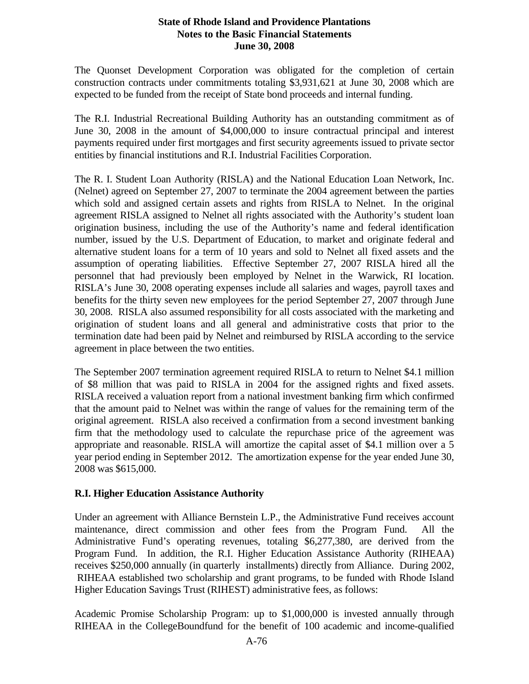The Quonset Development Corporation was obligated for the completion of certain construction contracts under commitments totaling \$3,931,621 at June 30, 2008 which are expected to be funded from the receipt of State bond proceeds and internal funding.

The R.I. Industrial Recreational Building Authority has an outstanding commitment as of June 30, 2008 in the amount of \$4,000,000 to insure contractual principal and interest payments required under first mortgages and first security agreements issued to private sector entities by financial institutions and R.I. Industrial Facilities Corporation.

The R. I. Student Loan Authority (RISLA) and the National Education Loan Network, Inc. (Nelnet) agreed on September 27, 2007 to terminate the 2004 agreement between the parties which sold and assigned certain assets and rights from RISLA to Nelnet. In the original agreement RISLA assigned to Nelnet all rights associated with the Authority's student loan origination business, including the use of the Authority's name and federal identification number, issued by the U.S. Department of Education, to market and originate federal and alternative student loans for a term of 10 years and sold to Nelnet all fixed assets and the assumption of operating liabilities. Effective September 27, 2007 RISLA hired all the personnel that had previously been employed by Nelnet in the Warwick, RI location. RISLA's June 30, 2008 operating expenses include all salaries and wages, payroll taxes and benefits for the thirty seven new employees for the period September 27, 2007 through June 30, 2008. RISLA also assumed responsibility for all costs associated with the marketing and origination of student loans and all general and administrative costs that prior to the termination date had been paid by Nelnet and reimbursed by RISLA according to the service agreement in place between the two entities.

The September 2007 termination agreement required RISLA to return to Nelnet \$4.1 million of \$8 million that was paid to RISLA in 2004 for the assigned rights and fixed assets. RISLA received a valuation report from a national investment banking firm which confirmed that the amount paid to Nelnet was within the range of values for the remaining term of the original agreement. RISLA also received a confirmation from a second investment banking firm that the methodology used to calculate the repurchase price of the agreement was appropriate and reasonable. RISLA will amortize the capital asset of \$4.1 million over a 5 year period ending in September 2012. The amortization expense for the year ended June 30, 2008 was \$615,000.

# **R.I. Higher Education Assistance Authority**

Under an agreement with Alliance Bernstein L.P., the Administrative Fund receives account maintenance, direct commission and other fees from the Program Fund. All the Administrative Fund's operating revenues, totaling \$6,277,380, are derived from the Program Fund. In addition, the R.I. Higher Education Assistance Authority (RIHEAA) receives \$250,000 annually (in quarterly installments) directly from Alliance. During 2002, RIHEAA established two scholarship and grant programs, to be funded with Rhode Island Higher Education Savings Trust (RIHEST) administrative fees, as follows:

Academic Promise Scholarship Program: up to \$1,000,000 is invested annually through RIHEAA in the CollegeBoundfund for the benefit of 100 academic and income-qualified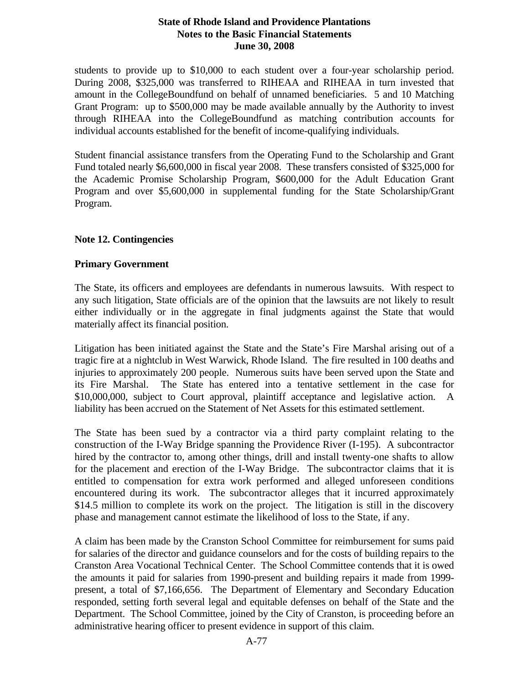students to provide up to \$10,000 to each student over a four-year scholarship period. During 2008, \$325,000 was transferred to RIHEAA and RIHEAA in turn invested that amount in the CollegeBoundfund on behalf of unnamed beneficiaries. 5 and 10 Matching Grant Program: up to \$500,000 may be made available annually by the Authority to invest through RIHEAA into the CollegeBoundfund as matching contribution accounts for individual accounts established for the benefit of income-qualifying individuals.

Student financial assistance transfers from the Operating Fund to the Scholarship and Grant Fund totaled nearly \$6,600,000 in fiscal year 2008. These transfers consisted of \$325,000 for the Academic Promise Scholarship Program, \$600,000 for the Adult Education Grant Program and over \$5,600,000 in supplemental funding for the State Scholarship/Grant Program.

#### **Note 12. Contingencies**

#### **Primary Government**

The State, its officers and employees are defendants in numerous lawsuits. With respect to any such litigation, State officials are of the opinion that the lawsuits are not likely to result either individually or in the aggregate in final judgments against the State that would materially affect its financial position.

Litigation has been initiated against the State and the State's Fire Marshal arising out of a tragic fire at a nightclub in West Warwick, Rhode Island. The fire resulted in 100 deaths and injuries to approximately 200 people. Numerous suits have been served upon the State and its Fire Marshal. The State has entered into a tentative settlement in the case for \$10,000,000, subject to Court approval, plaintiff acceptance and legislative action. A liability has been accrued on the Statement of Net Assets for this estimated settlement.

The State has been sued by a contractor via a third party complaint relating to the construction of the I-Way Bridge spanning the Providence River (I-195). A subcontractor hired by the contractor to, among other things, drill and install twenty-one shafts to allow for the placement and erection of the I-Way Bridge. The subcontractor claims that it is entitled to compensation for extra work performed and alleged unforeseen conditions encountered during its work. The subcontractor alleges that it incurred approximately \$14.5 million to complete its work on the project. The litigation is still in the discovery phase and management cannot estimate the likelihood of loss to the State, if any.

A claim has been made by the Cranston School Committee for reimbursement for sums paid for salaries of the director and guidance counselors and for the costs of building repairs to the Cranston Area Vocational Technical Center. The School Committee contends that it is owed the amounts it paid for salaries from 1990-present and building repairs it made from 1999 present, a total of \$7,166,656. The Department of Elementary and Secondary Education responded, setting forth several legal and equitable defenses on behalf of the State and the Department. The School Committee, joined by the City of Cranston, is proceeding before an administrative hearing officer to present evidence in support of this claim.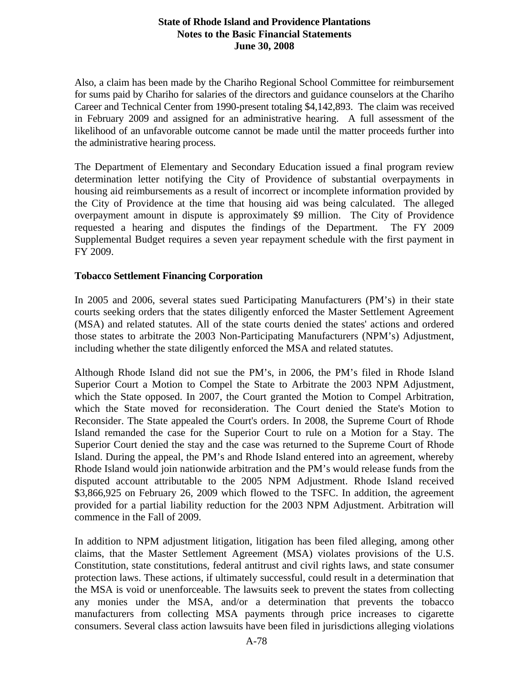Also, a claim has been made by the Chariho Regional School Committee for reimbursement for sums paid by Chariho for salaries of the directors and guidance counselors at the Chariho Career and Technical Center from 1990-present totaling \$4,142,893. The claim was received in February 2009 and assigned for an administrative hearing. A full assessment of the likelihood of an unfavorable outcome cannot be made until the matter proceeds further into the administrative hearing process.

The Department of Elementary and Secondary Education issued a final program review determination letter notifying the City of Providence of substantial overpayments in housing aid reimbursements as a result of incorrect or incomplete information provided by the City of Providence at the time that housing aid was being calculated. The alleged overpayment amount in dispute is approximately \$9 million. The City of Providence requested a hearing and disputes the findings of the Department. The FY 2009 Supplemental Budget requires a seven year repayment schedule with the first payment in FY 2009.

#### **Tobacco Settlement Financing Corporation**

In 2005 and 2006, several states sued Participating Manufacturers (PM's) in their state courts seeking orders that the states diligently enforced the Master Settlement Agreement (MSA) and related statutes. All of the state courts denied the states' actions and ordered those states to arbitrate the 2003 Non-Participating Manufacturers (NPM's) Adjustment, including whether the state diligently enforced the MSA and related statutes.

Although Rhode Island did not sue the PM's, in 2006, the PM's filed in Rhode Island Superior Court a Motion to Compel the State to Arbitrate the 2003 NPM Adjustment, which the State opposed. In 2007, the Court granted the Motion to Compel Arbitration, which the State moved for reconsideration. The Court denied the State's Motion to Reconsider. The State appealed the Court's orders. In 2008, the Supreme Court of Rhode Island remanded the case for the Superior Court to rule on a Motion for a Stay. The Superior Court denied the stay and the case was returned to the Supreme Court of Rhode Island. During the appeal, the PM's and Rhode Island entered into an agreement, whereby Rhode Island would join nationwide arbitration and the PM's would release funds from the disputed account attributable to the 2005 NPM Adjustment. Rhode Island received \$3,866,925 on February 26, 2009 which flowed to the TSFC. In addition, the agreement provided for a partial liability reduction for the 2003 NPM Adjustment. Arbitration will commence in the Fall of 2009.

In addition to NPM adjustment litigation, litigation has been filed alleging, among other claims, that the Master Settlement Agreement (MSA) violates provisions of the U.S. Constitution, state constitutions, federal antitrust and civil rights laws, and state consumer protection laws. These actions, if ultimately successful, could result in a determination that the MSA is void or unenforceable. The lawsuits seek to prevent the states from collecting any monies under the MSA, and/or a determination that prevents the tobacco manufacturers from collecting MSA payments through price increases to cigarette consumers. Several class action lawsuits have been filed in jurisdictions alleging violations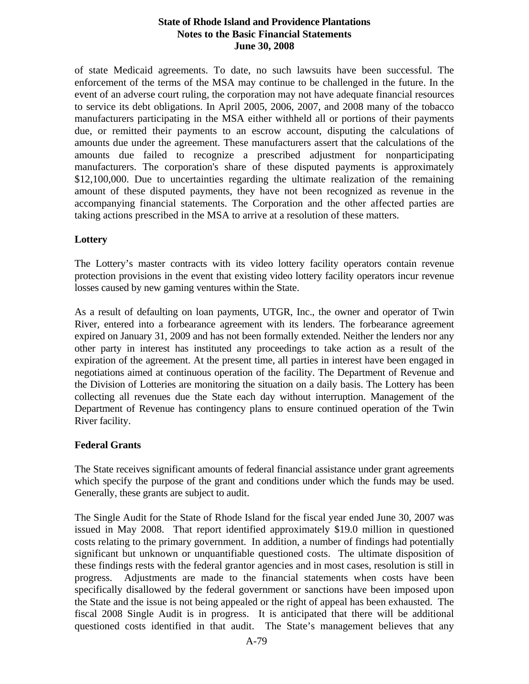of state Medicaid agreements. To date, no such lawsuits have been successful. The enforcement of the terms of the MSA may continue to be challenged in the future. In the event of an adverse court ruling, the corporation may not have adequate financial resources to service its debt obligations. In April 2005, 2006, 2007, and 2008 many of the tobacco manufacturers participating in the MSA either withheld all or portions of their payments due, or remitted their payments to an escrow account, disputing the calculations of amounts due under the agreement. These manufacturers assert that the calculations of the amounts due failed to recognize a prescribed adjustment for nonparticipating manufacturers. The corporation's share of these disputed payments is approximately \$12,100,000. Due to uncertainties regarding the ultimate realization of the remaining amount of these disputed payments, they have not been recognized as revenue in the accompanying financial statements. The Corporation and the other affected parties are taking actions prescribed in the MSA to arrive at a resolution of these matters.

# **Lottery**

The Lottery's master contracts with its video lottery facility operators contain revenue protection provisions in the event that existing video lottery facility operators incur revenue losses caused by new gaming ventures within the State.

As a result of defaulting on loan payments, UTGR, Inc., the owner and operator of Twin River, entered into a forbearance agreement with its lenders. The forbearance agreement expired on January 31, 2009 and has not been formally extended. Neither the lenders nor any other party in interest has instituted any proceedings to take action as a result of the expiration of the agreement. At the present time, all parties in interest have been engaged in negotiations aimed at continuous operation of the facility. The Department of Revenue and the Division of Lotteries are monitoring the situation on a daily basis. The Lottery has been collecting all revenues due the State each day without interruption. Management of the Department of Revenue has contingency plans to ensure continued operation of the Twin River facility.

#### **Federal Grants**

The State receives significant amounts of federal financial assistance under grant agreements which specify the purpose of the grant and conditions under which the funds may be used. Generally, these grants are subject to audit.

The Single Audit for the State of Rhode Island for the fiscal year ended June 30, 2007 was issued in May 2008. That report identified approximately \$19.0 million in questioned costs relating to the primary government. In addition, a number of findings had potentially significant but unknown or unquantifiable questioned costs. The ultimate disposition of these findings rests with the federal grantor agencies and in most cases, resolution is still in progress. Adjustments are made to the financial statements when costs have been specifically disallowed by the federal government or sanctions have been imposed upon the State and the issue is not being appealed or the right of appeal has been exhausted. The fiscal 2008 Single Audit is in progress. It is anticipated that there will be additional questioned costs identified in that audit. The State's management believes that any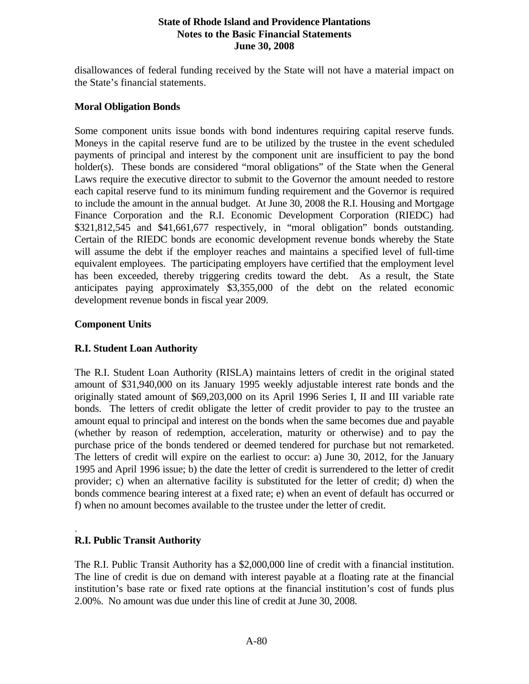disallowances of federal funding received by the State will not have a material impact on the State's financial statements.

#### **Moral Obligation Bonds**

Some component units issue bonds with bond indentures requiring capital reserve funds. Moneys in the capital reserve fund are to be utilized by the trustee in the event scheduled payments of principal and interest by the component unit are insufficient to pay the bond holder(s). These bonds are considered "moral obligations" of the State when the General Laws require the executive director to submit to the Governor the amount needed to restore each capital reserve fund to its minimum funding requirement and the Governor is required to include the amount in the annual budget. At June 30, 2008 the R.I. Housing and Mortgage Finance Corporation and the R.I. Economic Development Corporation (RIEDC) had \$321,812,545 and \$41,661,677 respectively, in "moral obligation" bonds outstanding. Certain of the RIEDC bonds are economic development revenue bonds whereby the State will assume the debt if the employer reaches and maintains a specified level of full-time equivalent employees. The participating employers have certified that the employment level has been exceeded, thereby triggering credits toward the debt. As a result, the State anticipates paying approximately \$3,355,000 of the debt on the related economic development revenue bonds in fiscal year 2009.

#### **Component Units**

# **R.I. Student Loan Authority**

The R.I. Student Loan Authority (RISLA) maintains letters of credit in the original stated amount of \$31,940,000 on its January 1995 weekly adjustable interest rate bonds and the originally stated amount of \$69,203,000 on its April 1996 Series I, II and III variable rate bonds. The letters of credit obligate the letter of credit provider to pay to the trustee an amount equal to principal and interest on the bonds when the same becomes due and payable (whether by reason of redemption, acceleration, maturity or otherwise) and to pay the purchase price of the bonds tendered or deemed tendered for purchase but not remarketed. The letters of credit will expire on the earliest to occur: a) June 30, 2012, for the January 1995 and April 1996 issue; b) the date the letter of credit is surrendered to the letter of credit provider; c) when an alternative facility is substituted for the letter of credit; d) when the bonds commence bearing interest at a fixed rate; e) when an event of default has occurred or f) when no amount becomes available to the trustee under the letter of credit.

# **R.I. Public Transit Authority**

.

The R.I. Public Transit Authority has a \$2,000,000 line of credit with a financial institution. The line of credit is due on demand with interest payable at a floating rate at the financial institution's base rate or fixed rate options at the financial institution's cost of funds plus 2.00%. No amount was due under this line of credit at June 30, 2008.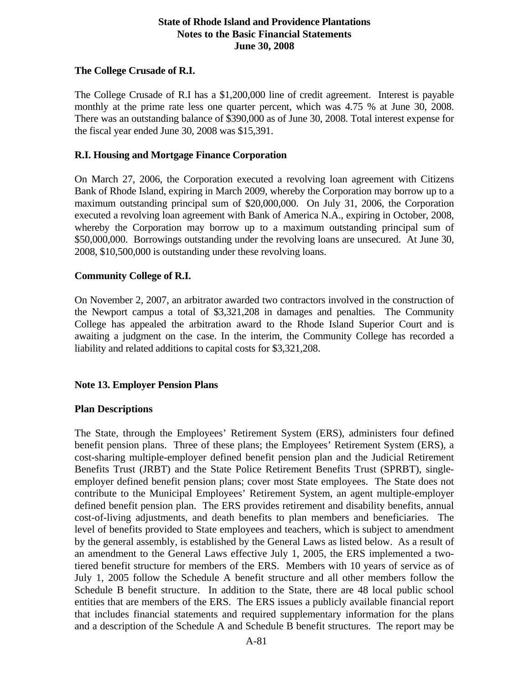## **The College Crusade of R.I.**

The College Crusade of R.I has a \$1,200,000 line of credit agreement. Interest is payable monthly at the prime rate less one quarter percent, which was 4.75 % at June 30, 2008. There was an outstanding balance of \$390,000 as of June 30, 2008. Total interest expense for the fiscal year ended June 30, 2008 was \$15,391.

#### **R.I. Housing and Mortgage Finance Corporation**

On March 27, 2006, the Corporation executed a revolving loan agreement with Citizens Bank of Rhode Island, expiring in March 2009, whereby the Corporation may borrow up to a maximum outstanding principal sum of \$20,000,000. On July 31, 2006, the Corporation executed a revolving loan agreement with Bank of America N.A., expiring in October, 2008, whereby the Corporation may borrow up to a maximum outstanding principal sum of \$50,000,000. Borrowings outstanding under the revolving loans are unsecured. At June 30, 2008, \$10,500,000 is outstanding under these revolving loans.

#### **Community College of R.I.**

On November 2, 2007, an arbitrator awarded two contractors involved in the construction of the Newport campus a total of \$3,321,208 in damages and penalties. The Community College has appealed the arbitration award to the Rhode Island Superior Court and is awaiting a judgment on the case. In the interim, the Community College has recorded a liability and related additions to capital costs for \$3,321,208.

#### **Note 13. Employer Pension Plans**

#### **Plan Descriptions**

The State, through the Employees' Retirement System (ERS), administers four defined benefit pension plans. Three of these plans; the Employees' Retirement System (ERS), a cost-sharing multiple-employer defined benefit pension plan and the Judicial Retirement Benefits Trust (JRBT) and the State Police Retirement Benefits Trust (SPRBT), singleemployer defined benefit pension plans; cover most State employees. The State does not contribute to the Municipal Employees' Retirement System, an agent multiple-employer defined benefit pension plan. The ERS provides retirement and disability benefits, annual cost-of-living adjustments, and death benefits to plan members and beneficiaries. The level of benefits provided to State employees and teachers, which is subject to amendment by the general assembly, is established by the General Laws as listed below. As a result of an amendment to the General Laws effective July 1, 2005, the ERS implemented a twotiered benefit structure for members of the ERS. Members with 10 years of service as of July 1, 2005 follow the Schedule A benefit structure and all other members follow the Schedule B benefit structure. In addition to the State, there are 48 local public school entities that are members of the ERS. The ERS issues a publicly available financial report that includes financial statements and required supplementary information for the plans and a description of the Schedule A and Schedule B benefit structures. The report may be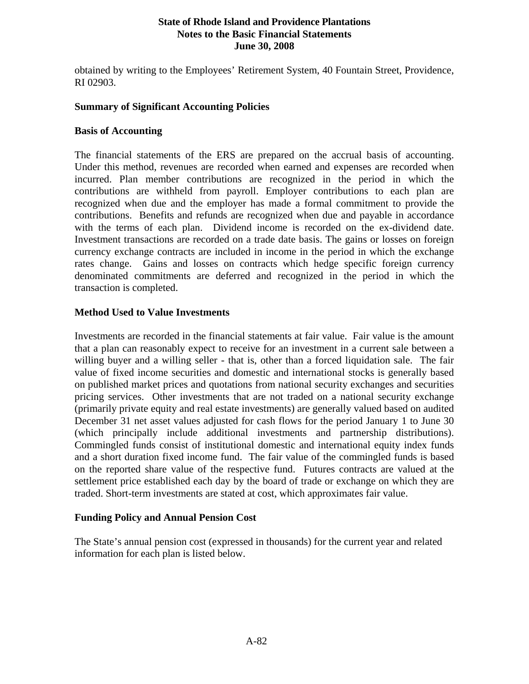obtained by writing to the Employees' Retirement System, 40 Fountain Street, Providence, RI 02903.

#### **Summary of Significant Accounting Policies**

#### **Basis of Accounting**

The financial statements of the ERS are prepared on the accrual basis of accounting. Under this method, revenues are recorded when earned and expenses are recorded when incurred. Plan member contributions are recognized in the period in which the contributions are withheld from payroll. Employer contributions to each plan are recognized when due and the employer has made a formal commitment to provide the contributions. Benefits and refunds are recognized when due and payable in accordance with the terms of each plan. Dividend income is recorded on the ex-dividend date. Investment transactions are recorded on a trade date basis. The gains or losses on foreign currency exchange contracts are included in income in the period in which the exchange rates change. Gains and losses on contracts which hedge specific foreign currency denominated commitments are deferred and recognized in the period in which the transaction is completed.

# **Method Used to Value Investments**

Investments are recorded in the financial statements at fair value. Fair value is the amount that a plan can reasonably expect to receive for an investment in a current sale between a willing buyer and a willing seller - that is, other than a forced liquidation sale. The fair value of fixed income securities and domestic and international stocks is generally based on published market prices and quotations from national security exchanges and securities pricing services. Other investments that are not traded on a national security exchange (primarily private equity and real estate investments) are generally valued based on audited December 31 net asset values adjusted for cash flows for the period January 1 to June 30 (which principally include additional investments and partnership distributions). Commingled funds consist of institutional domestic and international equity index funds and a short duration fixed income fund. The fair value of the commingled funds is based on the reported share value of the respective fund. Futures contracts are valued at the settlement price established each day by the board of trade or exchange on which they are traded. Short-term investments are stated at cost, which approximates fair value.

#### **Funding Policy and Annual Pension Cost**

The State's annual pension cost (expressed in thousands) for the current year and related information for each plan is listed below.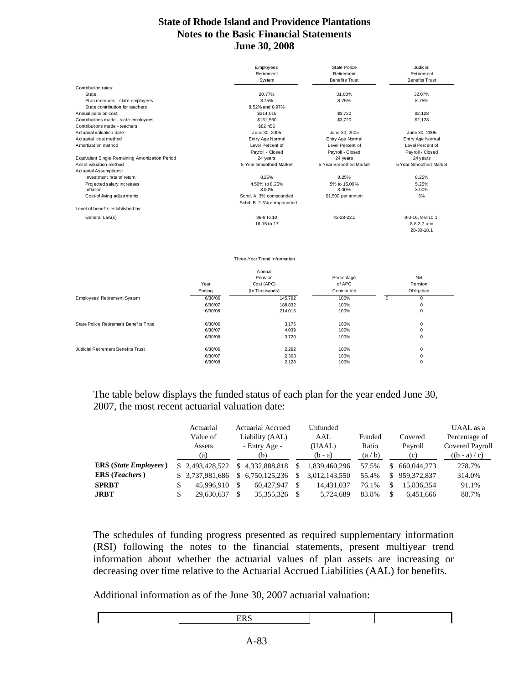|                                                 | Employees'<br>Retirement | State Police<br>Retirement | Judicial<br>Retirement    |
|-------------------------------------------------|--------------------------|----------------------------|---------------------------|
|                                                 | System                   | <b>Benefits Trust</b>      | <b>Benefits Trust</b>     |
| Contribution rates:                             |                          |                            |                           |
| State                                           | 20.77%                   | 31.00%                     | 32.07%                    |
| Plan members - state employees                  | 8.75%                    | 8.75%                      | 8.75%                     |
| State contribution for teachers                 | 8.52% and 8.97%          |                            |                           |
| Annual pension cost                             | \$214,016                | \$3.720                    | \$2.128                   |
| Contributions made - state employees            | \$131,560                | \$3.720                    | \$2,128                   |
| Contributions made - teachers                   | \$82,456                 |                            |                           |
| Actuarial valuation date                        | June 30, 2005            | June 30, 2005              | June 30, 2005             |
| Actuarial cost method                           | Entry Age Normal         | Entry Age Normal           | Entry Age Normal          |
| Amortization method                             | Level Percent of         | Level Percent of           | Level Percent of          |
|                                                 | Payroll - Closed         | Payroll - Closed           | Payroll - Closed          |
| Equivalent Single Remaining Amortization Period | 24 years                 | 24 years                   | 24 years                  |
| Asset valuation method                          | 5 Year Smoothed Market   | 5 Year Smoothed Market     | 5 Year Smoothed Market    |
| Actuarial Assumptions:                          |                          |                            |                           |
| Investment rate of return                       | 8.25%                    | 8.25%                      | 8.25%                     |
| Projected salary increases                      | 4.50% to 8.25%           | 5% to 15.00%               | 5.25%                     |
| Inflation                                       | 3.00%                    | 3.00%                      | 3.00%                     |
| Cost-of-living adjustments                      | Schd. A 3% compounded    | \$1,500 per annum          | 3%                        |
|                                                 | Schd. B 2.5% compounded  |                            |                           |
| Level of benefits established by:               |                          |                            |                           |
| General Law(s)                                  | 36-8 to 10               | 42-28-22.1                 | 8-3-16, 8-8-10.1,         |
|                                                 | 16-15 to 17              |                            | 8-8.2-7 and<br>28-30-18.1 |

#### Three-Year Trend Information

|                                        |         | Annual         |             |   |            |  |
|----------------------------------------|---------|----------------|-------------|---|------------|--|
|                                        |         | Pension        | Percentage  |   | Net        |  |
|                                        | Year    | Cost (APC)     | of APC      |   | Pension    |  |
|                                        | Ending  | (In Thousands) | Contributed |   | Obligation |  |
| Employees' Retirement System           | 6/30/06 | 145,792        | 100%        | S | 0          |  |
|                                        | 6/30/07 | 188,832        | 100%        |   | 0          |  |
|                                        | 6/30/08 | 214,016        | 100%        |   | 0          |  |
| State Police Retirement Benefits Trust | 6/30/06 | 3,175          | 100%        |   | 0          |  |
|                                        | 6/30/07 | 4,039          | 100%        |   | 0          |  |
|                                        | 6/30/08 | 3,720          | 100%        |   | 0          |  |
| Judicial Retirement Benefits Trust     | 6/30/06 | 2,292          | 100%        |   | 0          |  |
|                                        | 6/30/07 | 2,363          | 100%        |   | 0          |  |
|                                        | 6/30/08 | 2,128          | 100%        |   | 0          |  |

The table below displays the funded status of each plan for the year ended June 30, 2007, the most recent actuarial valuation date:

|                                       | Actuarial        |     | Actuarial Accrued |        | Unfunded      |        |         |             | UAAL as a       |
|---------------------------------------|------------------|-----|-------------------|--------|---------------|--------|---------|-------------|-----------------|
|                                       | Value of         |     | Liability (AAL)   | AAL    |               | Funded |         | Covered     | Percentage of   |
|                                       | Assets           |     | - Entry Age -     | (UAAL) |               | Ratio  | Payroll |             | Covered Payroll |
|                                       | (a)              |     | (b)               |        | $(b - a)$     | (a/b)  |         | (c)         | $((b - a) / c)$ |
| <b>ERS</b> ( <i>State Employees</i> ) | \$2.493,428,522  | \$. | 4.332.888.818     | S      | 1.839.460.296 | 57.5%  |         | 660.044.273 | 278.7%          |
| <b>ERS</b> ( <i>Teachers</i> )        | \$ 3.737,981,686 | \$. | 6.750.125.236     | \$     | 3,012,143,550 | 55.4%  | S.      | 959.372.837 | 314.0%          |
| <b>SPRBT</b>                          | 45,996,910       | \$  | 60.427.947        | \$.    | 14.431.037    | 76.1%  |         | 15.836.354  | 91.1%           |
| <b>JRBT</b>                           | 29.630.637       |     | 35, 355, 326      | S      | 5.724,689     | 83.8%  | S       | 6.451.666   | 88.7%           |

The schedules of funding progress presented as required supplementary information (RSI) following the notes to the financial statements, present multiyear trend information about whether the actuarial values of plan assets are increasing or decreasing over time relative to the Actuarial Accrued Liabilities (AAL) for benefits.

Additional information as of the June 30, 2007 actuarial valuation: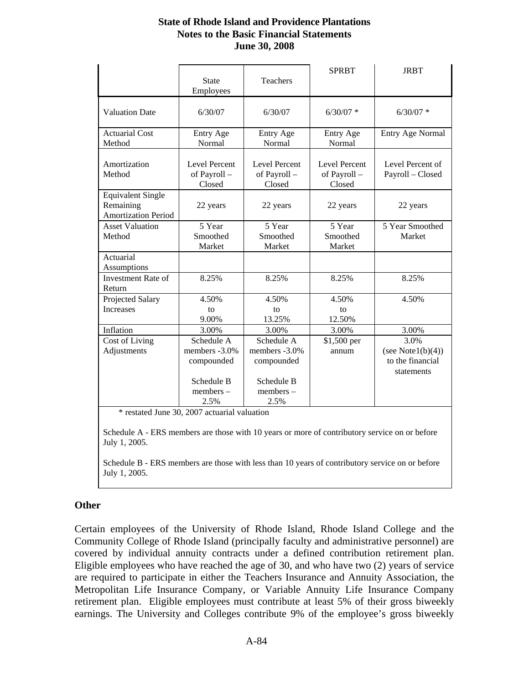|                                                                     | <b>State</b><br>Employees                     | Teachers                                      | <b>SPRBT</b>                                  | <b>JRBT</b>                          |
|---------------------------------------------------------------------|-----------------------------------------------|-----------------------------------------------|-----------------------------------------------|--------------------------------------|
| <b>Valuation Date</b>                                               | 6/30/07                                       | 6/30/07                                       | $6/30/07$ *                                   | $6/30/07$ *                          |
| <b>Actuarial Cost</b>                                               | Entry Age                                     | <b>Entry Age</b>                              | Entry Age                                     | <b>Entry Age Normal</b>              |
| Method                                                              | Normal                                        | Normal                                        | Normal                                        |                                      |
| Amortization<br>Method                                              | <b>Level Percent</b><br>of Payroll-<br>Closed | <b>Level Percent</b><br>of Payroll-<br>Closed | <b>Level Percent</b><br>of Payroll-<br>Closed | Level Percent of<br>Payroll - Closed |
| <b>Equivalent Single</b><br>Remaining<br><b>Amortization Period</b> | 22 years                                      | 22 years                                      | 22 years                                      | 22 years                             |
| <b>Asset Valuation</b>                                              | 5 Year                                        | 5 Year                                        | 5 Year                                        | 5 Year Smoothed                      |
| Method                                                              | Smoothed                                      | Smoothed                                      | Smoothed                                      | Market                               |
|                                                                     | Market                                        | Market                                        | Market                                        |                                      |
| Actuarial<br>Assumptions                                            |                                               |                                               |                                               |                                      |
| Investment Rate of<br>Return                                        | 8.25%                                         | 8.25%                                         | 8.25%                                         | 8.25%                                |
| Projected Salary                                                    | 4.50%                                         | 4.50%                                         | 4.50%                                         | 4.50%                                |
| Increases                                                           | to                                            | to                                            | to                                            |                                      |
|                                                                     | 9.00%                                         | 13.25%                                        | 12.50%                                        |                                      |
| Inflation                                                           | 3.00%                                         | 3.00%                                         | 3.00%                                         | 3.00%                                |
| Cost of Living                                                      | Schedule A                                    | Schedule A                                    | \$1,500 per                                   | 3.0%                                 |
| Adjustments                                                         | members -3.0%                                 | members -3.0%                                 | annum                                         | (see Note $1(b)(4)$ )                |
|                                                                     | compounded                                    | compounded                                    |                                               | to the financial                     |
|                                                                     |                                               |                                               |                                               | statements                           |
|                                                                     | Schedule B                                    | Schedule B                                    |                                               |                                      |
|                                                                     | $members -$                                   | $members -$                                   |                                               |                                      |
|                                                                     | 2.5%                                          | 2.5%                                          |                                               |                                      |

\* restated June 30, 2007 actuarial valuation

Schedule A - ERS members are those with 10 years or more of contributory service on or before July 1, 2005.

Schedule B - ERS members are those with less than 10 years of contributory service on or before July 1, 2005.

#### **Other**

Certain employees of the University of Rhode Island, Rhode Island College and the Community College of Rhode Island (principally faculty and administrative personnel) are covered by individual annuity contracts under a defined contribution retirement plan. Eligible employees who have reached the age of 30, and who have two (2) years of service are required to participate in either the Teachers Insurance and Annuity Association, the Metropolitan Life Insurance Company, or Variable Annuity Life Insurance Company retirement plan. Eligible employees must contribute at least 5% of their gross biweekly earnings. The University and Colleges contribute 9% of the employee's gross biweekly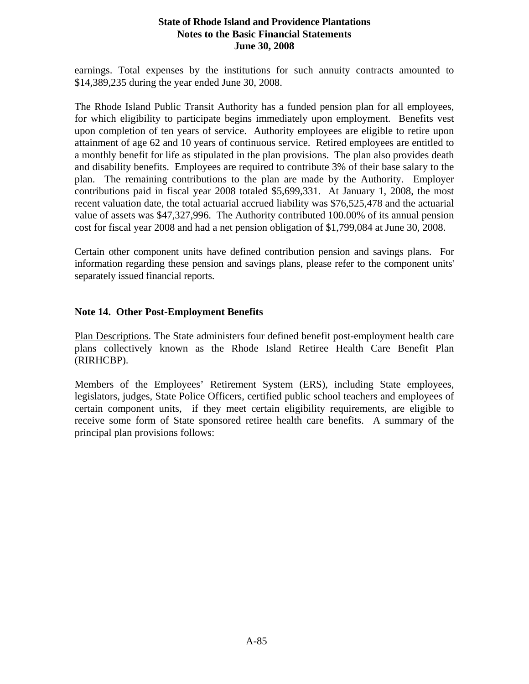earnings. Total expenses by the institutions for such annuity contracts amounted to \$14,389,235 during the year ended June 30, 2008.

The Rhode Island Public Transit Authority has a funded pension plan for all employees, for which eligibility to participate begins immediately upon employment. Benefits vest upon completion of ten years of service. Authority employees are eligible to retire upon attainment of age 62 and 10 years of continuous service. Retired employees are entitled to a monthly benefit for life as stipulated in the plan provisions. The plan also provides death and disability benefits. Employees are required to contribute 3% of their base salary to the plan. The remaining contributions to the plan are made by the Authority. Employer contributions paid in fiscal year 2008 totaled \$5,699,331. At January 1, 2008, the most recent valuation date, the total actuarial accrued liability was \$76,525,478 and the actuarial value of assets was \$47,327,996. The Authority contributed 100.00% of its annual pension cost for fiscal year 2008 and had a net pension obligation of \$1,799,084 at June 30, 2008.

Certain other component units have defined contribution pension and savings plans. For information regarding these pension and savings plans, please refer to the component units' separately issued financial reports.

#### **Note 14. Other Post-Employment Benefits**

Plan Descriptions. The State administers four defined benefit post-employment health care plans collectively known as the Rhode Island Retiree Health Care Benefit Plan (RIRHCBP).

Members of the Employees' Retirement System (ERS), including State employees, legislators, judges, State Police Officers, certified public school teachers and employees of certain component units, if they meet certain eligibility requirements, are eligible to receive some form of State sponsored retiree health care benefits. A summary of the principal plan provisions follows: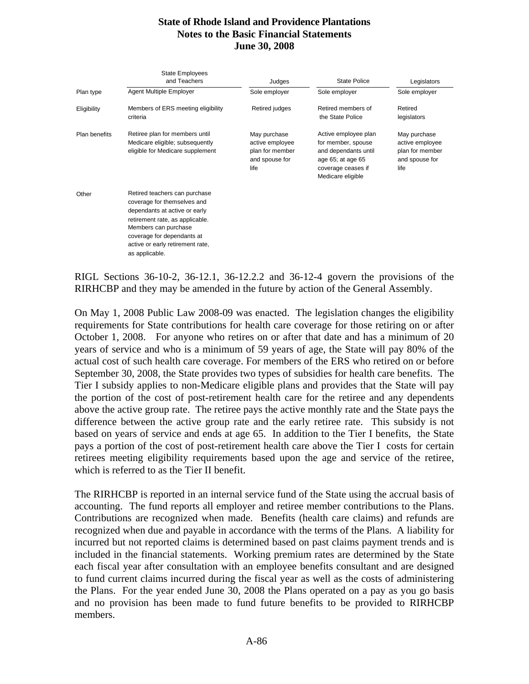|               | <b>State Employees</b><br>and Teachers                                                                                                                                                                                                       | Judges                                                                       | <b>State Police</b>                                                                                                                | Legislators                                                                  |  |  |
|---------------|----------------------------------------------------------------------------------------------------------------------------------------------------------------------------------------------------------------------------------------------|------------------------------------------------------------------------------|------------------------------------------------------------------------------------------------------------------------------------|------------------------------------------------------------------------------|--|--|
| Plan type     | <b>Agent Multiple Employer</b>                                                                                                                                                                                                               | Sole employer                                                                | Sole employer                                                                                                                      | Sole employer                                                                |  |  |
| Eligibility   | Members of ERS meeting eligibility<br>criteria                                                                                                                                                                                               | Retired judges                                                               | Retired members of<br>the State Police                                                                                             | Retired<br>legislators                                                       |  |  |
| Plan benefits | Retiree plan for members until<br>Medicare eligible; subsequently<br>eligible for Medicare supplement                                                                                                                                        | May purchase<br>active employee<br>plan for member<br>and spouse for<br>life | Active employee plan<br>for member, spouse<br>and dependants until<br>age 65; at age 65<br>coverage ceases if<br>Medicare eligible | May purchase<br>active employee<br>plan for member<br>and spouse for<br>life |  |  |
| Other         | Retired teachers can purchase<br>coverage for themselves and<br>dependants at active or early<br>retirement rate, as applicable.<br>Members can purchase<br>coverage for dependants at<br>active or early retirement rate,<br>as applicable. |                                                                              |                                                                                                                                    |                                                                              |  |  |

RIGL Sections 36-10-2, 36-12.1, 36-12.2.2 and 36-12-4 govern the provisions of the RIRHCBP and they may be amended in the future by action of the General Assembly.

On May 1, 2008 Public Law 2008-09 was enacted. The legislation changes the eligibility requirements for State contributions for health care coverage for those retiring on or after October 1, 2008. For anyone who retires on or after that date and has a minimum of 20 years of service and who is a minimum of 59 years of age, the State will pay 80% of the actual cost of such health care coverage. For members of the ERS who retired on or before September 30, 2008, the State provides two types of subsidies for health care benefits. The Tier I subsidy applies to non-Medicare eligible plans and provides that the State will pay the portion of the cost of post-retirement health care for the retiree and any dependents above the active group rate. The retiree pays the active monthly rate and the State pays the difference between the active group rate and the early retiree rate. This subsidy is not based on years of service and ends at age 65. In addition to the Tier I benefits, the State pays a portion of the cost of post-retirement health care above the Tier I costs for certain retirees meeting eligibility requirements based upon the age and service of the retiree, which is referred to as the Tier II benefit.

The RIRHCBP is reported in an internal service fund of the State using the accrual basis of accounting. The fund reports all employer and retiree member contributions to the Plans. Contributions are recognized when made. Benefits (health care claims) and refunds are recognized when due and payable in accordance with the terms of the Plans. A liability for incurred but not reported claims is determined based on past claims payment trends and is included in the financial statements. Working premium rates are determined by the State each fiscal year after consultation with an employee benefits consultant and are designed to fund current claims incurred during the fiscal year as well as the costs of administering the Plans. For the year ended June 30, 2008 the Plans operated on a pay as you go basis and no provision has been made to fund future benefits to be provided to RIRHCBP members.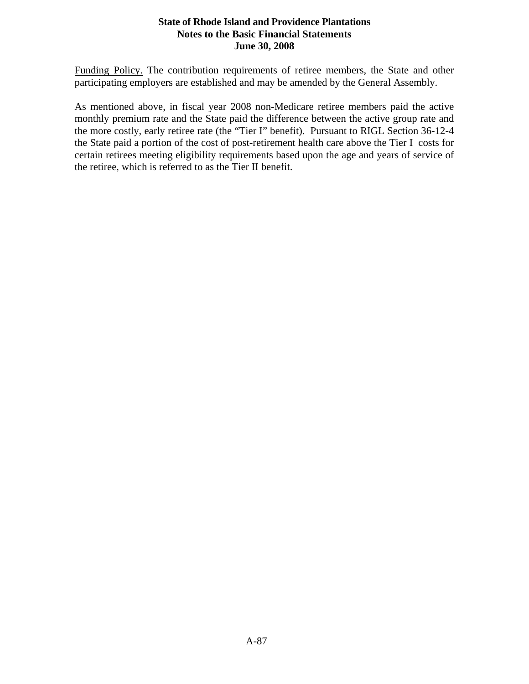Funding Policy. The contribution requirements of retiree members, the State and other participating employers are established and may be amended by the General Assembly.

As mentioned above, in fiscal year 2008 non-Medicare retiree members paid the active monthly premium rate and the State paid the difference between the active group rate and the more costly, early retiree rate (the "Tier I" benefit). Pursuant to RIGL Section 36-12-4 the State paid a portion of the cost of post-retirement health care above the Tier I costs for certain retirees meeting eligibility requirements based upon the age and years of service of the retiree, which is referred to as the Tier II benefit.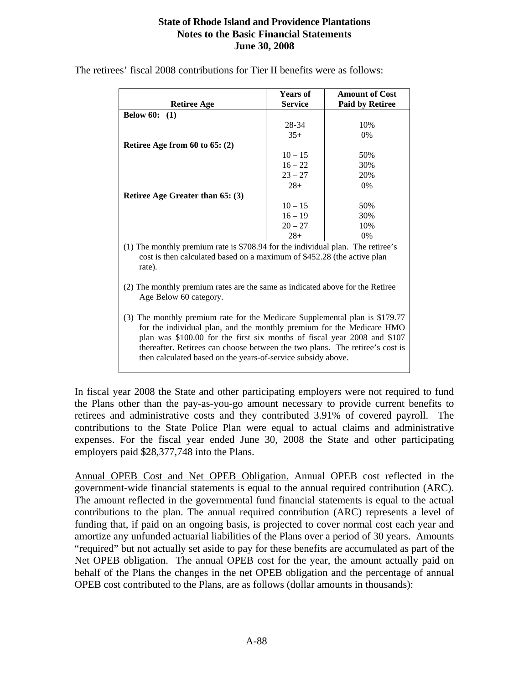| <b>Retiree Age</b>                                                                                                                                                                                                                                                                                                                                                               | <b>Years of</b><br><b>Service</b> | <b>Amount of Cost</b><br><b>Paid by Retiree</b> |  |  |  |  |  |  |
|----------------------------------------------------------------------------------------------------------------------------------------------------------------------------------------------------------------------------------------------------------------------------------------------------------------------------------------------------------------------------------|-----------------------------------|-------------------------------------------------|--|--|--|--|--|--|
| <b>Below 60:</b>                                                                                                                                                                                                                                                                                                                                                                 |                                   |                                                 |  |  |  |  |  |  |
| (1)                                                                                                                                                                                                                                                                                                                                                                              |                                   |                                                 |  |  |  |  |  |  |
|                                                                                                                                                                                                                                                                                                                                                                                  | 28-34                             | 10%                                             |  |  |  |  |  |  |
|                                                                                                                                                                                                                                                                                                                                                                                  | $35+$                             | 0%                                              |  |  |  |  |  |  |
| Retiree Age from $60$ to $65: (2)$                                                                                                                                                                                                                                                                                                                                               |                                   |                                                 |  |  |  |  |  |  |
|                                                                                                                                                                                                                                                                                                                                                                                  | $10 - 15$                         | 50%                                             |  |  |  |  |  |  |
|                                                                                                                                                                                                                                                                                                                                                                                  | $16 - 22$                         | 30%                                             |  |  |  |  |  |  |
|                                                                                                                                                                                                                                                                                                                                                                                  | $23 - 27$                         | 20%                                             |  |  |  |  |  |  |
|                                                                                                                                                                                                                                                                                                                                                                                  | $28+$                             | $0\%$                                           |  |  |  |  |  |  |
| <b>Retiree Age Greater than 65: (3)</b>                                                                                                                                                                                                                                                                                                                                          |                                   |                                                 |  |  |  |  |  |  |
|                                                                                                                                                                                                                                                                                                                                                                                  | $10 - 15$                         | 50%                                             |  |  |  |  |  |  |
|                                                                                                                                                                                                                                                                                                                                                                                  | $16 - 19$                         | 30%                                             |  |  |  |  |  |  |
|                                                                                                                                                                                                                                                                                                                                                                                  | $20 - 27$                         | 10%                                             |  |  |  |  |  |  |
|                                                                                                                                                                                                                                                                                                                                                                                  | $28+$                             | $0\%$                                           |  |  |  |  |  |  |
| (1) The monthly premium rate is \$708.94 for the individual plan. The retiree's<br>cost is then calculated based on a maximum of \$452.28 (the active plan<br>rate).                                                                                                                                                                                                             |                                   |                                                 |  |  |  |  |  |  |
| (2) The monthly premium rates are the same as indicated above for the Retiree<br>Age Below 60 category.                                                                                                                                                                                                                                                                          |                                   |                                                 |  |  |  |  |  |  |
| (3) The monthly premium rate for the Medicare Supplemental plan is \$179.77<br>for the individual plan, and the monthly premium for the Medicare HMO<br>plan was \$100.00 for the first six months of fiscal year 2008 and \$107<br>thereafter. Retirees can choose between the two plans. The retiree's cost is<br>then calculated based on the years-of-service subsidy above. |                                   |                                                 |  |  |  |  |  |  |

The retirees' fiscal 2008 contributions for Tier II benefits were as follows:

In fiscal year 2008 the State and other participating employers were not required to fund the Plans other than the pay-as-you-go amount necessary to provide current benefits to retirees and administrative costs and they contributed 3.91% of covered payroll. The contributions to the State Police Plan were equal to actual claims and administrative expenses. For the fiscal year ended June 30, 2008 the State and other participating employers paid \$28,377,748 into the Plans.

Annual OPEB Cost and Net OPEB Obligation. Annual OPEB cost reflected in the government-wide financial statements is equal to the annual required contribution (ARC). The amount reflected in the governmental fund financial statements is equal to the actual contributions to the plan. The annual required contribution (ARC) represents a level of funding that, if paid on an ongoing basis, is projected to cover normal cost each year and amortize any unfunded actuarial liabilities of the Plans over a period of 30 years. Amounts "required" but not actually set aside to pay for these benefits are accumulated as part of the Net OPEB obligation. The annual OPEB cost for the year, the amount actually paid on behalf of the Plans the changes in the net OPEB obligation and the percentage of annual OPEB cost contributed to the Plans, are as follows (dollar amounts in thousands):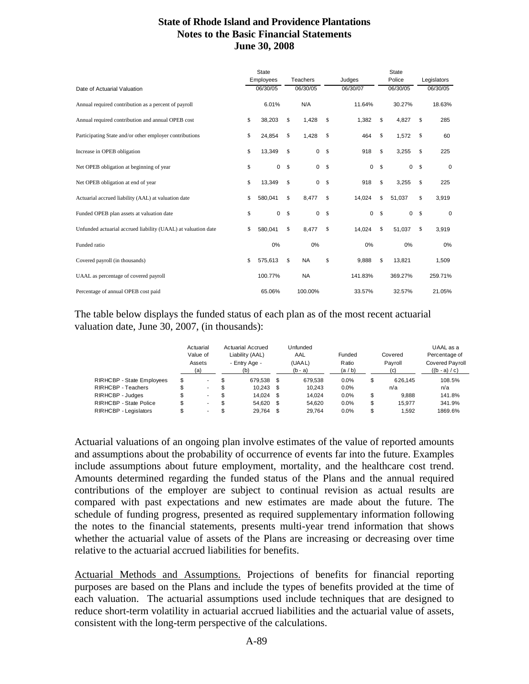|                                                               | State                 |               |           |          |             |        | <b>State</b> |             |             |  |
|---------------------------------------------------------------|-----------------------|---------------|-----------|----------|-------------|--------|--------------|-------------|-------------|--|
|                                                               | Employees<br>Teachers |               |           | Judges   |             | Police |              | Legislators |             |  |
| Date of Actuarial Valuation                                   | 06/30/05              |               | 06/30/05  |          | 06/30/07    |        | 06/30/05     |             | 06/30/05    |  |
| Annual required contribution as a percent of payroll          | 6.01%                 |               | N/A       |          | 11.64%      |        | 30.27%       |             | 18.63%      |  |
| Annual required contribution and annual OPEB cost             | \$<br>38,203          | \$            | 1,428     | S        | 1,382       | \$     | 4,827        | \$          | 285         |  |
| Participating State and/or other employer contributions       | \$<br>24,854          | \$            | 1,428     | S        | 464         | \$     | 1,572        | \$          | 60          |  |
| Increase in OPEB obligation                                   | \$<br>13,349          | \$            | 0         | S        | 918         | \$     | 3,255        | \$          | 225         |  |
| Net OPEB obligation at beginning of year                      | \$<br>0               | -S            | 0         | - S      | 0           | \$     | $\mathbf 0$  | \$          | $\mathbf 0$ |  |
| Net OPEB obligation at end of year                            | \$<br>13,349          | \$            | 0         | -S       | 918         | \$     | 3,255        | \$          | 225         |  |
| Actuarial accrued liability (AAL) at valuation date           | \$<br>580,041         | \$            | 8,477     | S        | 14,024      | \$     | 51,037       | \$          | 3,919       |  |
| Funded OPEB plan assets at valuation date                     | \$<br>0               | <sup>\$</sup> | 0         | <b>S</b> | $\mathbf 0$ | \$     | $\mathbf 0$  | \$          | $\mathbf 0$ |  |
| Unfunded actuarial accrued liability (UAAL) at valuation date | \$<br>580,041         | S             | 8,477     | S        | 14,024      | \$     | 51,037       | \$          | 3,919       |  |
| Funded ratio                                                  | 0%                    |               | 0%        |          | 0%          |        | 0%           |             | 0%          |  |
| Covered payroll (in thousands)                                | \$<br>575,613         | S             | <b>NA</b> | \$       | 9,888       | \$     | 13,821       |             | 1,509       |  |
| UAAL as percentage of covered payroll                         | 100.77%               |               | <b>NA</b> |          | 141.83%     |        | 369.27%      |             | 259.71%     |  |
| Percentage of annual OPEB cost paid                           | 65.06%                |               | 100.00%   |          | 33.57%      |        | 32.57%       |             | 21.05%      |  |

The table below displays the funded status of each plan as of the most recent actuarial valuation date, June 30, 2007, (in thousands):

|                                  | Actuarial<br>Value of<br>Assets<br>(a) |     | Actuarial Accrued<br>Liability (AAL)<br>- Entry Age -<br>(b) | Unfunded<br>AAL<br>(UAAL)<br>$(b - a)$ |         | Funded<br>Ratio<br>(a/b) | Covered<br>Payroll<br>(c) |         | UAAL as a<br>Percentage of<br><b>Covered Payroll</b><br>$((b - a) / c)$ |  |
|----------------------------------|----------------------------------------|-----|--------------------------------------------------------------|----------------------------------------|---------|--------------------------|---------------------------|---------|-------------------------------------------------------------------------|--|
| <b>RIRHCBP - State Employees</b> | \$<br>۰.                               | \$  | 679.538                                                      | S.                                     | 679.538 | 0.0%                     | \$                        | 626.145 | 108.5%                                                                  |  |
| RIRHCBP - Teachers               | ۰.                                     | \$  | $10.243$ \$                                                  |                                        | 10.243  | 0.0%                     |                           | n/a     | n/a                                                                     |  |
| RIRHCBP - Judges                 | \$<br>۰.                               | \$. | 14.024                                                       | S                                      | 14.024  | 0.0%                     | \$                        | 9.888   | 141.8%                                                                  |  |
| RIRHCBP - State Police           | \$<br>۰.                               | \$  | 54.620                                                       | S                                      | 54.620  | 0.0%                     | \$                        | 15.977  | 341.9%                                                                  |  |
| RIRHCBP - Legislators            | ۰.                                     | \$. | 29.764                                                       | S                                      | 29.764  | 0.0%                     | \$                        | 1.592   | 1869.6%                                                                 |  |

Actuarial valuations of an ongoing plan involve estimates of the value of reported amounts and assumptions about the probability of occurrence of events far into the future. Examples include assumptions about future employment, mortality, and the healthcare cost trend. Amounts determined regarding the funded status of the Plans and the annual required contributions of the employer are subject to continual revision as actual results are compared with past expectations and new estimates are made about the future. The schedule of funding progress, presented as required supplementary information following the notes to the financial statements, presents multi-year trend information that shows whether the actuarial value of assets of the Plans are increasing or decreasing over time relative to the actuarial accrued liabilities for benefits.

Actuarial Methods and Assumptions. Projections of benefits for financial reporting purposes are based on the Plans and include the types of benefits provided at the time of each valuation. The actuarial assumptions used include techniques that are designed to reduce short-term volatility in actuarial accrued liabilities and the actuarial value of assets, consistent with the long-term perspective of the calculations.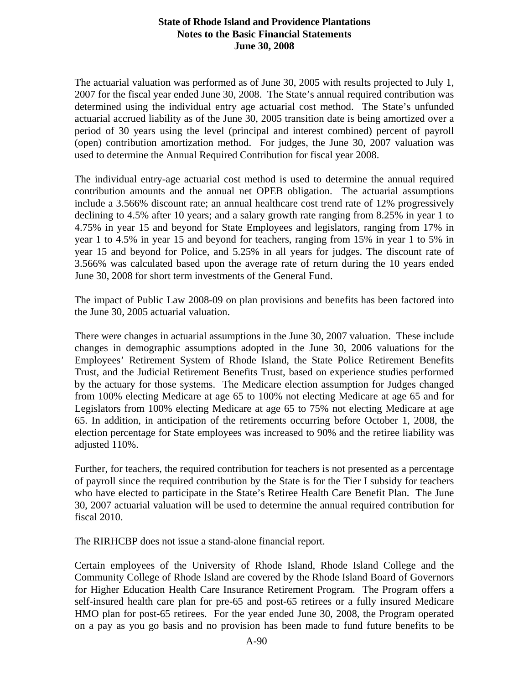The actuarial valuation was performed as of June 30, 2005 with results projected to July 1, 2007 for the fiscal year ended June 30, 2008. The State's annual required contribution was determined using the individual entry age actuarial cost method. The State's unfunded actuarial accrued liability as of the June 30, 2005 transition date is being amortized over a period of 30 years using the level (principal and interest combined) percent of payroll (open) contribution amortization method. For judges, the June 30, 2007 valuation was used to determine the Annual Required Contribution for fiscal year 2008.

The individual entry-age actuarial cost method is used to determine the annual required contribution amounts and the annual net OPEB obligation. The actuarial assumptions include a 3.566% discount rate; an annual healthcare cost trend rate of 12% progressively declining to 4.5% after 10 years; and a salary growth rate ranging from 8.25% in year 1 to 4.75% in year 15 and beyond for State Employees and legislators, ranging from 17% in year 1 to 4.5% in year 15 and beyond for teachers, ranging from 15% in year 1 to 5% in year 15 and beyond for Police, and 5.25% in all years for judges. The discount rate of 3.566% was calculated based upon the average rate of return during the 10 years ended June 30, 2008 for short term investments of the General Fund.

The impact of Public Law 2008-09 on plan provisions and benefits has been factored into the June 30, 2005 actuarial valuation.

There were changes in actuarial assumptions in the June 30, 2007 valuation. These include changes in demographic assumptions adopted in the June 30, 2006 valuations for the Employees' Retirement System of Rhode Island, the State Police Retirement Benefits Trust, and the Judicial Retirement Benefits Trust, based on experience studies performed by the actuary for those systems. The Medicare election assumption for Judges changed from 100% electing Medicare at age 65 to 100% not electing Medicare at age 65 and for Legislators from 100% electing Medicare at age 65 to 75% not electing Medicare at age 65. In addition, in anticipation of the retirements occurring before October 1, 2008, the election percentage for State employees was increased to 90% and the retiree liability was adjusted 110%.

Further, for teachers, the required contribution for teachers is not presented as a percentage of payroll since the required contribution by the State is for the Tier I subsidy for teachers who have elected to participate in the State's Retiree Health Care Benefit Plan. The June 30, 2007 actuarial valuation will be used to determine the annual required contribution for fiscal 2010.

The RIRHCBP does not issue a stand-alone financial report.

Certain employees of the University of Rhode Island, Rhode Island College and the Community College of Rhode Island are covered by the Rhode Island Board of Governors for Higher Education Health Care Insurance Retirement Program. The Program offers a self-insured health care plan for pre-65 and post-65 retirees or a fully insured Medicare HMO plan for post-65 retirees. For the year ended June 30, 2008, the Program operated on a pay as you go basis and no provision has been made to fund future benefits to be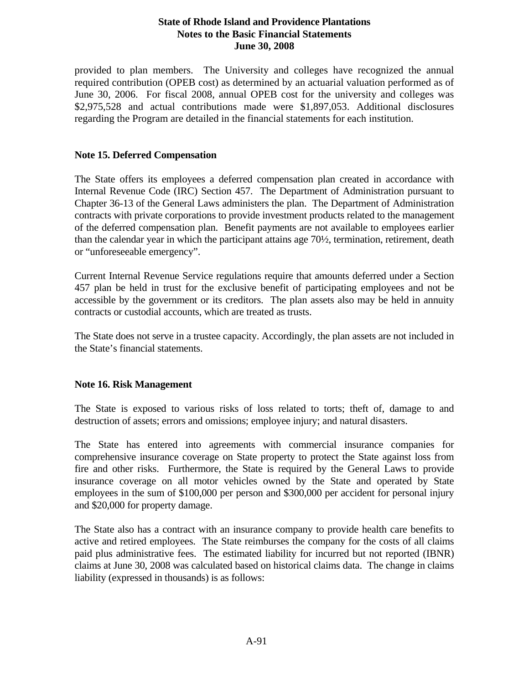provided to plan members. The University and colleges have recognized the annual required contribution (OPEB cost) as determined by an actuarial valuation performed as of June 30, 2006. For fiscal 2008, annual OPEB cost for the university and colleges was \$2,975,528 and actual contributions made were \$1,897,053. Additional disclosures regarding the Program are detailed in the financial statements for each institution.

#### **Note 15. Deferred Compensation**

The State offers its employees a deferred compensation plan created in accordance with Internal Revenue Code (IRC) Section 457. The Department of Administration pursuant to Chapter 36-13 of the General Laws administers the plan. The Department of Administration contracts with private corporations to provide investment products related to the management of the deferred compensation plan. Benefit payments are not available to employees earlier than the calendar year in which the participant attains age 70½, termination, retirement, death or "unforeseeable emergency".

Current Internal Revenue Service regulations require that amounts deferred under a Section 457 plan be held in trust for the exclusive benefit of participating employees and not be accessible by the government or its creditors. The plan assets also may be held in annuity contracts or custodial accounts, which are treated as trusts.

The State does not serve in a trustee capacity. Accordingly, the plan assets are not included in the State's financial statements.

# **Note 16. Risk Management**

The State is exposed to various risks of loss related to torts; theft of, damage to and destruction of assets; errors and omissions; employee injury; and natural disasters.

The State has entered into agreements with commercial insurance companies for comprehensive insurance coverage on State property to protect the State against loss from fire and other risks. Furthermore, the State is required by the General Laws to provide insurance coverage on all motor vehicles owned by the State and operated by State employees in the sum of \$100,000 per person and \$300,000 per accident for personal injury and \$20,000 for property damage.

The State also has a contract with an insurance company to provide health care benefits to active and retired employees. The State reimburses the company for the costs of all claims paid plus administrative fees. The estimated liability for incurred but not reported (IBNR) claims at June 30, 2008 was calculated based on historical claims data. The change in claims liability (expressed in thousands) is as follows: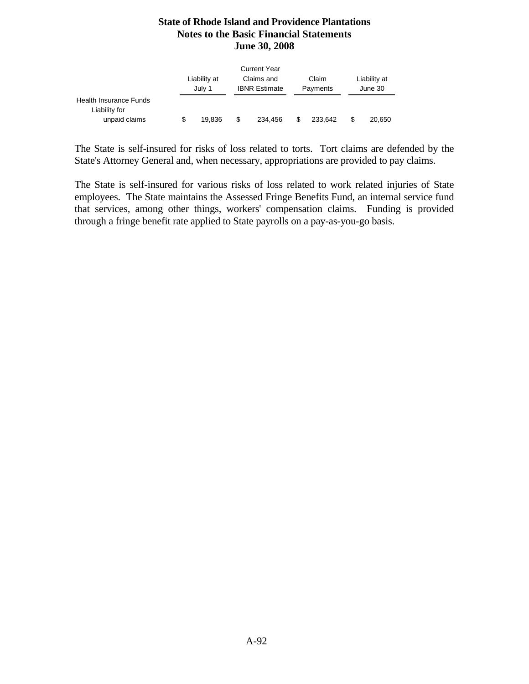|                                                                 |   | Liability at<br>July 1 |   | <b>Current Year</b><br>Claims and<br><b>IBNR Estimate</b> |   | Claim<br>Payments |   | Liability at<br>June 30 |  |  |
|-----------------------------------------------------------------|---|------------------------|---|-----------------------------------------------------------|---|-------------------|---|-------------------------|--|--|
| <b>Health Insurance Funds</b><br>Liability for<br>unpaid claims | S | 19.836                 | S | 234.456                                                   | S | 233.642           | S | 20,650                  |  |  |

The State is self-insured for risks of loss related to torts. Tort claims are defended by the State's Attorney General and, when necessary, appropriations are provided to pay claims.

The State is self-insured for various risks of loss related to work related injuries of State employees. The State maintains the Assessed Fringe Benefits Fund, an internal service fund that services, among other things, workers' compensation claims. Funding is provided through a fringe benefit rate applied to State payrolls on a pay-as-you-go basis.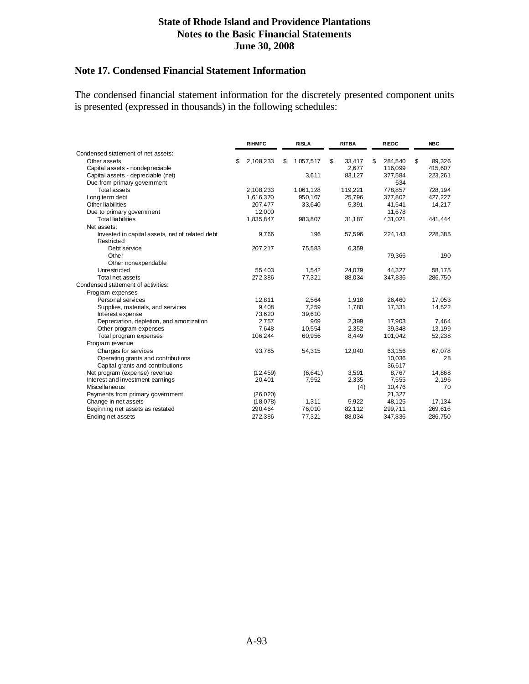# **Note 17. Condensed Financial Statement Information**

The condensed financial statement information for the discretely presented component units is presented (expressed in thousands) in the following schedules:

|                                                               | <b>RIHMFC</b>   |    | <b>RISLA</b> |    | <b>RITBA</b> | <b>RIEDC</b> |         | <b>NBC</b>   |
|---------------------------------------------------------------|-----------------|----|--------------|----|--------------|--------------|---------|--------------|
| Condensed statement of net assets:                            |                 |    |              |    |              |              |         |              |
| Other assets                                                  | \$<br>2,108,233 | \$ | 1,057,517    | \$ | 33,417       | \$.          | 284,540 | \$<br>89,326 |
| Capital assets - nondepreciable                               |                 |    |              |    | 2,677        |              | 116,099 | 415,607      |
| Capital assets - depreciable (net)                            |                 |    | 3,611        |    | 83,127       |              | 377,584 | 223,261      |
| Due from primary government                                   |                 |    |              |    |              |              | 634     |              |
| <b>Total assets</b>                                           | 2,108,233       |    | 1,061,128    |    | 119,221      |              | 778,857 | 728,194      |
| Long term debt                                                | 1,616,370       |    | 950.167      |    | 25.796       |              | 377,802 | 427,227      |
| Other liabilities                                             | 207,477         |    | 33,640       |    | 5,391        |              | 41,541  | 14,217       |
| Due to primary government                                     | 12,000          |    |              |    |              |              | 11,678  |              |
| <b>Total liabilities</b>                                      | 1,835,847       |    | 983,807      |    | 31,187       |              | 431,021 | 441,444      |
| Net assets:                                                   |                 |    |              |    |              |              |         |              |
| Invested in capital assets, net of related debt<br>Restricted | 9,766           |    | 196          |    | 57,596       |              | 224,143 | 228,385      |
| Debt service                                                  | 207,217         |    | 75,583       |    | 6,359        |              |         |              |
| Other                                                         |                 |    |              |    |              |              | 79,366  | 190          |
| Other nonexpendable                                           |                 |    |              |    |              |              |         |              |
| Unrestricted                                                  | 55.403          |    | 1.542        |    | 24.079       |              | 44.327  | 58,175       |
| Total net assets                                              | 272,386         |    | 77,321       |    | 88,034       |              | 347,836 | 286,750      |
| Condensed statement of activities:                            |                 |    |              |    |              |              |         |              |
| Program expenses                                              |                 |    |              |    |              |              |         |              |
| Personal services                                             | 12,811          |    | 2,564        |    | 1,918        |              | 26,460  | 17.053       |
| Supplies, materials, and services                             | 9,408           |    | 7,259        |    | 1,780        |              | 17,331  | 14,522       |
| Interest expense                                              | 73,620          |    | 39,610       |    |              |              |         |              |
| Depreciation, depletion, and amortization                     | 2,757           |    | 969          |    | 2,399        |              | 17,903  | 7,464        |
| Other program expenses                                        | 7,648           |    | 10,554       |    | 2,352        |              | 39,348  | 13,199       |
| Total program expenses                                        | 106,244         |    | 60,956       |    | 8,449        |              | 101,042 | 52,238       |
| Program revenue                                               |                 |    |              |    |              |              |         |              |
| Charges for services                                          | 93,785          |    | 54,315       |    | 12,040       |              | 63,156  | 67,078       |
| Operating grants and contributions                            |                 |    |              |    |              |              | 10,036  | 28           |
| Capital grants and contributions                              |                 |    |              |    |              |              | 36,617  |              |
| Net program (expense) revenue                                 | (12, 459)       |    | (6,641)      |    | 3,591        |              | 8,767   | 14,868       |
| Interest and investment earnings                              | 20,401          |    | 7,952        |    | 2,335        |              | 7,555   | 2,196        |
| Miscellaneous                                                 |                 |    |              |    | (4)          |              | 10,476  | 70           |
| Payments from primary government                              | (26, 020)       |    |              |    |              |              | 21,327  |              |
| Change in net assets                                          | (18,078)        |    | 1.311        |    | 5,922        |              | 48,125  | 17,134       |
| Beginning net assets as restated                              | 290,464         |    | 76,010       |    | 82,112       |              | 299,711 | 269,616      |
| Ending net assets                                             | 272,386         |    | 77,321       |    | 88,034       |              | 347,836 | 286,750      |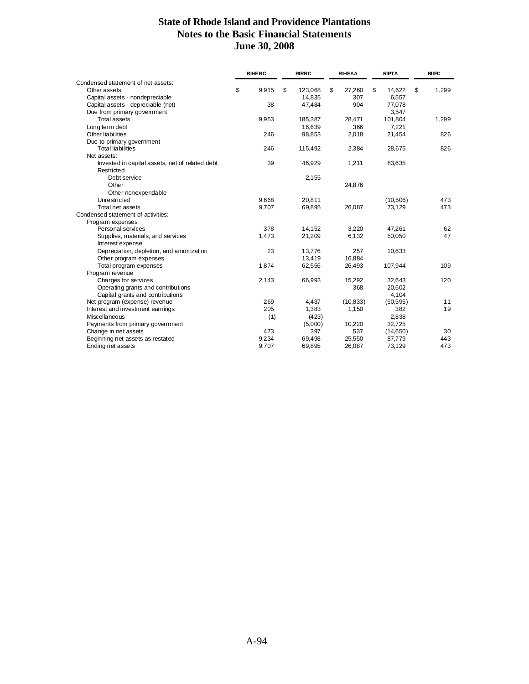|                                                               | <b>RIHEBC</b> | <b>RIRRC</b>  | <b>RIHEAA</b> | <b>RIPTA</b> | <b>RIIFC</b> |
|---------------------------------------------------------------|---------------|---------------|---------------|--------------|--------------|
| Condensed statement of net assets:                            |               |               |               |              |              |
| Other assets                                                  | \$<br>9,915   | \$<br>123.068 | \$<br>27,260  | \$<br>14.622 | \$<br>1,299  |
| Capital assets - nondepreciable                               |               | 14,835        | 307           | 6,557        |              |
| Capital assets - depreciable (net)                            | 38            | 47,484        | 904           | 77,078       |              |
| Due from primary government                                   |               |               |               | 3,547        |              |
| <b>Total assets</b>                                           | 9,953         | 185,387       | 28,471        | 101,804      | 1,299        |
| Long term debt                                                |               | 16,639        | 366           | 7,221        |              |
| Other liabilities                                             | 246           | 98,853        | 2,018         | 21,454       | 826          |
| Due to primary government                                     |               |               |               |              |              |
| <b>Total liabilities</b>                                      | 246           | 115,492       | 2,384         | 28,675       | 826          |
| Net assets:                                                   |               |               |               |              |              |
| Invested in capital assets, net of related debt<br>Restricted | 39            | 46,929        | 1,211         | 83,635       |              |
| Debt service                                                  |               | 2,155         |               |              |              |
| Other                                                         |               |               | 24,876        |              |              |
| Other nonexpendable                                           |               |               |               |              |              |
| Unrestricted                                                  | 9,668         | 20,811        |               | (10, 506)    | 473          |
| Total net assets                                              | 9,707         | 69,895        | 26,087        | 73,129       | 473          |
| Condensed statement of activities:                            |               |               |               |              |              |
| Program expenses                                              |               |               |               |              |              |
| Personal services                                             | 378           | 14,152        | 3,220         | 47,261       | 62           |
| Supplies, materials, and services                             | 1,473         | 21,209        | 6,132         | 50,050       | 47           |
| Interest expense                                              |               |               |               |              |              |
| Depreciation, depletion, and amortization                     | 23            | 13,776        | 257           | 10,633       |              |
| Other program expenses                                        |               | 13,419        | 16,884        |              |              |
| Total program expenses                                        | 1,874         | 62,556        | 26,493        | 107,944      | 109          |
| Program revenue                                               |               |               |               |              |              |
| Charges for services                                          | 2,143         | 66,993        | 15,292        | 32,643       | 120          |
| Operating grants and contributions                            |               |               | 368           | 20,602       |              |
| Capital grants and contributions                              |               |               |               | 4,104        |              |
| Net program (expense) revenue                                 | 269           | 4,437         | (10, 833)     | (50, 595)    | 11           |
| Interest and investment earnings                              | 205           | 1,383         | 1,150         | 382          | 19           |
| Miscellaneous                                                 | (1)           | (423)         |               | 2,838        |              |
| Payments from primary government                              |               | (5,000)       | 10,220        | 32,725       |              |
| Change in net assets                                          | 473           | 397           | 537           | (14,650)     | 30           |
| Beginning net assets as restated                              | 9,234         | 69,498        | 25,550        | 87,779       | 443          |
| Ending net assets                                             | 9,707         | 69,895        | 26,087        | 73,129       | 473          |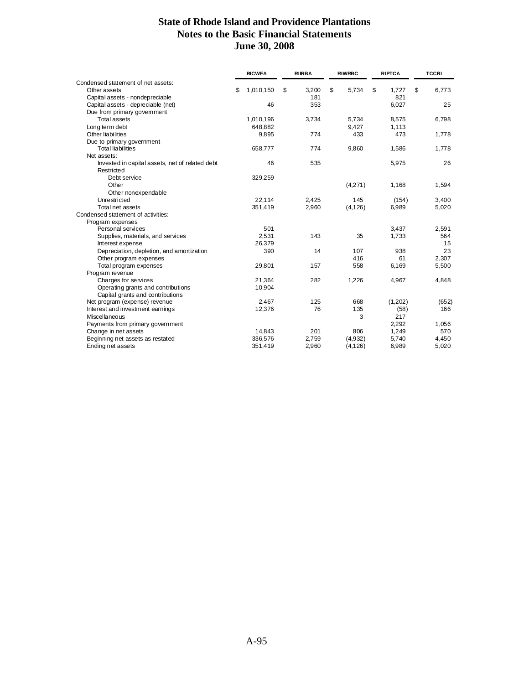|                                                 | <b>RICWFA</b> |           | <b>RIIRBA</b> | <b>RIWRBC</b> | <b>RIPTCA</b> | <b>TCCRI</b> |
|-------------------------------------------------|---------------|-----------|---------------|---------------|---------------|--------------|
| Condensed statement of net assets:              |               |           |               |               |               |              |
| Other assets                                    | \$            | 1,010,150 | \$<br>3,200   | \$<br>5,734   | \$<br>1,727   | \$<br>6,773  |
| Capital assets - nondepreciable                 |               |           | 181           |               | 821           |              |
| Capital assets - depreciable (net)              |               | 46        | 353           |               | 6,027         | 25           |
| Due from primary government                     |               |           |               |               |               |              |
| <b>Total assets</b>                             |               | 1,010,196 | 3,734         | 5,734         | 8,575         | 6,798        |
| Long term debt                                  |               | 648.882   |               | 9.427         | 1.113         |              |
| Other liabilities                               |               | 9,895     | 774           | 433           | 473           | 1,778        |
| Due to primary government                       |               |           |               |               |               |              |
| <b>Total liabilities</b>                        |               | 658,777   | 774           | 9,860         | 1,586         | 1,778        |
| Net assets:                                     |               |           |               |               |               |              |
| Invested in capital assets, net of related debt |               | 46        | 535           |               | 5,975         | 26           |
| Restricted                                      |               |           |               |               |               |              |
| Debt service                                    |               | 329,259   |               |               |               |              |
| Other                                           |               |           |               | (4,271)       | 1,168         | 1,594        |
| Other nonexpendable                             |               |           |               |               |               |              |
| Unrestricted                                    |               | 22.114    | 2,425         | 145           | (154)         | 3,400        |
| Total net assets                                |               | 351,419   | 2,960         | (4, 126)      | 6,989         | 5,020        |
| Condensed statement of activities:              |               |           |               |               |               |              |
| Program expenses                                |               |           |               |               |               |              |
| Personal services                               |               | 501       |               |               | 3,437         | 2,591        |
| Supplies, materials, and services               |               | 2,531     | 143           | 35            | 1,733         | 564          |
| Interest expense                                |               | 26,379    |               |               |               | 15           |
| Depreciation, depletion, and amortization       |               | 390       | 14            | 107           | 938           | 23           |
| Other program expenses                          |               |           |               | 416           | 61            | 2,307        |
| Total program expenses                          |               | 29,801    | 157           | 558           | 6,169         | 5,500        |
| Program revenue                                 |               |           |               |               |               |              |
| Charges for services                            |               | 21.364    | 282           | 1.226         | 4,967         | 4,848        |
| Operating grants and contributions              |               | 10,904    |               |               |               |              |
| Capital grants and contributions                |               |           |               |               |               |              |
| Net program (expense) revenue                   |               | 2,467     | 125           | 668           | (1,202)       | (652)        |
| Interest and investment earnings                |               | 12,376    | 76            | 135           | (58)          | 166          |
| Miscellaneous                                   |               |           |               | 3             | 217           |              |
| Payments from primary government                |               |           |               |               | 2,292         | 1,056        |
| Change in net assets                            |               | 14,843    | 201           | 806           | 1,249         | 570          |
| Beginning net assets as restated                |               | 336.576   | 2,759         | (4,932)       | 5,740         | 4,450        |
| Ending net assets                               |               | 351,419   | 2,960         | (4, 126)      | 6,989         | 5,020        |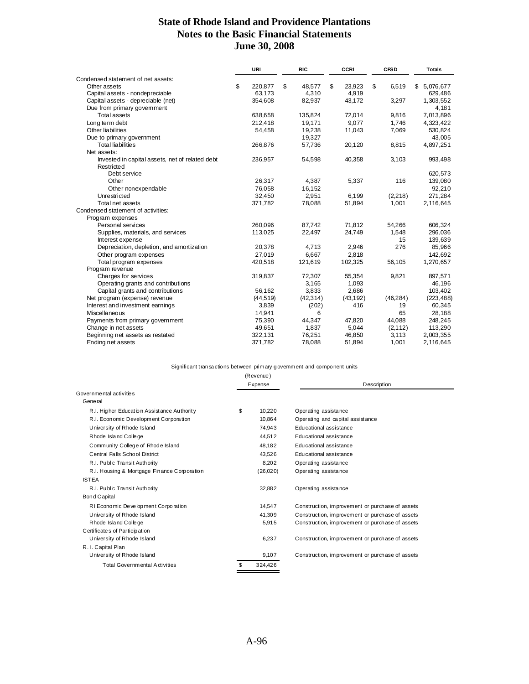|                                                               | URI           | <b>RIC</b>   | <b>CCRI</b>  | <b>CFSD</b> | <b>Totals</b>  |
|---------------------------------------------------------------|---------------|--------------|--------------|-------------|----------------|
| Condensed statement of net assets:                            |               |              |              |             |                |
| Other assets                                                  | \$<br>220,877 | \$<br>48,577 | \$<br>23,923 | \$<br>6,519 | 5,076,677<br>S |
| Capital assets - nondepreciable                               | 63,173        | 4,310        | 4,919        |             | 629,486        |
| Capital assets - depreciable (net)                            | 354,608       | 82,937       | 43,172       | 3,297       | 1,303,552      |
| Due from primary government                                   |               |              |              |             | 4,181          |
| <b>Total assets</b>                                           | 638,658       | 135,824      | 72,014       | 9,816       | 7,013,896      |
| Long term debt                                                | 212,418       | 19,171       | 9.077        | 1,746       | 4,323,422      |
| Other liabilities                                             | 54,458        | 19,238       | 11,043       | 7,069       | 530,824        |
| Due to primary government                                     |               | 19.327       |              |             | 43,005         |
| <b>Total liabilities</b>                                      | 266,876       | 57,736       | 20,120       | 8,815       | 4,897,251      |
| Net assets:                                                   |               |              |              |             |                |
| Invested in capital assets, net of related debt<br>Restricted | 236,957       | 54,598       | 40,358       | 3,103       | 993,498        |
| Debt service                                                  |               |              |              |             | 620,573        |
| Other                                                         | 26,317        | 4,387        | 5,337        | 116         | 139,080        |
| Other nonexpendable                                           | 76,058        | 16,152       |              |             | 92,210         |
| Unrestricted                                                  | 32,450        | 2,951        | 6,199        | (2, 218)    | 271,284        |
| Total net assets                                              | 371,782       | 78,088       | 51,894       | 1.001       | 2,116,645      |
| Condensed statement of activities:                            |               |              |              |             |                |
| Program expenses                                              |               |              |              |             |                |
| Personal services                                             | 260.096       | 87,742       | 71,812       | 54,266      | 606,324        |
| Supplies, materials, and services                             | 113,025       | 22,497       | 24,749       | 1,548       | 296,036        |
| Interest expense                                              |               |              |              | 15          | 139,639        |
| Depreciation, depletion, and amortization                     | 20,378        | 4,713        | 2,946        | 276         | 85,966         |
| Other program expenses                                        | 27,019        | 6,667        | 2,818        |             | 142,692        |
| Total program expenses                                        | 420,518       | 121,619      | 102,325      | 56,105      | 1,270,657      |
| Program revenue                                               |               |              |              |             |                |
| Charges for services                                          | 319,837       | 72,307       | 55,354       | 9,821       | 897,571        |
| Operating grants and contributions                            |               | 3,165        | 1,093        |             | 46,196         |
| Capital grants and contributions                              | 56,162        | 3,833        | 2,686        |             | 103,402        |
| Net program (expense) revenue                                 | (44, 519)     | (42, 314)    | (43, 192)    | (46, 284)   | (223, 488)     |
| Interest and investment earnings                              | 3,839         | (202)        | 416          | 19          | 60,345         |
| Miscellaneous                                                 | 14,941        | 6            |              | 65          | 28,188         |
| Payments from primary government                              | 75,390        | 44,347       | 47,820       | 44,088      | 248,245        |
| Change in net assets                                          | 49,651        | 1,837        | 5,044        | (2, 112)    | 113,290        |
| Beginning net assets as restated                              | 322,131       | 76,251       | 46,850       | 3,113       | 2,003,355      |
| Ending net assets                                             | 371,782       | 78,088       | 51,894       | 1,001       | 2,116,645      |

#### Significant transactions between primary government and component units

|                                             | (Revenue)     |                                                 |
|---------------------------------------------|---------------|-------------------------------------------------|
|                                             | Expense       | Description                                     |
| Governmental activities                     |               |                                                 |
| General                                     |               |                                                 |
| R.I. Higher Education Assistance Authority  | \$<br>10.220  | Operating assistance                            |
| R.I. Economic Development Corporation       | 10,864        | Operating and capital assistance                |
| University of Rhode Island                  | 74,943        | Educational assistance                          |
| Rhode Island College                        | 44.512        | Educational assistance                          |
| Community College of Rhode Island           | 48.182        | Educational assistance                          |
| Central Falls School District               | 43,526        | Educational assistance                          |
| R.I. Public Transit Authority               | 8.202         | Operating assistance                            |
| R.I. Housing & Mortgage Finance Corporation | (26,020)      | Operating assistance                            |
| <b>ISTEA</b>                                |               |                                                 |
| R.I. Public Transit Authority               | 32.882        | Operating assistance                            |
| Bond Capital                                |               |                                                 |
| RI Economic De velopment Corporation        | 14,547        | Construction, improvement or purchase of assets |
| University of Rhode Island                  | 41,309        | Construction, improvement or purchase of assets |
| Rhode Island College                        | 5,915         | Construction, improvement or purchase of assets |
| Certificates of Participation               |               |                                                 |
| University of Rhode Island                  | 6,237         | Construction, improvement or purchase of assets |
| R. I. Capital Plan                          |               |                                                 |
| University of Rhode Island                  | 9.107         | Construction, improvement or purchase of assets |
| Total Governmental Activities               | \$<br>324.426 |                                                 |
|                                             |               |                                                 |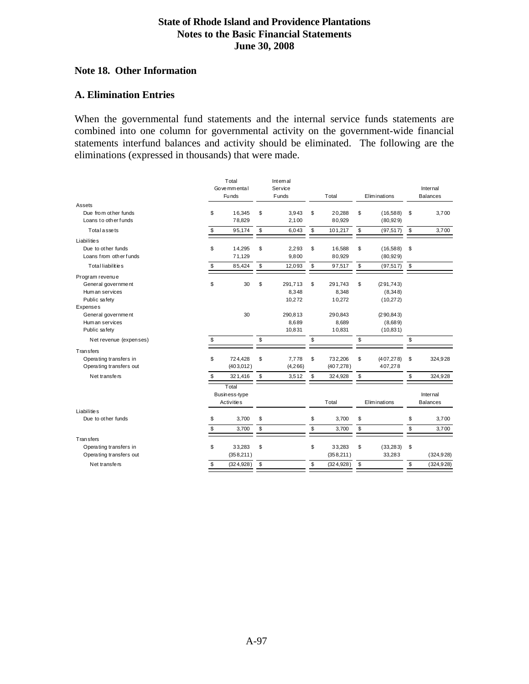#### **Note 18. Other Information**

#### **A. Elimination Entries**

When the governmental fund statements and the internal service funds statements are combined into one column for governmental activity on the government-wide financial statements interfund balances and activity should be eliminated. The following are the eliminations (expressed in thousands) that were made.

|                         | Total<br>Go ve mm enta l<br><b>Funds</b> | Internal<br>Service<br>Funds | Total            | Eliminations     | Internal<br><b>Balances</b> |
|-------------------------|------------------------------------------|------------------------------|------------------|------------------|-----------------------------|
| Assets                  |                                          |                              |                  |                  |                             |
| Due from other funds    | \$<br>16,345                             | \$<br>3.943                  | \$<br>20.288     | \$<br>(16,588)   | \$<br>3,700                 |
| Loans to other funds    | 78,829                                   | 2,100                        | 80,929           | (80, 929)        |                             |
| Totalassets             | \$<br>95,174                             | \$<br>6,043                  | \$<br>101,217    | \$<br>(97, 517)  | \$<br>3,700                 |
| <b>Liabilities</b>      |                                          |                              |                  |                  |                             |
| Due to other funds      | \$<br>14,295                             | \$<br>2,293                  | \$<br>16,588     | \$<br>(16,588)   | \$                          |
| Loans from other funds  | 71,129                                   | 9,800                        | 80,929           | (80, 929)        |                             |
| Totalliabilities        | \$<br>85,424                             | \$<br>12,093                 | \$<br>97,517     | \$<br>(97, 517)  | \$                          |
| Program revenue         |                                          |                              |                  |                  |                             |
| General government      | \$<br>30                                 | \$<br>291,713                | \$<br>291,743    | \$<br>(291, 743) |                             |
| Hum an services         |                                          | 8,348                        | 8,348            | (8,348)          |                             |
| Public safety           |                                          | 10,272                       | 10,272           | (10, 272)        |                             |
| <b>Expenses</b>         |                                          |                              |                  |                  |                             |
| General government      | 30                                       | 290,813                      | 290,843          | (290, 843)       |                             |
| Human services          |                                          | 8,689                        | 8,689            | (8,689)          |                             |
| Public safety           |                                          | 10,831                       | 10,831           | (10, 831)        |                             |
| Net revenue (expenses)  | \$                                       | \$                           | \$               | \$               | \$                          |
| <b>Transfers</b>        |                                          |                              |                  |                  |                             |
| Operating transfers in  | \$<br>724,428                            | \$<br>7,778                  | \$<br>732,206    | \$<br>(407, 278) | \$<br>324,928               |
| Operating transfers out | (403, 012)                               | (4, 266)                     | (407, 278)       | 407,278          |                             |
| Net transfers           | \$<br>321,416                            | \$<br>3,512                  | \$<br>324,928    | \$               | \$<br>324,928               |
|                         | Total                                    |                              |                  |                  |                             |
|                         | Business-type                            |                              |                  |                  | Internal                    |
|                         | Activitie <sub>s</sub>                   |                              | Total            | Eliminations     | <b>Balances</b>             |
| <b>Liabilities</b>      |                                          |                              |                  |                  |                             |
| Due to other funds      | \$<br>3,700                              | \$                           | \$<br>3,700      | \$               | \$<br>3,700                 |
|                         | \$<br>3,700                              | \$                           | \$<br>3,700      | \$               | \$<br>3,700                 |
| <b>Transfers</b>        |                                          |                              |                  |                  |                             |
| Operating transfers in  | \$<br>33,283                             | \$                           | \$<br>33,283     | \$<br>(33, 283)  | \$                          |
| Operating transfers out | (358, 211)                               |                              | (358, 211)       | 33,283           | (324, 928)                  |
| Net transfers           | \$<br>(324, 928)                         | \$                           | \$<br>(324, 928) | \$               | \$<br>(324, 928)            |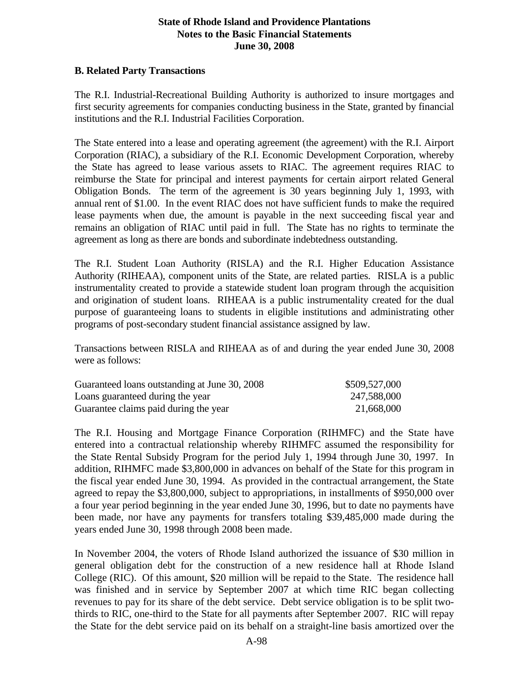#### **B. Related Party Transactions**

The R.I. Industrial-Recreational Building Authority is authorized to insure mortgages and first security agreements for companies conducting business in the State, granted by financial institutions and the R.I. Industrial Facilities Corporation.

The State entered into a lease and operating agreement (the agreement) with the R.I. Airport Corporation (RIAC), a subsidiary of the R.I. Economic Development Corporation, whereby the State has agreed to lease various assets to RIAC. The agreement requires RIAC to reimburse the State for principal and interest payments for certain airport related General Obligation Bonds. The term of the agreement is 30 years beginning July 1, 1993, with annual rent of \$1.00. In the event RIAC does not have sufficient funds to make the required lease payments when due, the amount is payable in the next succeeding fiscal year and remains an obligation of RIAC until paid in full. The State has no rights to terminate the agreement as long as there are bonds and subordinate indebtedness outstanding.

The R.I. Student Loan Authority (RISLA) and the R.I. Higher Education Assistance Authority (RIHEAA), component units of the State, are related parties. RISLA is a public instrumentality created to provide a statewide student loan program through the acquisition and origination of student loans. RIHEAA is a public instrumentality created for the dual purpose of guaranteeing loans to students in eligible institutions and administrating other programs of post-secondary student financial assistance assigned by law.

Transactions between RISLA and RIHEAA as of and during the year ended June 30, 2008 were as follows:

| Guaranteed loans outstanding at June 30, 2008 | \$509,527,000 |
|-----------------------------------------------|---------------|
| Loans guaranteed during the year              | 247,588,000   |
| Guarantee claims paid during the year         | 21,668,000    |

The R.I. Housing and Mortgage Finance Corporation (RIHMFC) and the State have entered into a contractual relationship whereby RIHMFC assumed the responsibility for the State Rental Subsidy Program for the period July 1, 1994 through June 30, 1997. In addition, RIHMFC made \$3,800,000 in advances on behalf of the State for this program in the fiscal year ended June 30, 1994. As provided in the contractual arrangement, the State agreed to repay the \$3,800,000, subject to appropriations, in installments of \$950,000 over a four year period beginning in the year ended June 30, 1996, but to date no payments have been made, nor have any payments for transfers totaling \$39,485,000 made during the years ended June 30, 1998 through 2008 been made.

In November 2004, the voters of Rhode Island authorized the issuance of \$30 million in general obligation debt for the construction of a new residence hall at Rhode Island College (RIC). Of this amount, \$20 million will be repaid to the State. The residence hall was finished and in service by September 2007 at which time RIC began collecting revenues to pay for its share of the debt service. Debt service obligation is to be split twothirds to RIC, one-third to the State for all payments after September 2007. RIC will repay the State for the debt service paid on its behalf on a straight-line basis amortized over the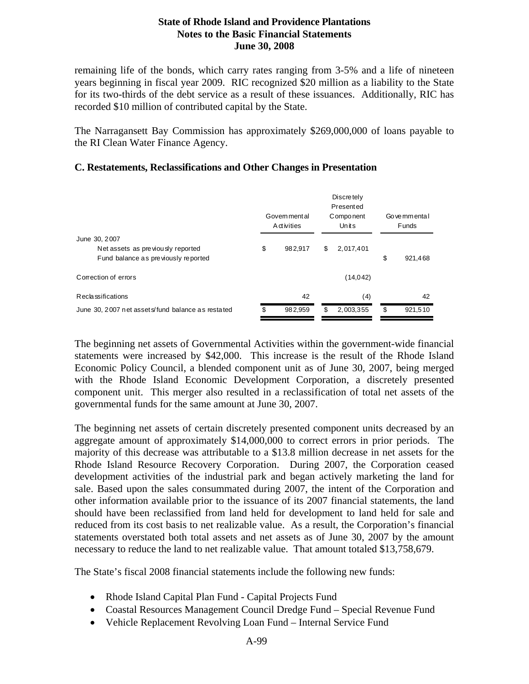remaining life of the bonds, which carry rates ranging from 3-5% and a life of nineteen years beginning in fiscal year 2009. RIC recognized \$20 million as a liability to the State for its two-thirds of the debt service as a result of these issuances. Additionally, RIC has recorded \$10 million of contributed capital by the State.

The Narragansett Bay Commission has approximately \$269,000,000 of loans payable to the RI Clean Water Finance Agency.

#### **C. Restatements, Reclassifications and Other Changes in Presentation**

|                                                                                           | Govem mental<br><b>A</b> ctivities | Go ve mm enta l<br><b>Funds</b> |               |  |
|-------------------------------------------------------------------------------------------|------------------------------------|---------------------------------|---------------|--|
| June 30, 2007<br>Net assets as previously reported<br>Fund balance as previously reported | \$<br>982,917                      | \$<br>2,017,401                 | \$<br>921,468 |  |
| Correction of errors                                                                      |                                    | (14, 042)                       |               |  |
| <b>Reclassifications</b>                                                                  | 42                                 | (4)                             | 42            |  |
| June 30, 2007 net assets fund balance as restated                                         | \$<br>982,959                      | \$<br>2,003,355                 | \$<br>921.510 |  |

The beginning net assets of Governmental Activities within the government-wide financial statements were increased by \$42,000. This increase is the result of the Rhode Island Economic Policy Council, a blended component unit as of June 30, 2007, being merged with the Rhode Island Economic Development Corporation, a discretely presented component unit. This merger also resulted in a reclassification of total net assets of the governmental funds for the same amount at June 30, 2007.

The beginning net assets of certain discretely presented component units decreased by an aggregate amount of approximately \$14,000,000 to correct errors in prior periods. The majority of this decrease was attributable to a \$13.8 million decrease in net assets for the Rhode Island Resource Recovery Corporation. During 2007, the Corporation ceased development activities of the industrial park and began actively marketing the land for sale. Based upon the sales consummated during 2007, the intent of the Corporation and other information available prior to the issuance of its 2007 financial statements, the land should have been reclassified from land held for development to land held for sale and reduced from its cost basis to net realizable value. As a result, the Corporation's financial statements overstated both total assets and net assets as of June 30, 2007 by the amount necessary to reduce the land to net realizable value. That amount totaled \$13,758,679.

The State's fiscal 2008 financial statements include the following new funds:

- Rhode Island Capital Plan Fund Capital Projects Fund
- Coastal Resources Management Council Dredge Fund Special Revenue Fund
- Vehicle Replacement Revolving Loan Fund Internal Service Fund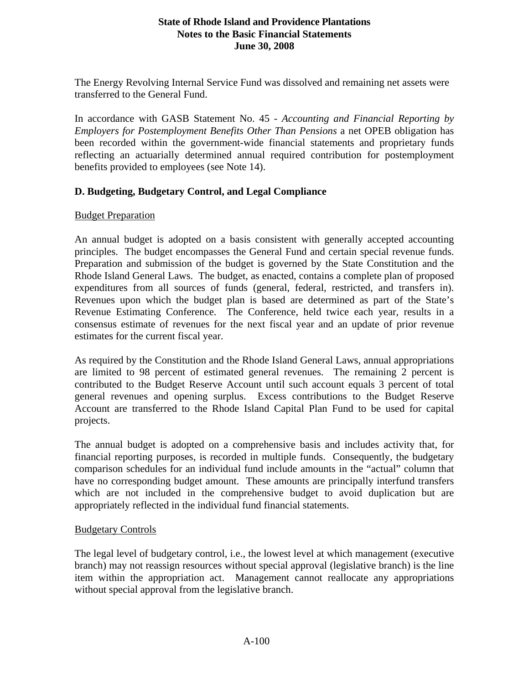The Energy Revolving Internal Service Fund was dissolved and remaining net assets were transferred to the General Fund.

In accordance with GASB Statement No. 45 - *Accounting and Financial Reporting by Employers for Postemployment Benefits Other Than Pensions* a net OPEB obligation has been recorded within the government-wide financial statements and proprietary funds reflecting an actuarially determined annual required contribution for postemployment benefits provided to employees (see Note 14).

# **D. Budgeting, Budgetary Control, and Legal Compliance**

#### Budget Preparation

An annual budget is adopted on a basis consistent with generally accepted accounting principles. The budget encompasses the General Fund and certain special revenue funds. Preparation and submission of the budget is governed by the State Constitution and the Rhode Island General Laws. The budget, as enacted, contains a complete plan of proposed expenditures from all sources of funds (general, federal, restricted, and transfers in). Revenues upon which the budget plan is based are determined as part of the State's Revenue Estimating Conference. The Conference, held twice each year, results in a consensus estimate of revenues for the next fiscal year and an update of prior revenue estimates for the current fiscal year.

As required by the Constitution and the Rhode Island General Laws, annual appropriations are limited to 98 percent of estimated general revenues. The remaining 2 percent is contributed to the Budget Reserve Account until such account equals 3 percent of total general revenues and opening surplus. Excess contributions to the Budget Reserve Account are transferred to the Rhode Island Capital Plan Fund to be used for capital projects.

The annual budget is adopted on a comprehensive basis and includes activity that, for financial reporting purposes, is recorded in multiple funds. Consequently, the budgetary comparison schedules for an individual fund include amounts in the "actual" column that have no corresponding budget amount. These amounts are principally interfund transfers which are not included in the comprehensive budget to avoid duplication but are appropriately reflected in the individual fund financial statements.

#### Budgetary Controls

The legal level of budgetary control, i.e., the lowest level at which management (executive branch) may not reassign resources without special approval (legislative branch) is the line item within the appropriation act. Management cannot reallocate any appropriations without special approval from the legislative branch.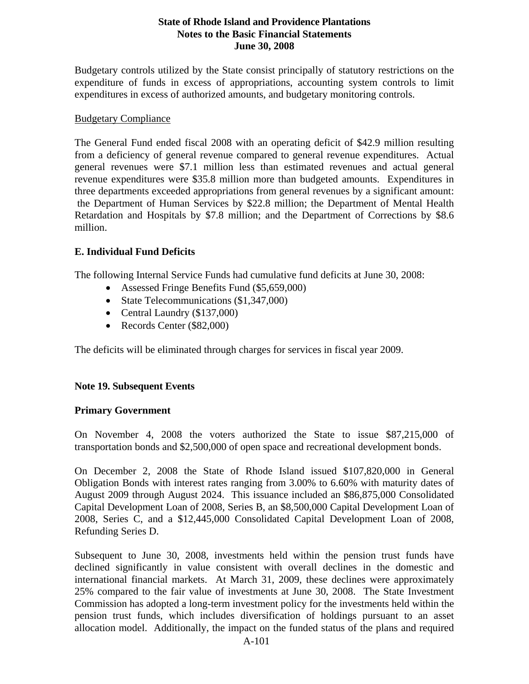Budgetary controls utilized by the State consist principally of statutory restrictions on the expenditure of funds in excess of appropriations, accounting system controls to limit expenditures in excess of authorized amounts, and budgetary monitoring controls.

#### Budgetary Compliance

The General Fund ended fiscal 2008 with an operating deficit of \$42.9 million resulting from a deficiency of general revenue compared to general revenue expenditures. Actual general revenues were \$7.1 million less than estimated revenues and actual general revenue expenditures were \$35.8 million more than budgeted amounts. Expenditures in three departments exceeded appropriations from general revenues by a significant amount: the Department of Human Services by \$22.8 million; the Department of Mental Health Retardation and Hospitals by \$7.8 million; and the Department of Corrections by \$8.6 million.

#### **E. Individual Fund Deficits**

The following Internal Service Funds had cumulative fund deficits at June 30, 2008:

- Assessed Fringe Benefits Fund (\$5,659,000)
- State Telecommunications (\$1,347,000)
- Central Laundry (\$137,000)
- Records Center (\$82,000)

The deficits will be eliminated through charges for services in fiscal year 2009.

#### **Note 19. Subsequent Events**

#### **Primary Government**

On November 4, 2008 the voters authorized the State to issue \$87,215,000 of transportation bonds and \$2,500,000 of open space and recreational development bonds.

On December 2, 2008 the State of Rhode Island issued \$107,820,000 in General Obligation Bonds with interest rates ranging from 3.00% to 6.60% with maturity dates of August 2009 through August 2024. This issuance included an \$86,875,000 Consolidated Capital Development Loan of 2008, Series B, an \$8,500,000 Capital Development Loan of 2008, Series C, and a \$12,445,000 Consolidated Capital Development Loan of 2008, Refunding Series D.

Subsequent to June 30, 2008, investments held within the pension trust funds have declined significantly in value consistent with overall declines in the domestic and international financial markets. At March 31, 2009, these declines were approximately 25% compared to the fair value of investments at June 30, 2008. The State Investment Commission has adopted a long-term investment policy for the investments held within the pension trust funds, which includes diversification of holdings pursuant to an asset allocation model. Additionally, the impact on the funded status of the plans and required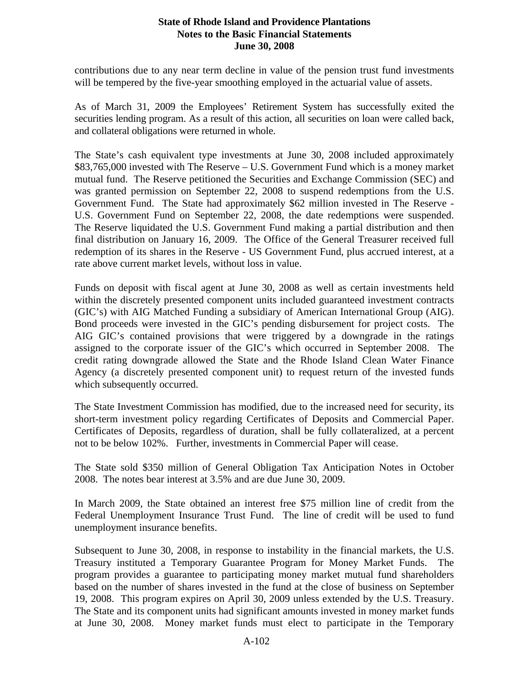contributions due to any near term decline in value of the pension trust fund investments will be tempered by the five-year smoothing employed in the actuarial value of assets.

As of March 31, 2009 the Employees' Retirement System has successfully exited the securities lending program. As a result of this action, all securities on loan were called back, and collateral obligations were returned in whole.

The State's cash equivalent type investments at June 30, 2008 included approximately \$83,765,000 invested with The Reserve – U.S. Government Fund which is a money market mutual fund. The Reserve petitioned the Securities and Exchange Commission (SEC) and was granted permission on September 22, 2008 to suspend redemptions from the U.S. Government Fund. The State had approximately \$62 million invested in The Reserve - U.S. Government Fund on September 22, 2008, the date redemptions were suspended. The Reserve liquidated the U.S. Government Fund making a partial distribution and then final distribution on January 16, 2009. The Office of the General Treasurer received full redemption of its shares in the Reserve - US Government Fund, plus accrued interest, at a rate above current market levels, without loss in value.

Funds on deposit with fiscal agent at June 30, 2008 as well as certain investments held within the discretely presented component units included guaranteed investment contracts (GIC's) with AIG Matched Funding a subsidiary of American International Group (AIG). Bond proceeds were invested in the GIC's pending disbursement for project costs. The AIG GIC's contained provisions that were triggered by a downgrade in the ratings assigned to the corporate issuer of the GIC's which occurred in September 2008. The credit rating downgrade allowed the State and the Rhode Island Clean Water Finance Agency (a discretely presented component unit) to request return of the invested funds which subsequently occurred.

The State Investment Commission has modified, due to the increased need for security, its short-term investment policy regarding Certificates of Deposits and Commercial Paper. Certificates of Deposits, regardless of duration, shall be fully collateralized, at a percent not to be below 102%. Further, investments in Commercial Paper will cease.

The State sold \$350 million of General Obligation Tax Anticipation Notes in October 2008. The notes bear interest at 3.5% and are due June 30, 2009.

In March 2009, the State obtained an interest free \$75 million line of credit from the Federal Unemployment Insurance Trust Fund. The line of credit will be used to fund unemployment insurance benefits.

Subsequent to June 30, 2008, in response to instability in the financial markets, the U.S. Treasury instituted a Temporary Guarantee Program for Money Market Funds. The program provides a guarantee to participating money market mutual fund shareholders based on the number of shares invested in the fund at the close of business on September 19, 2008. This program expires on April 30, 2009 unless extended by the U.S. Treasury. The State and its component units had significant amounts invested in money market funds at June 30, 2008. Money market funds must elect to participate in the Temporary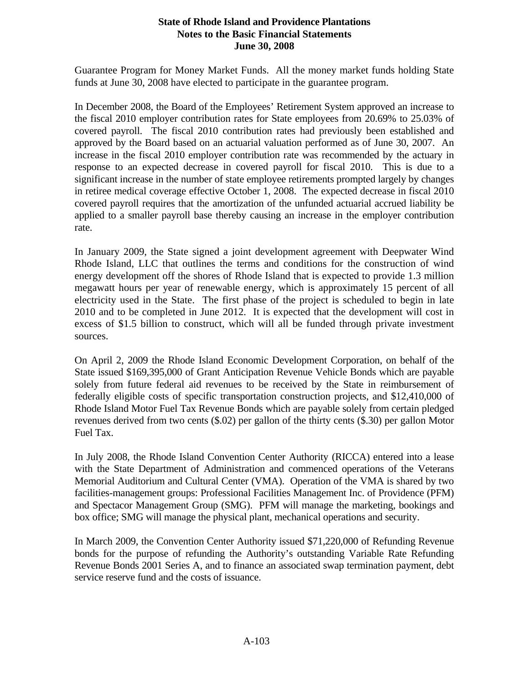Guarantee Program for Money Market Funds. All the money market funds holding State funds at June 30, 2008 have elected to participate in the guarantee program.

In December 2008, the Board of the Employees' Retirement System approved an increase to the fiscal 2010 employer contribution rates for State employees from 20.69% to 25.03% of covered payroll. The fiscal 2010 contribution rates had previously been established and approved by the Board based on an actuarial valuation performed as of June 30, 2007. An increase in the fiscal 2010 employer contribution rate was recommended by the actuary in response to an expected decrease in covered payroll for fiscal 2010. This is due to a significant increase in the number of state employee retirements prompted largely by changes in retiree medical coverage effective October 1, 2008. The expected decrease in fiscal 2010 covered payroll requires that the amortization of the unfunded actuarial accrued liability be applied to a smaller payroll base thereby causing an increase in the employer contribution rate.

In January 2009, the State signed a joint development agreement with Deepwater Wind Rhode Island, LLC that outlines the terms and conditions for the construction of wind energy development off the shores of Rhode Island that is expected to provide 1.3 million megawatt hours per year of renewable energy, which is approximately 15 percent of all electricity used in the State. The first phase of the project is scheduled to begin in late 2010 and to be completed in June 2012. It is expected that the development will cost in excess of \$1.5 billion to construct, which will all be funded through private investment sources.

On April 2, 2009 the Rhode Island Economic Development Corporation, on behalf of the State issued \$169,395,000 of Grant Anticipation Revenue Vehicle Bonds which are payable solely from future federal aid revenues to be received by the State in reimbursement of federally eligible costs of specific transportation construction projects, and \$12,410,000 of Rhode Island Motor Fuel Tax Revenue Bonds which are payable solely from certain pledged revenues derived from two cents (\$.02) per gallon of the thirty cents (\$.30) per gallon Motor Fuel Tax.

In July 2008, the Rhode Island Convention Center Authority (RICCA) entered into a lease with the State Department of Administration and commenced operations of the Veterans Memorial Auditorium and Cultural Center (VMA). Operation of the VMA is shared by two facilities-management groups: Professional Facilities Management Inc. of Providence (PFM) and Spectacor Management Group (SMG). PFM will manage the marketing, bookings and box office; SMG will manage the physical plant, mechanical operations and security.

In March 2009, the Convention Center Authority issued \$71,220,000 of Refunding Revenue bonds for the purpose of refunding the Authority's outstanding Variable Rate Refunding Revenue Bonds 2001 Series A, and to finance an associated swap termination payment, debt service reserve fund and the costs of issuance.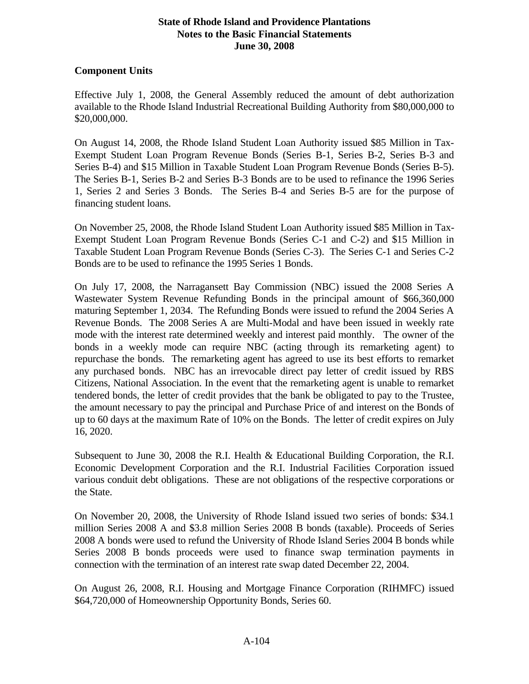#### **Component Units**

Effective July 1, 2008, the General Assembly reduced the amount of debt authorization available to the Rhode Island Industrial Recreational Building Authority from \$80,000,000 to \$20,000,000.

On August 14, 2008, the Rhode Island Student Loan Authority issued \$85 Million in Tax-Exempt Student Loan Program Revenue Bonds (Series B-1, Series B-2, Series B-3 and Series B-4) and \$15 Million in Taxable Student Loan Program Revenue Bonds (Series B-5). The Series B-1, Series B-2 and Series B-3 Bonds are to be used to refinance the 1996 Series 1, Series 2 and Series 3 Bonds. The Series B-4 and Series B-5 are for the purpose of financing student loans.

On November 25, 2008, the Rhode Island Student Loan Authority issued \$85 Million in Tax-Exempt Student Loan Program Revenue Bonds (Series C-1 and C-2) and \$15 Million in Taxable Student Loan Program Revenue Bonds (Series C-3). The Series C-1 and Series C-2 Bonds are to be used to refinance the 1995 Series 1 Bonds.

On July 17, 2008, the Narragansett Bay Commission (NBC) issued the 2008 Series A Wastewater System Revenue Refunding Bonds in the principal amount of \$66,360,000 maturing September 1, 2034. The Refunding Bonds were issued to refund the 2004 Series A Revenue Bonds. The 2008 Series A are Multi-Modal and have been issued in weekly rate mode with the interest rate determined weekly and interest paid monthly. The owner of the bonds in a weekly mode can require NBC (acting through its remarketing agent) to repurchase the bonds. The remarketing agent has agreed to use its best efforts to remarket any purchased bonds. NBC has an irrevocable direct pay letter of credit issued by RBS Citizens, National Association. In the event that the remarketing agent is unable to remarket tendered bonds, the letter of credit provides that the bank be obligated to pay to the Trustee, the amount necessary to pay the principal and Purchase Price of and interest on the Bonds of up to 60 days at the maximum Rate of 10% on the Bonds. The letter of credit expires on July 16, 2020.

Subsequent to June 30, 2008 the R.I. Health & Educational Building Corporation, the R.I. Economic Development Corporation and the R.I. Industrial Facilities Corporation issued various conduit debt obligations. These are not obligations of the respective corporations or the State.

On November 20, 2008, the University of Rhode Island issued two series of bonds: \$34.1 million Series 2008 A and \$3.8 million Series 2008 B bonds (taxable). Proceeds of Series 2008 A bonds were used to refund the University of Rhode Island Series 2004 B bonds while Series 2008 B bonds proceeds were used to finance swap termination payments in connection with the termination of an interest rate swap dated December 22, 2004.

On August 26, 2008, R.I. Housing and Mortgage Finance Corporation (RIHMFC) issued \$64,720,000 of Homeownership Opportunity Bonds, Series 60.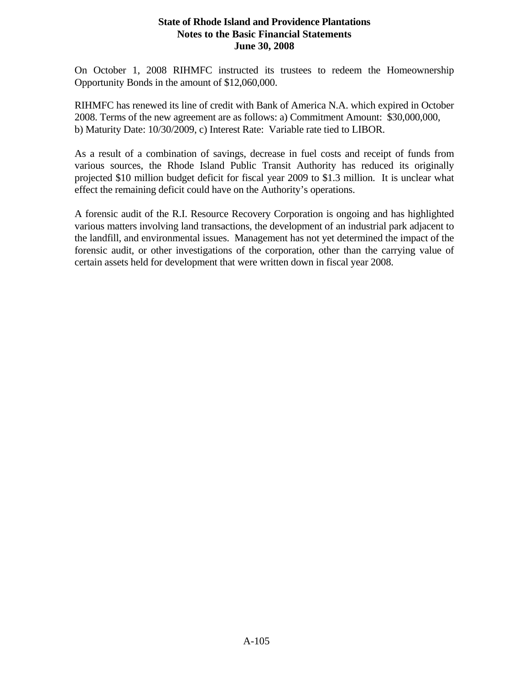On October 1, 2008 RIHMFC instructed its trustees to redeem the Homeownership Opportunity Bonds in the amount of \$12,060,000.

RIHMFC has renewed its line of credit with Bank of America N.A. which expired in October 2008. Terms of the new agreement are as follows: a) Commitment Amount: \$30,000,000, b) Maturity Date: 10/30/2009, c) Interest Rate: Variable rate tied to LIBOR.

As a result of a combination of savings, decrease in fuel costs and receipt of funds from various sources, the Rhode Island Public Transit Authority has reduced its originally projected \$10 million budget deficit for fiscal year 2009 to \$1.3 million. It is unclear what effect the remaining deficit could have on the Authority's operations.

A forensic audit of the R.I. Resource Recovery Corporation is ongoing and has highlighted various matters involving land transactions, the development of an industrial park adjacent to the landfill, and environmental issues. Management has not yet determined the impact of the forensic audit, or other investigations of the corporation, other than the carrying value of certain assets held for development that were written down in fiscal year 2008.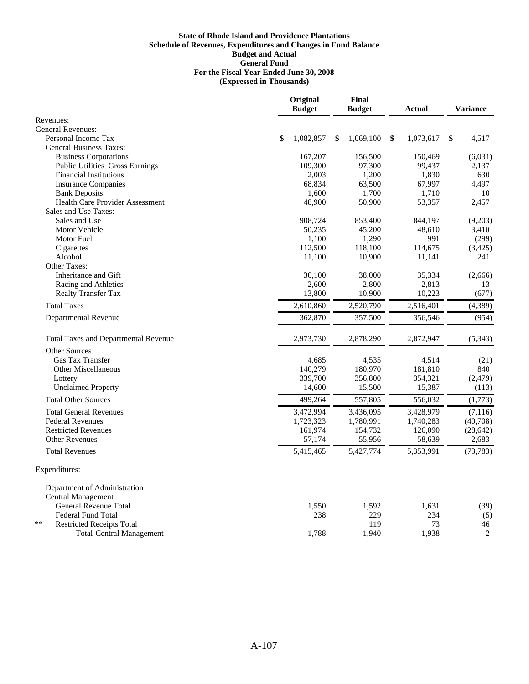|                                             | Original<br><b>Budget</b> |        |   | Final<br><b>Budget</b> | Actual          | <b>Variance</b> |
|---------------------------------------------|---------------------------|--------|---|------------------------|-----------------|-----------------|
| Revenues:                                   |                           |        |   |                        |                 |                 |
| <b>General Revenues:</b>                    |                           |        |   |                        |                 |                 |
| Personal Income Tax                         | 1,082,857<br>\$           |        | S | 1,069,100              | \$<br>1,073,617 | \$<br>4,517     |
| <b>General Business Taxes:</b>              |                           |        |   |                        |                 |                 |
| <b>Business Corporations</b>                | 167,207                   |        |   | 156,500                | 150,469         | (6,031)         |
| Public Utilities Gross Earnings             | 109,300                   |        |   | 97,300                 | 99,437          | 2,137           |
| <b>Financial Institutions</b>               |                           | 2,003  |   | 1,200                  | 1,830           | 630             |
| <b>Insurance Companies</b>                  |                           | 68,834 |   | 63,500                 | 67,997          | 4,497           |
| <b>Bank Deposits</b>                        |                           | 1,600  |   | 1,700                  | 1,710           | 10              |
| <b>Health Care Provider Assessment</b>      |                           | 48,900 |   | 50,900                 | 53,357          | 2,457           |
| Sales and Use Taxes:                        |                           |        |   |                        |                 |                 |
| Sales and Use                               | 908,724                   |        |   | 853,400                | 844,197         | (9,203)         |
| <b>Motor Vehicle</b>                        |                           | 50,235 |   | 45,200                 | 48,610          | 3,410           |
| <b>Motor Fuel</b>                           |                           | 1,100  |   | 1,290                  | 991             | (299)           |
| Cigarettes                                  | 112,500                   |        |   | 118,100                | 114,675         | (3,425)         |
| Alcohol                                     |                           | 11,100 |   | 10,900                 | 11,141          | 241             |
| Other Taxes:                                |                           |        |   |                        |                 |                 |
| Inheritance and Gift                        |                           | 30,100 |   | 38,000                 | 35,334          | (2,666)         |
| Racing and Athletics                        |                           | 2,600  |   | 2,800                  | 2,813           | 13              |
| Realty Transfer Tax                         |                           | 13,800 |   | 10,900                 | 10,223          | (677)           |
| <b>Total Taxes</b>                          | 2,610,860                 |        |   | 2,520,790              | 2,516,401       | (4, 389)        |
| Departmental Revenue                        | 362,870                   |        |   | 357,500                | 356,546         | (954)           |
| <b>Total Taxes and Departmental Revenue</b> | 2,973,730                 |        |   | 2,878,290              | 2,872,947       | (5, 343)        |
| Other Sources                               |                           |        |   |                        |                 |                 |
| <b>Gas Tax Transfer</b>                     |                           | 4.685  |   | 4,535                  | 4,514           | (21)            |
| <b>Other Miscellaneous</b>                  | 140,279                   |        |   | 180,970                | 181,810         | 840             |
| Lottery                                     | 339,700                   |        |   | 356,800                | 354,321         | (2, 479)        |
| <b>Unclaimed Property</b>                   |                           | 14,600 |   | 15,500                 | 15,387          | (113)           |
| <b>Total Other Sources</b>                  | 499,264                   |        |   | 557,805                | 556,032         | (1,773)         |
| <b>Total General Revenues</b>               | 3,472,994                 |        |   | 3,436,095              | 3,428,979       | (7, 116)        |
| <b>Federal Revenues</b>                     | 1,723,323                 |        |   | 1,780,991              | 1,740,283       | (40,708)        |
| <b>Restricted Revenues</b>                  | 161,974                   |        |   | 154,732                | 126,090         | (28, 642)       |
| <b>Other Revenues</b>                       |                           | 57,174 |   | 55,956                 | 58,639          | 2,683           |
| <b>Total Revenues</b>                       | 5,415,465                 |        |   | 5,427,774              | 5,353,991       | (73, 783)       |
| Expenditures:                               |                           |        |   |                        |                 |                 |
| Department of Administration                |                           |        |   |                        |                 |                 |
| <b>Central Management</b>                   |                           |        |   |                        |                 |                 |
| <b>General Revenue Total</b>                |                           | 1,550  |   | 1,592                  | 1,631           | (39)            |
| <b>Federal Fund Total</b>                   |                           | 238    |   | 229                    | 234             | (5)             |
| $**$<br><b>Restricted Receipts Total</b>    |                           |        |   | 119                    | 73              | 46              |
| <b>Total-Central Management</b>             |                           | 1,788  |   | 1,940                  | 1,938           | $\sqrt{2}$      |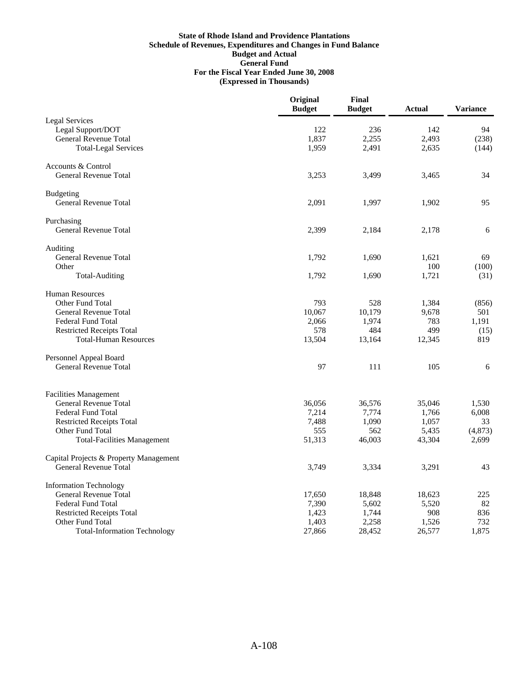|                                                  | Original<br><b>Budget</b> | Final<br><b>Budget</b> | <b>Actual</b>  | <b>Variance</b> |
|--------------------------------------------------|---------------------------|------------------------|----------------|-----------------|
| <b>Legal Services</b>                            |                           |                        |                |                 |
| Legal Support/DOT                                | 122                       | 236                    | 142            | 94              |
| <b>General Revenue Total</b>                     | 1,837                     | 2,255                  | 2,493          | (238)           |
| <b>Total-Legal Services</b>                      | 1,959                     | 2,491                  | 2,635          | (144)           |
| Accounts & Control                               |                           |                        |                |                 |
| <b>General Revenue Total</b>                     | 3,253                     | 3,499                  | 3,465          | 34              |
| <b>Budgeting</b>                                 |                           |                        |                |                 |
| <b>General Revenue Total</b>                     | 2,091                     | 1,997                  | 1,902          | 95              |
| Purchasing                                       |                           |                        |                |                 |
| General Revenue Total                            | 2,399                     | 2,184                  | 2,178          | 6               |
| Auditing                                         |                           |                        |                |                 |
| General Revenue Total                            | 1,792                     | 1,690                  | 1,621          | 69              |
| Other                                            | 1,792                     | 1,690                  | 100<br>1,721   | (100)           |
| <b>Total-Auditing</b>                            |                           |                        |                | (31)            |
| <b>Human Resources</b>                           |                           |                        |                |                 |
| Other Fund Total<br><b>General Revenue Total</b> | 793<br>10,067             | 528<br>10,179          | 1,384<br>9,678 | (856)<br>501    |
| <b>Federal Fund Total</b>                        | 2,066                     | 1,974                  | 783            | 1,191           |
| <b>Restricted Receipts Total</b>                 | 578                       | 484                    | 499            | (15)            |
| <b>Total-Human Resources</b>                     | 13,504                    | 13,164                 | 12,345         | 819             |
| Personnel Appeal Board                           |                           |                        |                |                 |
| <b>General Revenue Total</b>                     | 97                        | 111                    | 105            | 6               |
| <b>Facilities Management</b>                     |                           |                        |                |                 |
| <b>General Revenue Total</b>                     | 36,056                    | 36,576                 | 35,046         | 1,530           |
| <b>Federal Fund Total</b>                        | 7,214                     | 7,774                  | 1,766          | 6,008           |
| <b>Restricted Receipts Total</b>                 | 7,488                     | 1,090                  | 1,057          | 33              |
| Other Fund Total                                 | 555                       | 562                    | 5,435          | (4, 873)        |
| <b>Total-Facilities Management</b>               | 51,313                    | 46,003                 | 43,304         | 2,699           |
| Capital Projects & Property Management           |                           |                        |                |                 |
| <b>General Revenue Total</b>                     | 3,749                     | 3,334                  | 3,291          | 43              |
| <b>Information Technology</b>                    |                           |                        |                |                 |
| <b>General Revenue Total</b>                     | 17,650                    | 18,848                 | 18,623         | 225             |
| <b>Federal Fund Total</b>                        | 7,390                     | 5,602                  | 5,520          | 82              |
| <b>Restricted Receipts Total</b>                 | 1,423                     | 1,744                  | 908            | 836             |
| Other Fund Total                                 | 1,403                     | 2,258                  | 1,526          | 732             |
| <b>Total-Information Technology</b>              | 27,866                    | 28,452                 | 26,577         | 1,875           |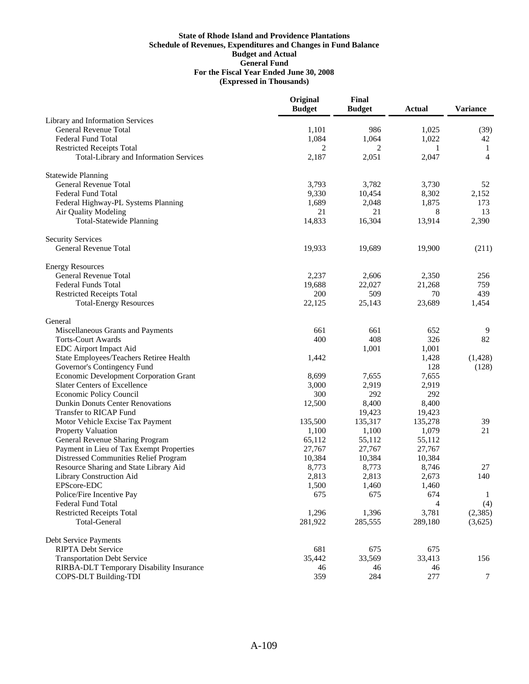|                                               | Original<br><b>Budget</b> | Final<br><b>Budget</b> | <b>Actual</b> | <b>Variance</b> |
|-----------------------------------------------|---------------------------|------------------------|---------------|-----------------|
| Library and Information Services              |                           |                        |               |                 |
| <b>General Revenue Total</b>                  | 1,101                     | 986                    | 1,025         | (39)            |
| <b>Federal Fund Total</b>                     | 1,084                     | 1,064                  | 1,022         | 42              |
| <b>Restricted Receipts Total</b>              | 2                         | 2                      | 1             | -1              |
| <b>Total-Library and Information Services</b> | 2,187                     | 2,051                  | 2,047         | $\overline{4}$  |
| <b>Statewide Planning</b>                     |                           |                        |               |                 |
| General Revenue Total                         | 3,793                     | 3,782                  | 3,730         | 52              |
| <b>Federal Fund Total</b>                     | 9,330                     | 10,454                 | 8,302         | 2,152           |
| Federal Highway-PL Systems Planning           | 1,689                     | 2,048                  | 1,875         | 173             |
| Air Quality Modeling                          | 21                        | 21                     | 8             | 13              |
| <b>Total-Statewide Planning</b>               | 14,833                    | 16,304                 | 13,914        | 2,390           |
| <b>Security Services</b>                      |                           |                        |               |                 |
| <b>General Revenue Total</b>                  | 19,933                    | 19,689                 | 19,900        | (211)           |
| <b>Energy Resources</b>                       |                           |                        |               |                 |
| <b>General Revenue Total</b>                  | 2,237                     | 2,606                  | 2,350         | 256             |
| <b>Federal Funds Total</b>                    | 19,688                    | 22,027                 | 21,268        | 759             |
| <b>Restricted Receipts Total</b>              | 200                       | 509                    | 70            | 439             |
| <b>Total-Energy Resources</b>                 | 22,125                    | 25,143                 | 23,689        | 1,454           |
| General                                       |                           |                        |               |                 |
| Miscellaneous Grants and Payments             | 661                       | 661                    | 652           | 9               |
| <b>Torts-Court Awards</b>                     | 400                       | 408                    | 326           | 82              |
| EDC Airport Impact Aid                        |                           | 1,001                  | 1,001         |                 |
| State Employees/Teachers Retiree Health       | 1,442                     |                        | 1,428         | (1,428)         |
| Governor's Contingency Fund                   |                           |                        | 128           | (128)           |
| Economic Development Corporation Grant        | 8,699                     | 7,655                  | 7,655         |                 |
| <b>Slater Centers of Excellence</b>           | 3,000                     | 2,919                  | 2,919         |                 |
| Economic Policy Council                       | 300                       | 292                    | 292           |                 |
| <b>Dunkin Donuts Center Renovations</b>       | 12,500                    | 8,400                  | 8,400         |                 |
| Transfer to RICAP Fund                        |                           | 19,423                 | 19,423        |                 |
| Motor Vehicle Excise Tax Payment              | 135,500                   | 135,317                | 135,278       | 39              |
| Property Valuation                            | 1,100                     | 1,100                  | 1,079         | 21              |
| General Revenue Sharing Program               | 65,112                    | 55,112                 | 55,112        |                 |
| Payment in Lieu of Tax Exempt Properties      | 27,767                    | 27,767                 | 27,767        |                 |
| Distressed Communities Relief Program         | 10,384                    | 10,384                 | 10,384        |                 |
| Resource Sharing and State Library Aid        | 8,773                     | 8,773                  | 8,746         | 27              |
| Library Construction Aid                      | 2,813                     | 2,813                  | 2,673         | 140             |
| EPScore-EDC                                   | 1,500                     | 1,460                  | 1,460         |                 |
| Police/Fire Incentive Pay                     | 675                       | 675                    | 674           | 1               |
| <b>Federal Fund Total</b>                     |                           |                        | 4             | (4)             |
| <b>Restricted Receipts Total</b>              | 1,296                     | 1,396                  | 3,781         | (2,385)         |
| <b>Total-General</b>                          | 281,922                   | 285,555                | 289,180       | (3,625)         |
| Debt Service Payments                         |                           |                        |               |                 |
| <b>RIPTA Debt Service</b>                     | 681                       | 675                    | 675           |                 |
| <b>Transportation Debt Service</b>            | 35,442                    | 33,569                 | 33,413        | 156             |
| RIRBA-DLT Temporary Disability Insurance      | 46                        | 46                     | 46            |                 |
| COPS-DLT Building-TDI                         | 359                       | 284                    | 277           | $\tau$          |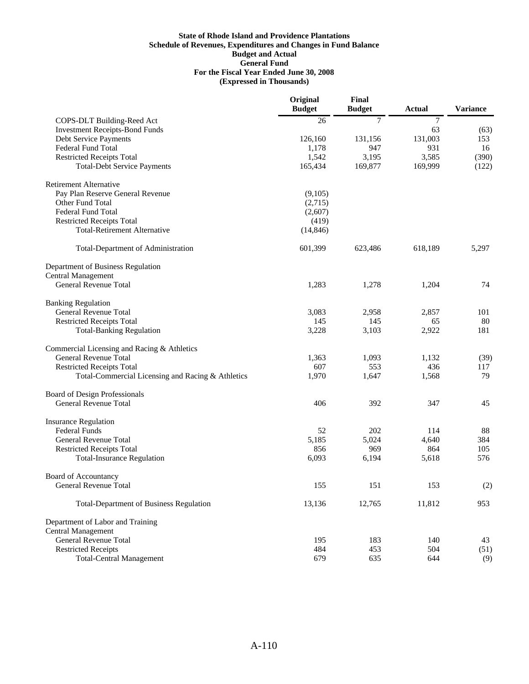|                                                   | Original<br><b>Budget</b> | Final<br><b>Budget</b> | <b>Actual</b> | <b>Variance</b> |
|---------------------------------------------------|---------------------------|------------------------|---------------|-----------------|
| COPS-DLT Building-Reed Act                        | 26                        | $\tau$                 | $\tau$        |                 |
| <b>Investment Receipts-Bond Funds</b>             |                           |                        | 63            | (63)            |
| Debt Service Payments                             | 126,160                   | 131,156                | 131,003       | 153             |
| <b>Federal Fund Total</b>                         | 1.178                     | 947                    | 931           | 16              |
| <b>Restricted Receipts Total</b>                  | 1,542                     | 3,195                  | 3,585         | (390)           |
| <b>Total-Debt Service Payments</b>                | 165,434                   | 169,877                | 169,999       | (122)           |
| <b>Retirement Alternative</b>                     |                           |                        |               |                 |
| Pay Plan Reserve General Revenue                  | (9,105)                   |                        |               |                 |
| Other Fund Total                                  | (2,715)                   |                        |               |                 |
| <b>Federal Fund Total</b>                         | (2,607)                   |                        |               |                 |
| <b>Restricted Receipts Total</b>                  | (419)                     |                        |               |                 |
| <b>Total-Retirement Alternative</b>               | (14, 846)                 |                        |               |                 |
| Total-Department of Administration                | 601,399                   | 623,486                | 618,189       | 5,297           |
| Department of Business Regulation                 |                           |                        |               |                 |
| <b>Central Management</b>                         |                           |                        |               |                 |
| <b>General Revenue Total</b>                      | 1,283                     | 1,278                  | 1,204         | 74              |
| <b>Banking Regulation</b>                         |                           |                        |               |                 |
| General Revenue Total                             | 3,083                     | 2,958                  | 2,857         | 101             |
| <b>Restricted Receipts Total</b>                  | 145                       | 145                    | 65            | 80              |
| <b>Total-Banking Regulation</b>                   | 3,228                     | 3,103                  | 2,922         | 181             |
| Commercial Licensing and Racing & Athletics       |                           |                        |               |                 |
| <b>General Revenue Total</b>                      | 1,363                     | 1,093                  | 1,132         | (39)            |
| <b>Restricted Receipts Total</b>                  | 607                       | 553                    | 436           | 117             |
| Total-Commercial Licensing and Racing & Athletics | 1,970                     | 1,647                  | 1,568         | 79              |
| <b>Board of Design Professionals</b>              |                           |                        |               |                 |
| <b>General Revenue Total</b>                      | 406                       | 392                    | 347           | 45              |
| <b>Insurance Regulation</b>                       |                           |                        |               |                 |
| <b>Federal Funds</b>                              | 52                        | 202                    | 114           | 88              |
| General Revenue Total                             | 5,185                     | 5,024                  | 4,640         | 384             |
| <b>Restricted Receipts Total</b>                  | 856                       | 969                    | 864           | 105             |
| <b>Total-Insurance Regulation</b>                 | 6,093                     | 6,194                  | 5,618         | 576             |
| Board of Accountancy                              |                           |                        |               |                 |
| General Revenue Total                             | 155                       | 151                    | 153           | (2)             |
| <b>Total-Department of Business Regulation</b>    | 13,136                    | 12,765                 | 11,812        | 953             |
| Department of Labor and Training                  |                           |                        |               |                 |
| <b>Central Management</b>                         |                           |                        |               |                 |
| General Revenue Total                             | 195                       | 183                    | 140           | 43              |
| <b>Restricted Receipts</b>                        | 484                       | 453                    | 504           | (51)            |
| <b>Total-Central Management</b>                   | 679                       | 635                    | 644           | (9)             |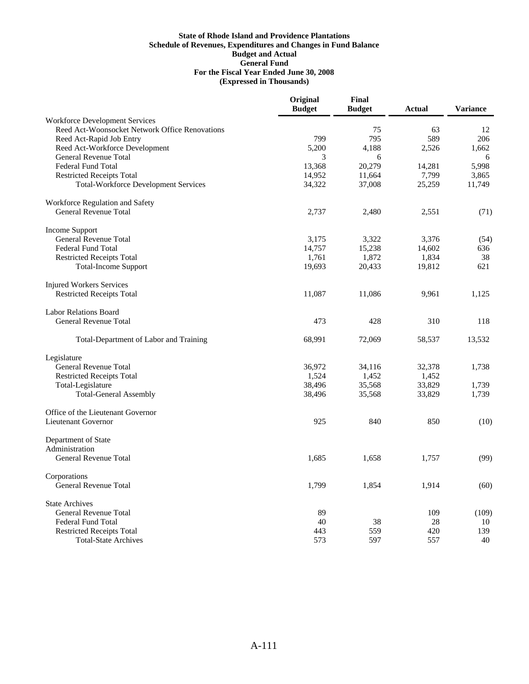|                                                | Original<br><b>Budget</b> | Final<br><b>Budget</b> | Actual | <b>Variance</b> |
|------------------------------------------------|---------------------------|------------------------|--------|-----------------|
| <b>Workforce Development Services</b>          |                           |                        |        |                 |
| Reed Act-Woonsocket Network Office Renovations |                           | 75                     | 63     | 12              |
| Reed Act-Rapid Job Entry                       | 799                       | 795                    | 589    | 206             |
| Reed Act-Workforce Development                 | 5,200                     | 4,188                  | 2,526  | 1,662           |
| General Revenue Total                          | 3                         | 6                      |        | 6               |
| <b>Federal Fund Total</b>                      | 13,368                    | 20,279                 | 14,281 | 5,998           |
| <b>Restricted Receipts Total</b>               | 14,952                    | 11,664                 | 7,799  | 3,865           |
| <b>Total-Workforce Development Services</b>    | 34,322                    | 37,008                 | 25,259 | 11,749          |
| Workforce Regulation and Safety                |                           |                        |        |                 |
| <b>General Revenue Total</b>                   | 2,737                     | 2,480                  | 2,551  | (71)            |
| <b>Income Support</b>                          |                           |                        |        |                 |
| General Revenue Total                          | 3,175                     | 3,322                  | 3,376  | (54)            |
| Federal Fund Total                             | 14,757                    | 15,238                 | 14,602 | 636             |
| <b>Restricted Receipts Total</b>               | 1,761                     | 1,872                  | 1,834  | 38              |
| <b>Total-Income Support</b>                    | 19,693                    | 20,433                 | 19,812 | 621             |
| <b>Injured Workers Services</b>                |                           |                        |        |                 |
| <b>Restricted Receipts Total</b>               | 11,087                    | 11,086                 | 9,961  | 1,125           |
| <b>Labor Relations Board</b>                   |                           |                        |        |                 |
| <b>General Revenue Total</b>                   | 473                       | 428                    | 310    | 118             |
| Total-Department of Labor and Training         | 68,991                    | 72,069                 | 58,537 | 13,532          |
| Legislature                                    |                           |                        |        |                 |
| <b>General Revenue Total</b>                   | 36.972                    | 34,116                 | 32,378 | 1,738           |
| <b>Restricted Receipts Total</b>               | 1,524                     | 1,452                  | 1,452  |                 |
| Total-Legislature                              | 38,496                    | 35,568                 | 33,829 | 1,739           |
| <b>Total-General Assembly</b>                  | 38,496                    | 35,568                 | 33,829 | 1,739           |
| Office of the Lieutenant Governor              |                           |                        |        |                 |
| <b>Lieutenant Governor</b>                     | 925                       | 840                    | 850    | (10)            |
| Department of State                            |                           |                        |        |                 |
| Administration                                 |                           |                        |        |                 |
| General Revenue Total                          | 1,685                     | 1,658                  | 1,757  | (99)            |
| Corporations                                   |                           |                        |        |                 |
| <b>General Revenue Total</b>                   | 1,799                     | 1,854                  | 1,914  | (60)            |
| <b>State Archives</b>                          |                           |                        |        |                 |
| <b>General Revenue Total</b>                   | 89                        |                        | 109    | (109)           |
| <b>Federal Fund Total</b>                      | 40                        | 38                     | 28     | 10              |
| <b>Restricted Receipts Total</b>               | 443                       | 559                    | 420    | 139             |
| <b>Total-State Archives</b>                    | 573                       | 597                    | 557    | 40              |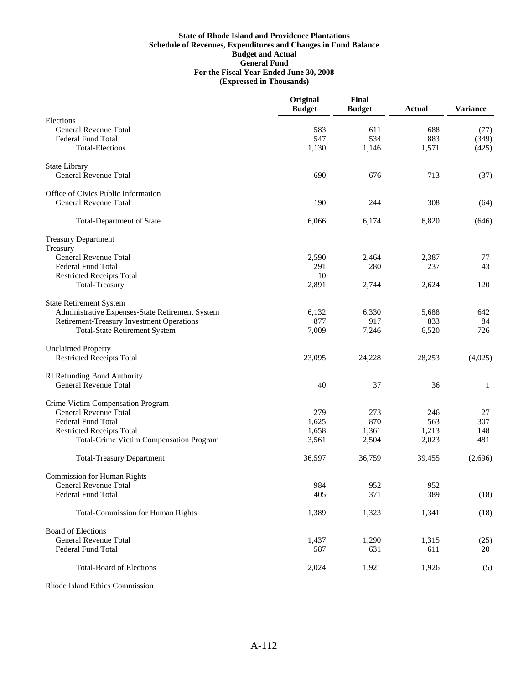|                                                  | Original<br><b>Budget</b> | Final<br><b>Budget</b> | <b>Actual</b> | <b>Variance</b> |
|--------------------------------------------------|---------------------------|------------------------|---------------|-----------------|
| Elections                                        |                           |                        |               |                 |
| <b>General Revenue Total</b>                     | 583                       | 611                    | 688           | (77)            |
| Federal Fund Total                               | 547                       | 534                    | 883           | (349)           |
| <b>Total-Elections</b>                           | 1,130                     | 1,146                  | 1,571         | (425)           |
| <b>State Library</b>                             |                           |                        |               |                 |
| <b>General Revenue Total</b>                     | 690                       | 676                    | 713           | (37)            |
| Office of Civics Public Information              |                           |                        |               |                 |
| <b>General Revenue Total</b>                     | 190                       | 244                    | 308           | (64)            |
| <b>Total-Department of State</b>                 | 6,066                     | 6,174                  | 6,820         | (646)           |
| <b>Treasury Department</b>                       |                           |                        |               |                 |
| Treasury                                         |                           |                        |               |                 |
| General Revenue Total                            | 2,590                     | 2,464                  | 2,387         | 77              |
| Federal Fund Total                               | 291                       | 280                    | 237           | 43              |
| <b>Restricted Receipts Total</b>                 | 10                        |                        |               |                 |
| <b>Total-Treasury</b>                            | 2,891                     | 2,744                  | 2,624         | 120             |
| <b>State Retirement System</b>                   |                           |                        |               |                 |
| Administrative Expenses-State Retirement System  | 6,132                     | 6,330                  | 5,688         | 642             |
| <b>Retirement-Treasury Investment Operations</b> | 877                       | 917                    | 833           | 84              |
| <b>Total-State Retirement System</b>             | 7,009                     | 7,246                  | 6,520         | 726             |
| <b>Unclaimed Property</b>                        |                           |                        |               |                 |
| <b>Restricted Receipts Total</b>                 | 23,095                    | 24,228                 | 28,253        | (4,025)         |
| RI Refunding Bond Authority                      |                           |                        |               |                 |
| <b>General Revenue Total</b>                     | 40                        | 37                     | 36            | 1               |
| Crime Victim Compensation Program                |                           |                        |               |                 |
| <b>General Revenue Total</b>                     | 279                       | 273                    | 246           | 27              |
| <b>Federal Fund Total</b>                        | 1,625                     | 870                    | 563           | 307             |
| <b>Restricted Receipts Total</b>                 | 1,658                     | 1,361                  | 1,213         | 148             |
| <b>Total-Crime Victim Compensation Program</b>   | 3,561                     | 2,504                  | 2,023         | 481             |
| <b>Total-Treasury Department</b>                 | 36,597                    | 36,759                 | 39,455        | (2,696)         |
| <b>Commission for Human Rights</b>               |                           |                        |               |                 |
| General Revenue Total                            | 984                       | 952                    | 952           |                 |
| <b>Federal Fund Total</b>                        | 405                       | 371                    | 389           | (18)            |
| <b>Total-Commission for Human Rights</b>         | 1,389                     | 1,323                  | 1,341         | (18)            |
| <b>Board of Elections</b>                        |                           |                        |               |                 |
| <b>General Revenue Total</b>                     | 1,437                     | 1,290                  | 1,315         | (25)            |
| <b>Federal Fund Total</b>                        | 587                       | 631                    | 611           | 20              |
| <b>Total-Board of Elections</b>                  | 2,024                     | 1,921                  | 1,926         | (5)             |

Rhode Island Ethics Commission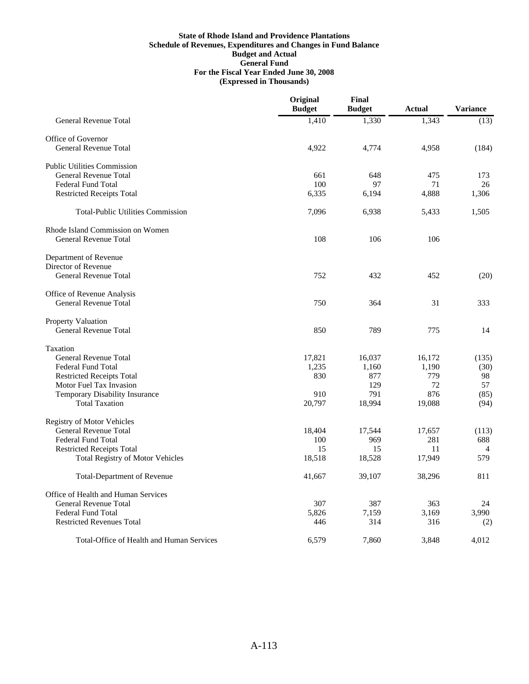|                                                     | Original<br><b>Budget</b> | Final<br><b>Budget</b> | Actual | <b>Variance</b> |
|-----------------------------------------------------|---------------------------|------------------------|--------|-----------------|
| <b>General Revenue Total</b>                        | 1,410                     | 1,330                  | 1,343  | (13)            |
| Office of Governor                                  |                           |                        |        |                 |
| <b>General Revenue Total</b>                        | 4,922                     | 4,774                  | 4,958  | (184)           |
| <b>Public Utilities Commission</b>                  |                           |                        |        |                 |
| <b>General Revenue Total</b>                        | 661                       | 648                    | 475    | 173             |
| <b>Federal Fund Total</b>                           | 100                       | 97                     | 71     | 26              |
| <b>Restricted Receipts Total</b>                    | 6,335                     | 6,194                  | 4,888  | 1,306           |
| <b>Total-Public Utilities Commission</b>            | 7,096                     | 6,938                  | 5,433  | 1,505           |
| Rhode Island Commission on Women                    |                           |                        |        |                 |
| <b>General Revenue Total</b>                        | 108                       | 106                    | 106    |                 |
| Department of Revenue                               |                           |                        |        |                 |
| Director of Revenue<br><b>General Revenue Total</b> | 752                       | 432                    | 452    |                 |
|                                                     |                           |                        |        | (20)            |
| Office of Revenue Analysis                          |                           |                        |        |                 |
| <b>General Revenue Total</b>                        | 750                       | 364                    | 31     | 333             |
| Property Valuation                                  |                           |                        |        |                 |
| <b>General Revenue Total</b>                        | 850                       | 789                    | 775    | 14              |
| Taxation                                            |                           |                        |        |                 |
| <b>General Revenue Total</b>                        | 17,821                    | 16,037                 | 16,172 | (135)           |
| <b>Federal Fund Total</b>                           | 1,235                     | 1,160                  | 1,190  | (30)            |
| <b>Restricted Receipts Total</b>                    | 830                       | 877                    | 779    | 98              |
| <b>Motor Fuel Tax Invasion</b>                      |                           | 129                    | 72     | 57              |
| Temporary Disability Insurance                      | 910                       | 791                    | 876    | (85)            |
| <b>Total Taxation</b>                               | 20,797                    | 18,994                 | 19,088 | (94)            |
| <b>Registry of Motor Vehicles</b>                   |                           |                        |        |                 |
| <b>General Revenue Total</b>                        | 18,404                    | 17,544                 | 17,657 | (113)           |
| <b>Federal Fund Total</b>                           | 100                       | 969                    | 281    | 688             |
| <b>Restricted Receipts Total</b>                    | 15                        | 15                     | 11     | $\overline{4}$  |
| <b>Total Registry of Motor Vehicles</b>             | 18,518                    | 18,528                 | 17,949 | 579             |
| <b>Total-Department of Revenue</b>                  | 41,667                    | 39,107                 | 38,296 | 811             |
| Office of Health and Human Services                 |                           |                        |        |                 |
| <b>General Revenue Total</b>                        | 307                       | 387                    | 363    | 24              |
| <b>Federal Fund Total</b>                           | 5,826                     | 7,159                  | 3,169  | 3,990           |
| <b>Restricted Revenues Total</b>                    | 446                       | 314                    | 316    | (2)             |
| Total-Office of Health and Human Services           | 6,579                     | 7.860                  | 3,848  | 4.012           |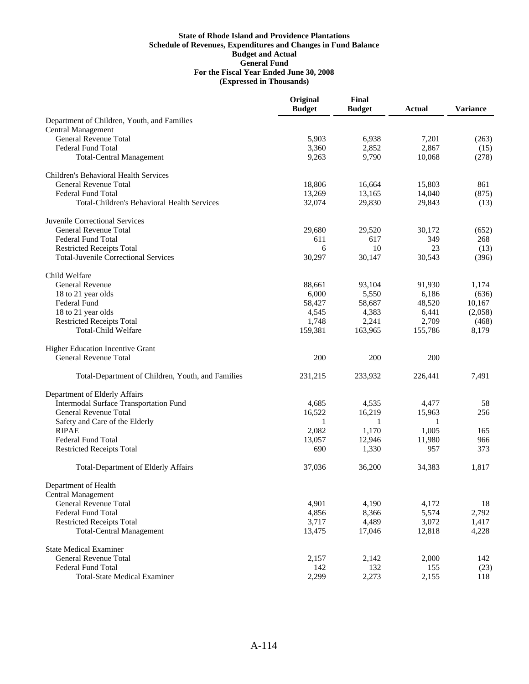|                                                                          | Original<br><b>Budget</b> | Final<br><b>Budget</b> | <b>Actual</b> | <b>Variance</b> |
|--------------------------------------------------------------------------|---------------------------|------------------------|---------------|-----------------|
| Department of Children, Youth, and Families<br><b>Central Management</b> |                           |                        |               |                 |
| <b>General Revenue Total</b>                                             | 5,903                     | 6,938                  | 7,201         | (263)           |
| Federal Fund Total                                                       | 3,360                     | 2,852                  | 2,867         | (15)            |
| <b>Total-Central Management</b>                                          | 9,263                     | 9,790                  | 10,068        | (278)           |
| Children's Behavioral Health Services                                    |                           |                        |               |                 |
| <b>General Revenue Total</b>                                             | 18,806                    | 16,664                 | 15,803        | 861             |
| <b>Federal Fund Total</b>                                                | 13,269                    | 13,165                 | 14,040        | (875)           |
| <b>Total-Children's Behavioral Health Services</b>                       | 32,074                    | 29,830                 | 29,843        | (13)            |
| Juvenile Correctional Services                                           |                           |                        |               |                 |
| <b>General Revenue Total</b>                                             | 29,680                    | 29,520                 | 30,172        | (652)           |
| Federal Fund Total                                                       | 611                       | 617                    | 349           | 268             |
| <b>Restricted Receipts Total</b>                                         | 6                         | 10                     | 23            | (13)            |
| <b>Total-Juvenile Correctional Services</b>                              | 30,297                    | 30,147                 | 30,543        | (396)           |
| Child Welfare                                                            |                           |                        |               |                 |
| <b>General Revenue</b>                                                   | 88,661                    | 93,104                 | 91,930        | 1,174           |
| 18 to 21 year olds                                                       | 6,000                     | 5,550                  | 6,186         | (636)           |
| Federal Fund                                                             | 58,427                    | 58,687                 | 48,520        | 10,167          |
| 18 to 21 year olds                                                       | 4,545                     | 4,383                  | 6,441         | (2,058)         |
| <b>Restricted Receipts Total</b>                                         | 1,748                     | 2,241                  | 2,709         | (468)           |
| <b>Total-Child Welfare</b>                                               | 159,381                   | 163,965                | 155,786       | 8,179           |
| <b>Higher Education Incentive Grant</b>                                  |                           |                        |               |                 |
| <b>General Revenue Total</b>                                             | 200                       | 200                    | 200           |                 |
| Total-Department of Children, Youth, and Families                        | 231,215                   | 233,932                | 226,441       | 7,491           |
| Department of Elderly Affairs                                            |                           |                        |               |                 |
| Intermodal Surface Transportation Fund                                   | 4,685                     | 4,535                  | 4,477         | 58              |
| <b>General Revenue Total</b>                                             | 16,522                    | 16,219                 | 15,963        | 256             |
| Safety and Care of the Elderly                                           | 1                         | 1                      | 1             |                 |
| <b>RIPAE</b>                                                             | 2,082                     | 1,170                  | 1,005         | 165             |
| <b>Federal Fund Total</b>                                                | 13,057                    | 12,946                 | 11,980        | 966             |
| <b>Restricted Receipts Total</b>                                         | 690                       | 1,330                  | 957           | 373             |
| <b>Total-Department of Elderly Affairs</b>                               | 37,036                    | 36,200                 | 34,383        | 1,817           |
| Department of Health                                                     |                           |                        |               |                 |
| <b>Central Management</b>                                                |                           |                        |               |                 |
| <b>General Revenue Total</b>                                             | 4,901                     | 4,190                  | 4,172         | 18              |
| <b>Federal Fund Total</b>                                                | 4,856                     | 8,366                  | 5,574         | 2,792           |
| <b>Restricted Receipts Total</b>                                         | 3,717                     | 4,489                  | 3,072         | 1,417           |
| <b>Total-Central Management</b>                                          | 13,475                    | 17,046                 | 12,818        | 4,228           |
| <b>State Medical Examiner</b>                                            |                           |                        |               |                 |
| <b>General Revenue Total</b>                                             | 2,157                     | 2,142                  | 2,000         | 142             |
| <b>Federal Fund Total</b>                                                | 142                       | 132                    | 155           | (23)            |
| <b>Total-State Medical Examiner</b>                                      | 2,299                     | 2,273                  | 2,155         | 118             |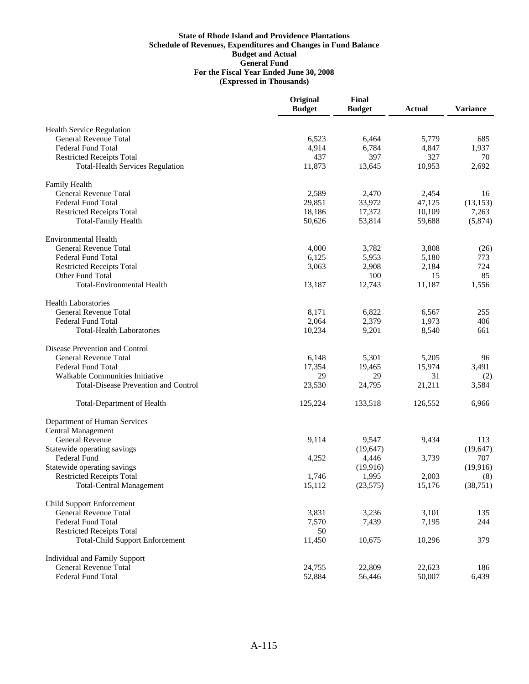|                                             | Original<br><b>Budget</b> | Final<br><b>Budget</b> | <b>Actual</b> | <b>Variance</b> |
|---------------------------------------------|---------------------------|------------------------|---------------|-----------------|
| <b>Health Service Regulation</b>            |                           |                        |               |                 |
| <b>General Revenue Total</b>                | 6,523                     | 6,464                  | 5,779         | 685             |
| <b>Federal Fund Total</b>                   | 4,914                     | 6,784                  | 4,847         | 1,937           |
| <b>Restricted Receipts Total</b>            | 437                       | 397                    | 327           | 70              |
| <b>Total-Health Services Regulation</b>     | 11,873                    | 13,645                 | 10,953        | 2,692           |
| Family Health                               |                           |                        |               |                 |
| General Revenue Total                       | 2,589                     | 2,470                  | 2,454         | 16              |
| <b>Federal Fund Total</b>                   | 29,851                    | 33,972                 | 47,125        | (13, 153)       |
| <b>Restricted Receipts Total</b>            | 18,186                    | 17,372                 | 10,109        | 7,263           |
| <b>Total-Family Health</b>                  | 50,626                    | 53,814                 | 59,688        | (5,874)         |
| <b>Environmental Health</b>                 |                           |                        |               |                 |
| General Revenue Total                       | 4,000                     | 3,782                  | 3,808         | (26)            |
| <b>Federal Fund Total</b>                   | 6,125                     | 5,953                  | 5,180         | 773             |
| <b>Restricted Receipts Total</b>            | 3,063                     | 2,908                  | 2,184         | 724             |
| Other Fund Total                            |                           | 100                    | 15            | 85              |
| <b>Total-Environmental Health</b>           | 13,187                    | 12,743                 | 11,187        | 1,556           |
| <b>Health Laboratories</b>                  |                           |                        |               |                 |
| General Revenue Total                       | 8,171                     | 6,822                  | 6,567         | 255             |
| <b>Federal Fund Total</b>                   | 2,064                     | 2,379                  | 1,973         | 406             |
| <b>Total-Health Laboratories</b>            | 10,234                    | 9,201                  | 8,540         | 661             |
| Disease Prevention and Control              |                           |                        |               |                 |
| <b>General Revenue Total</b>                | 6,148                     | 5,301                  | 5,205         | 96              |
| Federal Fund Total                          | 17,354                    | 19,465                 | 15,974        | 3,491           |
| Walkable Communities Initiative             | 29                        | 29                     | 31            | (2)             |
| <b>Total-Disease Prevention and Control</b> | 23,530                    | 24,795                 | 21,211        | 3,584           |
| Total-Department of Health                  | 125,224                   | 133,518                | 126,552       | 6,966           |
| Department of Human Services                |                           |                        |               |                 |
| <b>Central Management</b>                   |                           |                        |               |                 |
| <b>General Revenue</b>                      | 9,114                     | 9,547                  | 9,434         | 113             |
| Statewide operating savings                 |                           | (19,647)               |               | (19, 647)       |
| Federal Fund                                | 4,252                     | 4,446                  | 3,739         | 707             |
| Statewide operating savings                 |                           | (19,916)               |               | (19,916)        |
| <b>Restricted Receipts Total</b>            | 1,746                     | 1,995                  | 2,003         | (8)             |
| <b>Total-Central Management</b>             | 15,112                    | (23, 575)              | 15,176        | (38, 751)       |
| <b>Child Support Enforcement</b>            |                           |                        |               |                 |
| <b>General Revenue Total</b>                | 3,831                     | 3,236                  | 3,101         | 135             |
| <b>Federal Fund Total</b>                   | 7,570                     | 7,439                  | 7,195         | 244             |
| <b>Restricted Receipts Total</b>            | 50                        |                        |               |                 |
| <b>Total-Child Support Enforcement</b>      | 11,450                    | 10,675                 | 10,296        | 379             |
| <b>Individual and Family Support</b>        |                           |                        |               |                 |
| General Revenue Total                       | 24,755                    | 22,809                 | 22,623        | 186             |
| Federal Fund Total                          | 52,884                    | 56,446                 | 50,007        | 6,439           |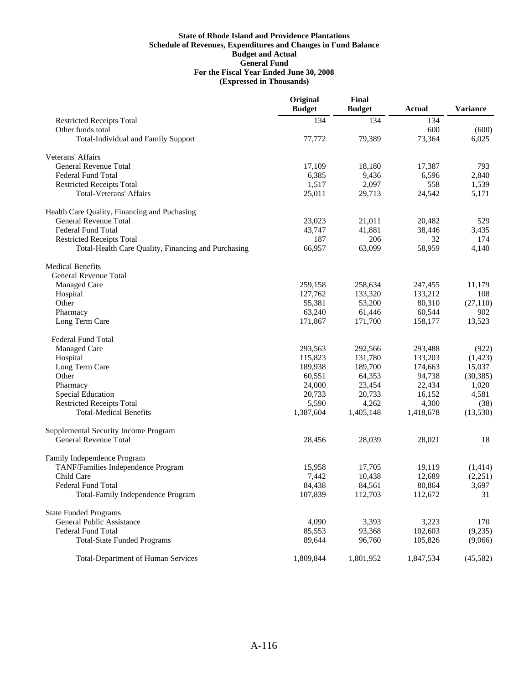|                                                     | Original<br><b>Budget</b> | Final<br><b>Budget</b> | <b>Actual</b> | <b>Variance</b> |
|-----------------------------------------------------|---------------------------|------------------------|---------------|-----------------|
| <b>Restricted Receipts Total</b>                    | 134                       | 134                    | 134           |                 |
| Other funds total                                   |                           |                        | 600           | (600)           |
| <b>Total-Individual and Family Support</b>          | 77,772                    | 79,389                 | 73,364        | 6,025           |
| Veterans' Affairs                                   |                           |                        |               |                 |
| General Revenue Total                               | 17,109                    | 18,180                 | 17,387        | 793             |
| <b>Federal Fund Total</b>                           | 6,385                     | 9,436                  | 6,596         | 2,840           |
| <b>Restricted Receipts Total</b>                    | 1,517                     | 2,097                  | 558           | 1,539           |
| <b>Total-Veterans' Affairs</b>                      | 25,011                    | 29,713                 | 24,542        | 5,171           |
| Health Care Quality, Financing and Puchasing        |                           |                        |               |                 |
| <b>General Revenue Total</b>                        | 23,023                    | 21,011                 | 20,482        | 529             |
| <b>Federal Fund Total</b>                           | 43,747                    | 41,881                 | 38,446        | 3,435           |
| <b>Restricted Receipts Total</b>                    | 187                       | 206                    | 32            | 174             |
| Total-Health Care Quality, Financing and Purchasing | 66,957                    | 63,099                 | 58,959        | 4,140           |
| <b>Medical Benefits</b>                             |                           |                        |               |                 |
| General Revenue Total                               |                           |                        |               |                 |
| <b>Managed Care</b>                                 | 259,158                   | 258,634                | 247,455       | 11,179          |
| Hospital                                            | 127,762                   | 133,320                | 133,212       | 108             |
| Other                                               | 55,381                    | 53,200                 | 80,310        | (27, 110)       |
| Pharmacy                                            | 63,240                    | 61,446                 | 60,544        | 902             |
| Long Term Care                                      | 171,867                   | 171,700                | 158,177       | 13,523          |
| Federal Fund Total                                  |                           |                        |               |                 |
| <b>Managed Care</b>                                 | 293,563                   | 292,566                | 293,488       | (922)           |
| Hospital                                            | 115,823                   | 131,780                | 133,203       | (1,423)         |
| Long Term Care                                      | 189,938                   | 189,700                | 174,663       | 15,037          |
| Other                                               | 60,551                    | 64,353                 | 94,738        | (30, 385)       |
| Pharmacy                                            | 24,000                    | 23,454                 | 22,434        | 1,020           |
| Special Education                                   | 20,733                    | 20,733                 | 16,152        | 4,581           |
| <b>Restricted Receipts Total</b>                    | 5,590                     | 4,262                  | 4,300         | (38)            |
| <b>Total-Medical Benefits</b>                       | 1,387,604                 | 1,405,148              | 1,418,678     | (13,530)        |
| Supplemental Security Income Program                |                           |                        |               |                 |
| <b>General Revenue Total</b>                        | 28,456                    | 28,039                 | 28,021        | 18              |
| Family Independence Program                         |                           |                        |               |                 |
| TANF/Families Independence Program                  | 15,958                    | 17,705                 | 19,119        | (1,414)         |
| Child Care                                          | 7,442                     | 10,438                 | 12,689        | (2,251)         |
| Federal Fund Total                                  | 84,438                    | 84,561                 | 80,864        | 3,697           |
| <b>Total-Family Independence Program</b>            | 107,839                   | 112,703                | 112,672       | 31              |
| <b>State Funded Programs</b>                        |                           |                        |               |                 |
| General Public Assistance                           | 4,090                     | 3,393                  | 3,223         | 170             |
| <b>Federal Fund Total</b>                           | 85,553                    | 93,368                 | 102,603       | (9,235)         |
| <b>Total-State Funded Programs</b>                  | 89,644                    | 96,760                 | 105,826       | (9,066)         |
| <b>Total-Department of Human Services</b>           | 1,809,844                 | 1,801,952              | 1,847,534     | (45,582)        |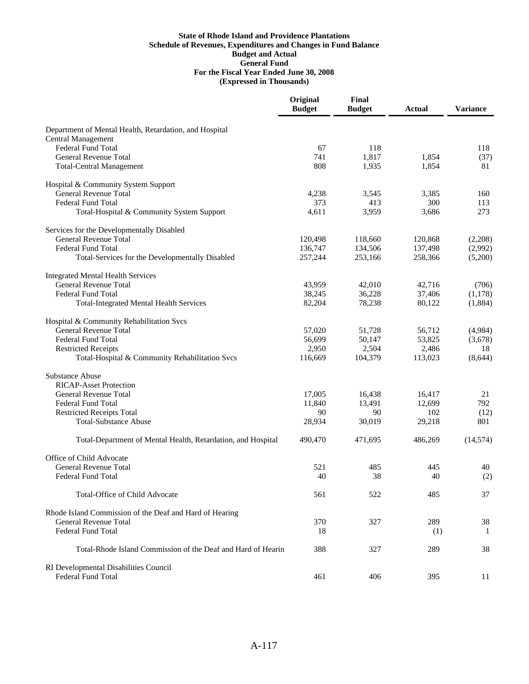|                                                              | Original<br><b>Budget</b> | Final<br><b>Budget</b> | <b>Actual</b> | <b>Variance</b> |
|--------------------------------------------------------------|---------------------------|------------------------|---------------|-----------------|
| Department of Mental Health, Retardation, and Hospital       |                           |                        |               |                 |
| <b>Central Management</b>                                    |                           |                        |               |                 |
| <b>Federal Fund Total</b>                                    | 67                        | 118                    |               | 118             |
| <b>General Revenue Total</b>                                 | 741                       | 1,817                  | 1,854         | (37)            |
| <b>Total-Central Management</b>                              | 808                       | 1,935                  | 1,854         | 81              |
| Hospital & Community System Support                          |                           |                        |               |                 |
| General Revenue Total                                        | 4,238                     | 3,545                  | 3,385         | 160             |
| <b>Federal Fund Total</b>                                    | 373                       | 413                    | 300           | 113             |
| Total-Hospital & Community System Support                    | 4,611                     | 3,959                  | 3,686         | 273             |
| Services for the Developmentally Disabled                    |                           |                        |               |                 |
| <b>General Revenue Total</b>                                 | 120,498                   | 118,660                | 120,868       | (2,208)         |
| <b>Federal Fund Total</b>                                    | 136,747                   | 134,506                | 137,498       | (2,992)         |
| Total-Services for the Developmentally Disabled              | 257,244                   | 253,166                | 258,366       | (5,200)         |
| <b>Integrated Mental Health Services</b>                     |                           |                        |               |                 |
| <b>General Revenue Total</b>                                 | 43,959                    | 42,010                 | 42,716        | (706)           |
| <b>Federal Fund Total</b>                                    | 38,245                    | 36,228                 | 37,406        | (1,178)         |
| <b>Total-Integrated Mental Health Services</b>               | 82,204                    | 78,238                 | 80,122        | (1,884)         |
| Hospital & Community Rehabilitation Svcs                     |                           |                        |               |                 |
| General Revenue Total                                        | 57,020                    | 51,728                 | 56,712        | (4,984)         |
| <b>Federal Fund Total</b>                                    | 56,699                    | 50,147                 | 53,825        | (3,678)         |
| <b>Restricted Receipts</b>                                   | 2,950                     | 2,504                  | 2,486         | 18              |
| Total-Hospital & Community Rehabilitation Svcs               | 116,669                   | 104,379                | 113,023       | (8, 644)        |
| <b>Substance Abuse</b>                                       |                           |                        |               |                 |
| <b>RICAP-Asset Protection</b>                                |                           |                        |               |                 |
| General Revenue Total                                        | 17,005                    | 16,438                 | 16,417        | 21              |
| <b>Federal Fund Total</b>                                    | 11,840                    | 13,491                 | 12,699        | 792             |
| <b>Restricted Receipts Total</b>                             | 90                        | 90                     | 102           | (12)            |
| <b>Total-Substance Abuse</b>                                 | 28,934                    | 30,019                 | 29,218        | 801             |
| Total-Department of Mental Health, Retardation, and Hospital | 490,470                   | 471,695                | 486,269       | (14, 574)       |
| Office of Child Advocate                                     |                           |                        |               |                 |
| <b>General Revenue Total</b>                                 | 521                       | 485                    | 445           | 40              |
| <b>Federal Fund Total</b>                                    | 40                        | 38                     | 40            | (2)             |
| Total-Office of Child Advocate                               | 561                       | 522                    | 485           | 37              |
| Rhode Island Commission of the Deaf and Hard of Hearing      |                           |                        |               |                 |
| <b>General Revenue Total</b>                                 | 370                       | 327                    | 289           | 38              |
| <b>Federal Fund Total</b>                                    | 18                        |                        | (1)           | -1              |
| Total-Rhode Island Commission of the Deaf and Hard of Hearin | 388                       | 327                    | 289           | 38              |
| RI Developmental Disabilities Council                        |                           |                        |               |                 |
| <b>Federal Fund Total</b>                                    | 461                       | 406                    | 395           | 11              |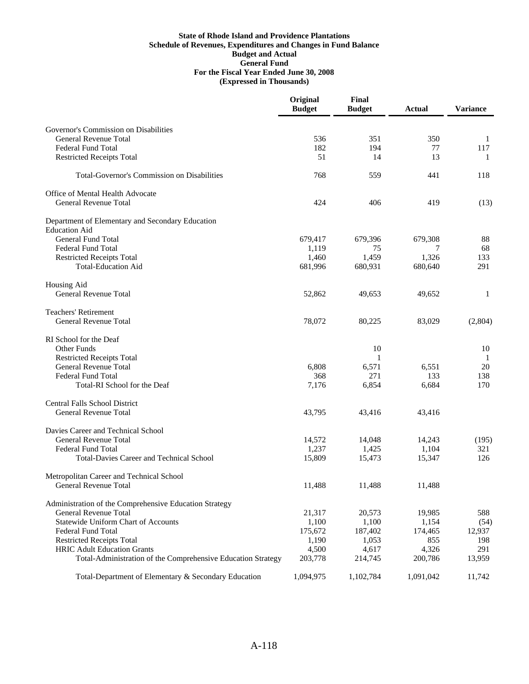|                                                              | Original<br><b>Budget</b> | Final<br><b>Budget</b> | <b>Actual</b> | <b>Variance</b> |
|--------------------------------------------------------------|---------------------------|------------------------|---------------|-----------------|
| Governor's Commission on Disabilities                        |                           |                        |               |                 |
| General Revenue Total                                        | 536                       | 351                    | 350           | 1               |
| <b>Federal Fund Total</b>                                    | 182                       | 194                    | 77            | 117             |
| <b>Restricted Receipts Total</b>                             | 51                        | 14                     | 13            | -1              |
| <b>Total-Governor's Commission on Disabilities</b>           | 768                       | 559                    | 441           | 118             |
| Office of Mental Health Advocate                             |                           |                        |               |                 |
| <b>General Revenue Total</b>                                 | 424                       | 406                    | 419           | (13)            |
| Department of Elementary and Secondary Education             |                           |                        |               |                 |
| <b>Education Aid</b>                                         |                           |                        |               |                 |
| <b>General Fund Total</b>                                    | 679,417                   | 679,396                | 679,308       | 88              |
| <b>Federal Fund Total</b>                                    | 1,119                     | 75                     |               | 68              |
| <b>Restricted Receipts Total</b>                             | 1,460                     | 1,459                  | 1,326         | 133             |
| <b>Total-Education Aid</b>                                   | 681,996                   | 680,931                | 680,640       | 291             |
| Housing Aid                                                  |                           |                        |               |                 |
| <b>General Revenue Total</b>                                 | 52,862                    | 49,653                 | 49,652        | 1               |
| <b>Teachers' Retirement</b>                                  |                           |                        |               |                 |
| General Revenue Total                                        | 78,072                    | 80,225                 | 83,029        | (2,804)         |
| RI School for the Deaf                                       |                           |                        |               |                 |
| Other Funds                                                  |                           | 10                     |               | 10              |
| <b>Restricted Receipts Total</b>                             |                           | 1                      |               | -1              |
| General Revenue Total                                        | 6,808                     | 6,571                  | 6,551         | 20              |
| <b>Federal Fund Total</b>                                    | 368                       | 271                    | 133           | 138             |
| Total-RI School for the Deaf                                 | 7,176                     | 6,854                  | 6,684         | 170             |
| <b>Central Falls School District</b>                         |                           |                        |               |                 |
| <b>General Revenue Total</b>                                 | 43,795                    | 43,416                 | 43,416        |                 |
| Davies Career and Technical School                           |                           |                        |               |                 |
| <b>General Revenue Total</b>                                 | 14,572                    | 14,048                 | 14,243        | (195)           |
| <b>Federal Fund Total</b>                                    | 1,237                     | 1,425                  | 1,104         | 321             |
| <b>Total-Davies Career and Technical School</b>              | 15,809                    | 15,473                 | 15,347        | 126             |
| Metropolitan Career and Technical School                     |                           |                        |               |                 |
| General Revenue Total                                        | 11,488                    | 11,488                 | 11,488        |                 |
| Administration of the Comprehensive Education Strategy       |                           |                        |               |                 |
| General Revenue Total                                        | 21,317                    | 20,573                 | 19,985        | 588             |
| <b>Statewide Uniform Chart of Accounts</b>                   | 1,100                     | 1,100                  | 1,154         | (54)            |
| <b>Federal Fund Total</b>                                    | 175,672                   | 187,402                | 174,465       | 12,937          |
| <b>Restricted Receipts Total</b>                             | 1,190                     | 1,053                  | 855           | 198             |
| <b>HRIC Adult Education Grants</b>                           | 4,500                     | 4,617                  | 4,326         | 291             |
| Total-Administration of the Comprehensive Education Strategy | 203,778                   | 214,745                | 200,786       | 13,959          |
| Total-Department of Elementary & Secondary Education         | 1,094,975                 | 1,102,784              | 1,091,042     | 11,742          |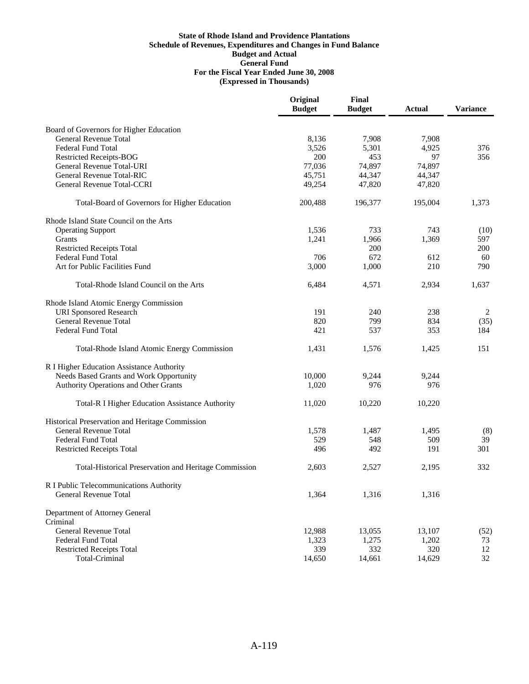|                                                        | Original<br><b>Budget</b> | Final<br><b>Budget</b> | <b>Actual</b> | <b>Variance</b> |
|--------------------------------------------------------|---------------------------|------------------------|---------------|-----------------|
| Board of Governors for Higher Education                |                           |                        |               |                 |
| <b>General Revenue Total</b>                           | 8,136                     | 7,908                  | 7,908         |                 |
| <b>Federal Fund Total</b>                              | 3,526                     | 5,301                  | 4,925         | 376             |
| <b>Restricted Receipts-BOG</b>                         | 200                       | 453                    | 97            | 356             |
| General Revenue Total-URI                              | 77,036                    | 74,897                 | 74,897        |                 |
| General Revenue Total-RIC                              | 45,751                    | 44,347                 | 44,347        |                 |
| <b>General Revenue Total-CCRI</b>                      | 49,254                    | 47,820                 | 47,820        |                 |
| Total-Board of Governors for Higher Education          | 200,488                   | 196,377                | 195,004       | 1,373           |
| Rhode Island State Council on the Arts                 |                           |                        |               |                 |
| <b>Operating Support</b>                               | 1,536                     | 733                    | 743           | (10)            |
| Grants                                                 | 1,241                     | 1,966                  | 1,369         | 597             |
| <b>Restricted Receipts Total</b>                       |                           | 200                    |               | 200             |
| <b>Federal Fund Total</b>                              | 706                       | 672                    | 612           | 60              |
| Art for Public Facilities Fund                         | 3,000                     | 1,000                  | 210           | 790             |
| Total-Rhode Island Council on the Arts                 | 6,484                     | 4,571                  | 2,934         | 1,637           |
| Rhode Island Atomic Energy Commission                  |                           |                        |               |                 |
| <b>URI</b> Sponsored Research                          | 191                       | 240                    | 238           | 2               |
| General Revenue Total                                  | 820                       | 799                    | 834           | (35)            |
| <b>Federal Fund Total</b>                              | 421                       | 537                    | 353           | 184             |
| Total-Rhode Island Atomic Energy Commission            | 1,431                     | 1,576                  | 1,425         | 151             |
| R I Higher Education Assistance Authority              |                           |                        |               |                 |
| Needs Based Grants and Work Opportunity                | 10,000                    | 9,244                  | 9,244         |                 |
| Authority Operations and Other Grants                  | 1,020                     | 976                    | 976           |                 |
| <b>Total-R I Higher Education Assistance Authority</b> | 11,020                    | 10,220                 | 10,220        |                 |
| Historical Preservation and Heritage Commission        |                           |                        |               |                 |
| <b>General Revenue Total</b>                           | 1,578                     | 1,487                  | 1,495         | (8)             |
| <b>Federal Fund Total</b>                              | 529                       | 548                    | 509           | 39              |
| <b>Restricted Receipts Total</b>                       | 496                       | 492                    | 191           | 301             |
| Total-Historical Preservation and Heritage Commission  | 2,603                     | 2,527                  | 2,195         | 332             |
| R I Public Telecommunications Authority                |                           |                        |               |                 |
| <b>General Revenue Total</b>                           | 1,364                     | 1,316                  | 1,316         |                 |
| Department of Attorney General<br>Criminal             |                           |                        |               |                 |
| General Revenue Total                                  | 12,988                    | 13,055                 | 13,107        | (52)            |
| <b>Federal Fund Total</b>                              | 1,323                     | 1,275                  | 1,202         | 73              |
| <b>Restricted Receipts Total</b>                       | 339                       | 332                    | 320           | 12              |
| Total-Criminal                                         | 14,650                    | 14,661                 | 14,629        | 32              |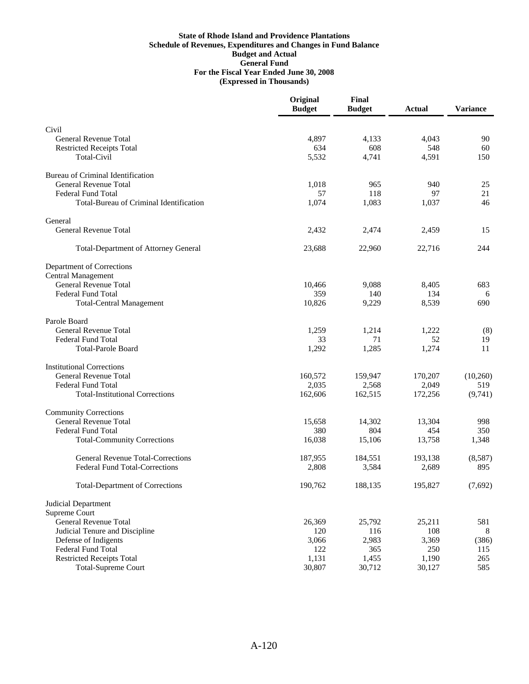|                                                           | Original<br><b>Budget</b> | Final<br><b>Budget</b> | <b>Actual</b> | <b>Variance</b> |
|-----------------------------------------------------------|---------------------------|------------------------|---------------|-----------------|
| Civil                                                     |                           |                        |               |                 |
| <b>General Revenue Total</b>                              | 4,897                     | 4,133                  | 4,043         | 90              |
| <b>Restricted Receipts Total</b>                          | 634                       | 608                    | 548           | 60              |
| <b>Total-Civil</b>                                        | 5,532                     | 4,741                  | 4,591         | 150             |
| Bureau of Criminal Identification                         |                           |                        |               |                 |
| <b>General Revenue Total</b>                              | 1,018                     | 965                    | 940           | 25              |
| <b>Federal Fund Total</b>                                 | 57                        | 118                    | 97            | 21              |
| Total-Bureau of Criminal Identification                   | 1,074                     | 1,083                  | 1,037         | 46              |
| General                                                   |                           |                        |               |                 |
| <b>General Revenue Total</b>                              | 2,432                     | 2,474                  | 2,459         | 15              |
| <b>Total-Department of Attorney General</b>               | 23,688                    | 22,960                 | 22,716        | 244             |
| Department of Corrections                                 |                           |                        |               |                 |
| <b>Central Management</b><br><b>General Revenue Total</b> | 10,466                    | 9,088                  |               | 683             |
| <b>Federal Fund Total</b>                                 | 359                       | 140                    | 8,405<br>134  | 6               |
| <b>Total-Central Management</b>                           | 10,826                    | 9,229                  | 8,539         | 690             |
| Parole Board                                              |                           |                        |               |                 |
| <b>General Revenue Total</b>                              | 1,259                     | 1,214                  | 1,222         | (8)             |
| <b>Federal Fund Total</b>                                 | 33                        | 71                     | 52            | 19              |
| <b>Total-Parole Board</b>                                 | 1,292                     | 1,285                  | 1,274         | 11              |
| <b>Institutional Corrections</b>                          |                           |                        |               |                 |
| <b>General Revenue Total</b>                              | 160,572                   | 159,947                | 170,207       | (10,260)        |
| <b>Federal Fund Total</b>                                 | 2,035                     | 2,568                  | 2,049         | 519             |
| <b>Total-Institutional Corrections</b>                    | 162,606                   | 162,515                | 172,256       | (9,741)         |
| <b>Community Corrections</b>                              |                           |                        |               |                 |
| <b>General Revenue Total</b>                              | 15,658                    | 14,302                 | 13,304        | 998             |
| <b>Federal Fund Total</b>                                 | 380                       | 804                    | 454           | 350             |
| <b>Total-Community Corrections</b>                        | 16,038                    | 15,106                 | 13,758        | 1,348           |
| <b>General Revenue Total-Corrections</b>                  | 187,955                   | 184,551                | 193,138       | (8,587)         |
| <b>Federal Fund Total-Corrections</b>                     | 2,808                     | 3,584                  | 2,689         | 895             |
| <b>Total-Department of Corrections</b>                    | 190,762                   | 188,135                | 195,827       | (7,692)         |
| Judicial Department                                       |                           |                        |               |                 |
| Supreme Court                                             |                           |                        |               |                 |
| General Revenue Total                                     | 26,369                    | 25,792                 | 25,211        | 581             |
| Judicial Tenure and Discipline                            | 120<br>3,066              | 116                    | 108<br>3,369  | 8               |
| Defense of Indigents<br>Federal Fund Total                | 122                       | 2,983<br>365           | 250           | (386)<br>115    |
| <b>Restricted Receipts Total</b>                          | 1,131                     | 1,455                  | 1,190         | 265             |
| <b>Total-Supreme Court</b>                                | 30,807                    | 30,712                 | 30,127        | 585             |
|                                                           |                           |                        |               |                 |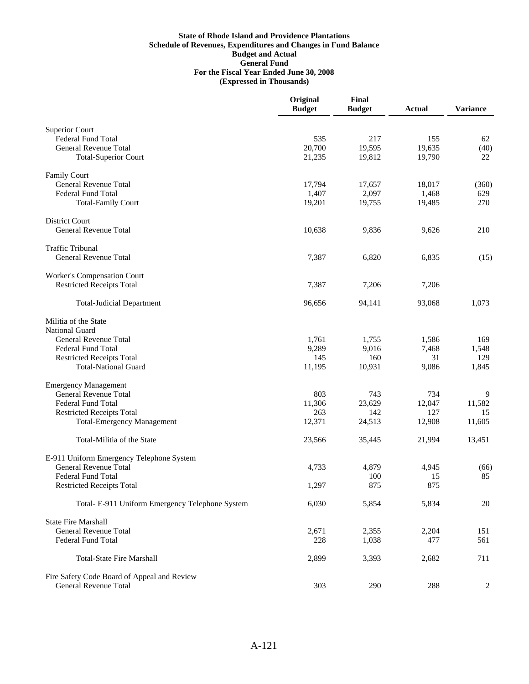|                                                 | Original<br><b>Budget</b> | Final<br><b>Budget</b> | <b>Actual</b> | <b>Variance</b> |
|-------------------------------------------------|---------------------------|------------------------|---------------|-----------------|
| <b>Superior Court</b>                           |                           |                        |               |                 |
| <b>Federal Fund Total</b>                       | 535                       | 217                    | 155           | 62              |
| <b>General Revenue Total</b>                    | 20,700                    | 19,595                 | 19,635        | (40)            |
| <b>Total-Superior Court</b>                     | 21,235                    | 19,812                 | 19,790        | 22              |
| <b>Family Court</b>                             |                           |                        |               |                 |
| <b>General Revenue Total</b>                    | 17,794                    | 17,657                 | 18,017        | (360)           |
| <b>Federal Fund Total</b>                       | 1,407                     | 2,097                  | 1,468         | 629             |
| <b>Total-Family Court</b>                       | 19,201                    | 19,755                 | 19,485        | 270             |
| <b>District Court</b>                           |                           |                        |               |                 |
| General Revenue Total                           | 10,638                    | 9,836                  | 9,626         | 210             |
| <b>Traffic Tribunal</b>                         |                           |                        |               |                 |
| <b>General Revenue Total</b>                    | 7,387                     | 6,820                  | 6,835         | (15)            |
| Worker's Compensation Court                     |                           |                        |               |                 |
| <b>Restricted Receipts Total</b>                | 7,387                     | 7,206                  | 7,206         |                 |
| <b>Total-Judicial Department</b>                | 96,656                    | 94,141                 | 93,068        | 1,073           |
| Militia of the State                            |                           |                        |               |                 |
| National Guard                                  |                           |                        |               |                 |
| General Revenue Total                           | 1,761                     | 1,755                  | 1,586         | 169             |
| <b>Federal Fund Total</b>                       | 9,289                     | 9,016                  | 7,468         | 1,548           |
| <b>Restricted Receipts Total</b>                | 145                       | 160                    | 31            | 129             |
| <b>Total-National Guard</b>                     | 11,195                    | 10,931                 | 9,086         | 1,845           |
| <b>Emergency Management</b>                     |                           |                        |               |                 |
| <b>General Revenue Total</b>                    | 803                       | 743                    | 734           | 9               |
| <b>Federal Fund Total</b>                       | 11,306                    | 23,629                 | 12,047        | 11,582          |
| <b>Restricted Receipts Total</b>                | 263                       | 142                    | 127           | 15              |
| <b>Total-Emergency Management</b>               | 12,371                    | 24,513                 | 12,908        | 11,605          |
| Total-Militia of the State                      | 23,566                    | 35,445                 | 21,994        | 13,451          |
| E-911 Uniform Emergency Telephone System        |                           |                        |               |                 |
| <b>General Revenue Total</b>                    | 4,733                     | 4,879                  | 4,945         | (66)            |
| Federal Fund Total                              |                           | 100                    | 15            | 85              |
| <b>Restricted Receipts Total</b>                | 1,297                     | 875                    | 875           |                 |
| Total- E-911 Uniform Emergency Telephone System | 6,030                     | 5,854                  | 5,834         | $20\,$          |
| <b>State Fire Marshall</b>                      |                           |                        |               |                 |
| General Revenue Total                           | 2,671                     | 2,355                  | 2,204         | 151             |
| <b>Federal Fund Total</b>                       | 228                       | 1,038                  | 477           | 561             |
| <b>Total-State Fire Marshall</b>                | 2,899                     | 3,393                  | 2,682         | 711             |
| Fire Safety Code Board of Appeal and Review     |                           |                        |               |                 |
| <b>General Revenue Total</b>                    | 303                       | 290                    | 288           | 2               |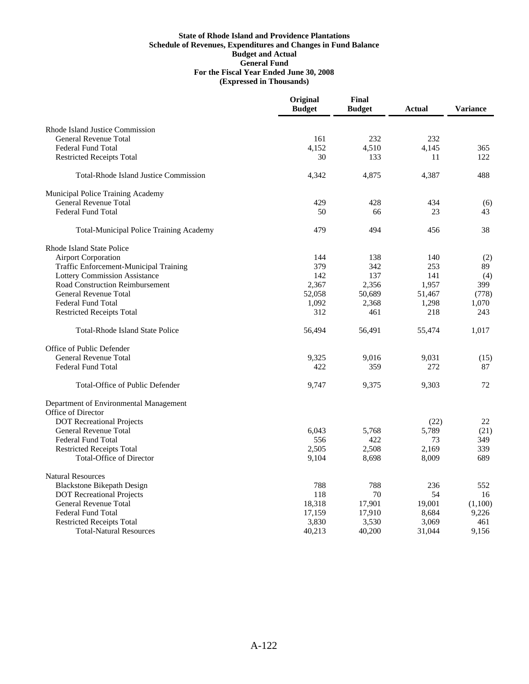|                                                                  | Original<br><b>Budget</b> | Final<br><b>Budget</b> | <b>Actual</b> | <b>Variance</b> |
|------------------------------------------------------------------|---------------------------|------------------------|---------------|-----------------|
| Rhode Island Justice Commission                                  |                           |                        |               |                 |
| <b>General Revenue Total</b>                                     | 161                       | 232                    | 232           |                 |
| <b>Federal Fund Total</b>                                        | 4.152                     | 4,510                  | 4.145         | 365             |
| <b>Restricted Receipts Total</b>                                 | 30                        | 133                    | 11            | 122             |
| <b>Total-Rhode Island Justice Commission</b>                     | 4,342                     | 4,875                  | 4,387         | 488             |
| Municipal Police Training Academy                                |                           |                        |               |                 |
| <b>General Revenue Total</b>                                     | 429                       | 428                    | 434           | (6)             |
| <b>Federal Fund Total</b>                                        | 50                        | 66                     | 23            | 43              |
| Total-Municipal Police Training Academy                          | 479                       | 494                    | 456           | 38              |
| Rhode Island State Police                                        |                           |                        |               |                 |
| <b>Airport Corporation</b>                                       | 144                       | 138                    | 140           | (2)             |
| Traffic Enforcement-Municipal Training                           | 379                       | 342                    | 253           | 89              |
| <b>Lottery Commission Assistance</b>                             | 142                       | 137                    | 141           | (4)             |
| <b>Road Construction Reimbursement</b>                           | 2,367                     | 2,356                  | 1,957         | 399             |
| <b>General Revenue Total</b>                                     | 52,058                    | 50,689                 | 51,467        | (778)           |
| <b>Federal Fund Total</b>                                        | 1,092                     | 2,368                  | 1,298         | 1,070           |
| <b>Restricted Receipts Total</b>                                 | 312                       | 461                    | 218           | 243             |
| <b>Total-Rhode Island State Police</b>                           | 56,494                    | 56,491                 | 55,474        | 1,017           |
| Office of Public Defender                                        |                           |                        |               |                 |
| <b>General Revenue Total</b>                                     | 9,325                     | 9,016                  | 9,031         | (15)            |
| <b>Federal Fund Total</b>                                        | 422                       | 359                    | 272           | 87              |
| Total-Office of Public Defender                                  | 9,747                     | 9,375                  | 9,303         | 72              |
| Department of Environmental Management                           |                           |                        |               |                 |
| Office of Director                                               |                           |                        |               |                 |
| <b>DOT</b> Recreational Projects<br><b>General Revenue Total</b> |                           |                        | (22)          | 22              |
| <b>Federal Fund Total</b>                                        | 6,043<br>556              | 5,768<br>422           | 5,789<br>73   | (21)<br>349     |
| <b>Restricted Receipts Total</b>                                 | 2.505                     | 2,508                  | 2.169         | 339             |
| <b>Total-Office of Director</b>                                  | 9,104                     | 8,698                  | 8,009         | 689             |
| <b>Natural Resources</b>                                         |                           |                        |               |                 |
| <b>Blackstone Bikepath Design</b>                                | 788                       | 788                    | 236           | 552             |
| <b>DOT</b> Recreational Projects                                 | 118                       | 70                     | 54            | 16              |
| <b>General Revenue Total</b>                                     | 18,318                    | 17,901                 | 19,001        | (1,100)         |
| Federal Fund Total                                               | 17,159                    | 17,910                 | 8,684         | 9,226           |
| <b>Restricted Receipts Total</b>                                 | 3,830                     | 3,530                  | 3,069         | 461             |
| <b>Total-Natural Resources</b>                                   | 40,213                    | 40,200                 | 31,044        | 9,156           |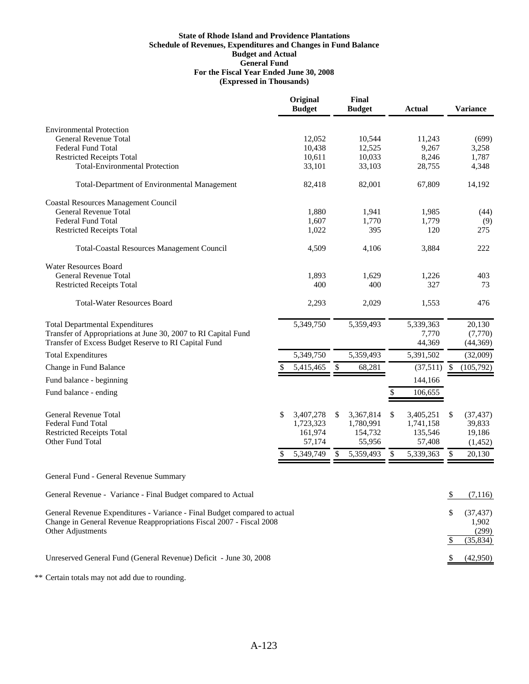|                                                                                                                        | Original<br><b>Budget</b> |    | Final<br><b>Budget</b> | <b>Actual</b>   |    | <b>Variance</b>      |
|------------------------------------------------------------------------------------------------------------------------|---------------------------|----|------------------------|-----------------|----|----------------------|
| <b>Environmental Protection</b>                                                                                        |                           |    |                        |                 |    |                      |
| <b>General Revenue Total</b>                                                                                           | 12,052                    |    | 10,544                 | 11,243          |    | (699)                |
| <b>Federal Fund Total</b>                                                                                              | 10,438                    |    | 12,525                 | 9,267           |    | 3,258                |
| <b>Restricted Receipts Total</b>                                                                                       | 10,611                    |    | 10,033                 | 8,246           |    | 1,787                |
| <b>Total-Environmental Protection</b>                                                                                  | 33,101                    |    | 33,103                 | 28,755          |    | 4,348                |
| Total-Department of Environmental Management                                                                           | 82,418                    |    | 82,001                 | 67,809          |    | 14,192               |
| <b>Coastal Resources Management Council</b>                                                                            |                           |    |                        |                 |    |                      |
| <b>General Revenue Total</b>                                                                                           | 1,880                     |    | 1,941                  | 1,985           |    | (44)                 |
| <b>Federal Fund Total</b>                                                                                              | 1,607                     |    | 1,770                  | 1,779           |    | (9)                  |
| <b>Restricted Receipts Total</b>                                                                                       | 1,022                     |    | 395                    | 120             |    | 275                  |
| <b>Total-Coastal Resources Management Council</b>                                                                      | 4,509                     |    | 4,106                  | 3,884           |    | 222                  |
| <b>Water Resources Board</b>                                                                                           |                           |    |                        |                 |    |                      |
| <b>General Revenue Total</b>                                                                                           | 1,893                     |    | 1,629                  | 1,226           |    | 403                  |
| <b>Restricted Receipts Total</b>                                                                                       | 400                       |    | 400                    | 327             |    | 73                   |
| <b>Total-Water Resources Board</b>                                                                                     | 2,293                     |    | 2,029                  | 1,553           |    | 476                  |
| <b>Total Departmental Expenditures</b>                                                                                 | 5,349,750                 |    | 5,359,493              | 5,339,363       |    | 20,130               |
| Transfer of Appropriations at June 30, 2007 to RI Capital Fund<br>Transfer of Excess Budget Reserve to RI Capital Fund |                           |    |                        | 7,770<br>44,369 |    | (7,770)<br>(44, 369) |
| <b>Total Expenditures</b>                                                                                              | 5,349,750                 |    | 5,359,493              | 5,391,502       |    | (32,009)             |
| Change in Fund Balance                                                                                                 | 5,415,465                 | S  | 68,281                 | (37,511)        | S  | (105,792)            |
| Fund balance - beginning                                                                                               |                           |    |                        | 144,166         |    |                      |
| Fund balance - ending                                                                                                  |                           |    |                        | \$<br>106,655   |    |                      |
| <b>General Revenue Total</b>                                                                                           | \$<br>3,407,278           | \$ | 3,367,814              | \$<br>3,405,251 | \$ | (37, 437)            |
| <b>Federal Fund Total</b>                                                                                              | 1,723,323                 |    | 1,780,991              | 1,741,158       |    | 39,833               |
| <b>Restricted Receipts Total</b>                                                                                       | 161,974                   |    | 154,732                | 135,546         |    | 19,186               |
| Other Fund Total                                                                                                       | 57,174                    |    | 55,956                 | 57,408          |    | (1, 452)             |
|                                                                                                                        | 5,349,749                 |    | 5,359,493              | \$<br>5,339,363 | S  | 20,130               |
| General Fund - General Revenue Summary                                                                                 |                           |    |                        |                 |    |                      |
| General Revenue - Variance - Final Budget compared to Actual                                                           |                           |    |                        |                 | \$ | (7,116)              |
| General Revenue Expenditures - Variance - Final Budget compared to actual                                              |                           |    |                        |                 | \$ | (37, 437)            |
| Change in General Revenue Reappropriations Fiscal 2007 - Fiscal 2008                                                   |                           |    |                        |                 |    | 1,902                |
| Other Adjustments                                                                                                      |                           |    |                        |                 |    | (299)                |
|                                                                                                                        |                           |    |                        |                 | S  | (35, 834)            |
| Unreserved General Fund (General Revenue) Deficit - June 30, 2008                                                      |                           |    |                        |                 |    | (42,950)             |
|                                                                                                                        |                           |    |                        |                 |    |                      |

\*\* Certain totals may not add due to rounding.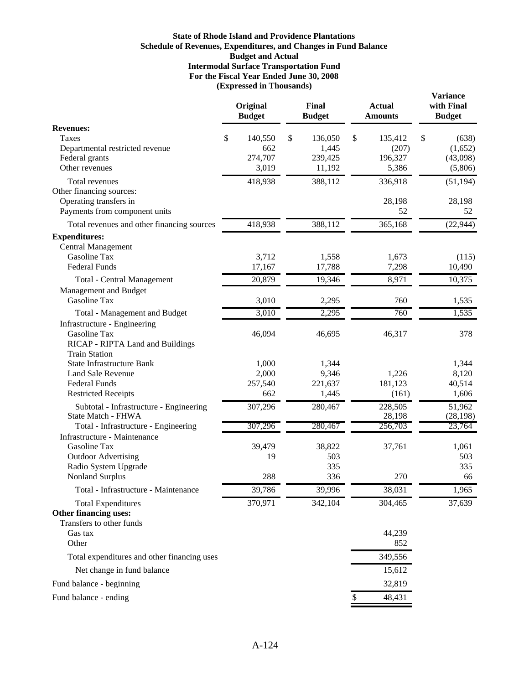## **For the Fiscal Year Ended June 30, 2008 (Expressed in Thousands) State of Rhode Island and Providence Plantations Schedule of Revenues, Expenditures, and Changes in Fund Balance Budget and Actual Intermodal Surface Transportation Fund**

|                                                               | Original<br><b>Budget</b> | Final<br><b>Budget</b> | <b>Actual</b><br><b>Amounts</b> | <b>Variance</b><br>with Final<br><b>Budget</b> |
|---------------------------------------------------------------|---------------------------|------------------------|---------------------------------|------------------------------------------------|
| <b>Revenues:</b>                                              |                           |                        |                                 |                                                |
| Taxes                                                         | \$<br>140,550             | \$<br>136,050          | \$<br>135,412                   | \$<br>(638)                                    |
| Departmental restricted revenue                               | 662                       | 1,445                  | (207)                           | (1,652)                                        |
| Federal grants                                                | 274,707                   | 239,425                | 196,327                         | (43,098)                                       |
| Other revenues                                                | 3,019                     | 11,192                 | 5,386                           | (5,806)                                        |
| Total revenues                                                | 418,938                   | 388,112                | 336,918                         | (51, 194)                                      |
| Other financing sources:                                      |                           |                        |                                 |                                                |
| Operating transfers in                                        |                           |                        | 28,198                          | 28,198                                         |
| Payments from component units                                 |                           |                        | 52                              | 52                                             |
| Total revenues and other financing sources                    | 418,938                   | 388,112                | 365,168                         | (22, 944)                                      |
| <b>Expenditures:</b>                                          |                           |                        |                                 |                                                |
| <b>Central Management</b>                                     |                           |                        |                                 |                                                |
| Gasoline Tax<br><b>Federal Funds</b>                          | 3,712<br>17,167           | 1,558<br>17,788        | 1,673<br>7,298                  | (115)                                          |
|                                                               |                           |                        |                                 | 10,490                                         |
| Total - Central Management                                    | 20,879                    | 19,346                 | 8,971                           | 10,375                                         |
| Management and Budget<br>Gasoline Tax                         |                           |                        |                                 |                                                |
|                                                               | 3,010                     | 2,295                  | 760                             | 1,535                                          |
| <b>Total - Management and Budget</b>                          | 3,010                     | 2,295                  | 760                             | 1,535                                          |
| Infrastructure - Engineering<br>Gasoline Tax                  | 46,094                    | 46,695                 | 46,317                          | 378                                            |
| RICAP - RIPTA Land and Buildings                              |                           |                        |                                 |                                                |
| <b>Train Station</b>                                          |                           |                        |                                 |                                                |
| <b>State Infrastructure Bank</b>                              | 1,000                     | 1,344                  |                                 | 1,344                                          |
| <b>Land Sale Revenue</b>                                      | 2,000                     | 9,346                  | 1,226                           | 8,120                                          |
| <b>Federal Funds</b>                                          | 257,540                   | 221,637                | 181,123                         | 40,514                                         |
| <b>Restricted Receipts</b>                                    | 662                       | 1,445                  | (161)                           | 1,606                                          |
| Subtotal - Infrastructure - Engineering<br>State Match - FHWA | 307,296                   | 280,467                | 228,505<br>28,198               | 51,962<br>(28, 198)                            |
| Total - Infrastructure - Engineering                          | 307,296                   | 280,467                | 256,703                         | 23,764                                         |
| Infrastructure - Maintenance                                  |                           |                        |                                 |                                                |
| Gasoline Tax                                                  | 39,479                    | 38,822                 | 37,761                          | 1,061                                          |
| <b>Outdoor Advertising</b>                                    | 19                        | 503                    |                                 | 503                                            |
| Radio System Upgrade                                          |                           | 335                    |                                 | 335                                            |
| <b>Nonland Surplus</b>                                        | 288                       | 336                    | 270                             | 66                                             |
| Total - Infrastructure - Maintenance                          | 39,786                    | 39,996                 | 38,031                          | 1,965                                          |
| <b>Total Expenditures</b>                                     | 370,971                   | 342,104                | 304,465                         | 37,639                                         |
| Other financing uses:                                         |                           |                        |                                 |                                                |
| Transfers to other funds                                      |                           |                        |                                 |                                                |
| Gas tax                                                       |                           |                        | 44,239                          |                                                |
| Other                                                         |                           |                        | 852                             |                                                |
| Total expenditures and other financing uses                   |                           |                        | 349,556                         |                                                |
| Net change in fund balance                                    |                           |                        | 15,612                          |                                                |
| Fund balance - beginning                                      |                           |                        | 32,819                          |                                                |
| Fund balance - ending                                         |                           |                        | \$<br>48,431                    |                                                |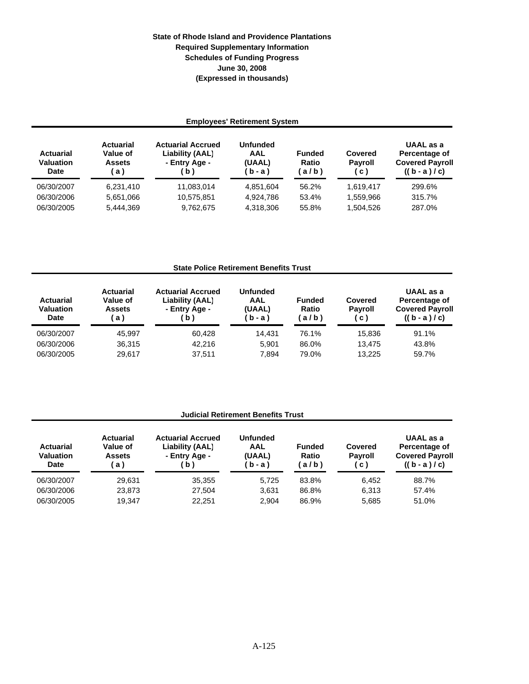# **State of Rhode Island and Providence Plantations June 30, 2008 (Expressed in thousands) Required Supplementary Information Schedules of Funding Progress**

| <b>Employees' Retirement System</b>                 |                                                     |                                                                   |                                             |                                |                                     |                                                                       |  |
|-----------------------------------------------------|-----------------------------------------------------|-------------------------------------------------------------------|---------------------------------------------|--------------------------------|-------------------------------------|-----------------------------------------------------------------------|--|
| <b>Actuarial</b><br><b>Valuation</b><br><b>Date</b> | <b>Actuarial</b><br>Value of<br><b>Assets</b><br>a) | <b>Actuarial Accrued</b><br>Liability (AAL)<br>- Entry Age -<br>b | <b>Unfunded</b><br>AAL<br>(UAAL)<br>b - a ) | <b>Funded</b><br>Ratio<br>a/b) | Covered<br><b>Payroll</b><br>c)     | UAAL as a<br>Percentage of<br><b>Covered Payroll</b><br>$((b - a)/c)$ |  |
| 06/30/2007<br>06/30/2006<br>06/30/2005              | 6,231,410<br>5,651,066<br>5,444,369                 | 11.083.014<br>10,575,851<br>9,762,675                             | 4,851,604<br>4,924,786<br>4,318,306         | 56.2%<br>53.4%<br>55.8%        | 1,619,417<br>1,559,966<br>1,504,526 | 299.6%<br>315.7%<br>287.0%                                            |  |

## **State Police Retirement Benefits Trust**

| <b>Actuarial</b><br><b>Valuation</b><br>Date | <b>Actuarial</b><br>Value of<br><b>Assets</b><br>a) | <b>Actuarial Accrued</b><br>Liability (AAL)<br>- Entry Age -<br>b <sub>1</sub> | <b>Unfunded</b><br>AAL<br>(UAAL)<br>(b-a) | <b>Funded</b><br>Ratio<br>$a/b$ ) | Covered<br><b>Payroll</b><br>( C ) | <b>UAAL</b> as a<br>Percentage of<br><b>Covered Payroll</b><br>$((b - a)/c)$ |
|----------------------------------------------|-----------------------------------------------------|--------------------------------------------------------------------------------|-------------------------------------------|-----------------------------------|------------------------------------|------------------------------------------------------------------------------|
| 06/30/2007                                   | 45.997                                              | 60.428                                                                         | 14.431                                    | 76.1%                             | 15.836                             | 91.1%                                                                        |
| 06/30/2006                                   | 36.315                                              | 42.216                                                                         | 5.901                                     | 86.0%                             | 13.475                             | 43.8%                                                                        |
| 06/30/2005                                   | 29.617                                              | 37.511                                                                         | 7,894                                     | 79.0%                             | 13.225                             | 59.7%                                                                        |

## **Judicial Retirement Benefits Trust**

| <b>Actuarial</b><br><b>Valuation</b><br><b>Date</b> | <b>Actuarial</b><br>Value of<br><b>Assets</b><br>a l | <b>Actuarial Accrued</b><br>Liability (AAL)<br>- Entry Age -<br>$\mathbf{b}$ | <b>Unfunded</b><br>AAL<br>(UAAL)<br>(b-a) | <b>Funded</b><br>Ratio<br>$a/b$ ) | Covered<br><b>Payroll</b><br>(c) | UAAL as a<br>Percentage of<br><b>Covered Payroll</b><br>$((b - a)/c)$ |
|-----------------------------------------------------|------------------------------------------------------|------------------------------------------------------------------------------|-------------------------------------------|-----------------------------------|----------------------------------|-----------------------------------------------------------------------|
| 06/30/2007                                          | 29.631                                               | 35.355                                                                       | 5.725                                     | 83.8%                             | 6.452                            | 88.7%                                                                 |
| 06/30/2006                                          | 23.873                                               | 27.504                                                                       | 3,631                                     | 86.8%                             | 6.313                            | 57.4%                                                                 |
| 06/30/2005                                          | 19.347                                               | 22.251                                                                       | 2,904                                     | 86.9%                             | 5,685                            | 51.0%                                                                 |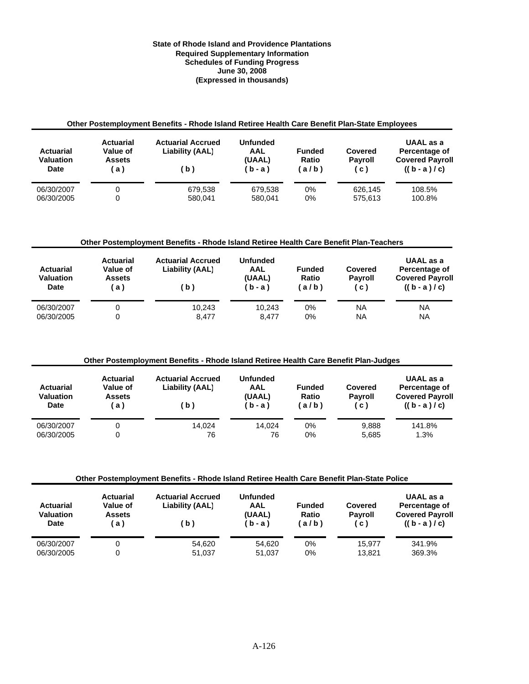### **Required Supplementary Information Schedules of Funding Progress June 30, 2008 (Expressed in thousands) State of Rhode Island and Providence Plantations**

| Other Postemployment Benefits - Rhode Island Retiree Health Care Benefit Plan-State Employees |                                                     |                                                    |                                             |                                   |                                  |                                                                       |  |
|-----------------------------------------------------------------------------------------------|-----------------------------------------------------|----------------------------------------------------|---------------------------------------------|-----------------------------------|----------------------------------|-----------------------------------------------------------------------|--|
| <b>Actuarial</b><br><b>Valuation</b><br>Date                                                  | <b>Actuarial</b><br>Value of<br><b>Assets</b><br>a) | <b>Actuarial Accrued</b><br>Liability (AAL)<br>(b) | <b>Unfunded</b><br>AAL<br>(UAAL)<br>$(b-a)$ | <b>Funded</b><br>Ratio<br>$a/b$ ) | Covered<br><b>Payroll</b><br>(c) | UAAL as a<br>Percentage of<br><b>Covered Payroll</b><br>$((b - a)/c)$ |  |
| 06/30/2007<br>06/30/2005                                                                      | 0<br>0                                              | 679.538<br>580.041                                 | 679.538<br>580.041                          | 0%<br>0%                          | 626.145<br>575.613               | 108.5%<br>100.8%                                                      |  |

## **Other Postemployment Benefits - Rhode Island Retiree Health Care Benefit Plan-Teachers**

| <b>Actuarial</b><br>Valuation<br>Date | <b>Actuarial</b><br><b>Value of</b><br><b>Assets</b><br>ίa | <b>Actuarial Accrued</b><br>Liability (AAL)<br>(b) | <b>Unfunded</b><br><b>AAL</b><br>(UAAL)<br>'b-a) | <b>Funded</b><br>Ratio<br>$a/b$ ) | Covered<br><b>Payroll</b><br>.c) | UAAL as a<br>Percentage of<br><b>Covered Payroll</b><br>$((b-a)/c)$ |
|---------------------------------------|------------------------------------------------------------|----------------------------------------------------|--------------------------------------------------|-----------------------------------|----------------------------------|---------------------------------------------------------------------|
| 06/30/2007                            |                                                            | 10.243                                             | 10.243                                           | 0%                                | <b>NA</b>                        | NA                                                                  |
| 06/30/2005                            |                                                            | 8.477                                              | 8.477                                            | 0%                                | NA                               | NA                                                                  |

## **Other Postemployment Benefits - Rhode Island Retiree Health Care Benefit Plan-Judges**

| <b>Actuarial</b><br>Valuation<br><b>Date</b> | <b>Actuarial</b><br>Value of<br><b>Assets</b><br>a l | <b>Actuarial Accrued</b><br>Liability (AAL)<br>(b) | <b>Unfunded</b><br>AAL<br>(UAAL)<br>(b-a) | <b>Funded</b><br>Ratio<br>'a/b) | Covered<br><b>Payroll</b><br>(C) | UAAL as a<br>Percentage of<br><b>Covered Payroll</b><br>$((b - a)/c)$ |
|----------------------------------------------|------------------------------------------------------|----------------------------------------------------|-------------------------------------------|---------------------------------|----------------------------------|-----------------------------------------------------------------------|
| 06/30/2007                                   |                                                      | 14.024                                             | 14.024                                    | 0%                              | 9.888                            | 141.8%                                                                |
| 06/30/2005                                   |                                                      | 76                                                 | 76                                        | 0%                              | 5.685                            | 1.3%                                                                  |

#### **Other Postemployment Benefits - Rhode Island Retiree Health Care Benefit Plan-State Police**

| <b>Actuarial</b><br><b>Valuation</b><br>Date | <b>Actuarial</b><br>Value of<br><b>Assets</b><br>a) | <b>Actuarial Accrued</b><br>Liability (AAL)<br>(b) | <b>Unfunded</b><br>AAL<br>(UAAL)<br>(b-a) | <b>Funded</b><br>Ratio<br>$a/b$ ) | Covered<br><b>Payroll</b><br>C) | UAAL as a<br>Percentage of<br><b>Covered Payroll</b><br>$((b - a)/c)$ |
|----------------------------------------------|-----------------------------------------------------|----------------------------------------------------|-------------------------------------------|-----------------------------------|---------------------------------|-----------------------------------------------------------------------|
| 06/30/2007                                   |                                                     | 54.620                                             | 54.620                                    | 0%                                | 15.977                          | 341.9%                                                                |
| 06/30/2005                                   |                                                     | 51,037                                             | 51.037                                    | 0%                                | 13.821                          | 369.3%                                                                |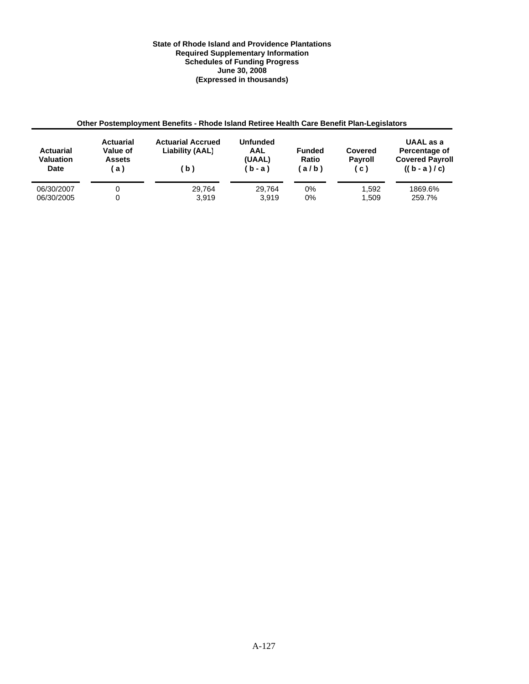### **State of Rhode Island and Providence Plantations Required Supplementary Information Schedules of Funding Progress June 30, 2008 (Expressed in thousands)**

| Other Postemployment Benefits - Rhode Island Retiree Health Care Benefit Plan-Legislators |                                                     |                                                    |                                             |                                        |                                  |                                                                     |  |
|-------------------------------------------------------------------------------------------|-----------------------------------------------------|----------------------------------------------------|---------------------------------------------|----------------------------------------|----------------------------------|---------------------------------------------------------------------|--|
| <b>Actuarial</b><br><b>Valuation</b><br>Date                                              | <b>Actuarial</b><br>Value of<br><b>Assets</b><br>a) | <b>Actuarial Accrued</b><br>Liability (AAL)<br>(b) | <b>Unfunded</b><br>AAL<br>(UAAL)<br>$(b-a)$ | <b>Funded</b><br><b>Ratio</b><br>(a/b) | Covered<br><b>Payroll</b><br>(c) | UAAL as a<br>Percentage of<br><b>Covered Payroll</b><br>$((b-a)/c)$ |  |
| 06/30/2007<br>06/30/2005                                                                  | 0                                                   | 29.764<br>3.919                                    | 29.764<br>3.919                             | $0\%$<br>$0\%$                         | 1.592<br>1.509                   | 1869.6%<br>259.7%                                                   |  |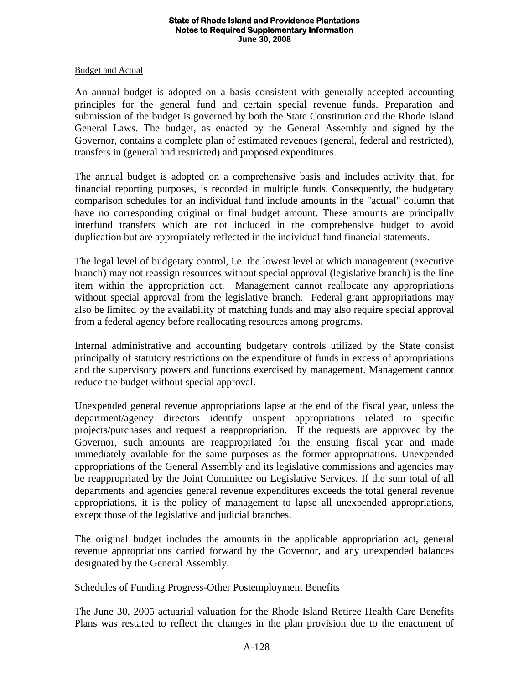### **State of Rhode Island and Providence Plantations Notes to Required Supplementary Information June 30, 2008**

## Budget and Actual

An annual budget is adopted on a basis consistent with generally accepted accounting principles for the general fund and certain special revenue funds. Preparation and submission of the budget is governed by both the State Constitution and the Rhode Island General Laws. The budget, as enacted by the General Assembly and signed by the Governor, contains a complete plan of estimated revenues (general, federal and restricted), transfers in (general and restricted) and proposed expenditures.

The annual budget is adopted on a comprehensive basis and includes activity that, for financial reporting purposes, is recorded in multiple funds. Consequently, the budgetary comparison schedules for an individual fund include amounts in the "actual" column that have no corresponding original or final budget amount. These amounts are principally interfund transfers which are not included in the comprehensive budget to avoid duplication but are appropriately reflected in the individual fund financial statements.

The legal level of budgetary control, i.e. the lowest level at which management (executive branch) may not reassign resources without special approval (legislative branch) is the line item within the appropriation act. Management cannot reallocate any appropriations without special approval from the legislative branch. Federal grant appropriations may also be limited by the availability of matching funds and may also require special approval from a federal agency before reallocating resources among programs.

Internal administrative and accounting budgetary controls utilized by the State consist principally of statutory restrictions on the expenditure of funds in excess of appropriations and the supervisory powers and functions exercised by management. Management cannot reduce the budget without special approval.

Unexpended general revenue appropriations lapse at the end of the fiscal year, unless the department/agency directors identify unspent appropriations related to specific projects/purchases and request a reappropriation. If the requests are approved by the Governor, such amounts are reappropriated for the ensuing fiscal year and made immediately available for the same purposes as the former appropriations. Unexpended appropriations of the General Assembly and its legislative commissions and agencies may be reappropriated by the Joint Committee on Legislative Services. If the sum total of all departments and agencies general revenue expenditures exceeds the total general revenue appropriations, it is the policy of management to lapse all unexpended appropriations, except those of the legislative and judicial branches.

The original budget includes the amounts in the applicable appropriation act, general revenue appropriations carried forward by the Governor, and any unexpended balances designated by the General Assembly.

# Schedules of Funding Progress-Other Postemployment Benefits

The June 30, 2005 actuarial valuation for the Rhode Island Retiree Health Care Benefits Plans was restated to reflect the changes in the plan provision due to the enactment of